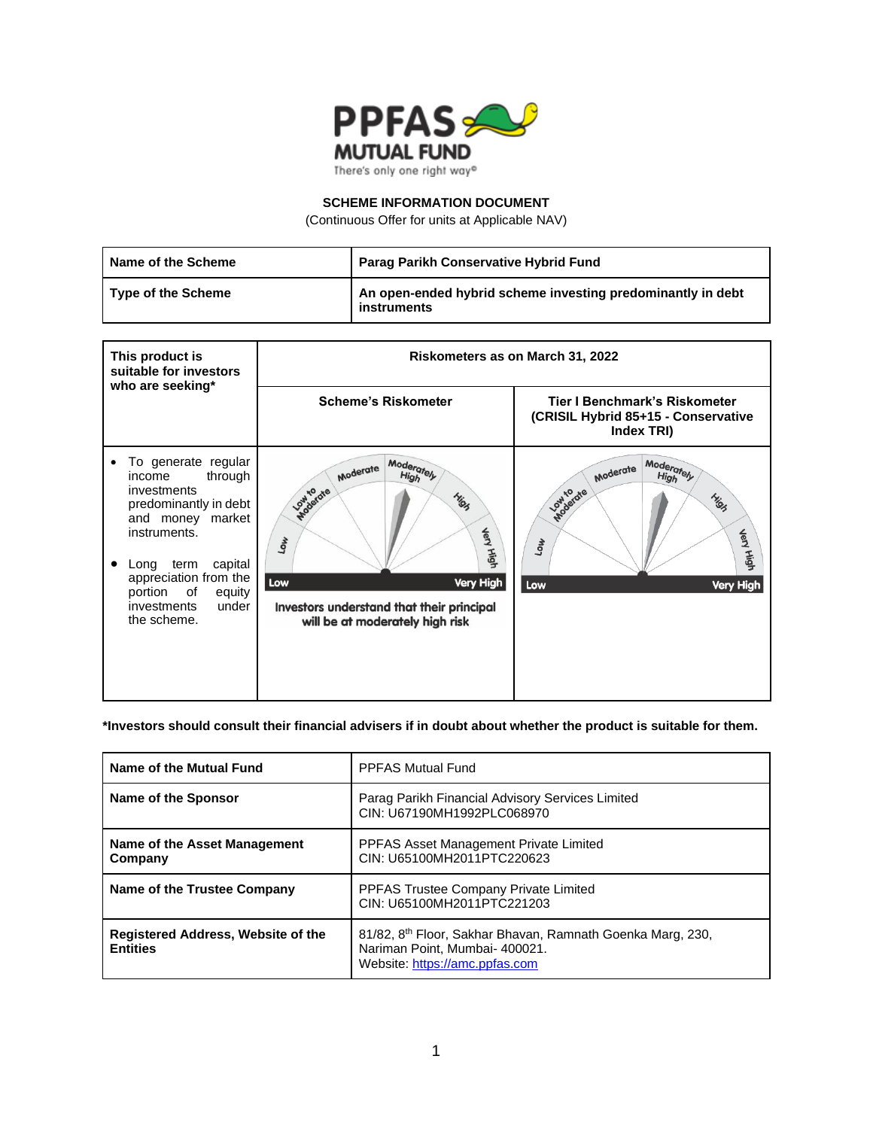

### **SCHEME INFORMATION DOCUMENT**

(Continuous Offer for units at Applicable NAV)

| Name of the Scheme        | Parag Parikh Conservative Hybrid Fund                                      |
|---------------------------|----------------------------------------------------------------------------|
| <b>Type of the Scheme</b> | An open-ended hybrid scheme investing predominantly in debt<br>instruments |

| This product is<br>suitable for investors                                                                                                                                                                                                            | <b>Riskometers as on March 31, 2022</b>                                                                                                                                                                  |                                                                                                                          |
|------------------------------------------------------------------------------------------------------------------------------------------------------------------------------------------------------------------------------------------------------|----------------------------------------------------------------------------------------------------------------------------------------------------------------------------------------------------------|--------------------------------------------------------------------------------------------------------------------------|
| who are seeking*                                                                                                                                                                                                                                     | <b>Scheme's Riskometer</b>                                                                                                                                                                               | Tier I Benchmark's Riskometer<br>(CRISIL Hybrid 85+15 - Conservative<br>Index TRI)                                       |
| To generate regular<br>٠<br>through<br>income<br>investments<br>predominantly in debt<br>and money market<br>instruments.<br>term<br>capital<br>Long<br>٠<br>appreciation from the<br>portion<br>of<br>equity<br>under<br>investments<br>the scheme. | Moderately<br>Moderate<br><b>High</b><br><b>Low to dre</b><br>Migh<br><b>Very High</b><br><b>TOM</b><br>Low<br>Very High<br>Investors understand that their principal<br>will be at moderately high risk | Moderately<br>Moderate<br><b>High</b><br><b>Apollardie</b><br>Migh<br><b>Jery High</b><br><b>Low</b><br>Low<br>Very High |

## **\*Investors should consult their financial advisers if in doubt about whether the product is suitable for them.**

| Name of the Mutual Fund                               | <b>PPFAS Mutual Fund</b>                                                                                                                   |
|-------------------------------------------------------|--------------------------------------------------------------------------------------------------------------------------------------------|
| Name of the Sponsor                                   | Parag Parikh Financial Advisory Services Limited<br>CIN: U67190MH1992PLC068970                                                             |
| Name of the Asset Management<br>Company               | <b>PPFAS Asset Management Private Limited</b><br>CIN: U65100MH2011PTC220623                                                                |
| Name of the Trustee Company                           | PPFAS Trustee Company Private Limited<br>CIN: U65100MH2011PTC221203                                                                        |
| Registered Address, Website of the<br><b>Entities</b> | 81/82, 8 <sup>th</sup> Floor, Sakhar Bhavan, Ramnath Goenka Marg, 230,<br>Nariman Point, Mumbai- 400021.<br>Website: https://amc.ppfas.com |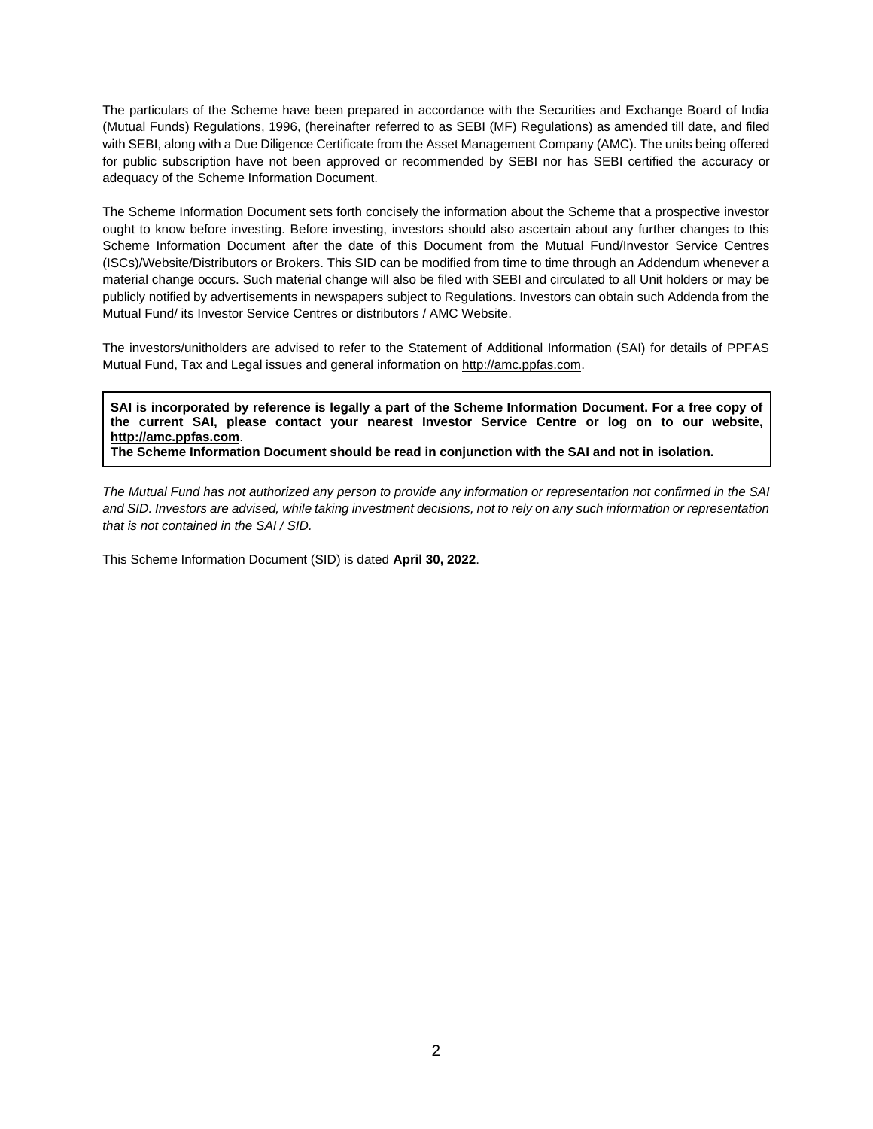The particulars of the Scheme have been prepared in accordance with the Securities and Exchange Board of India (Mutual Funds) Regulations, 1996, (hereinafter referred to as SEBI (MF) Regulations) as amended till date, and filed with SEBI, along with a Due Diligence Certificate from the Asset Management Company (AMC). The units being offered for public subscription have not been approved or recommended by SEBI nor has SEBI certified the accuracy or adequacy of the Scheme Information Document.

The Scheme Information Document sets forth concisely the information about the Scheme that a prospective investor ought to know before investing. Before investing, investors should also ascertain about any further changes to this Scheme Information Document after the date of this Document from the Mutual Fund/Investor Service Centres (ISCs)/Website/Distributors or Brokers. This SID can be modified from time to time through an Addendum whenever a material change occurs. Such material change will also be filed with SEBI and circulated to all Unit holders or may be publicly notified by advertisements in newspapers subject to Regulations. Investors can obtain such Addenda from the Mutual Fund/ its Investor Service Centres or distributors / AMC Website.

The investors/unitholders are advised to refer to the Statement of Additional Information (SAI) for details of PPFAS Mutual Fu[n](http://amc.ppfas.com/)d, Tax and Legal issues and general information on [http://amc.ppfas.com.](http://amc.ppfas.com/)

**SAI is incorporated by reference is legally a part of the Scheme Information Document. For a free copy of the current SAI, please contact your nearest Investor Service Centre or log on to our website[,](http://amc.ppfas.com/) [http://amc.ppfas.com](http://amc.ppfas.com/)**.

**The Scheme Information Document should be read in conjunction with the SAI and not in isolation.**

*The Mutual Fund has not authorized any person to provide any information or representation not confirmed in the SAI and SID. Investors are advised, while taking investment decisions, not to rely on any such information or representation that is not contained in the SAI / SID.*

This Scheme Information Document (SID) is dated **April 30, 2022**.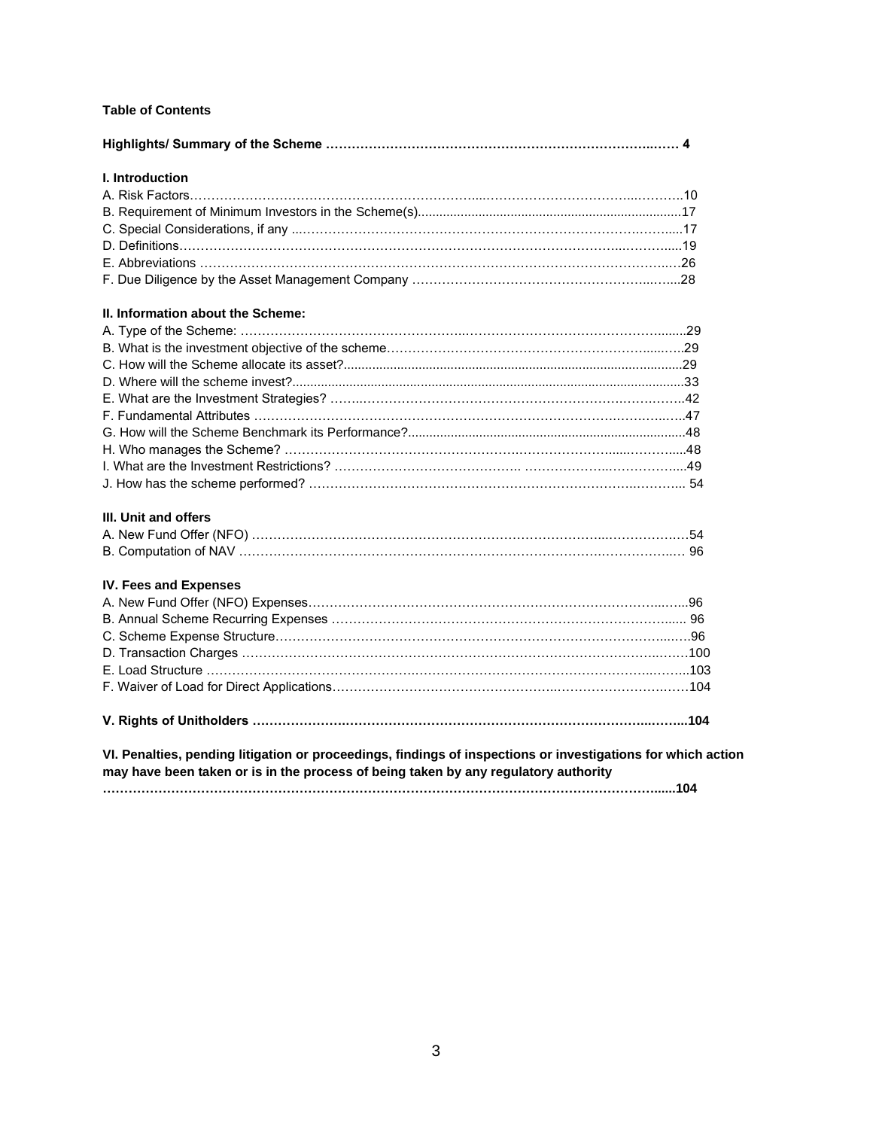# **Table of Contents**

| <b>I.</b> Introduction                                                                                                                                                                              |  |
|-----------------------------------------------------------------------------------------------------------------------------------------------------------------------------------------------------|--|
|                                                                                                                                                                                                     |  |
|                                                                                                                                                                                                     |  |
|                                                                                                                                                                                                     |  |
|                                                                                                                                                                                                     |  |
|                                                                                                                                                                                                     |  |
|                                                                                                                                                                                                     |  |
| II. Information about the Scheme:                                                                                                                                                                   |  |
|                                                                                                                                                                                                     |  |
|                                                                                                                                                                                                     |  |
|                                                                                                                                                                                                     |  |
|                                                                                                                                                                                                     |  |
|                                                                                                                                                                                                     |  |
|                                                                                                                                                                                                     |  |
|                                                                                                                                                                                                     |  |
|                                                                                                                                                                                                     |  |
|                                                                                                                                                                                                     |  |
|                                                                                                                                                                                                     |  |
| <b>III. Unit and offers</b>                                                                                                                                                                         |  |
|                                                                                                                                                                                                     |  |
|                                                                                                                                                                                                     |  |
| IV. Fees and Expenses                                                                                                                                                                               |  |
|                                                                                                                                                                                                     |  |
|                                                                                                                                                                                                     |  |
|                                                                                                                                                                                                     |  |
|                                                                                                                                                                                                     |  |
|                                                                                                                                                                                                     |  |
|                                                                                                                                                                                                     |  |
|                                                                                                                                                                                                     |  |
| VI. Penalties, pending litigation or proceedings, findings of inspections or investigations for which action<br>may have been taken or is in the process of being taken by any regulatory authority |  |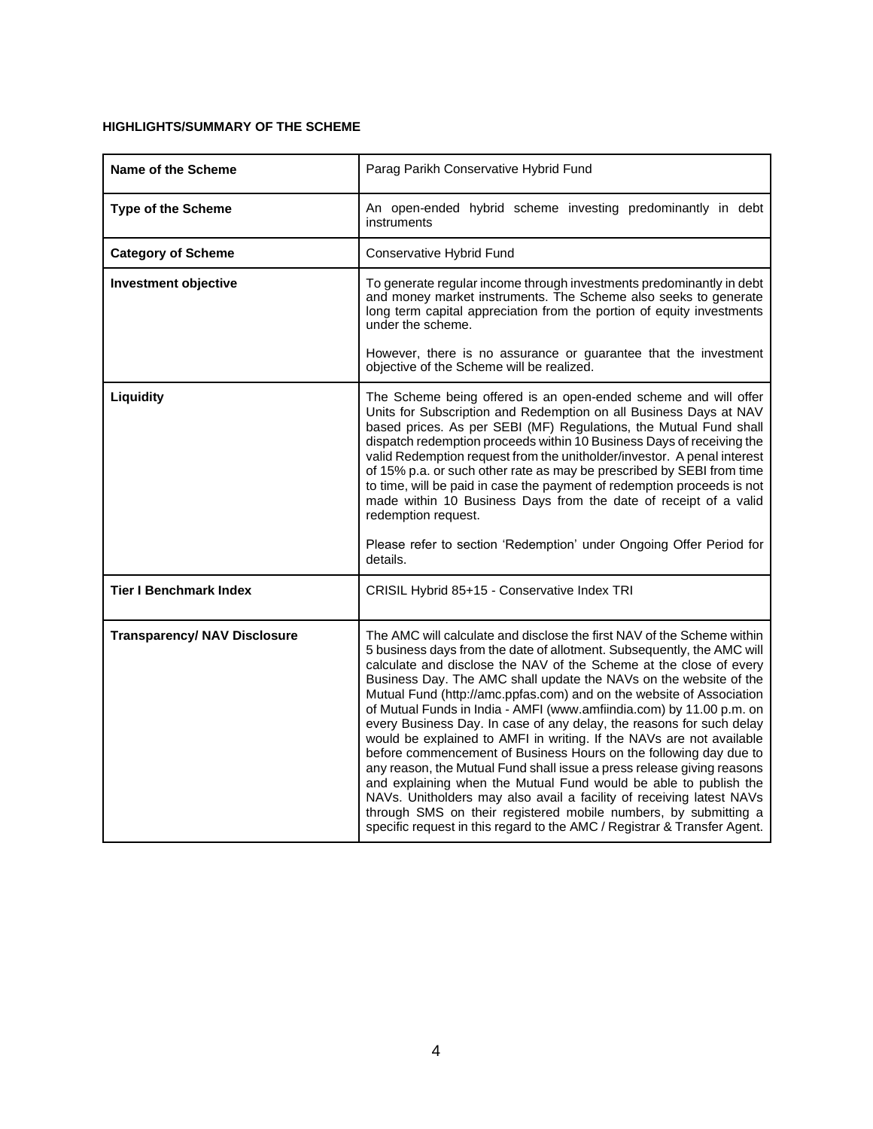# **HIGHLIGHTS/SUMMARY OF THE SCHEME**

| Name of the Scheme                  | Parag Parikh Conservative Hybrid Fund                                                                                                                                                                                                                                                                                                                                                                                                                                                                                                                                                                                                                                                                                                                                                                                                                                                                                                                                                                                                 |
|-------------------------------------|---------------------------------------------------------------------------------------------------------------------------------------------------------------------------------------------------------------------------------------------------------------------------------------------------------------------------------------------------------------------------------------------------------------------------------------------------------------------------------------------------------------------------------------------------------------------------------------------------------------------------------------------------------------------------------------------------------------------------------------------------------------------------------------------------------------------------------------------------------------------------------------------------------------------------------------------------------------------------------------------------------------------------------------|
| Type of the Scheme                  | An open-ended hybrid scheme investing predominantly in debt<br>instruments                                                                                                                                                                                                                                                                                                                                                                                                                                                                                                                                                                                                                                                                                                                                                                                                                                                                                                                                                            |
| <b>Category of Scheme</b>           | Conservative Hybrid Fund                                                                                                                                                                                                                                                                                                                                                                                                                                                                                                                                                                                                                                                                                                                                                                                                                                                                                                                                                                                                              |
| <b>Investment objective</b>         | To generate regular income through investments predominantly in debt<br>and money market instruments. The Scheme also seeks to generate<br>long term capital appreciation from the portion of equity investments<br>under the scheme.                                                                                                                                                                                                                                                                                                                                                                                                                                                                                                                                                                                                                                                                                                                                                                                                 |
|                                     | However, there is no assurance or guarantee that the investment<br>objective of the Scheme will be realized.                                                                                                                                                                                                                                                                                                                                                                                                                                                                                                                                                                                                                                                                                                                                                                                                                                                                                                                          |
| Liquidity                           | The Scheme being offered is an open-ended scheme and will offer<br>Units for Subscription and Redemption on all Business Days at NAV<br>based prices. As per SEBI (MF) Regulations, the Mutual Fund shall<br>dispatch redemption proceeds within 10 Business Days of receiving the<br>valid Redemption request from the unitholder/investor. A penal interest<br>of 15% p.a. or such other rate as may be prescribed by SEBI from time<br>to time, will be paid in case the payment of redemption proceeds is not<br>made within 10 Business Days from the date of receipt of a valid<br>redemption request.<br>Please refer to section 'Redemption' under Ongoing Offer Period for                                                                                                                                                                                                                                                                                                                                                   |
|                                     | details.                                                                                                                                                                                                                                                                                                                                                                                                                                                                                                                                                                                                                                                                                                                                                                                                                                                                                                                                                                                                                              |
| <b>Tier I Benchmark Index</b>       | CRISIL Hybrid 85+15 - Conservative Index TRI                                                                                                                                                                                                                                                                                                                                                                                                                                                                                                                                                                                                                                                                                                                                                                                                                                                                                                                                                                                          |
| <b>Transparency/ NAV Disclosure</b> | The AMC will calculate and disclose the first NAV of the Scheme within<br>5 business days from the date of allotment. Subsequently, the AMC will<br>calculate and disclose the NAV of the Scheme at the close of every<br>Business Day. The AMC shall update the NAVs on the website of the<br>Mutual Fund (http://amc.ppfas.com) and on the website of Association<br>of Mutual Funds in India - AMFI (www.amfiindia.com) by 11.00 p.m. on<br>every Business Day. In case of any delay, the reasons for such delay<br>would be explained to AMFI in writing. If the NAVs are not available<br>before commencement of Business Hours on the following day due to<br>any reason, the Mutual Fund shall issue a press release giving reasons<br>and explaining when the Mutual Fund would be able to publish the<br>NAVs. Unitholders may also avail a facility of receiving latest NAVs<br>through SMS on their registered mobile numbers, by submitting a<br>specific request in this regard to the AMC / Registrar & Transfer Agent. |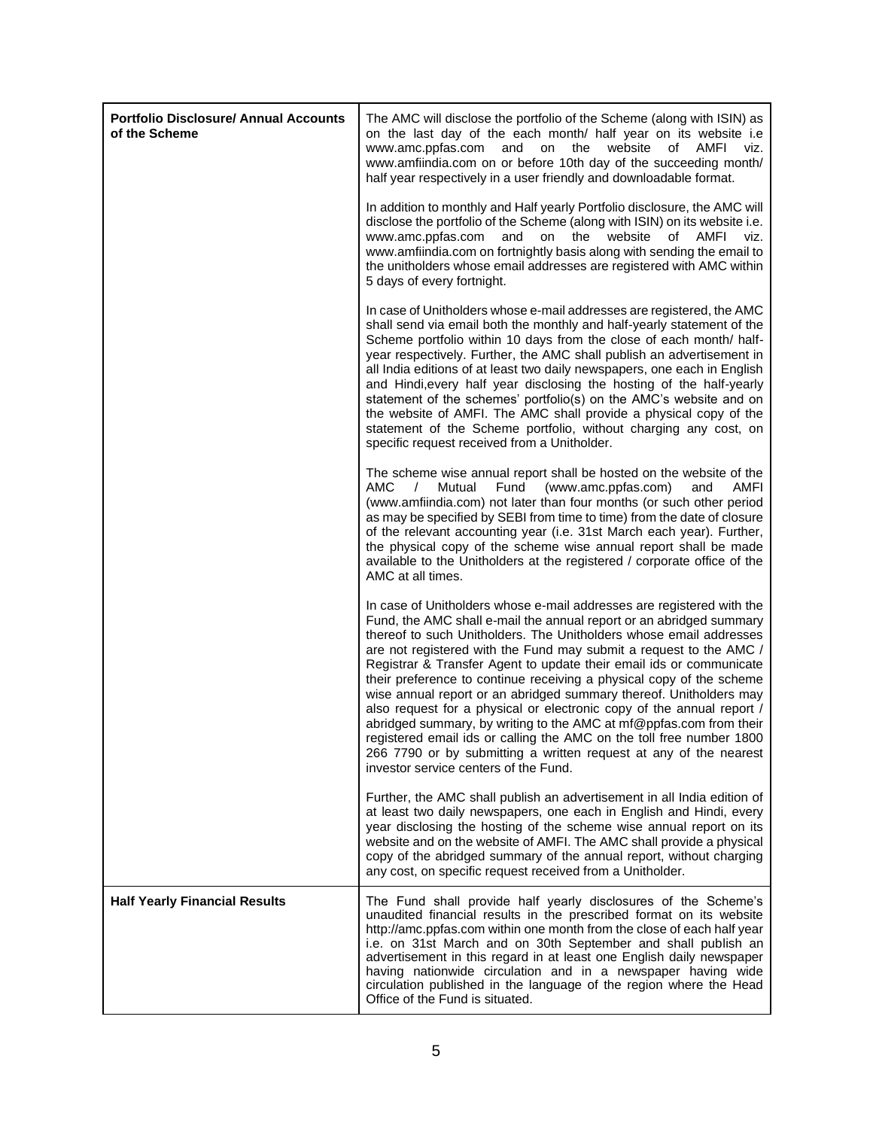| <b>Portfolio Disclosure/ Annual Accounts</b><br>of the Scheme | The AMC will disclose the portfolio of the Scheme (along with ISIN) as<br>on the last day of the each month/ half year on its website i.e<br>www.amc.ppfas.com<br>and<br>on<br>the<br>website<br>οf<br>AMFI<br>viz.<br>www.amfiindia.com on or before 10th day of the succeeding month/<br>half year respectively in a user friendly and downloadable format.                                                                                                                                                                                                                                                                                                                                                                                                                                                                                      |
|---------------------------------------------------------------|----------------------------------------------------------------------------------------------------------------------------------------------------------------------------------------------------------------------------------------------------------------------------------------------------------------------------------------------------------------------------------------------------------------------------------------------------------------------------------------------------------------------------------------------------------------------------------------------------------------------------------------------------------------------------------------------------------------------------------------------------------------------------------------------------------------------------------------------------|
|                                                               | In addition to monthly and Half yearly Portfolio disclosure, the AMC will<br>disclose the portfolio of the Scheme (along with ISIN) on its website i.e.<br>www.amc.ppfas.com<br>and<br>on<br>the<br>website<br>of<br>AMFI<br>viz.<br>www.amfiindia.com on fortnightly basis along with sending the email to<br>the unitholders whose email addresses are registered with AMC within<br>5 days of every fortnight.                                                                                                                                                                                                                                                                                                                                                                                                                                  |
|                                                               | In case of Unitholders whose e-mail addresses are registered, the AMC<br>shall send via email both the monthly and half-yearly statement of the<br>Scheme portfolio within 10 days from the close of each month/ half-<br>year respectively. Further, the AMC shall publish an advertisement in<br>all India editions of at least two daily newspapers, one each in English<br>and Hindi, every half year disclosing the hosting of the half-yearly<br>statement of the schemes' portfolio(s) on the AMC's website and on<br>the website of AMFI. The AMC shall provide a physical copy of the<br>statement of the Scheme portfolio, without charging any cost, on<br>specific request received from a Unitholder.                                                                                                                                 |
|                                                               | The scheme wise annual report shall be hosted on the website of the<br>AMC<br>$\sqrt{2}$<br>Mutual<br>Fund<br>(www.amc.ppfas.com)<br>AMFI<br>and<br>(www.amfiindia.com) not later than four months (or such other period<br>as may be specified by SEBI from time to time) from the date of closure<br>of the relevant accounting year (i.e. 31st March each year). Further,<br>the physical copy of the scheme wise annual report shall be made<br>available to the Unitholders at the registered / corporate office of the<br>AMC at all times.                                                                                                                                                                                                                                                                                                  |
|                                                               | In case of Unitholders whose e-mail addresses are registered with the<br>Fund, the AMC shall e-mail the annual report or an abridged summary<br>thereof to such Unitholders. The Unitholders whose email addresses<br>are not registered with the Fund may submit a request to the AMC /<br>Registrar & Transfer Agent to update their email ids or communicate<br>their preference to continue receiving a physical copy of the scheme<br>wise annual report or an abridged summary thereof. Unitholders may<br>also request for a physical or electronic copy of the annual report /<br>abridged summary, by writing to the AMC at mf@ppfas.com from their<br>registered email ids or calling the AMC on the toll free number 1800<br>266 7790 or by submitting a written request at any of the nearest<br>investor service centers of the Fund. |
|                                                               | Further, the AMC shall publish an advertisement in all India edition of<br>at least two daily newspapers, one each in English and Hindi, every<br>year disclosing the hosting of the scheme wise annual report on its<br>website and on the website of AMFI. The AMC shall provide a physical<br>copy of the abridged summary of the annual report, without charging<br>any cost, on specific request received from a Unitholder.                                                                                                                                                                                                                                                                                                                                                                                                                  |
| <b>Half Yearly Financial Results</b>                          | The Fund shall provide half yearly disclosures of the Scheme's<br>unaudited financial results in the prescribed format on its website<br>http://amc.ppfas.com within one month from the close of each half year<br>i.e. on 31st March and on 30th September and shall publish an<br>advertisement in this regard in at least one English daily newspaper<br>having nationwide circulation and in a newspaper having wide<br>circulation published in the language of the region where the Head<br>Office of the Fund is situated.                                                                                                                                                                                                                                                                                                                  |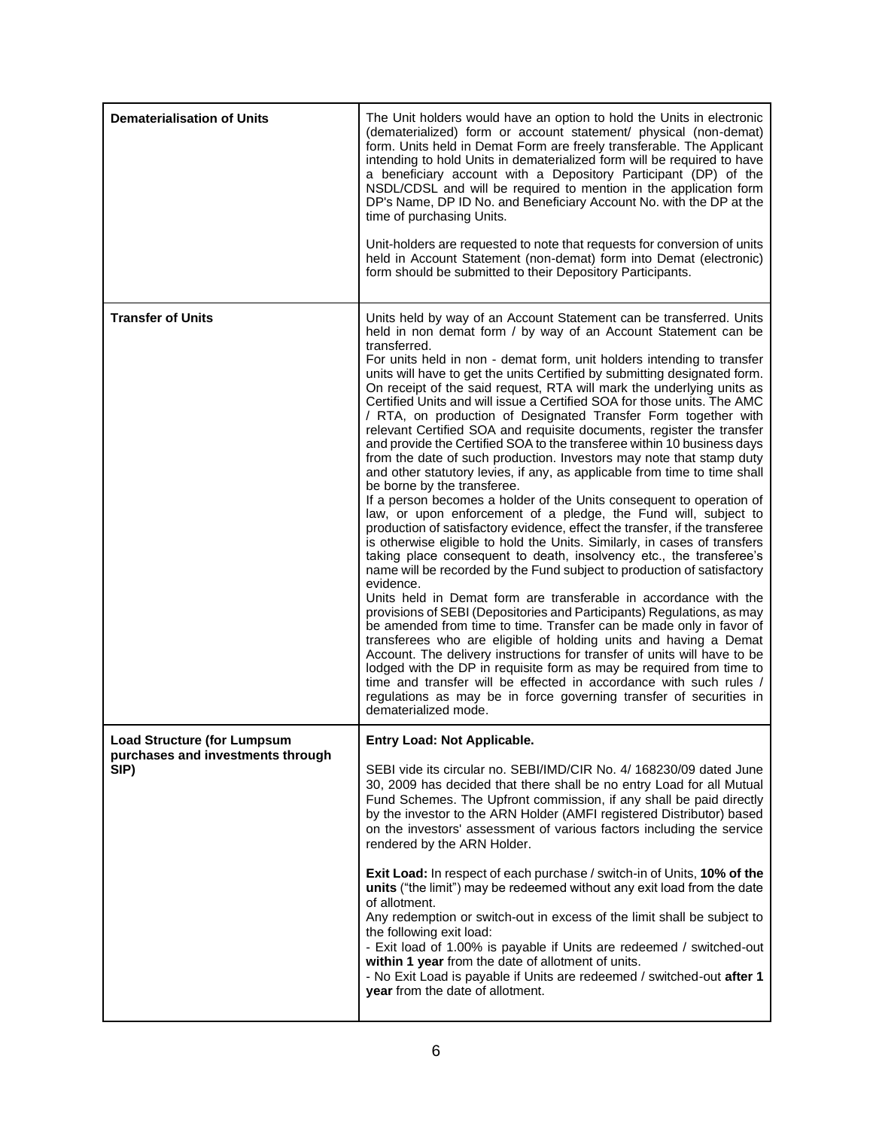| <b>Dematerialisation of Units</b>                                               | The Unit holders would have an option to hold the Units in electronic<br>(dematerialized) form or account statement/ physical (non-demat)<br>form. Units held in Demat Form are freely transferable. The Applicant<br>intending to hold Units in dematerialized form will be required to have<br>a beneficiary account with a Depository Participant (DP) of the<br>NSDL/CDSL and will be required to mention in the application form<br>DP's Name, DP ID No. and Beneficiary Account No. with the DP at the<br>time of purchasing Units.<br>Unit-holders are requested to note that requests for conversion of units<br>held in Account Statement (non-demat) form into Demat (electronic)<br>form should be submitted to their Depository Participants.                                                                                                                                                                                                                                                                                                                                                                                                                                                                                                                                                                                                                                                                                                                                                                                                                                                                                                                                                                                                                                                                                                                                                                                                         |
|---------------------------------------------------------------------------------|-------------------------------------------------------------------------------------------------------------------------------------------------------------------------------------------------------------------------------------------------------------------------------------------------------------------------------------------------------------------------------------------------------------------------------------------------------------------------------------------------------------------------------------------------------------------------------------------------------------------------------------------------------------------------------------------------------------------------------------------------------------------------------------------------------------------------------------------------------------------------------------------------------------------------------------------------------------------------------------------------------------------------------------------------------------------------------------------------------------------------------------------------------------------------------------------------------------------------------------------------------------------------------------------------------------------------------------------------------------------------------------------------------------------------------------------------------------------------------------------------------------------------------------------------------------------------------------------------------------------------------------------------------------------------------------------------------------------------------------------------------------------------------------------------------------------------------------------------------------------------------------------------------------------------------------------------------------------|
| <b>Transfer of Units</b>                                                        | Units held by way of an Account Statement can be transferred. Units<br>held in non demat form / by way of an Account Statement can be<br>transferred.<br>For units held in non - demat form, unit holders intending to transfer<br>units will have to get the units Certified by submitting designated form.<br>On receipt of the said request, RTA will mark the underlying units as<br>Certified Units and will issue a Certified SOA for those units. The AMC<br>/ RTA, on production of Designated Transfer Form together with<br>relevant Certified SOA and requisite documents, register the transfer<br>and provide the Certified SOA to the transferee within 10 business days<br>from the date of such production. Investors may note that stamp duty<br>and other statutory levies, if any, as applicable from time to time shall<br>be borne by the transferee.<br>If a person becomes a holder of the Units consequent to operation of<br>law, or upon enforcement of a pledge, the Fund will, subject to<br>production of satisfactory evidence, effect the transfer, if the transferee<br>is otherwise eligible to hold the Units. Similarly, in cases of transfers<br>taking place consequent to death, insolvency etc., the transferee's<br>name will be recorded by the Fund subject to production of satisfactory<br>evidence.<br>Units held in Demat form are transferable in accordance with the<br>provisions of SEBI (Depositories and Participants) Regulations, as may<br>be amended from time to time. Transfer can be made only in favor of<br>transferees who are eligible of holding units and having a Demat<br>Account. The delivery instructions for transfer of units will have to be<br>lodged with the DP in requisite form as may be required from time to<br>time and transfer will be effected in accordance with such rules /<br>regulations as may be in force governing transfer of securities in<br>dematerialized mode. |
| <b>Load Structure (for Lumpsum</b><br>purchases and investments through<br>SIP) | Entry Load: Not Applicable.<br>SEBI vide its circular no. SEBI/IMD/CIR No. 4/ 168230/09 dated June<br>30, 2009 has decided that there shall be no entry Load for all Mutual<br>Fund Schemes. The Upfront commission, if any shall be paid directly<br>by the investor to the ARN Holder (AMFI registered Distributor) based<br>on the investors' assessment of various factors including the service<br>rendered by the ARN Holder.<br><b>Exit Load:</b> In respect of each purchase / switch-in of Units, 10% of the<br>units ("the limit") may be redeemed without any exit load from the date<br>of allotment.<br>Any redemption or switch-out in excess of the limit shall be subject to<br>the following exit load:<br>- Exit load of 1.00% is payable if Units are redeemed / switched-out<br>within 1 year from the date of allotment of units.<br>- No Exit Load is payable if Units are redeemed / switched-out after 1<br>year from the date of allotment.                                                                                                                                                                                                                                                                                                                                                                                                                                                                                                                                                                                                                                                                                                                                                                                                                                                                                                                                                                                              |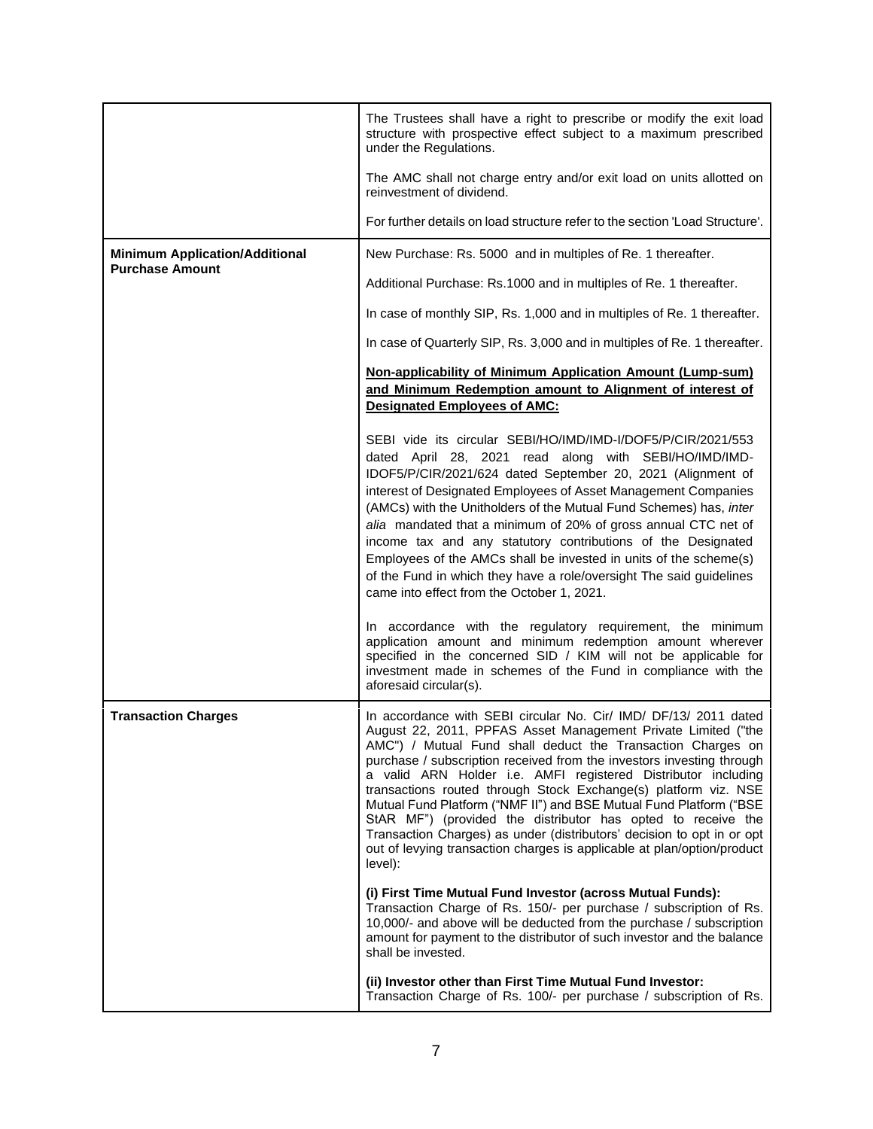|                                                                 | The Trustees shall have a right to prescribe or modify the exit load<br>structure with prospective effect subject to a maximum prescribed<br>under the Regulations.                                                                                                                                                                                                                                                                                                                                                                                                                                                                                                                                                 |
|-----------------------------------------------------------------|---------------------------------------------------------------------------------------------------------------------------------------------------------------------------------------------------------------------------------------------------------------------------------------------------------------------------------------------------------------------------------------------------------------------------------------------------------------------------------------------------------------------------------------------------------------------------------------------------------------------------------------------------------------------------------------------------------------------|
|                                                                 | The AMC shall not charge entry and/or exit load on units allotted on<br>reinvestment of dividend.                                                                                                                                                                                                                                                                                                                                                                                                                                                                                                                                                                                                                   |
|                                                                 | For further details on load structure refer to the section 'Load Structure'.                                                                                                                                                                                                                                                                                                                                                                                                                                                                                                                                                                                                                                        |
| <b>Minimum Application/Additional</b><br><b>Purchase Amount</b> | New Purchase: Rs. 5000 and in multiples of Re. 1 thereafter.                                                                                                                                                                                                                                                                                                                                                                                                                                                                                                                                                                                                                                                        |
|                                                                 | Additional Purchase: Rs.1000 and in multiples of Re. 1 thereafter.                                                                                                                                                                                                                                                                                                                                                                                                                                                                                                                                                                                                                                                  |
|                                                                 | In case of monthly SIP, Rs. 1,000 and in multiples of Re. 1 thereafter.                                                                                                                                                                                                                                                                                                                                                                                                                                                                                                                                                                                                                                             |
|                                                                 | In case of Quarterly SIP, Rs. 3,000 and in multiples of Re. 1 thereafter.                                                                                                                                                                                                                                                                                                                                                                                                                                                                                                                                                                                                                                           |
|                                                                 | Non-applicability of Minimum Application Amount (Lump-sum)<br>and Minimum Redemption amount to Alignment of interest of<br><b>Designated Employees of AMC:</b>                                                                                                                                                                                                                                                                                                                                                                                                                                                                                                                                                      |
|                                                                 | SEBI vide its circular SEBI/HO/IMD/IMD-I/DOF5/P/CIR/2021/553<br>dated April 28, 2021 read along with SEBI/HO/IMD/IMD-<br>IDOF5/P/CIR/2021/624 dated September 20, 2021 (Alignment of<br>interest of Designated Employees of Asset Management Companies<br>(AMCs) with the Unitholders of the Mutual Fund Schemes) has, inter<br>alia mandated that a minimum of 20% of gross annual CTC net of<br>income tax and any statutory contributions of the Designated<br>Employees of the AMCs shall be invested in units of the scheme(s)<br>of the Fund in which they have a role/oversight The said guidelines<br>came into effect from the October 1, 2021.                                                            |
|                                                                 | In accordance with the regulatory requirement, the minimum<br>application amount and minimum redemption amount wherever<br>specified in the concerned SID / KIM will not be applicable for<br>investment made in schemes of the Fund in compliance with the<br>aforesaid circular(s).                                                                                                                                                                                                                                                                                                                                                                                                                               |
| <b>Transaction Charges</b>                                      | In accordance with SEBI circular No. Cir/ IMD/ DF/13/ 2011 dated<br>August 22, 2011, PPFAS Asset Management Private Limited ("the<br>AMC") / Mutual Fund shall deduct the Transaction Charges on<br>purchase / subscription received from the investors investing through<br>a valid ARN Holder i.e. AMFI registered Distributor including<br>transactions routed through Stock Exchange(s) platform viz. NSE<br>Mutual Fund Platform ("NMF II") and BSE Mutual Fund Platform ("BSE<br>StAR MF") (provided the distributor has opted to receive the<br>Transaction Charges) as under (distributors' decision to opt in or opt<br>out of levying transaction charges is applicable at plan/option/product<br>level): |
|                                                                 | (i) First Time Mutual Fund Investor (across Mutual Funds):<br>Transaction Charge of Rs. 150/- per purchase / subscription of Rs.<br>10,000/- and above will be deducted from the purchase / subscription<br>amount for payment to the distributor of such investor and the balance<br>shall be invested.                                                                                                                                                                                                                                                                                                                                                                                                            |
|                                                                 | (ii) Investor other than First Time Mutual Fund Investor:<br>Transaction Charge of Rs. 100/- per purchase / subscription of Rs.                                                                                                                                                                                                                                                                                                                                                                                                                                                                                                                                                                                     |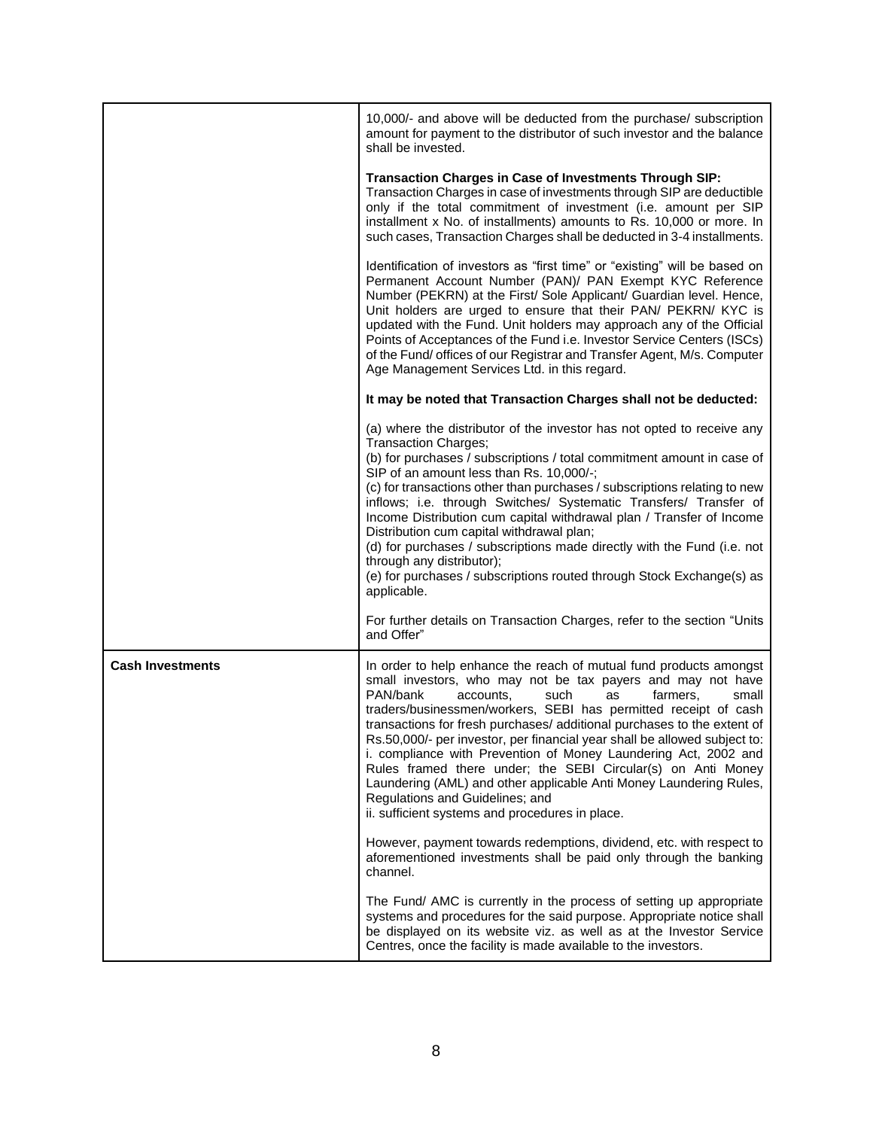|                         | 10,000/- and above will be deducted from the purchase/ subscription<br>amount for payment to the distributor of such investor and the balance<br>shall be invested.                                                                                                                                                                                                                                                                                                                                                                                                                                                                                                                                                     |
|-------------------------|-------------------------------------------------------------------------------------------------------------------------------------------------------------------------------------------------------------------------------------------------------------------------------------------------------------------------------------------------------------------------------------------------------------------------------------------------------------------------------------------------------------------------------------------------------------------------------------------------------------------------------------------------------------------------------------------------------------------------|
|                         | Transaction Charges in Case of Investments Through SIP:<br>Transaction Charges in case of investments through SIP are deductible<br>only if the total commitment of investment (i.e. amount per SIP<br>installment x No. of installments) amounts to Rs. 10,000 or more. In<br>such cases, Transaction Charges shall be deducted in 3-4 installments.                                                                                                                                                                                                                                                                                                                                                                   |
|                         | Identification of investors as "first time" or "existing" will be based on<br>Permanent Account Number (PAN)/ PAN Exempt KYC Reference<br>Number (PEKRN) at the First/ Sole Applicant/ Guardian level. Hence,<br>Unit holders are urged to ensure that their PAN/ PEKRN/ KYC is<br>updated with the Fund. Unit holders may approach any of the Official<br>Points of Acceptances of the Fund i.e. Investor Service Centers (ISCs)<br>of the Fund/ offices of our Registrar and Transfer Agent, M/s. Computer<br>Age Management Services Ltd. in this regard.                                                                                                                                                            |
|                         | It may be noted that Transaction Charges shall not be deducted:                                                                                                                                                                                                                                                                                                                                                                                                                                                                                                                                                                                                                                                         |
|                         | (a) where the distributor of the investor has not opted to receive any<br><b>Transaction Charges;</b><br>(b) for purchases / subscriptions / total commitment amount in case of<br>SIP of an amount less than Rs. 10,000/-;<br>(c) for transactions other than purchases / subscriptions relating to new<br>inflows; i.e. through Switches/ Systematic Transfers/ Transfer of<br>Income Distribution cum capital withdrawal plan / Transfer of Income<br>Distribution cum capital withdrawal plan;<br>(d) for purchases / subscriptions made directly with the Fund (i.e. not<br>through any distributor);<br>(e) for purchases / subscriptions routed through Stock Exchange(s) as<br>applicable.                      |
|                         | For further details on Transaction Charges, refer to the section "Units<br>and Offer"                                                                                                                                                                                                                                                                                                                                                                                                                                                                                                                                                                                                                                   |
| <b>Cash Investments</b> | In order to help enhance the reach of mutual fund products amongst<br>small investors, who may not be tax payers and may not have<br>PAN/bank<br>such<br>farmers.<br>accounts.<br>as<br>small<br>traders/businessmen/workers, SEBI has permitted receipt of cash<br>transactions for fresh purchases/ additional purchases to the extent of<br>Rs.50,000/- per investor, per financial year shall be allowed subject to:<br>i. compliance with Prevention of Money Laundering Act, 2002 and<br>Rules framed there under; the SEBI Circular(s) on Anti Money<br>Laundering (AML) and other applicable Anti Money Laundering Rules,<br>Regulations and Guidelines; and<br>ii. sufficient systems and procedures in place. |
|                         | However, payment towards redemptions, dividend, etc. with respect to<br>aforementioned investments shall be paid only through the banking<br>channel.                                                                                                                                                                                                                                                                                                                                                                                                                                                                                                                                                                   |
|                         | The Fund/ AMC is currently in the process of setting up appropriate<br>systems and procedures for the said purpose. Appropriate notice shall<br>be displayed on its website viz. as well as at the Investor Service<br>Centres, once the facility is made available to the investors.                                                                                                                                                                                                                                                                                                                                                                                                                                   |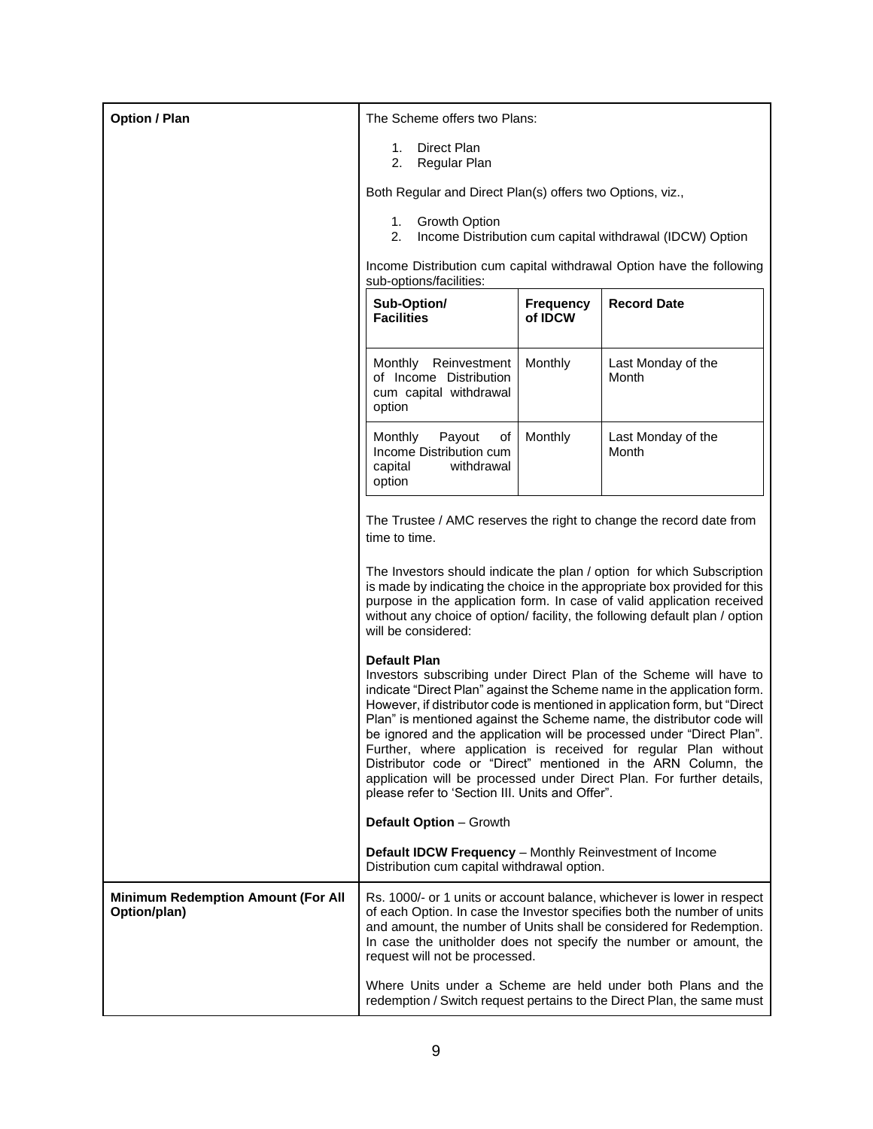| <b>Option / Plan</b>                                      | The Scheme offers two Plans:                                                                                                                                                                                                                                                                                                                                                                                                                                                                                                                                                                                                                                                                                                                                                                                                                                                                                                                                                                                                                                                                                                                                                                                                             |         |                                                                                                                                        |
|-----------------------------------------------------------|------------------------------------------------------------------------------------------------------------------------------------------------------------------------------------------------------------------------------------------------------------------------------------------------------------------------------------------------------------------------------------------------------------------------------------------------------------------------------------------------------------------------------------------------------------------------------------------------------------------------------------------------------------------------------------------------------------------------------------------------------------------------------------------------------------------------------------------------------------------------------------------------------------------------------------------------------------------------------------------------------------------------------------------------------------------------------------------------------------------------------------------------------------------------------------------------------------------------------------------|---------|----------------------------------------------------------------------------------------------------------------------------------------|
|                                                           | Direct Plan<br>1.<br>2.<br>Regular Plan                                                                                                                                                                                                                                                                                                                                                                                                                                                                                                                                                                                                                                                                                                                                                                                                                                                                                                                                                                                                                                                                                                                                                                                                  |         |                                                                                                                                        |
|                                                           | Both Regular and Direct Plan(s) offers two Options, viz.,                                                                                                                                                                                                                                                                                                                                                                                                                                                                                                                                                                                                                                                                                                                                                                                                                                                                                                                                                                                                                                                                                                                                                                                |         |                                                                                                                                        |
|                                                           | 1. Growth Option<br>2.<br>Income Distribution cum capital withdrawal (IDCW) Option                                                                                                                                                                                                                                                                                                                                                                                                                                                                                                                                                                                                                                                                                                                                                                                                                                                                                                                                                                                                                                                                                                                                                       |         |                                                                                                                                        |
|                                                           | Income Distribution cum capital withdrawal Option have the following<br>sub-options/facilities:                                                                                                                                                                                                                                                                                                                                                                                                                                                                                                                                                                                                                                                                                                                                                                                                                                                                                                                                                                                                                                                                                                                                          |         |                                                                                                                                        |
|                                                           | <b>Record Date</b><br>Sub-Option/<br><b>Frequency</b><br><b>Facilities</b><br>of IDCW                                                                                                                                                                                                                                                                                                                                                                                                                                                                                                                                                                                                                                                                                                                                                                                                                                                                                                                                                                                                                                                                                                                                                    |         |                                                                                                                                        |
|                                                           | Reinvestment<br>Monthly<br>of Income Distribution<br>cum capital withdrawal<br>option                                                                                                                                                                                                                                                                                                                                                                                                                                                                                                                                                                                                                                                                                                                                                                                                                                                                                                                                                                                                                                                                                                                                                    | Monthly | Last Monday of the<br>Month                                                                                                            |
|                                                           | Payout<br>Monthly<br>οf<br>Income Distribution cum<br>capital<br>withdrawal<br>option                                                                                                                                                                                                                                                                                                                                                                                                                                                                                                                                                                                                                                                                                                                                                                                                                                                                                                                                                                                                                                                                                                                                                    | Monthly | Last Monday of the<br>Month                                                                                                            |
|                                                           | The Trustee / AMC reserves the right to change the record date from<br>time to time.<br>The Investors should indicate the plan / option for which Subscription<br>is made by indicating the choice in the appropriate box provided for this<br>purpose in the application form. In case of valid application received<br>without any choice of option/ facility, the following default plan / option<br>will be considered:<br><b>Default Plan</b><br>Investors subscribing under Direct Plan of the Scheme will have to<br>indicate "Direct Plan" against the Scheme name in the application form.<br>However, if distributor code is mentioned in application form, but "Direct<br>Plan" is mentioned against the Scheme name, the distributor code will<br>be ignored and the application will be processed under "Direct Plan".<br>Further, where application is received for regular Plan without<br>Distributor code or "Direct" mentioned in the ARN Column, the<br>application will be processed under Direct Plan. For further details,<br>please refer to 'Section III. Units and Offer".<br>Default Option - Growth<br>Default IDCW Frequency - Monthly Reinvestment of Income<br>Distribution cum capital withdrawal option. |         |                                                                                                                                        |
|                                                           |                                                                                                                                                                                                                                                                                                                                                                                                                                                                                                                                                                                                                                                                                                                                                                                                                                                                                                                                                                                                                                                                                                                                                                                                                                          |         |                                                                                                                                        |
|                                                           |                                                                                                                                                                                                                                                                                                                                                                                                                                                                                                                                                                                                                                                                                                                                                                                                                                                                                                                                                                                                                                                                                                                                                                                                                                          |         |                                                                                                                                        |
|                                                           |                                                                                                                                                                                                                                                                                                                                                                                                                                                                                                                                                                                                                                                                                                                                                                                                                                                                                                                                                                                                                                                                                                                                                                                                                                          |         |                                                                                                                                        |
|                                                           |                                                                                                                                                                                                                                                                                                                                                                                                                                                                                                                                                                                                                                                                                                                                                                                                                                                                                                                                                                                                                                                                                                                                                                                                                                          |         |                                                                                                                                        |
| <b>Minimum Redemption Amount (For All</b><br>Option/plan) | Rs. 1000/- or 1 units or account balance, whichever is lower in respect<br>of each Option. In case the Investor specifies both the number of units<br>and amount, the number of Units shall be considered for Redemption.<br>In case the unitholder does not specify the number or amount, the<br>request will not be processed.                                                                                                                                                                                                                                                                                                                                                                                                                                                                                                                                                                                                                                                                                                                                                                                                                                                                                                         |         |                                                                                                                                        |
|                                                           |                                                                                                                                                                                                                                                                                                                                                                                                                                                                                                                                                                                                                                                                                                                                                                                                                                                                                                                                                                                                                                                                                                                                                                                                                                          |         | Where Units under a Scheme are held under both Plans and the<br>redemption / Switch request pertains to the Direct Plan, the same must |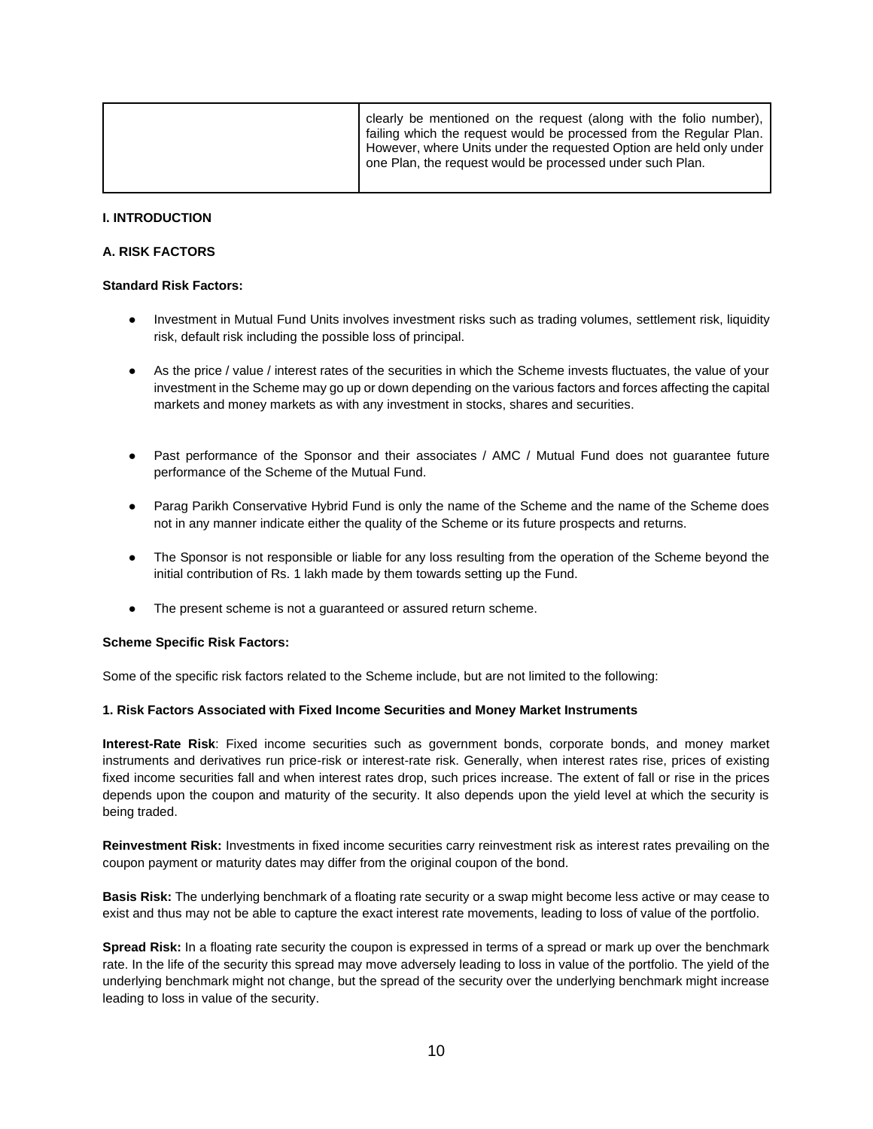| clearly be mentioned on the request (along with the folio number),<br>failing which the request would be processed from the Regular Plan.<br>However, where Units under the requested Option are held only under<br>one Plan, the request would be processed under such Plan. |
|-------------------------------------------------------------------------------------------------------------------------------------------------------------------------------------------------------------------------------------------------------------------------------|
|                                                                                                                                                                                                                                                                               |

#### **I. INTRODUCTION**

#### **A. RISK FACTORS**

#### **Standard Risk Factors:**

- Investment in Mutual Fund Units involves investment risks such as trading volumes, settlement risk, liquidity risk, default risk including the possible loss of principal.
- As the price / value / interest rates of the securities in which the Scheme invests fluctuates, the value of your investment in the Scheme may go up or down depending on the various factors and forces affecting the capital markets and money markets as with any investment in stocks, shares and securities.
- Past performance of the Sponsor and their associates / AMC / Mutual Fund does not quarantee future performance of the Scheme of the Mutual Fund.
- Parag Parikh Conservative Hybrid Fund is only the name of the Scheme and the name of the Scheme does not in any manner indicate either the quality of the Scheme or its future prospects and returns.
- The Sponsor is not responsible or liable for any loss resulting from the operation of the Scheme beyond the initial contribution of Rs. 1 lakh made by them towards setting up the Fund.
- The present scheme is not a guaranteed or assured return scheme.

#### **Scheme Specific Risk Factors:**

Some of the specific risk factors related to the Scheme include, but are not limited to the following:

### **1. Risk Factors Associated with Fixed Income Securities and Money Market Instruments**

**Interest-Rate Risk**: Fixed income securities such as government bonds, corporate bonds, and money market instruments and derivatives run price-risk or interest-rate risk. Generally, when interest rates rise, prices of existing fixed income securities fall and when interest rates drop, such prices increase. The extent of fall or rise in the prices depends upon the coupon and maturity of the security. It also depends upon the yield level at which the security is being traded.

**Reinvestment Risk:** Investments in fixed income securities carry reinvestment risk as interest rates prevailing on the coupon payment or maturity dates may differ from the original coupon of the bond.

**Basis Risk:** The underlying benchmark of a floating rate security or a swap might become less active or may cease to exist and thus may not be able to capture the exact interest rate movements, leading to loss of value of the portfolio.

**Spread Risk:** In a floating rate security the coupon is expressed in terms of a spread or mark up over the benchmark rate. In the life of the security this spread may move adversely leading to loss in value of the portfolio. The yield of the underlying benchmark might not change, but the spread of the security over the underlying benchmark might increase leading to loss in value of the security.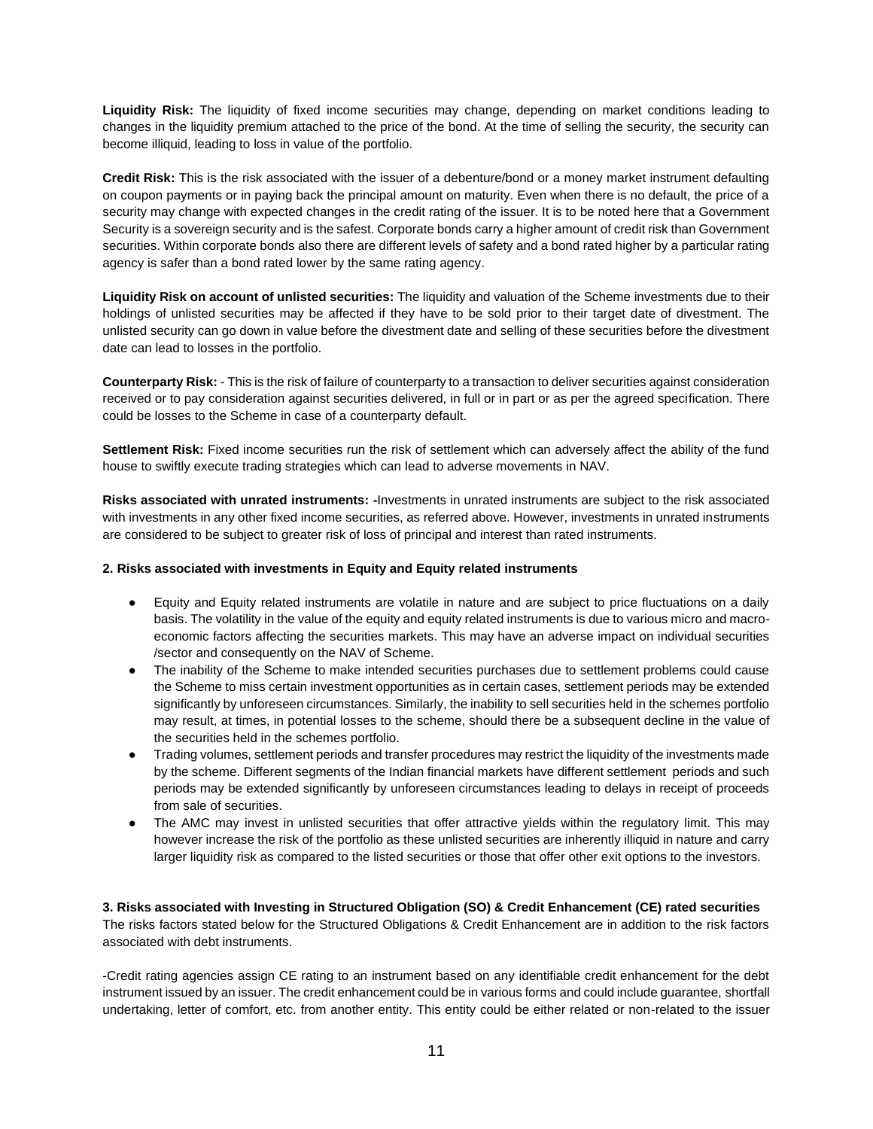**Liquidity Risk:** The liquidity of fixed income securities may change, depending on market conditions leading to changes in the liquidity premium attached to the price of the bond. At the time of selling the security, the security can become illiquid, leading to loss in value of the portfolio.

**Credit Risk:** This is the risk associated with the issuer of a debenture/bond or a money market instrument defaulting on coupon payments or in paying back the principal amount on maturity. Even when there is no default, the price of a security may change with expected changes in the credit rating of the issuer. It is to be noted here that a Government Security is a sovereign security and is the safest. Corporate bonds carry a higher amount of credit risk than Government securities. Within corporate bonds also there are different levels of safety and a bond rated higher by a particular rating agency is safer than a bond rated lower by the same rating agency.

**Liquidity Risk on account of unlisted securities:** The liquidity and valuation of the Scheme investments due to their holdings of unlisted securities may be affected if they have to be sold prior to their target date of divestment. The unlisted security can go down in value before the divestment date and selling of these securities before the divestment date can lead to losses in the portfolio.

**Counterparty Risk:** - This is the risk of failure of counterparty to a transaction to deliver securities against consideration received or to pay consideration against securities delivered, in full or in part or as per the agreed specification. There could be losses to the Scheme in case of a counterparty default.

**Settlement Risk:** Fixed income securities run the risk of settlement which can adversely affect the ability of the fund house to swiftly execute trading strategies which can lead to adverse movements in NAV.

**Risks associated with unrated instruments: -**Investments in unrated instruments are subject to the risk associated with investments in any other fixed income securities, as referred above. However, investments in unrated instruments are considered to be subject to greater risk of loss of principal and interest than rated instruments.

# **2. Risks associated with investments in Equity and Equity related instruments**

- Equity and Equity related instruments are volatile in nature and are subject to price fluctuations on a daily basis. The volatility in the value of the equity and equity related instruments is due to various micro and macroeconomic factors affecting the securities markets. This may have an adverse impact on individual securities /sector and consequently on the NAV of Scheme.
- The inability of the Scheme to make intended securities purchases due to settlement problems could cause the Scheme to miss certain investment opportunities as in certain cases, settlement periods may be extended significantly by unforeseen circumstances. Similarly, the inability to sell securities held in the schemes portfolio may result, at times, in potential losses to the scheme, should there be a subsequent decline in the value of the securities held in the schemes portfolio.
- Trading volumes, settlement periods and transfer procedures may restrict the liquidity of the investments made by the scheme. Different segments of the Indian financial markets have different settlement periods and such periods may be extended significantly by unforeseen circumstances leading to delays in receipt of proceeds from sale of securities.
- The AMC may invest in unlisted securities that offer attractive yields within the regulatory limit. This may however increase the risk of the portfolio as these unlisted securities are inherently illiquid in nature and carry larger liquidity risk as compared to the listed securities or those that offer other exit options to the investors.

**3. Risks associated with Investing in Structured Obligation (SO) & Credit Enhancement (CE) rated securities** The risks factors stated below for the Structured Obligations & Credit Enhancement are in addition to the risk factors associated with debt instruments.

-Credit rating agencies assign CE rating to an instrument based on any identifiable credit enhancement for the debt instrument issued by an issuer. The credit enhancement could be in various forms and could include guarantee, shortfall undertaking, letter of comfort, etc. from another entity. This entity could be either related or non-related to the issuer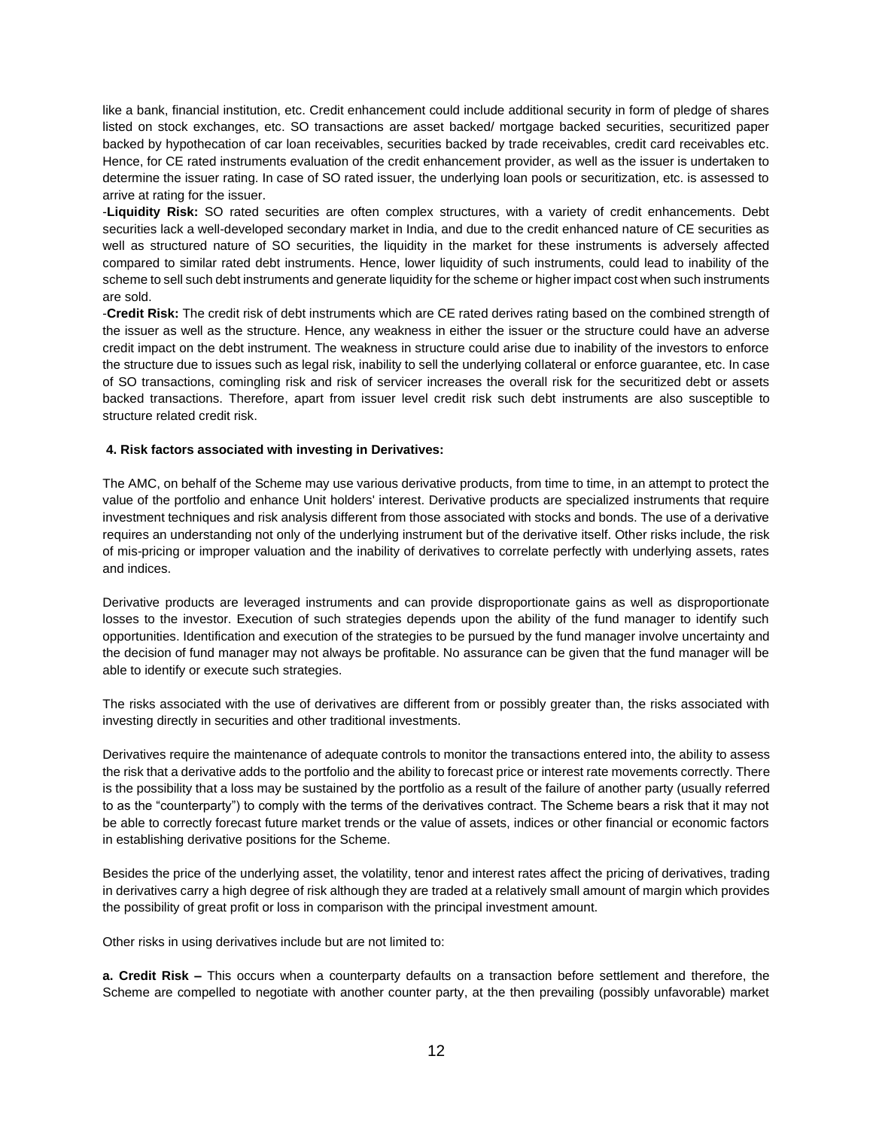like a bank, financial institution, etc. Credit enhancement could include additional security in form of pledge of shares listed on stock exchanges, etc. SO transactions are asset backed/ mortgage backed securities, securitized paper backed by hypothecation of car loan receivables, securities backed by trade receivables, credit card receivables etc. Hence, for CE rated instruments evaluation of the credit enhancement provider, as well as the issuer is undertaken to determine the issuer rating. In case of SO rated issuer, the underlying loan pools or securitization, etc. is assessed to arrive at rating for the issuer.

-**Liquidity Risk:** SO rated securities are often complex structures, with a variety of credit enhancements. Debt securities lack a well-developed secondary market in India, and due to the credit enhanced nature of CE securities as well as structured nature of SO securities, the liquidity in the market for these instruments is adversely affected compared to similar rated debt instruments. Hence, lower liquidity of such instruments, could lead to inability of the scheme to sell such debt instruments and generate liquidity for the scheme or higher impact cost when such instruments are sold.

-**Credit Risk:** The credit risk of debt instruments which are CE rated derives rating based on the combined strength of the issuer as well as the structure. Hence, any weakness in either the issuer or the structure could have an adverse credit impact on the debt instrument. The weakness in structure could arise due to inability of the investors to enforce the structure due to issues such as legal risk, inability to sell the underlying collateral or enforce guarantee, etc. In case of SO transactions, comingling risk and risk of servicer increases the overall risk for the securitized debt or assets backed transactions. Therefore, apart from issuer level credit risk such debt instruments are also susceptible to structure related credit risk.

# **4. Risk factors associated with investing in Derivatives:**

The AMC, on behalf of the Scheme may use various derivative products, from time to time, in an attempt to protect the value of the portfolio and enhance Unit holders' interest. Derivative products are specialized instruments that require investment techniques and risk analysis different from those associated with stocks and bonds. The use of a derivative requires an understanding not only of the underlying instrument but of the derivative itself. Other risks include, the risk of mis-pricing or improper valuation and the inability of derivatives to correlate perfectly with underlying assets, rates and indices.

Derivative products are leveraged instruments and can provide disproportionate gains as well as disproportionate losses to the investor. Execution of such strategies depends upon the ability of the fund manager to identify such opportunities. Identification and execution of the strategies to be pursued by the fund manager involve uncertainty and the decision of fund manager may not always be profitable. No assurance can be given that the fund manager will be able to identify or execute such strategies.

The risks associated with the use of derivatives are different from or possibly greater than, the risks associated with investing directly in securities and other traditional investments.

Derivatives require the maintenance of adequate controls to monitor the transactions entered into, the ability to assess the risk that a derivative adds to the portfolio and the ability to forecast price or interest rate movements correctly. There is the possibility that a loss may be sustained by the portfolio as a result of the failure of another party (usually referred to as the "counterparty") to comply with the terms of the derivatives contract. The Scheme bears a risk that it may not be able to correctly forecast future market trends or the value of assets, indices or other financial or economic factors in establishing derivative positions for the Scheme.

Besides the price of the underlying asset, the volatility, tenor and interest rates affect the pricing of derivatives, trading in derivatives carry a high degree of risk although they are traded at a relatively small amount of margin which provides the possibility of great profit or loss in comparison with the principal investment amount.

Other risks in using derivatives include but are not limited to:

**a. Credit Risk –** This occurs when a counterparty defaults on a transaction before settlement and therefore, the Scheme are compelled to negotiate with another counter party, at the then prevailing (possibly unfavorable) market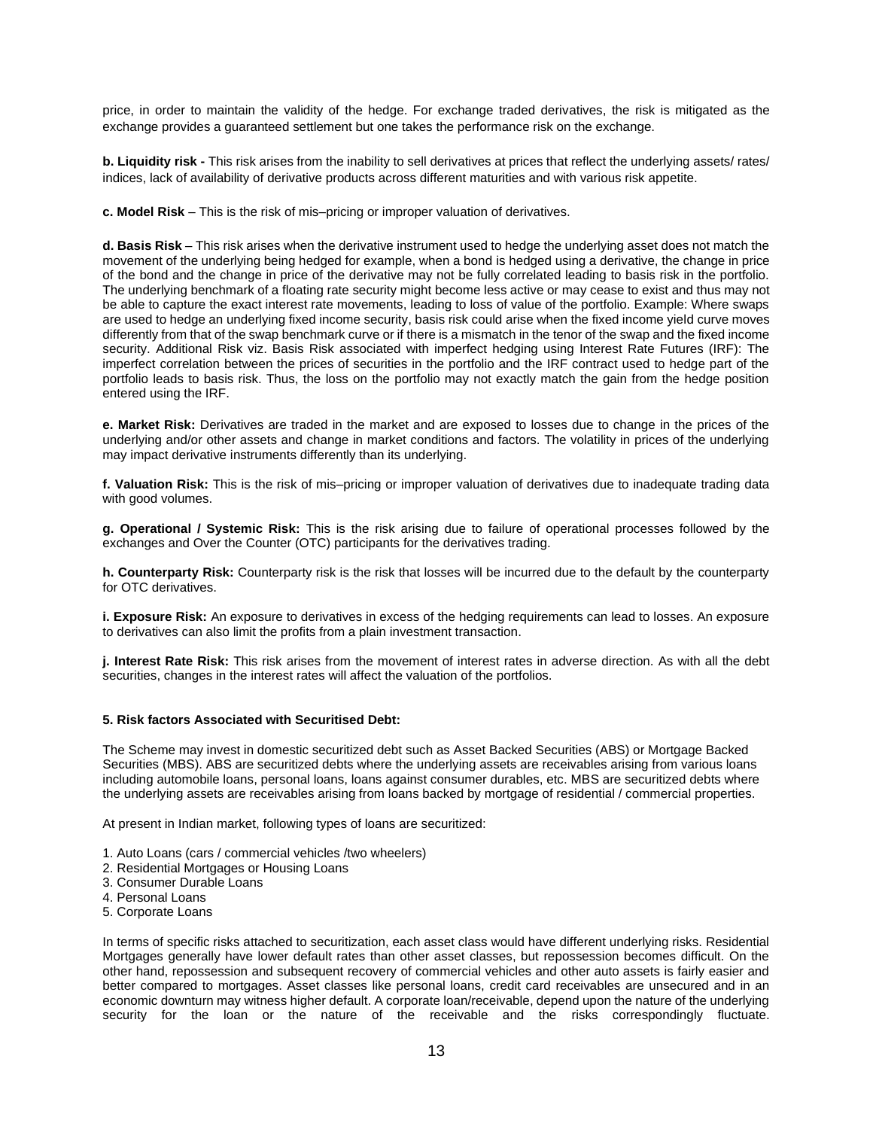price, in order to maintain the validity of the hedge. For exchange traded derivatives, the risk is mitigated as the exchange provides a guaranteed settlement but one takes the performance risk on the exchange.

**b. Liquidity risk -** This risk arises from the inability to sell derivatives at prices that reflect the underlying assets/ rates/ indices, lack of availability of derivative products across different maturities and with various risk appetite.

**c. Model Risk** – This is the risk of mis–pricing or improper valuation of derivatives.

**d. Basis Risk** – This risk arises when the derivative instrument used to hedge the underlying asset does not match the movement of the underlying being hedged for example, when a bond is hedged using a derivative, the change in price of the bond and the change in price of the derivative may not be fully correlated leading to basis risk in the portfolio. The underlying benchmark of a floating rate security might become less active or may cease to exist and thus may not be able to capture the exact interest rate movements, leading to loss of value of the portfolio. Example: Where swaps are used to hedge an underlying fixed income security, basis risk could arise when the fixed income yield curve moves differently from that of the swap benchmark curve or if there is a mismatch in the tenor of the swap and the fixed income security. Additional Risk viz. Basis Risk associated with imperfect hedging using Interest Rate Futures (IRF): The imperfect correlation between the prices of securities in the portfolio and the IRF contract used to hedge part of the portfolio leads to basis risk. Thus, the loss on the portfolio may not exactly match the gain from the hedge position entered using the IRF.

**e. Market Risk:** Derivatives are traded in the market and are exposed to losses due to change in the prices of the underlying and/or other assets and change in market conditions and factors. The volatility in prices of the underlying may impact derivative instruments differently than its underlying.

**f. Valuation Risk:** This is the risk of mis–pricing or improper valuation of derivatives due to inadequate trading data with good volumes.

**g. Operational / Systemic Risk:** This is the risk arising due to failure of operational processes followed by the exchanges and Over the Counter (OTC) participants for the derivatives trading.

**h. Counterparty Risk:** Counterparty risk is the risk that losses will be incurred due to the default by the counterparty for OTC derivatives.

**i. Exposure Risk:** An exposure to derivatives in excess of the hedging requirements can lead to losses. An exposure to derivatives can also limit the profits from a plain investment transaction.

**j. Interest Rate Risk:** This risk arises from the movement of interest rates in adverse direction. As with all the debt securities, changes in the interest rates will affect the valuation of the portfolios.

#### **5. Risk factors Associated with Securitised Debt:**

The Scheme may invest in domestic securitized debt such as Asset Backed Securities (ABS) or Mortgage Backed Securities (MBS). ABS are securitized debts where the underlying assets are receivables arising from various loans including automobile loans, personal loans, loans against consumer durables, etc. MBS are securitized debts where the underlying assets are receivables arising from loans backed by mortgage of residential / commercial properties.

At present in Indian market, following types of loans are securitized:

- 1. Auto Loans (cars / commercial vehicles /two wheelers)
- 2. Residential Mortgages or Housing Loans
- 3. Consumer Durable Loans
- 4. Personal Loans
- 5. Corporate Loans

In terms of specific risks attached to securitization, each asset class would have different underlying risks. Residential Mortgages generally have lower default rates than other asset classes, but repossession becomes difficult. On the other hand, repossession and subsequent recovery of commercial vehicles and other auto assets is fairly easier and better compared to mortgages. Asset classes like personal loans, credit card receivables are unsecured and in an economic downturn may witness higher default. A corporate loan/receivable, depend upon the nature of the underlying security for the loan or the nature of the receivable and the risks correspondingly fluctuate.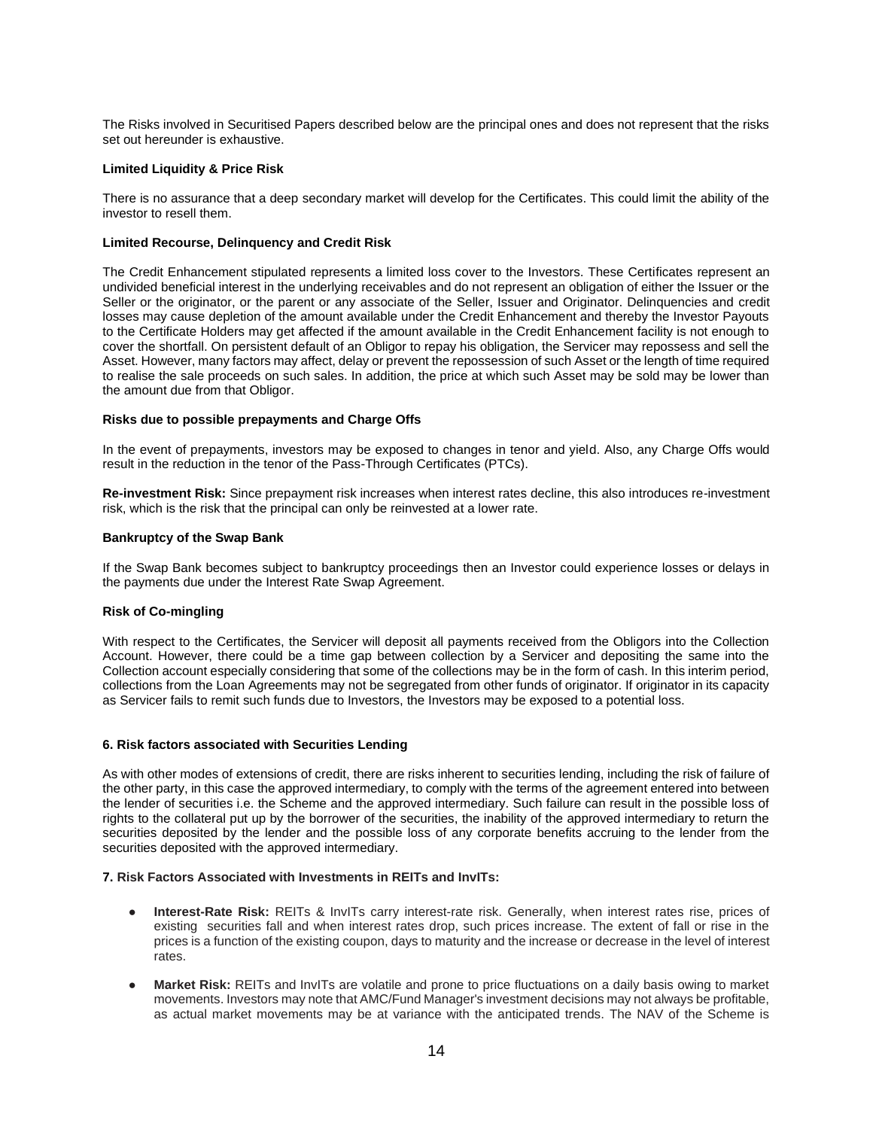The Risks involved in Securitised Papers described below are the principal ones and does not represent that the risks set out hereunder is exhaustive.

#### **Limited Liquidity & Price Risk**

There is no assurance that a deep secondary market will develop for the Certificates. This could limit the ability of the investor to resell them.

### **Limited Recourse, Delinquency and Credit Risk**

The Credit Enhancement stipulated represents a limited loss cover to the Investors. These Certificates represent an undivided beneficial interest in the underlying receivables and do not represent an obligation of either the Issuer or the Seller or the originator, or the parent or any associate of the Seller, Issuer and Originator. Delinquencies and credit losses may cause depletion of the amount available under the Credit Enhancement and thereby the Investor Payouts to the Certificate Holders may get affected if the amount available in the Credit Enhancement facility is not enough to cover the shortfall. On persistent default of an Obligor to repay his obligation, the Servicer may repossess and sell the Asset. However, many factors may affect, delay or prevent the repossession of such Asset or the length of time required to realise the sale proceeds on such sales. In addition, the price at which such Asset may be sold may be lower than the amount due from that Obligor.

#### **Risks due to possible prepayments and Charge Offs**

In the event of prepayments, investors may be exposed to changes in tenor and yield. Also, any Charge Offs would result in the reduction in the tenor of the Pass-Through Certificates (PTCs).

**Re-investment Risk:** Since prepayment risk increases when interest rates decline, this also introduces re-investment risk, which is the risk that the principal can only be reinvested at a lower rate.

#### **Bankruptcy of the Swap Bank**

If the Swap Bank becomes subject to bankruptcy proceedings then an Investor could experience losses or delays in the payments due under the Interest Rate Swap Agreement.

### **Risk of Co-mingling**

With respect to the Certificates, the Servicer will deposit all payments received from the Obligors into the Collection Account. However, there could be a time gap between collection by a Servicer and depositing the same into the Collection account especially considering that some of the collections may be in the form of cash. In this interim period, collections from the Loan Agreements may not be segregated from other funds of originator. If originator in its capacity as Servicer fails to remit such funds due to Investors, the Investors may be exposed to a potential loss.

#### **6. Risk factors associated with Securities Lending**

As with other modes of extensions of credit, there are risks inherent to securities lending, including the risk of failure of the other party, in this case the approved intermediary, to comply with the terms of the agreement entered into between the lender of securities i.e. the Scheme and the approved intermediary. Such failure can result in the possible loss of rights to the collateral put up by the borrower of the securities, the inability of the approved intermediary to return the securities deposited by the lender and the possible loss of any corporate benefits accruing to the lender from the securities deposited with the approved intermediary.

## **7. Risk Factors Associated with Investments in REITs and InvITs:**

- **Interest-Rate Risk:** REITs & InvITs carry interest-rate risk. Generally, when interest rates rise, prices of existing securities fall and when interest rates drop, such prices increase. The extent of fall or rise in the prices is a function of the existing coupon, days to maturity and the increase or decrease in the level of interest rates.
- **Market Risk:** REITs and InvITs are volatile and prone to price fluctuations on a daily basis owing to market movements. Investors may note that AMC/Fund Manager's investment decisions may not always be profitable, as actual market movements may be at variance with the anticipated trends. The NAV of the Scheme is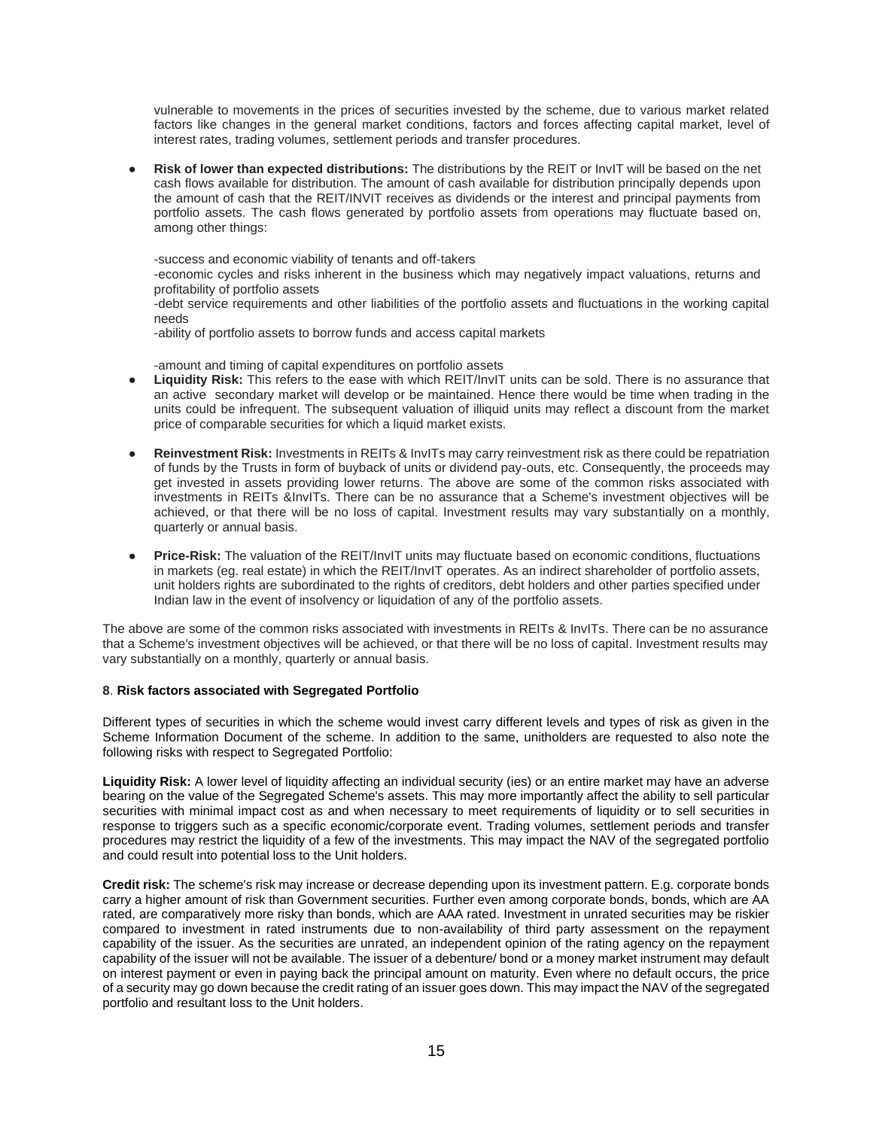vulnerable to movements in the prices of securities invested by the scheme, due to various market related factors like changes in the general market conditions, factors and forces affecting capital market, level of interest rates, trading volumes, settlement periods and transfer procedures.

**Risk of lower than expected distributions:** The distributions by the REIT or InvIT will be based on the net cash flows available for distribution. The amount of cash available for distribution principally depends upon the amount of cash that the REIT/INVIT receives as dividends or the interest and principal payments from portfolio assets. The cash flows generated by portfolio assets from operations may fluctuate based on, among other things:

-success and economic viability of tenants and off-takers

-economic cycles and risks inherent in the business which may negatively impact valuations, returns and profitability of portfolio assets

-debt service requirements and other liabilities of the portfolio assets and fluctuations in the working capital needs

-ability of portfolio assets to borrow funds and access capital markets

-amount and timing of capital expenditures on portfolio assets

- **Liquidity Risk:** This refers to the ease with which REIT/InvIT units can be sold. There is no assurance that an active secondary market will develop or be maintained. Hence there would be time when trading in the units could be infrequent. The subsequent valuation of illiquid units may reflect a discount from the market price of comparable securities for which a liquid market exists.
- Reinvestment Risk: Investments in REITs & InvITs may carry reinvestment risk as there could be repatriation of funds by the Trusts in form of buyback of units or dividend pay-outs, etc. Consequently, the proceeds may get invested in assets providing lower returns. The above are some of the common risks associated with investments in REITs &InvITs. There can be no assurance that a Scheme's investment objectives will be achieved, or that there will be no loss of capital. Investment results may vary substantially on a monthly, quarterly or annual basis.
- **Price-Risk:** The valuation of the REIT/InvIT units may fluctuate based on economic conditions, fluctuations in markets (eg. real estate) in which the REIT/InvIT operates. As an indirect shareholder of portfolio assets, unit holders rights are subordinated to the rights of creditors, debt holders and other parties specified under Indian law in the event of insolvency or liquidation of any of the portfolio assets.

The above are some of the common risks associated with investments in REITs & InvITs. There can be no assurance that a Scheme's investment objectives will be achieved, or that there will be no loss of capital. Investment results may vary substantially on a monthly, quarterly or annual basis.

### **8**. **Risk factors associated with Segregated Portfolio**

Different types of securities in which the scheme would invest carry different levels and types of risk as given in the Scheme Information Document of the scheme. In addition to the same, unitholders are requested to also note the following risks with respect to Segregated Portfolio:

**Liquidity Risk:** A lower level of liquidity affecting an individual security (ies) or an entire market may have an adverse bearing on the value of the Segregated Scheme's assets. This may more importantly affect the ability to sell particular securities with minimal impact cost as and when necessary to meet requirements of liquidity or to sell securities in response to triggers such as a specific economic/corporate event. Trading volumes, settlement periods and transfer procedures may restrict the liquidity of a few of the investments. This may impact the NAV of the segregated portfolio and could result into potential loss to the Unit holders.

**Credit risk:** The scheme's risk may increase or decrease depending upon its investment pattern. E.g. corporate bonds carry a higher amount of risk than Government securities. Further even among corporate bonds, bonds, which are AA rated, are comparatively more risky than bonds, which are AAA rated. Investment in unrated securities may be riskier compared to investment in rated instruments due to non-availability of third party assessment on the repayment capability of the issuer. As the securities are unrated, an independent opinion of the rating agency on the repayment capability of the issuer will not be available. The issuer of a debenture/ bond or a money market instrument may default on interest payment or even in paying back the principal amount on maturity. Even where no default occurs, the price of a security may go down because the credit rating of an issuer goes down. This may impact the NAV of the segregated portfolio and resultant loss to the Unit holders.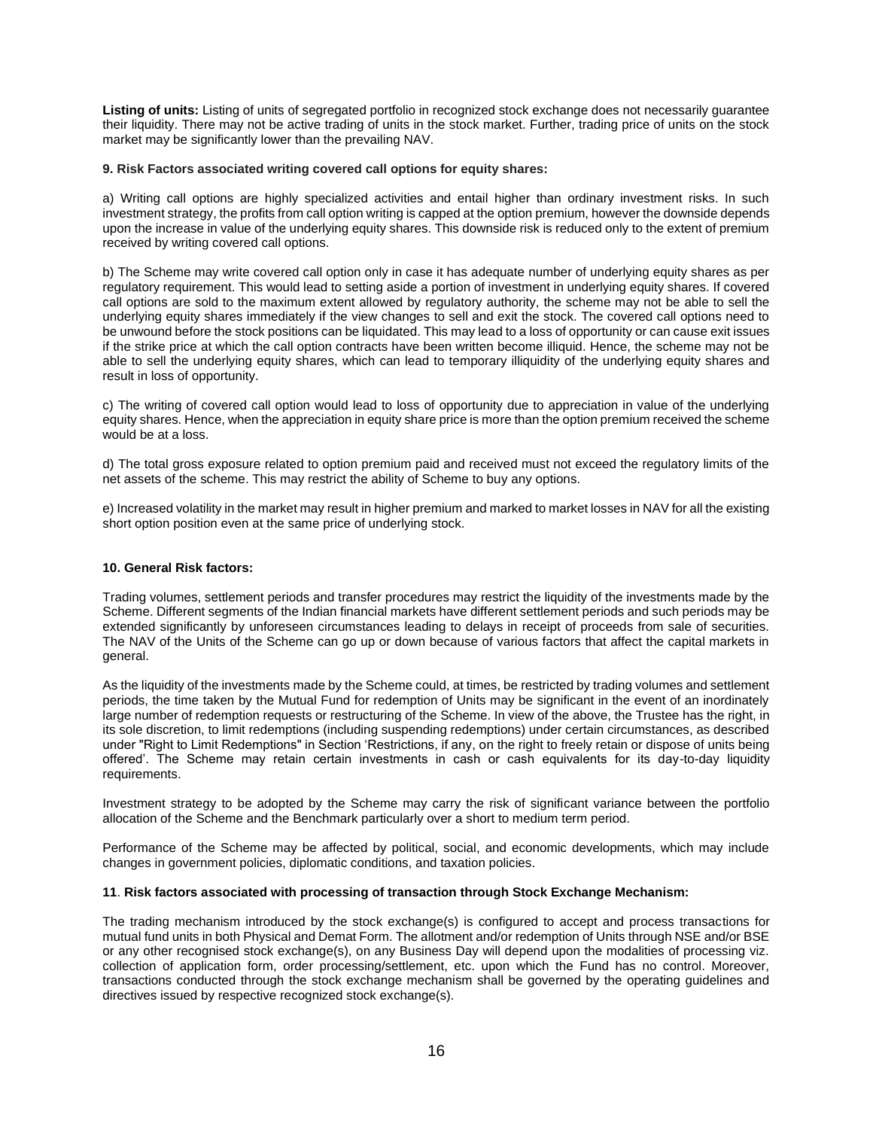**Listing of units:** Listing of units of segregated portfolio in recognized stock exchange does not necessarily guarantee their liquidity. There may not be active trading of units in the stock market. Further, trading price of units on the stock market may be significantly lower than the prevailing NAV.

## **9. Risk Factors associated writing covered call options for equity shares:**

a) Writing call options are highly specialized activities and entail higher than ordinary investment risks. In such investment strategy, the profits from call option writing is capped at the option premium, however the downside depends upon the increase in value of the underlying equity shares. This downside risk is reduced only to the extent of premium received by writing covered call options.

b) The Scheme may write covered call option only in case it has adequate number of underlying equity shares as per regulatory requirement. This would lead to setting aside a portion of investment in underlying equity shares. If covered call options are sold to the maximum extent allowed by regulatory authority, the scheme may not be able to sell the underlying equity shares immediately if the view changes to sell and exit the stock. The covered call options need to be unwound before the stock positions can be liquidated. This may lead to a loss of opportunity or can cause exit issues if the strike price at which the call option contracts have been written become illiquid. Hence, the scheme may not be able to sell the underlying equity shares, which can lead to temporary illiquidity of the underlying equity shares and result in loss of opportunity.

c) The writing of covered call option would lead to loss of opportunity due to appreciation in value of the underlying equity shares. Hence, when the appreciation in equity share price is more than the option premium received the scheme would be at a loss.

d) The total gross exposure related to option premium paid and received must not exceed the regulatory limits of the net assets of the scheme. This may restrict the ability of Scheme to buy any options.

e) Increased volatility in the market may result in higher premium and marked to market losses in NAV for all the existing short option position even at the same price of underlying stock.

# **10. General Risk factors:**

Trading volumes, settlement periods and transfer procedures may restrict the liquidity of the investments made by the Scheme. Different segments of the Indian financial markets have different settlement periods and such periods may be extended significantly by unforeseen circumstances leading to delays in receipt of proceeds from sale of securities. The NAV of the Units of the Scheme can go up or down because of various factors that affect the capital markets in general.

As the liquidity of the investments made by the Scheme could, at times, be restricted by trading volumes and settlement periods, the time taken by the Mutual Fund for redemption of Units may be significant in the event of an inordinately large number of redemption requests or restructuring of the Scheme. In view of the above, the Trustee has the right, in its sole discretion, to limit redemptions (including suspending redemptions) under certain circumstances, as described under "Right to Limit Redemptions" in Section 'Restrictions, if any, on the right to freely retain or dispose of units being offered'. The Scheme may retain certain investments in cash or cash equivalents for its day-to-day liquidity requirements.

Investment strategy to be adopted by the Scheme may carry the risk of significant variance between the portfolio allocation of the Scheme and the Benchmark particularly over a short to medium term period.

Performance of the Scheme may be affected by political, social, and economic developments, which may include changes in government policies, diplomatic conditions, and taxation policies.

# **11**. **Risk factors associated with processing of transaction through Stock Exchange Mechanism:**

The trading mechanism introduced by the stock exchange(s) is configured to accept and process transactions for mutual fund units in both Physical and Demat Form. The allotment and/or redemption of Units through NSE and/or BSE or any other recognised stock exchange(s), on any Business Day will depend upon the modalities of processing viz. collection of application form, order processing/settlement, etc. upon which the Fund has no control. Moreover, transactions conducted through the stock exchange mechanism shall be governed by the operating guidelines and directives issued by respective recognized stock exchange(s).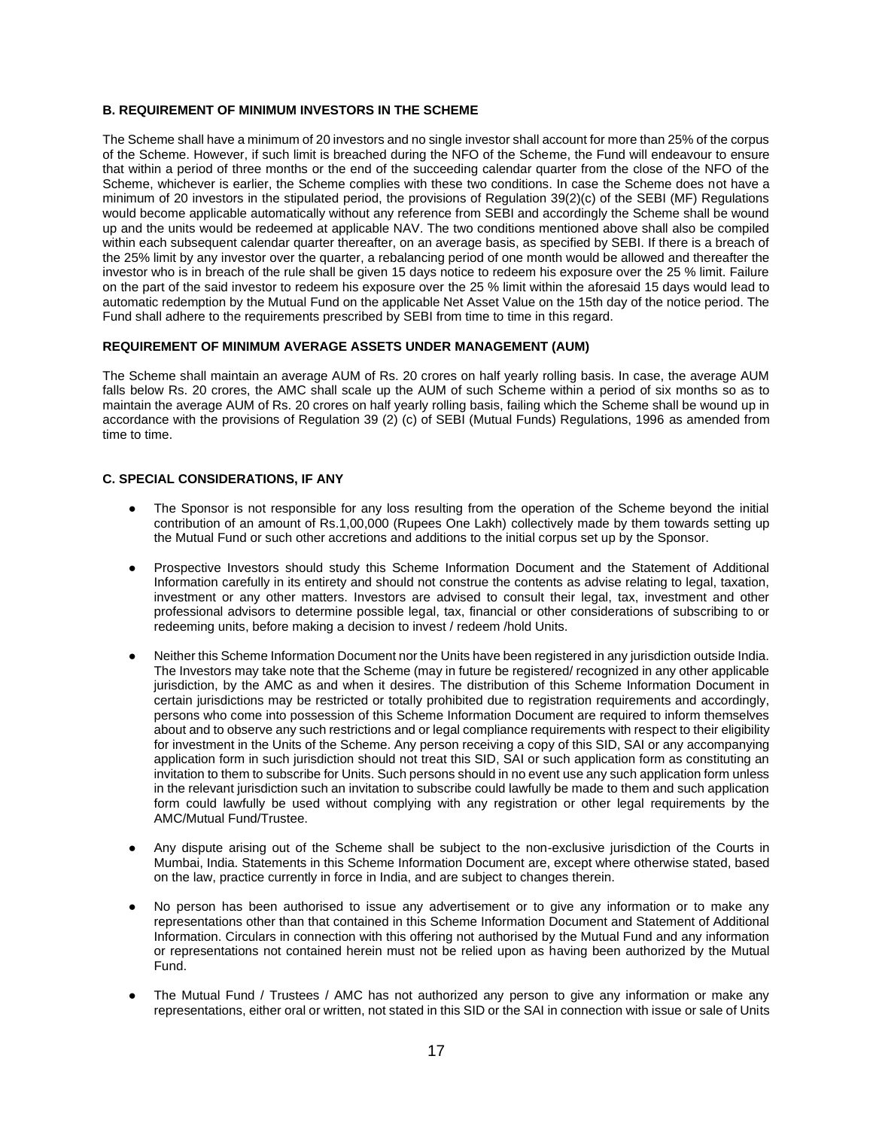# **B. REQUIREMENT OF MINIMUM INVESTORS IN THE SCHEME**

The Scheme shall have a minimum of 20 investors and no single investor shall account for more than 25% of the corpus of the Scheme. However, if such limit is breached during the NFO of the Scheme, the Fund will endeavour to ensure that within a period of three months or the end of the succeeding calendar quarter from the close of the NFO of the Scheme, whichever is earlier, the Scheme complies with these two conditions. In case the Scheme does not have a minimum of 20 investors in the stipulated period, the provisions of Regulation 39(2)(c) of the SEBI (MF) Regulations would become applicable automatically without any reference from SEBI and accordingly the Scheme shall be wound up and the units would be redeemed at applicable NAV. The two conditions mentioned above shall also be compiled within each subsequent calendar quarter thereafter, on an average basis, as specified by SEBI. If there is a breach of the 25% limit by any investor over the quarter, a rebalancing period of one month would be allowed and thereafter the investor who is in breach of the rule shall be given 15 days notice to redeem his exposure over the 25 % limit. Failure on the part of the said investor to redeem his exposure over the 25 % limit within the aforesaid 15 days would lead to automatic redemption by the Mutual Fund on the applicable Net Asset Value on the 15th day of the notice period. The Fund shall adhere to the requirements prescribed by SEBI from time to time in this regard.

# **REQUIREMENT OF MINIMUM AVERAGE ASSETS UNDER MANAGEMENT (AUM)**

The Scheme shall maintain an average AUM of Rs. 20 crores on half yearly rolling basis. In case, the average AUM falls below Rs. 20 crores, the AMC shall scale up the AUM of such Scheme within a period of six months so as to maintain the average AUM of Rs. 20 crores on half yearly rolling basis, failing which the Scheme shall be wound up in accordance with the provisions of Regulation 39 (2) (c) of SEBI (Mutual Funds) Regulations, 1996 as amended from time to time.

### **C. SPECIAL CONSIDERATIONS, IF ANY**

- The Sponsor is not responsible for any loss resulting from the operation of the Scheme beyond the initial contribution of an amount of Rs.1,00,000 (Rupees One Lakh) collectively made by them towards setting up the Mutual Fund or such other accretions and additions to the initial corpus set up by the Sponsor.
- Prospective Investors should study this Scheme Information Document and the Statement of Additional Information carefully in its entirety and should not construe the contents as advise relating to legal, taxation, investment or any other matters. Investors are advised to consult their legal, tax, investment and other professional advisors to determine possible legal, tax, financial or other considerations of subscribing to or redeeming units, before making a decision to invest / redeem /hold Units.
- Neither this Scheme Information Document nor the Units have been registered in any jurisdiction outside India. The Investors may take note that the Scheme (may in future be registered/ recognized in any other applicable jurisdiction, by the AMC as and when it desires. The distribution of this Scheme Information Document in certain jurisdictions may be restricted or totally prohibited due to registration requirements and accordingly, persons who come into possession of this Scheme Information Document are required to inform themselves about and to observe any such restrictions and or legal compliance requirements with respect to their eligibility for investment in the Units of the Scheme. Any person receiving a copy of this SID, SAI or any accompanying application form in such jurisdiction should not treat this SID, SAI or such application form as constituting an invitation to them to subscribe for Units. Such persons should in no event use any such application form unless in the relevant jurisdiction such an invitation to subscribe could lawfully be made to them and such application form could lawfully be used without complying with any registration or other legal requirements by the AMC/Mutual Fund/Trustee.
- Any dispute arising out of the Scheme shall be subject to the non-exclusive jurisdiction of the Courts in Mumbai, India. Statements in this Scheme Information Document are, except where otherwise stated, based on the law, practice currently in force in India, and are subject to changes therein.
- No person has been authorised to issue any advertisement or to give any information or to make any representations other than that contained in this Scheme Information Document and Statement of Additional Information. Circulars in connection with this offering not authorised by the Mutual Fund and any information or representations not contained herein must not be relied upon as having been authorized by the Mutual Fund.
- The Mutual Fund / Trustees / AMC has not authorized any person to give any information or make any representations, either oral or written, not stated in this SID or the SAI in connection with issue or sale of Units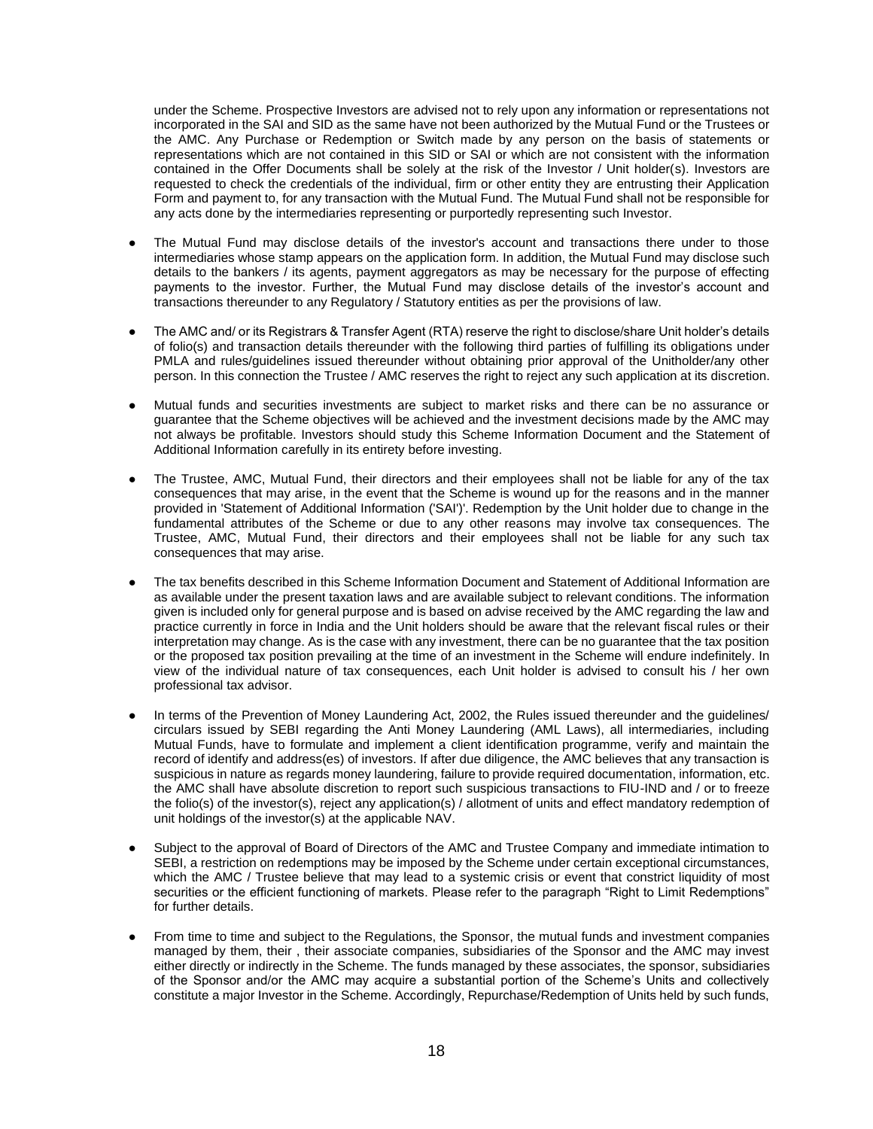under the Scheme. Prospective Investors are advised not to rely upon any information or representations not incorporated in the SAI and SID as the same have not been authorized by the Mutual Fund or the Trustees or the AMC. Any Purchase or Redemption or Switch made by any person on the basis of statements or representations which are not contained in this SID or SAI or which are not consistent with the information contained in the Offer Documents shall be solely at the risk of the Investor / Unit holder(s). Investors are requested to check the credentials of the individual, firm or other entity they are entrusting their Application Form and payment to, for any transaction with the Mutual Fund. The Mutual Fund shall not be responsible for any acts done by the intermediaries representing or purportedly representing such Investor.

- The Mutual Fund may disclose details of the investor's account and transactions there under to those intermediaries whose stamp appears on the application form. In addition, the Mutual Fund may disclose such details to the bankers / its agents, payment aggregators as may be necessary for the purpose of effecting payments to the investor. Further, the Mutual Fund may disclose details of the investor's account and transactions thereunder to any Regulatory / Statutory entities as per the provisions of law.
- The AMC and/ or its Registrars & Transfer Agent (RTA) reserve the right to disclose/share Unit holder's details of folio(s) and transaction details thereunder with the following third parties of fulfilling its obligations under PMLA and rules/guidelines issued thereunder without obtaining prior approval of the Unitholder/any other person. In this connection the Trustee / AMC reserves the right to reject any such application at its discretion.
- Mutual funds and securities investments are subject to market risks and there can be no assurance or guarantee that the Scheme objectives will be achieved and the investment decisions made by the AMC may not always be profitable. Investors should study this Scheme Information Document and the Statement of Additional Information carefully in its entirety before investing.
- The Trustee, AMC, Mutual Fund, their directors and their employees shall not be liable for any of the tax consequences that may arise, in the event that the Scheme is wound up for the reasons and in the manner provided in 'Statement of Additional Information ('SAI')'. Redemption by the Unit holder due to change in the fundamental attributes of the Scheme or due to any other reasons may involve tax consequences. The Trustee, AMC, Mutual Fund, their directors and their employees shall not be liable for any such tax consequences that may arise.
- The tax benefits described in this Scheme Information Document and Statement of Additional Information are as available under the present taxation laws and are available subject to relevant conditions. The information given is included only for general purpose and is based on advise received by the AMC regarding the law and practice currently in force in India and the Unit holders should be aware that the relevant fiscal rules or their interpretation may change. As is the case with any investment, there can be no guarantee that the tax position or the proposed tax position prevailing at the time of an investment in the Scheme will endure indefinitely. In view of the individual nature of tax consequences, each Unit holder is advised to consult his / her own professional tax advisor.
- In terms of the Prevention of Money Laundering Act, 2002, the Rules issued thereunder and the guidelines/ circulars issued by SEBI regarding the Anti Money Laundering (AML Laws), all intermediaries, including Mutual Funds, have to formulate and implement a client identification programme, verify and maintain the record of identify and address(es) of investors. If after due diligence, the AMC believes that any transaction is suspicious in nature as regards money laundering, failure to provide required documentation, information, etc. the AMC shall have absolute discretion to report such suspicious transactions to FIU-IND and / or to freeze the folio(s) of the investor(s), reject any application(s) / allotment of units and effect mandatory redemption of unit holdings of the investor(s) at the applicable NAV.
- Subject to the approval of Board of Directors of the AMC and Trustee Company and immediate intimation to SEBI, a restriction on redemptions may be imposed by the Scheme under certain exceptional circumstances, which the AMC / Trustee believe that may lead to a systemic crisis or event that constrict liquidity of most securities or the efficient functioning of markets. Please refer to the paragraph "Right to Limit Redemptions" for further details.
- From time to time and subject to the Regulations, the Sponsor, the mutual funds and investment companies managed by them, their , their associate companies, subsidiaries of the Sponsor and the AMC may invest either directly or indirectly in the Scheme. The funds managed by these associates, the sponsor, subsidiaries of the Sponsor and/or the AMC may acquire a substantial portion of the Scheme's Units and collectively constitute a major Investor in the Scheme. Accordingly, Repurchase/Redemption of Units held by such funds,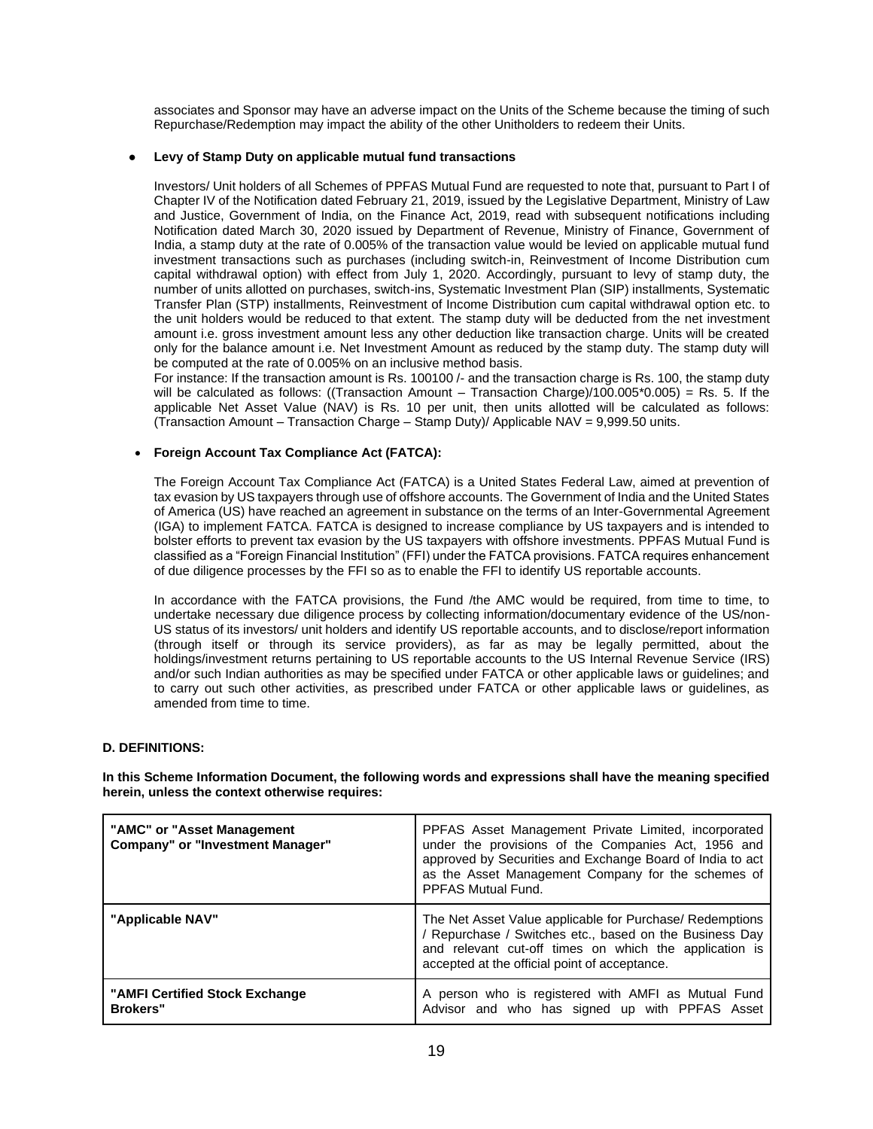associates and Sponsor may have an adverse impact on the Units of the Scheme because the timing of such Repurchase/Redemption may impact the ability of the other Unitholders to redeem their Units.

### **Levy of Stamp Duty on applicable mutual fund transactions**

Investors/ Unit holders of all Schemes of PPFAS Mutual Fund are requested to note that, pursuant to Part I of Chapter IV of the Notification dated February 21, 2019, issued by the Legislative Department, Ministry of Law and Justice, Government of India, on the Finance Act, 2019, read with subsequent notifications including Notification dated March 30, 2020 issued by Department of Revenue, Ministry of Finance, Government of India, a stamp duty at the rate of 0.005% of the transaction value would be levied on applicable mutual fund investment transactions such as purchases (including switch-in, Reinvestment of Income Distribution cum capital withdrawal option) with effect from July 1, 2020. Accordingly, pursuant to levy of stamp duty, the number of units allotted on purchases, switch-ins, Systematic Investment Plan (SIP) installments, Systematic Transfer Plan (STP) installments, Reinvestment of Income Distribution cum capital withdrawal option etc. to the unit holders would be reduced to that extent. The stamp duty will be deducted from the net investment amount i.e. gross investment amount less any other deduction like transaction charge. Units will be created only for the balance amount i.e. Net Investment Amount as reduced by the stamp duty. The stamp duty will be computed at the rate of 0.005% on an inclusive method basis.

For instance: If the transaction amount is Rs. 100100 /- and the transaction charge is Rs. 100, the stamp duty will be calculated as follows: ((Transaction Amount – Transaction Charge)/100.005\*0.005) = Rs. 5. If the applicable Net Asset Value (NAV) is Rs. 10 per unit, then units allotted will be calculated as follows: (Transaction Amount – Transaction Charge – Stamp Duty)/ Applicable NAV = 9,999.50 units.

# • **Foreign Account Tax Compliance Act (FATCA):**

The Foreign Account Tax Compliance Act (FATCA) is a United States Federal Law, aimed at prevention of tax evasion by US taxpayers through use of offshore accounts. The Government of India and the United States of America (US) have reached an agreement in substance on the terms of an Inter-Governmental Agreement (IGA) to implement FATCA. FATCA is designed to increase compliance by US taxpayers and is intended to bolster efforts to prevent tax evasion by the US taxpayers with offshore investments. PPFAS Mutual Fund is classified as a "Foreign Financial Institution" (FFI) under the FATCA provisions. FATCA requires enhancement of due diligence processes by the FFI so as to enable the FFI to identify US reportable accounts.

In accordance with the FATCA provisions, the Fund /the AMC would be required, from time to time, to undertake necessary due diligence process by collecting information/documentary evidence of the US/non-US status of its investors/ unit holders and identify US reportable accounts, and to disclose/report information (through itself or through its service providers), as far as may be legally permitted, about the holdings/investment returns pertaining to US reportable accounts to the US Internal Revenue Service (IRS) and/or such Indian authorities as may be specified under FATCA or other applicable laws or guidelines; and to carry out such other activities, as prescribed under FATCA or other applicable laws or guidelines, as amended from time to time.

# **D. DEFINITIONS:**

**In this Scheme Information Document, the following words and expressions shall have the meaning specified herein, unless the context otherwise requires:**

| "AMC" or "Asset Management"<br><b>Company" or "Investment Manager"</b> | PPFAS Asset Management Private Limited, incorporated<br>under the provisions of the Companies Act, 1956 and<br>approved by Securities and Exchange Board of India to act<br>as the Asset Management Company for the schemes of<br>PPFAS Mutual Fund. |
|------------------------------------------------------------------------|------------------------------------------------------------------------------------------------------------------------------------------------------------------------------------------------------------------------------------------------------|
| "Applicable NAV"                                                       | The Net Asset Value applicable for Purchase/ Redemptions<br>/ Repurchase / Switches etc., based on the Business Day<br>and relevant cut-off times on which the application is<br>accepted at the official point of acceptance.                       |
| "AMFI Certified Stock Exchange<br><b>Brokers</b> "                     | A person who is registered with AMFI as Mutual Fund<br>Advisor and who has signed up with PPFAS Asset                                                                                                                                                |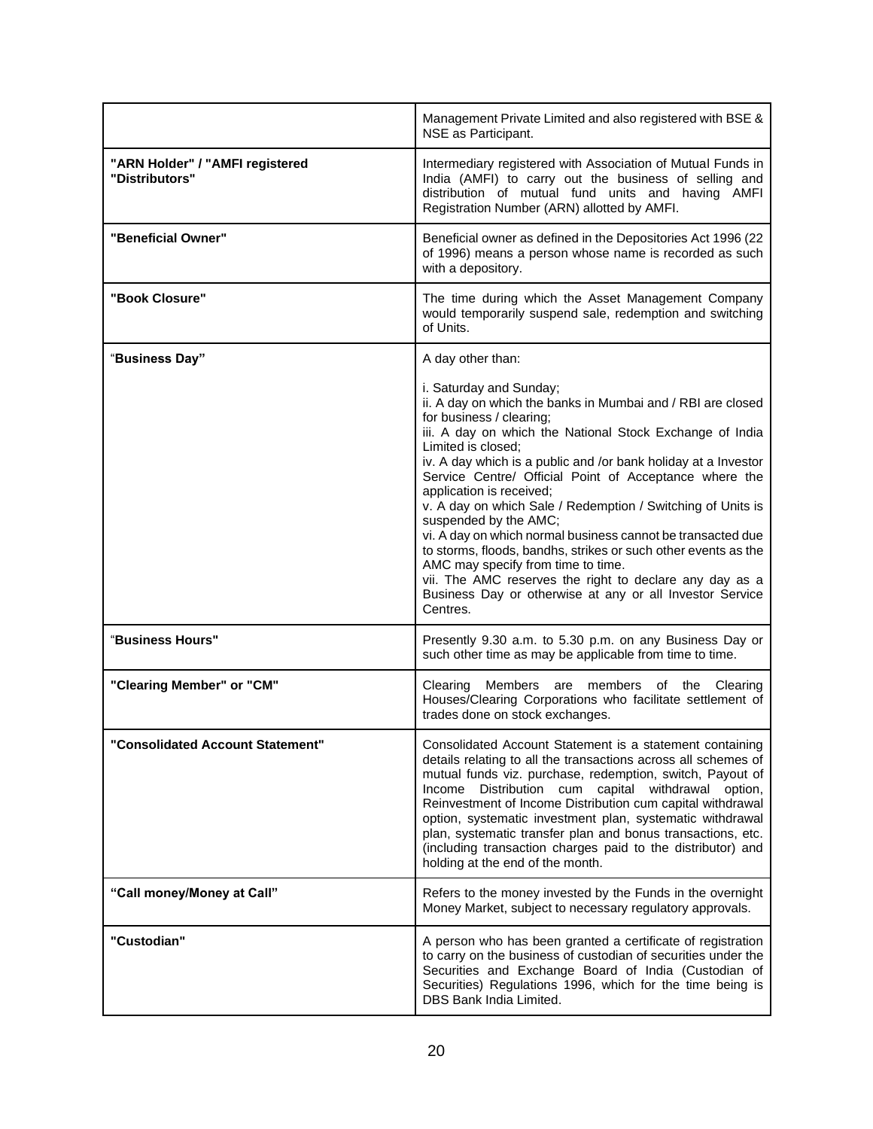|                                                   | Management Private Limited and also registered with BSE &<br>NSE as Participant.                                                                                                                                                                                                                                                                                                                                                                                                                                                                                                                                                                                                                                                                                                    |  |
|---------------------------------------------------|-------------------------------------------------------------------------------------------------------------------------------------------------------------------------------------------------------------------------------------------------------------------------------------------------------------------------------------------------------------------------------------------------------------------------------------------------------------------------------------------------------------------------------------------------------------------------------------------------------------------------------------------------------------------------------------------------------------------------------------------------------------------------------------|--|
| "ARN Holder" / "AMFI registered<br>"Distributors" | Intermediary registered with Association of Mutual Funds in<br>India (AMFI) to carry out the business of selling and<br>distribution of mutual fund units and having AMFI<br>Registration Number (ARN) allotted by AMFI.                                                                                                                                                                                                                                                                                                                                                                                                                                                                                                                                                            |  |
| "Beneficial Owner"                                | Beneficial owner as defined in the Depositories Act 1996 (22<br>of 1996) means a person whose name is recorded as such<br>with a depository.                                                                                                                                                                                                                                                                                                                                                                                                                                                                                                                                                                                                                                        |  |
| "Book Closure"                                    | The time during which the Asset Management Company<br>would temporarily suspend sale, redemption and switching<br>of Units.                                                                                                                                                                                                                                                                                                                                                                                                                                                                                                                                                                                                                                                         |  |
| "Business Day"                                    | A day other than:<br>i. Saturday and Sunday;<br>ii. A day on which the banks in Mumbai and / RBI are closed<br>for business / clearing;<br>iii. A day on which the National Stock Exchange of India<br>Limited is closed;<br>iv. A day which is a public and /or bank holiday at a Investor<br>Service Centre/ Official Point of Acceptance where the<br>application is received;<br>v. A day on which Sale / Redemption / Switching of Units is<br>suspended by the AMC;<br>vi. A day on which normal business cannot be transacted due<br>to storms, floods, bandhs, strikes or such other events as the<br>AMC may specify from time to time.<br>vii. The AMC reserves the right to declare any day as a<br>Business Day or otherwise at any or all Investor Service<br>Centres. |  |
| "Business Hours"                                  | Presently 9.30 a.m. to 5.30 p.m. on any Business Day or<br>such other time as may be applicable from time to time.                                                                                                                                                                                                                                                                                                                                                                                                                                                                                                                                                                                                                                                                  |  |
| "Clearing Member" or "CM"                         | Clearing<br>Members are members of the Clearing<br>Houses/Clearing Corporations who facilitate settlement of<br>trades done on stock exchanges.                                                                                                                                                                                                                                                                                                                                                                                                                                                                                                                                                                                                                                     |  |
| <b>Consolidated Account Statement"</b>            | Consolidated Account Statement is a statement containing<br>details relating to all the transactions across all schemes of<br>mutual funds viz. purchase, redemption, switch, Payout of<br>Distribution cum capital withdrawal<br>Income<br>option,<br>Reinvestment of Income Distribution cum capital withdrawal<br>option, systematic investment plan, systematic withdrawal<br>plan, systematic transfer plan and bonus transactions, etc.<br>(including transaction charges paid to the distributor) and<br>holding at the end of the month.                                                                                                                                                                                                                                    |  |
| "Call money/Money at Call"                        | Refers to the money invested by the Funds in the overnight<br>Money Market, subject to necessary regulatory approvals.                                                                                                                                                                                                                                                                                                                                                                                                                                                                                                                                                                                                                                                              |  |
| "Custodian"                                       | A person who has been granted a certificate of registration<br>to carry on the business of custodian of securities under the<br>Securities and Exchange Board of India (Custodian of<br>Securities) Regulations 1996, which for the time being is<br>DBS Bank India Limited.                                                                                                                                                                                                                                                                                                                                                                                                                                                                                                        |  |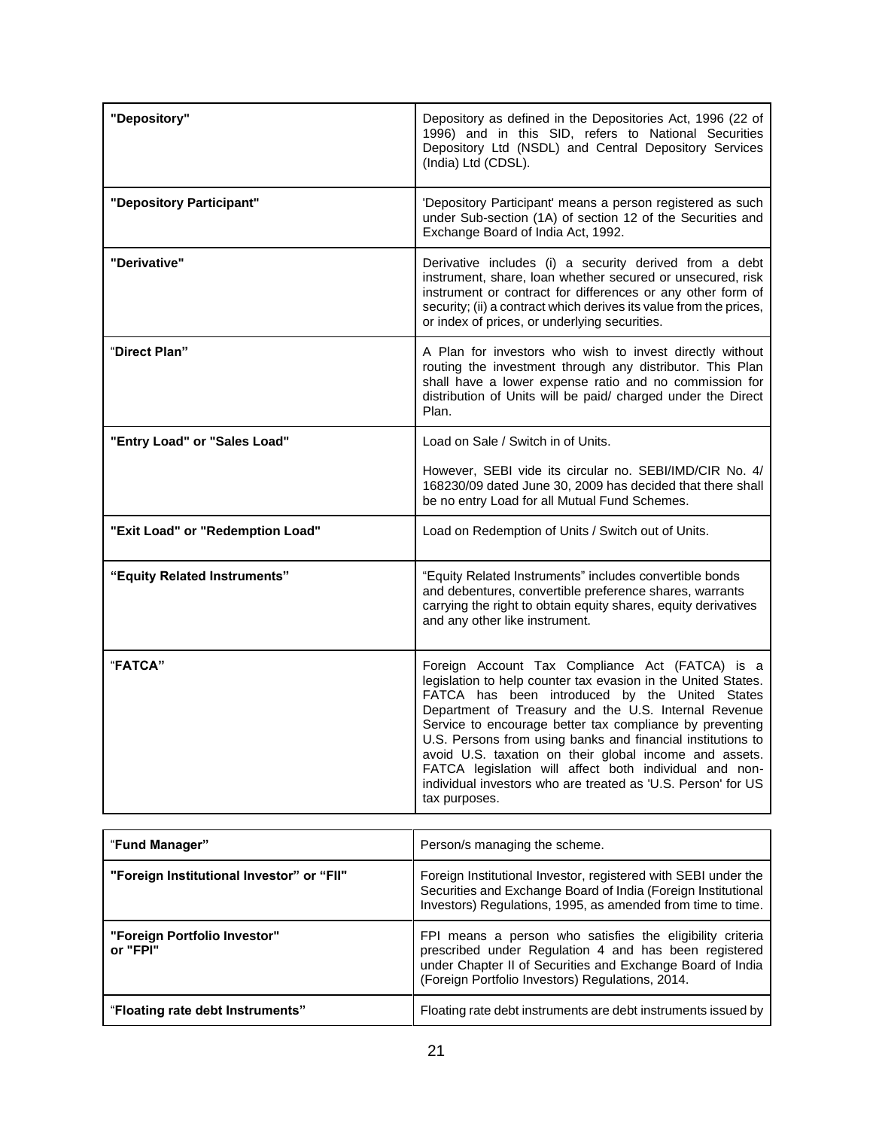| "Depository"                     | Depository as defined in the Depositories Act, 1996 (22 of<br>1996) and in this SID, refers to National Securities<br>Depository Ltd (NSDL) and Central Depository Services<br>(India) Ltd (CDSL).                                                                                                                                                                                                                                                                                                                                                         |  |
|----------------------------------|------------------------------------------------------------------------------------------------------------------------------------------------------------------------------------------------------------------------------------------------------------------------------------------------------------------------------------------------------------------------------------------------------------------------------------------------------------------------------------------------------------------------------------------------------------|--|
| "Depository Participant"         | 'Depository Participant' means a person registered as such<br>under Sub-section (1A) of section 12 of the Securities and<br>Exchange Board of India Act, 1992.                                                                                                                                                                                                                                                                                                                                                                                             |  |
| "Derivative"                     | Derivative includes (i) a security derived from a debt<br>instrument, share, loan whether secured or unsecured, risk<br>instrument or contract for differences or any other form of<br>security; (ii) a contract which derives its value from the prices,<br>or index of prices, or underlying securities.                                                                                                                                                                                                                                                 |  |
| "Direct Plan"                    | A Plan for investors who wish to invest directly without<br>routing the investment through any distributor. This Plan<br>shall have a lower expense ratio and no commission for<br>distribution of Units will be paid/ charged under the Direct<br>Plan.                                                                                                                                                                                                                                                                                                   |  |
| "Entry Load" or "Sales Load"     | Load on Sale / Switch in of Units.                                                                                                                                                                                                                                                                                                                                                                                                                                                                                                                         |  |
|                                  | However, SEBI vide its circular no. SEBI/IMD/CIR No. 4/<br>168230/09 dated June 30, 2009 has decided that there shall<br>be no entry Load for all Mutual Fund Schemes.                                                                                                                                                                                                                                                                                                                                                                                     |  |
| "Exit Load" or "Redemption Load" | Load on Redemption of Units / Switch out of Units.                                                                                                                                                                                                                                                                                                                                                                                                                                                                                                         |  |
| "Equity Related Instruments"     | "Equity Related Instruments" includes convertible bonds<br>and debentures, convertible preference shares, warrants<br>carrying the right to obtain equity shares, equity derivatives<br>and any other like instrument.                                                                                                                                                                                                                                                                                                                                     |  |
| "FATCA"                          | Foreign Account Tax Compliance Act (FATCA) is a<br>legislation to help counter tax evasion in the United States.<br>FATCA has been introduced by the United States<br>Department of Treasury and the U.S. Internal Revenue<br>Service to encourage better tax compliance by preventing<br>U.S. Persons from using banks and financial institutions to<br>avoid U.S. taxation on their global income and assets.<br>FATCA legislation will affect both individual and non-<br>individual investors who are treated as 'U.S. Person' for US<br>tax purposes. |  |

| "Fund Manager"                            | Person/s managing the scheme.                                                                                                                                                                                                        |  |
|-------------------------------------------|--------------------------------------------------------------------------------------------------------------------------------------------------------------------------------------------------------------------------------------|--|
| "Foreign Institutional Investor" or "FII" | Foreign Institutional Investor, registered with SEBI under the<br>Securities and Exchange Board of India (Foreign Institutional<br>Investors) Regulations, 1995, as amended from time to time.                                       |  |
| "Foreign Portfolio Investor"<br>or "FPI"  | FPI means a person who satisfies the eligibility criteria<br>prescribed under Regulation 4 and has been registered<br>under Chapter II of Securities and Exchange Board of India<br>(Foreign Portfolio Investors) Regulations, 2014. |  |
| "Floating rate debt Instruments"          | Floating rate debt instruments are debt instruments issued by                                                                                                                                                                        |  |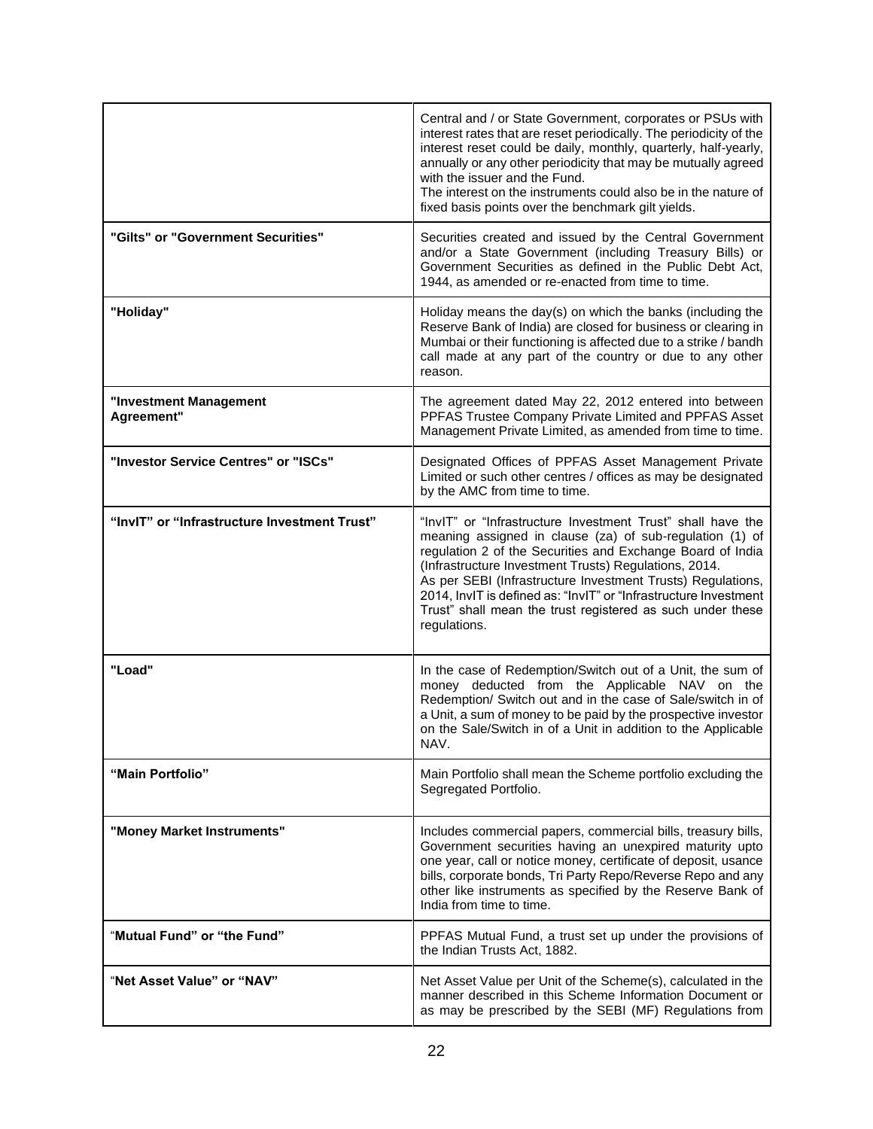|                                              | Central and / or State Government, corporates or PSUs with<br>interest rates that are reset periodically. The periodicity of the<br>interest reset could be daily, monthly, quarterly, half-yearly,<br>annually or any other periodicity that may be mutually agreed<br>with the issuer and the Fund.<br>The interest on the instruments could also be in the nature of<br>fixed basis points over the benchmark gilt yields.                                   |  |
|----------------------------------------------|-----------------------------------------------------------------------------------------------------------------------------------------------------------------------------------------------------------------------------------------------------------------------------------------------------------------------------------------------------------------------------------------------------------------------------------------------------------------|--|
| "Gilts" or "Government Securities"           | Securities created and issued by the Central Government<br>and/or a State Government (including Treasury Bills) or<br>Government Securities as defined in the Public Debt Act,<br>1944, as amended or re-enacted from time to time.                                                                                                                                                                                                                             |  |
| "Holiday"                                    | Holiday means the day(s) on which the banks (including the<br>Reserve Bank of India) are closed for business or clearing in<br>Mumbai or their functioning is affected due to a strike / bandh<br>call made at any part of the country or due to any other<br>reason.                                                                                                                                                                                           |  |
| "Investment Management<br>Agreement"         | The agreement dated May 22, 2012 entered into between<br>PPFAS Trustee Company Private Limited and PPFAS Asset<br>Management Private Limited, as amended from time to time.                                                                                                                                                                                                                                                                                     |  |
| "Investor Service Centres" or "ISCs"         | Designated Offices of PPFAS Asset Management Private<br>Limited or such other centres / offices as may be designated<br>by the AMC from time to time.                                                                                                                                                                                                                                                                                                           |  |
| "InvIT" or "Infrastructure Investment Trust" | "InvIT" or "Infrastructure Investment Trust" shall have the<br>meaning assigned in clause (za) of sub-regulation (1) of<br>regulation 2 of the Securities and Exchange Board of India<br>(Infrastructure Investment Trusts) Regulations, 2014.<br>As per SEBI (Infrastructure Investment Trusts) Regulations,<br>2014, InvIT is defined as: "InvIT" or "Infrastructure Investment<br>Trust" shall mean the trust registered as such under these<br>regulations. |  |
| "Load"                                       | In the case of Redemption/Switch out of a Unit, the sum of<br>money deducted from the Applicable NAV on the<br>Redemption/ Switch out and in the case of Sale/switch in of<br>a Unit, a sum of money to be paid by the prospective investor<br>on the Sale/Switch in of a Unit in addition to the Applicable<br>NAV.                                                                                                                                            |  |
| "Main Portfolio"                             | Main Portfolio shall mean the Scheme portfolio excluding the<br>Segregated Portfolio.                                                                                                                                                                                                                                                                                                                                                                           |  |
| "Money Market Instruments"                   | Includes commercial papers, commercial bills, treasury bills,<br>Government securities having an unexpired maturity upto<br>one year, call or notice money, certificate of deposit, usance<br>bills, corporate bonds, Tri Party Repo/Reverse Repo and any<br>other like instruments as specified by the Reserve Bank of<br>India from time to time.                                                                                                             |  |
| "Mutual Fund" or "the Fund"                  | PPFAS Mutual Fund, a trust set up under the provisions of<br>the Indian Trusts Act, 1882.                                                                                                                                                                                                                                                                                                                                                                       |  |
| "Net Asset Value" or "NAV"                   | Net Asset Value per Unit of the Scheme(s), calculated in the<br>manner described in this Scheme Information Document or<br>as may be prescribed by the SEBI (MF) Regulations from                                                                                                                                                                                                                                                                               |  |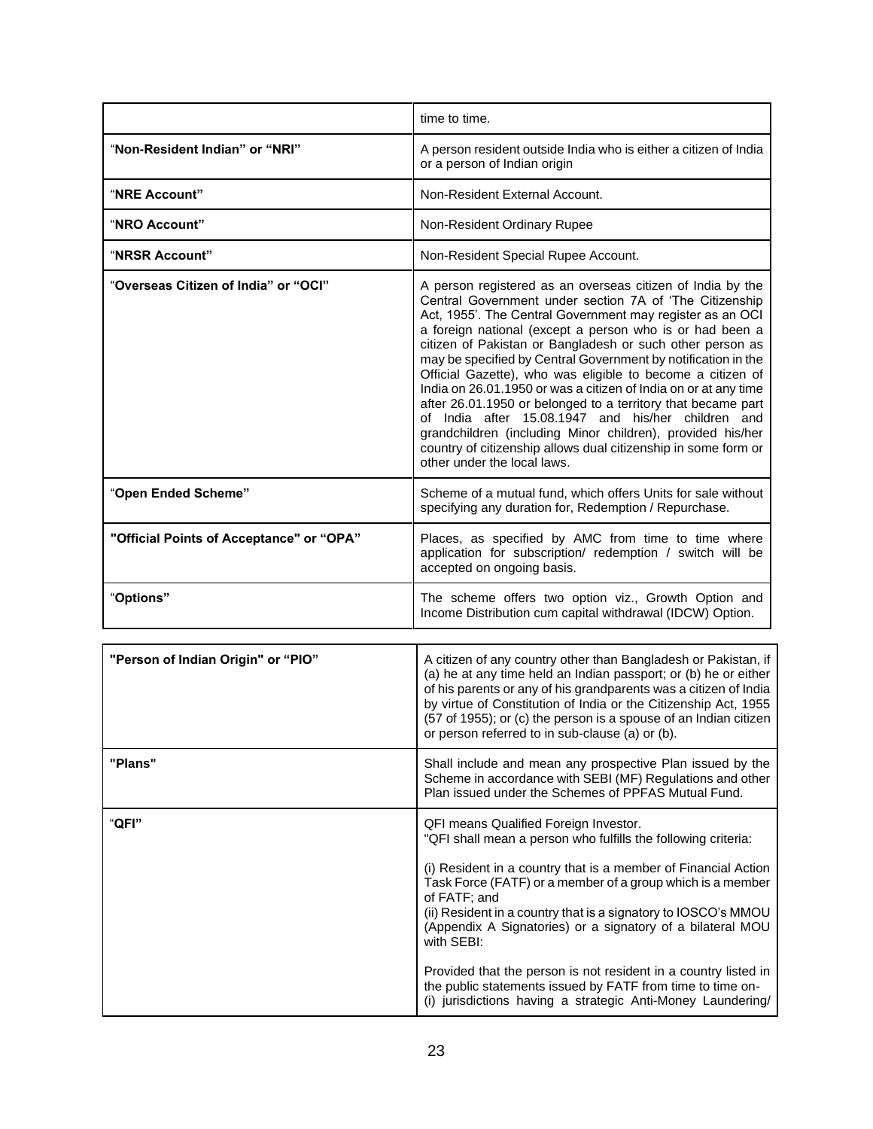|                                          | time to time.                                                                                                                                                                                                                                                                                                                                                                                                                                                                                                                                                                                                                                                                                                                                                                                      |  |
|------------------------------------------|----------------------------------------------------------------------------------------------------------------------------------------------------------------------------------------------------------------------------------------------------------------------------------------------------------------------------------------------------------------------------------------------------------------------------------------------------------------------------------------------------------------------------------------------------------------------------------------------------------------------------------------------------------------------------------------------------------------------------------------------------------------------------------------------------|--|
| "Non-Resident Indian" or "NRI"           | A person resident outside India who is either a citizen of India<br>or a person of Indian origin                                                                                                                                                                                                                                                                                                                                                                                                                                                                                                                                                                                                                                                                                                   |  |
| "NRE Account"                            | Non-Resident External Account.                                                                                                                                                                                                                                                                                                                                                                                                                                                                                                                                                                                                                                                                                                                                                                     |  |
| "NRO Account"                            | Non-Resident Ordinary Rupee                                                                                                                                                                                                                                                                                                                                                                                                                                                                                                                                                                                                                                                                                                                                                                        |  |
| "NRSR Account"                           | Non-Resident Special Rupee Account.                                                                                                                                                                                                                                                                                                                                                                                                                                                                                                                                                                                                                                                                                                                                                                |  |
| "Overseas Citizen of India" or "OCI"     | A person registered as an overseas citizen of India by the<br>Central Government under section 7A of 'The Citizenship<br>Act, 1955'. The Central Government may register as an OCI<br>a foreign national (except a person who is or had been a<br>citizen of Pakistan or Bangladesh or such other person as<br>may be specified by Central Government by notification in the<br>Official Gazette), who was eligible to become a citizen of<br>India on 26.01.1950 or was a citizen of India on or at any time<br>after 26.01.1950 or belonged to a territory that became part<br>of India after 15.08.1947 and his/her children and<br>grandchildren (including Minor children), provided his/her<br>country of citizenship allows dual citizenship in some form or<br>other under the local laws. |  |
| "Open Ended Scheme"                      | Scheme of a mutual fund, which offers Units for sale without<br>specifying any duration for, Redemption / Repurchase.                                                                                                                                                                                                                                                                                                                                                                                                                                                                                                                                                                                                                                                                              |  |
| "Official Points of Acceptance" or "OPA" | Places, as specified by AMC from time to time where<br>application for subscription/ redemption / switch will be<br>accepted on ongoing basis.                                                                                                                                                                                                                                                                                                                                                                                                                                                                                                                                                                                                                                                     |  |
| "Options"                                | The scheme offers two option viz., Growth Option and<br>Income Distribution cum capital withdrawal (IDCW) Option.                                                                                                                                                                                                                                                                                                                                                                                                                                                                                                                                                                                                                                                                                  |  |

| "Person of Indian Origin" or "PIO" | A citizen of any country other than Bangladesh or Pakistan, if<br>(a) he at any time held an Indian passport; or (b) he or either<br>of his parents or any of his grandparents was a citizen of India<br>by virtue of Constitution of India or the Citizenship Act, 1955<br>(57 of 1955); or (c) the person is a spouse of an Indian citizen<br>or person referred to in sub-clause (a) or (b).                                                                                                                                                                                                      |
|------------------------------------|------------------------------------------------------------------------------------------------------------------------------------------------------------------------------------------------------------------------------------------------------------------------------------------------------------------------------------------------------------------------------------------------------------------------------------------------------------------------------------------------------------------------------------------------------------------------------------------------------|
| "Plans"                            | Shall include and mean any prospective Plan issued by the<br>Scheme in accordance with SEBI (MF) Regulations and other<br>Plan issued under the Schemes of PPFAS Mutual Fund.                                                                                                                                                                                                                                                                                                                                                                                                                        |
| "QFI"                              | QFI means Qualified Foreign Investor.<br>"QFI shall mean a person who fulfills the following criteria:<br>(i) Resident in a country that is a member of Financial Action<br>Task Force (FATF) or a member of a group which is a member<br>of FATF; and<br>(ii) Resident in a country that is a signatory to IOSCO's MMOU<br>(Appendix A Signatories) or a signatory of a bilateral MOU<br>with SEBI:<br>Provided that the person is not resident in a country listed in<br>the public statements issued by FATF from time to time on-<br>(i) jurisdictions having a strategic Anti-Money Laundering/ |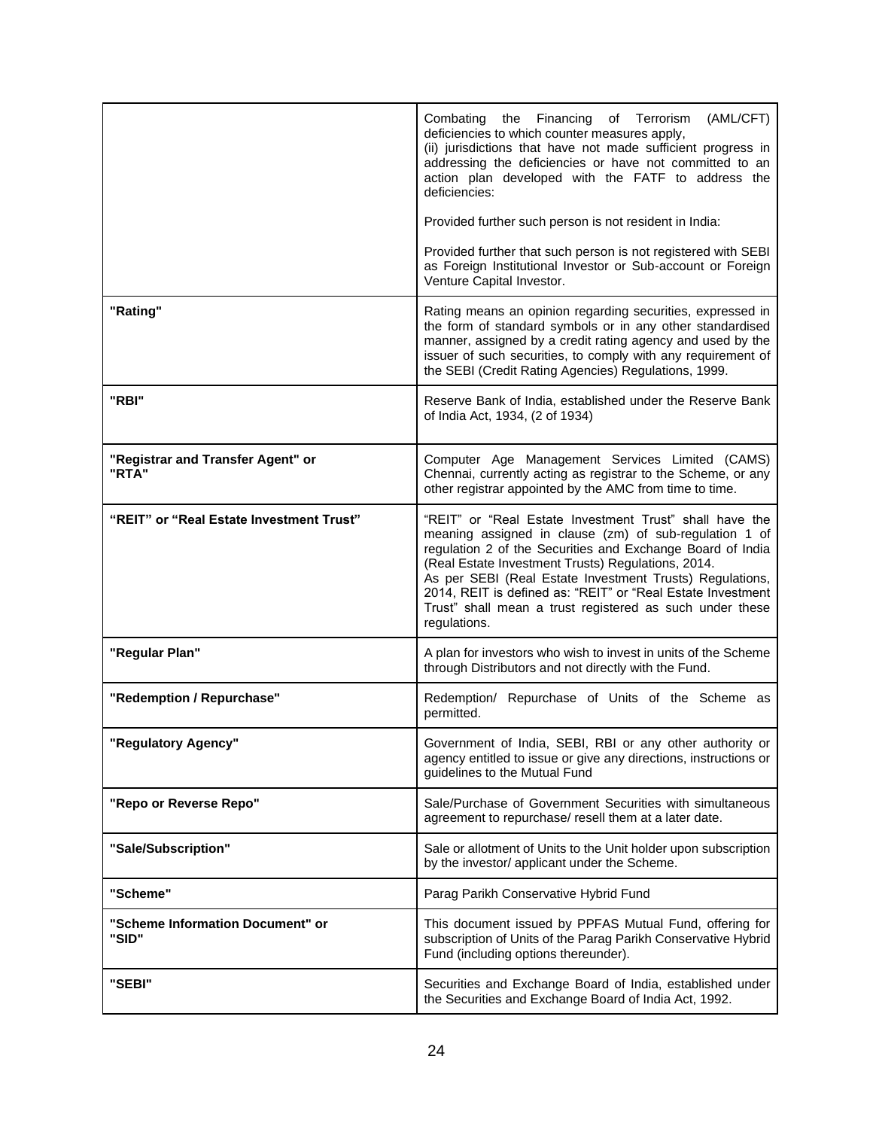|                                            | Combating the Financing<br>(AML/CFT)<br>of Terrorism<br>deficiencies to which counter measures apply,<br>(ii) jurisdictions that have not made sufficient progress in<br>addressing the deficiencies or have not committed to an<br>action plan developed with the FATF to address the<br>deficiencies:<br>Provided further such person is not resident in India:<br>Provided further that such person is not registered with SEBI<br>as Foreign Institutional Investor or Sub-account or Foreign<br>Venture Capital Investor. |  |
|--------------------------------------------|--------------------------------------------------------------------------------------------------------------------------------------------------------------------------------------------------------------------------------------------------------------------------------------------------------------------------------------------------------------------------------------------------------------------------------------------------------------------------------------------------------------------------------|--|
|                                            |                                                                                                                                                                                                                                                                                                                                                                                                                                                                                                                                |  |
| "Rating"                                   | Rating means an opinion regarding securities, expressed in<br>the form of standard symbols or in any other standardised<br>manner, assigned by a credit rating agency and used by the<br>issuer of such securities, to comply with any requirement of<br>the SEBI (Credit Rating Agencies) Regulations, 1999.                                                                                                                                                                                                                  |  |
| "RBI"                                      | Reserve Bank of India, established under the Reserve Bank<br>of India Act, 1934, (2 of 1934)                                                                                                                                                                                                                                                                                                                                                                                                                                   |  |
| "Registrar and Transfer Agent" or<br>"RTA" | Computer Age Management Services Limited (CAMS)<br>Chennai, currently acting as registrar to the Scheme, or any<br>other registrar appointed by the AMC from time to time.                                                                                                                                                                                                                                                                                                                                                     |  |
| "REIT" or "Real Estate Investment Trust"   | "REIT" or "Real Estate Investment Trust" shall have the<br>meaning assigned in clause (zm) of sub-regulation 1 of<br>regulation 2 of the Securities and Exchange Board of India<br>(Real Estate Investment Trusts) Regulations, 2014.<br>As per SEBI (Real Estate Investment Trusts) Regulations,<br>2014, REIT is defined as: "REIT" or "Real Estate Investment<br>Trust" shall mean a trust registered as such under these<br>regulations.                                                                                   |  |
| "Regular Plan"                             | A plan for investors who wish to invest in units of the Scheme<br>through Distributors and not directly with the Fund.                                                                                                                                                                                                                                                                                                                                                                                                         |  |
| "Redemption / Repurchase"                  | Redemption/ Repurchase of Units of the Scheme as<br>permitted.                                                                                                                                                                                                                                                                                                                                                                                                                                                                 |  |
| 'Regulatory Agency"                        | Government of India, SEBI, RBI or any other authority or<br>agency entitled to issue or give any directions, instructions or<br>guidelines to the Mutual Fund                                                                                                                                                                                                                                                                                                                                                                  |  |
| "Repo or Reverse Repo"                     | Sale/Purchase of Government Securities with simultaneous<br>agreement to repurchase/ resell them at a later date.                                                                                                                                                                                                                                                                                                                                                                                                              |  |
| "Sale/Subscription"                        | Sale or allotment of Units to the Unit holder upon subscription<br>by the investor/ applicant under the Scheme.                                                                                                                                                                                                                                                                                                                                                                                                                |  |
| "Scheme"                                   | Parag Parikh Conservative Hybrid Fund                                                                                                                                                                                                                                                                                                                                                                                                                                                                                          |  |
| "Scheme Information Document" or<br>"SID"  | This document issued by PPFAS Mutual Fund, offering for<br>subscription of Units of the Parag Parikh Conservative Hybrid<br>Fund (including options thereunder).                                                                                                                                                                                                                                                                                                                                                               |  |
| "SEBI"                                     | Securities and Exchange Board of India, established under<br>the Securities and Exchange Board of India Act, 1992.                                                                                                                                                                                                                                                                                                                                                                                                             |  |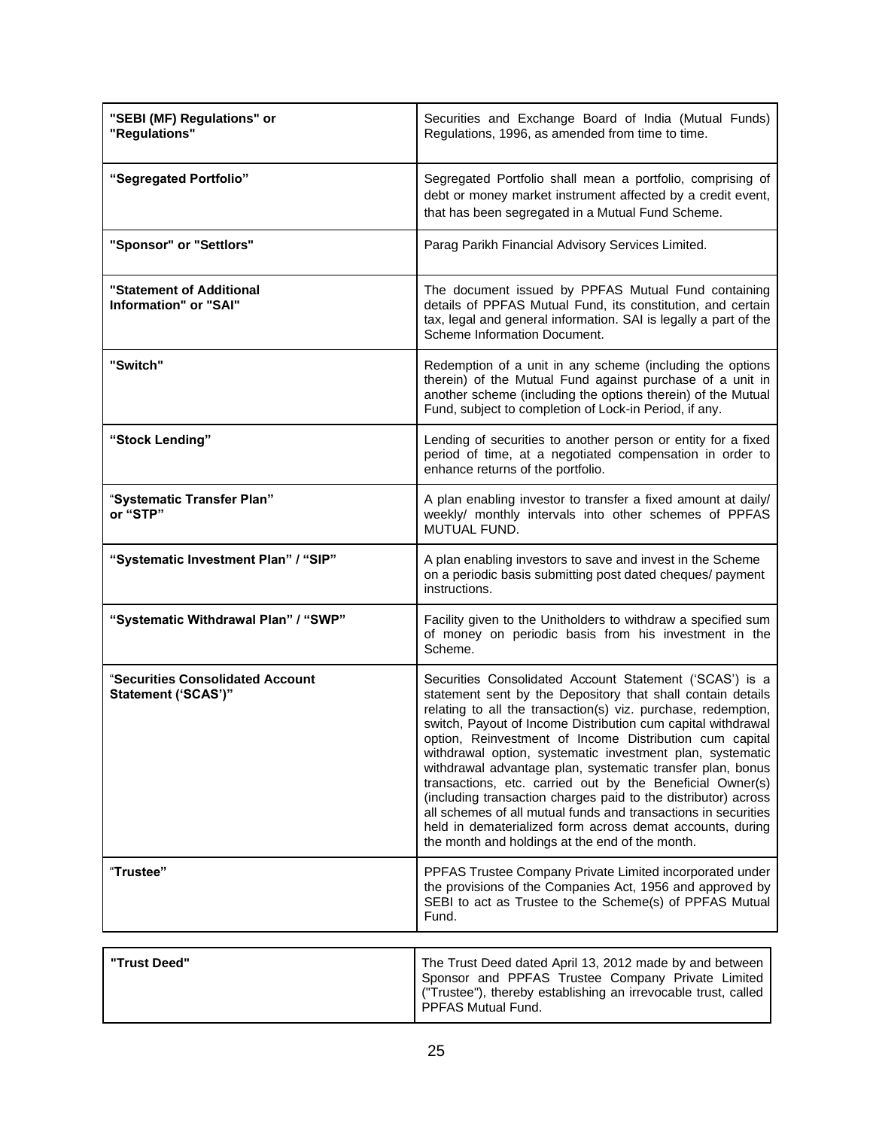| "SEBI (MF) Regulations" or<br>"Regulations"             | Securities and Exchange Board of India (Mutual Funds)<br>Regulations, 1996, as amended from time to time.                                                                                                                                                                                                                                                                                                                                                                                                                                                                                                                                                                                                                                                      |  |
|---------------------------------------------------------|----------------------------------------------------------------------------------------------------------------------------------------------------------------------------------------------------------------------------------------------------------------------------------------------------------------------------------------------------------------------------------------------------------------------------------------------------------------------------------------------------------------------------------------------------------------------------------------------------------------------------------------------------------------------------------------------------------------------------------------------------------------|--|
| "Segregated Portfolio"                                  | Segregated Portfolio shall mean a portfolio, comprising of<br>debt or money market instrument affected by a credit event,<br>that has been segregated in a Mutual Fund Scheme.                                                                                                                                                                                                                                                                                                                                                                                                                                                                                                                                                                                 |  |
| "Sponsor" or "Settlors"                                 | Parag Parikh Financial Advisory Services Limited.                                                                                                                                                                                                                                                                                                                                                                                                                                                                                                                                                                                                                                                                                                              |  |
| "Statement of Additional<br>Information" or "SAI"       | The document issued by PPFAS Mutual Fund containing<br>details of PPFAS Mutual Fund, its constitution, and certain<br>tax, legal and general information. SAI is legally a part of the<br>Scheme Information Document.                                                                                                                                                                                                                                                                                                                                                                                                                                                                                                                                         |  |
| "Switch"                                                | Redemption of a unit in any scheme (including the options<br>therein) of the Mutual Fund against purchase of a unit in<br>another scheme (including the options therein) of the Mutual<br>Fund, subject to completion of Lock-in Period, if any.                                                                                                                                                                                                                                                                                                                                                                                                                                                                                                               |  |
| "Stock Lending"                                         | Lending of securities to another person or entity for a fixed<br>period of time, at a negotiated compensation in order to<br>enhance returns of the portfolio.                                                                                                                                                                                                                                                                                                                                                                                                                                                                                                                                                                                                 |  |
| "Systematic Transfer Plan"<br>or "STP"                  | A plan enabling investor to transfer a fixed amount at daily/<br>weekly/ monthly intervals into other schemes of PPFAS<br>MUTUAL FUND.                                                                                                                                                                                                                                                                                                                                                                                                                                                                                                                                                                                                                         |  |
| "Systematic Investment Plan" / "SIP"                    | A plan enabling investors to save and invest in the Scheme<br>on a periodic basis submitting post dated cheques/ payment<br>instructions.                                                                                                                                                                                                                                                                                                                                                                                                                                                                                                                                                                                                                      |  |
| "Systematic Withdrawal Plan" / "SWP"                    | Facility given to the Unitholders to withdraw a specified sum<br>of money on periodic basis from his investment in the<br>Scheme.                                                                                                                                                                                                                                                                                                                                                                                                                                                                                                                                                                                                                              |  |
| "Securities Consolidated Account<br>Statement ('SCAS')" | Securities Consolidated Account Statement ('SCAS') is a<br>statement sent by the Depository that shall contain details<br>relating to all the transaction(s) viz. purchase, redemption,<br>switch, Payout of Income Distribution cum capital withdrawal<br>option, Reinvestment of Income Distribution cum capital<br>withdrawal option, systematic investment plan, systematic<br>withdrawal advantage plan, systematic transfer plan, bonus<br>transactions, etc. carried out by the Beneficial Owner(s)<br>(including transaction charges paid to the distributor) across<br>all schemes of all mutual funds and transactions in securities<br>held in dematerialized form across demat accounts, during<br>the month and holdings at the end of the month. |  |
| "Trustee"                                               | PPFAS Trustee Company Private Limited incorporated under<br>the provisions of the Companies Act, 1956 and approved by<br>SEBI to act as Trustee to the Scheme(s) of PPFAS Mutual<br>Fund.                                                                                                                                                                                                                                                                                                                                                                                                                                                                                                                                                                      |  |
| "Trust Deed"                                            | The Trust Deed dated April 13, 2012 made by and between                                                                                                                                                                                                                                                                                                                                                                                                                                                                                                                                                                                                                                                                                                        |  |
|                                                         | Sponsor and PPFAS Trustee Company Private Limited<br>("Trustee"), thereby establishing an irrevocable trust, called<br>PPFAS Mutual Fund.                                                                                                                                                                                                                                                                                                                                                                                                                                                                                                                                                                                                                      |  |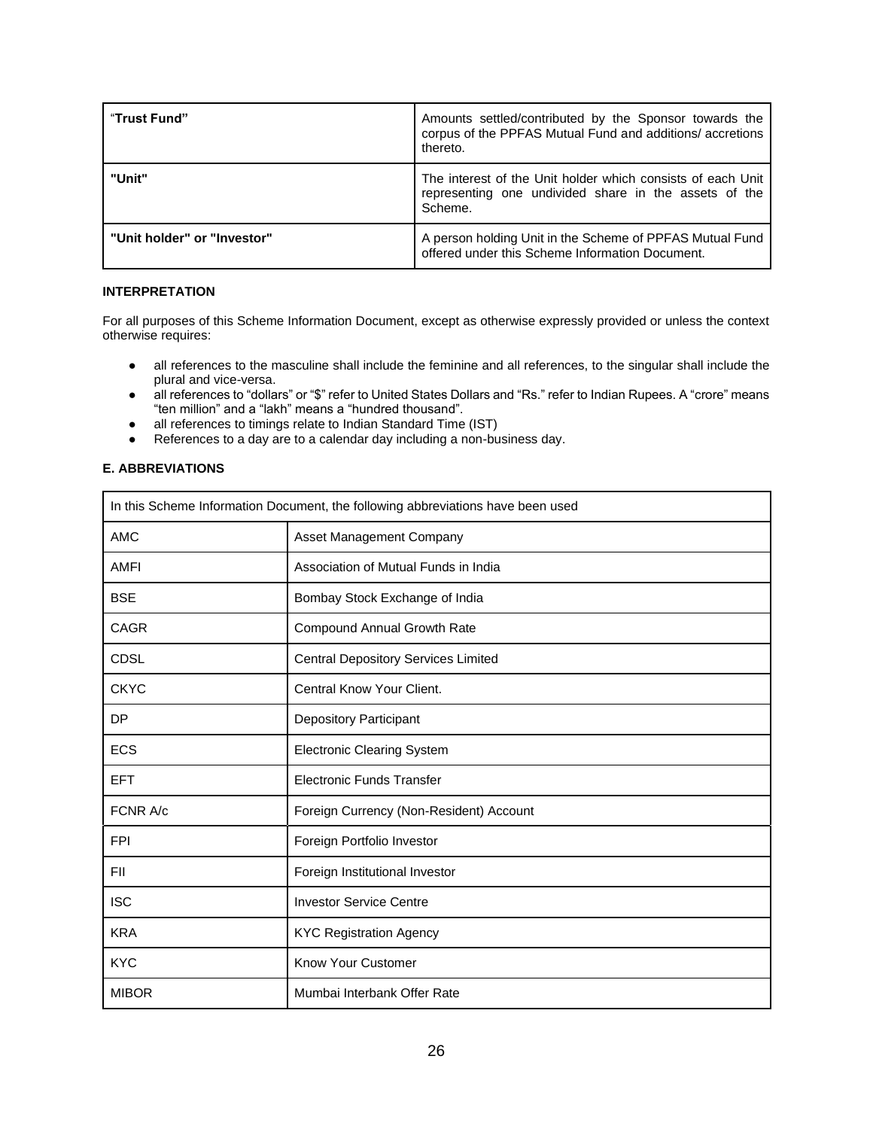| "Trust Fund"                | Amounts settled/contributed by the Sponsor towards the<br>corpus of the PPFAS Mutual Fund and additions/ accretions<br>thereto. |  |
|-----------------------------|---------------------------------------------------------------------------------------------------------------------------------|--|
| "Unit"                      | The interest of the Unit holder which consists of each Unit<br>representing one undivided share in the assets of the<br>Scheme. |  |
| "Unit holder" or "Investor" | A person holding Unit in the Scheme of PPFAS Mutual Fund<br>offered under this Scheme Information Document.                     |  |

## **INTERPRETATION**

For all purposes of this Scheme Information Document, except as otherwise expressly provided or unless the context otherwise requires:

- all references to the masculine shall include the feminine and all references, to the singular shall include the plural and vice-versa.
- all references to "dollars" or "\$" refer to United States Dollars and "Rs." refer to Indian Rupees. A "crore" means "ten million" and a "lakh" means a "hundred thousand".
- all references to timings relate to Indian Standard Time (IST)
- References to a day are to a calendar day including a non-business day.

# **E. ABBREVIATIONS**

| In this Scheme Information Document, the following abbreviations have been used |                                            |  |
|---------------------------------------------------------------------------------|--------------------------------------------|--|
| <b>AMC</b>                                                                      | Asset Management Company                   |  |
| <b>AMFI</b>                                                                     | Association of Mutual Funds in India       |  |
| <b>BSE</b>                                                                      | Bombay Stock Exchange of India             |  |
| <b>CAGR</b>                                                                     | <b>Compound Annual Growth Rate</b>         |  |
| <b>CDSL</b>                                                                     | <b>Central Depository Services Limited</b> |  |
| <b>CKYC</b>                                                                     | Central Know Your Client.                  |  |
| <b>DP</b>                                                                       | <b>Depository Participant</b>              |  |
| <b>ECS</b>                                                                      | <b>Electronic Clearing System</b>          |  |
| <b>EFT</b>                                                                      | <b>Electronic Funds Transfer</b>           |  |
| FCNR A/c                                                                        | Foreign Currency (Non-Resident) Account    |  |
| <b>FPI</b>                                                                      | Foreign Portfolio Investor                 |  |
| <b>FII</b>                                                                      | Foreign Institutional Investor             |  |
| <b>ISC</b>                                                                      | <b>Investor Service Centre</b>             |  |
| <b>KRA</b>                                                                      | <b>KYC Registration Agency</b>             |  |
| <b>KYC</b>                                                                      | <b>Know Your Customer</b>                  |  |
| <b>MIBOR</b>                                                                    | Mumbai Interbank Offer Rate                |  |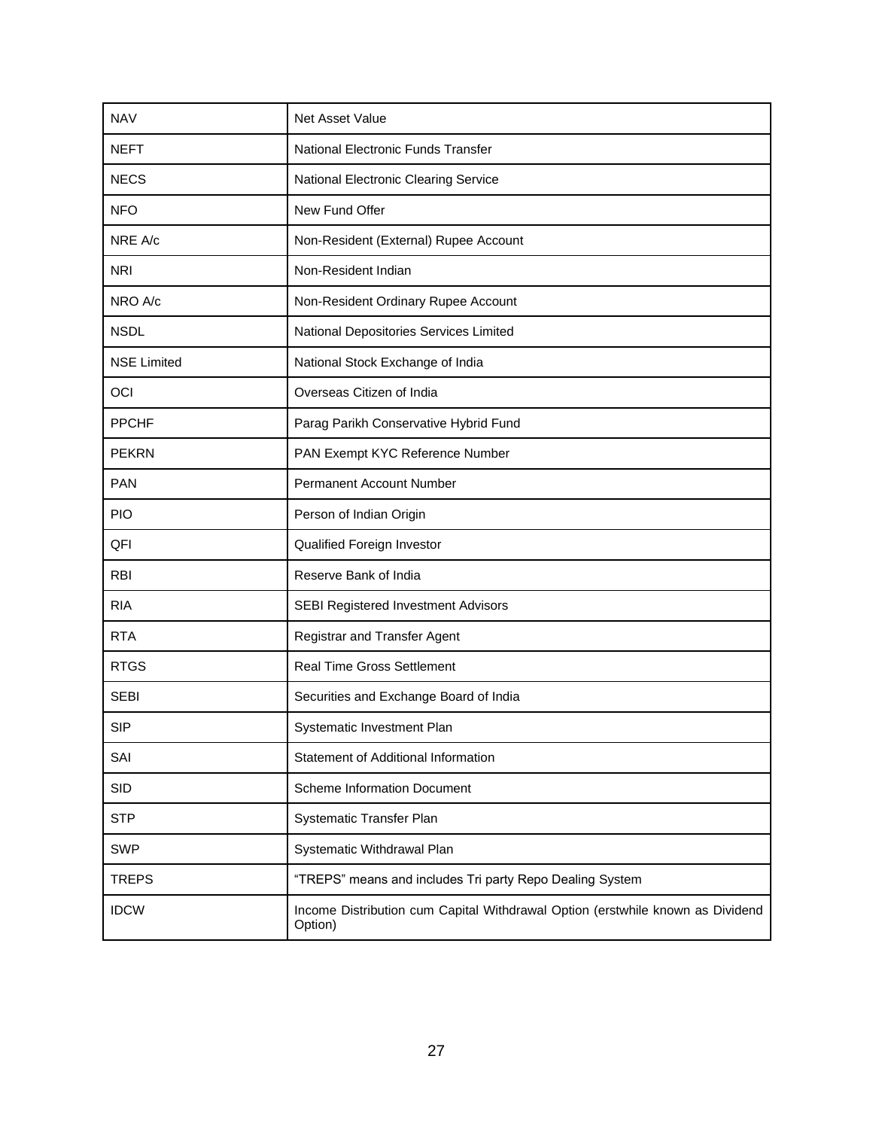| <b>NAV</b>         | Net Asset Value                                                                           |
|--------------------|-------------------------------------------------------------------------------------------|
| <b>NEFT</b>        | National Electronic Funds Transfer                                                        |
| <b>NECS</b>        | National Electronic Clearing Service                                                      |
| <b>NFO</b>         | New Fund Offer                                                                            |
| NRE A/c            | Non-Resident (External) Rupee Account                                                     |
| <b>NRI</b>         | Non-Resident Indian                                                                       |
| NRO A/c            | Non-Resident Ordinary Rupee Account                                                       |
| <b>NSDL</b>        | National Depositories Services Limited                                                    |
| <b>NSE Limited</b> | National Stock Exchange of India                                                          |
| OCI                | Overseas Citizen of India                                                                 |
| <b>PPCHF</b>       | Parag Parikh Conservative Hybrid Fund                                                     |
| <b>PEKRN</b>       | PAN Exempt KYC Reference Number                                                           |
| <b>PAN</b>         | Permanent Account Number                                                                  |
| <b>PIO</b>         | Person of Indian Origin                                                                   |
| QFI                | Qualified Foreign Investor                                                                |
| <b>RBI</b>         | Reserve Bank of India                                                                     |
| <b>RIA</b>         | SEBI Registered Investment Advisors                                                       |
| <b>RTA</b>         | Registrar and Transfer Agent                                                              |
| <b>RTGS</b>        | <b>Real Time Gross Settlement</b>                                                         |
| <b>SEBI</b>        | Securities and Exchange Board of India                                                    |
| <b>SIP</b>         | Systematic Investment Plan                                                                |
| SAI                | Statement of Additional Information                                                       |
| SID                | <b>Scheme Information Document</b>                                                        |
| <b>STP</b>         | Systematic Transfer Plan                                                                  |
| <b>SWP</b>         | Systematic Withdrawal Plan                                                                |
| <b>TREPS</b>       | "TREPS" means and includes Tri party Repo Dealing System                                  |
| <b>IDCW</b>        | Income Distribution cum Capital Withdrawal Option (erstwhile known as Dividend<br>Option) |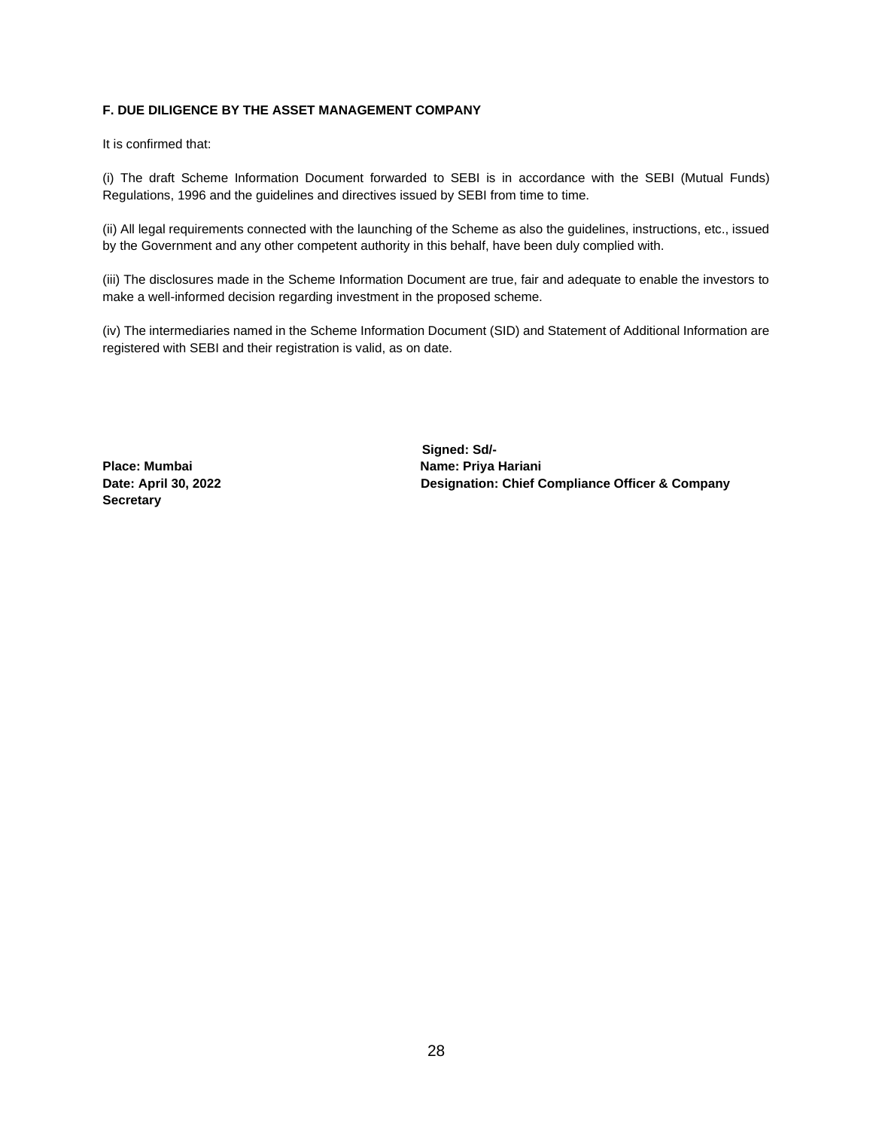# **F. DUE DILIGENCE BY THE ASSET MANAGEMENT COMPANY**

It is confirmed that:

(i) The draft Scheme Information Document forwarded to SEBI is in accordance with the SEBI (Mutual Funds) Regulations, 1996 and the guidelines and directives issued by SEBI from time to time.

(ii) All legal requirements connected with the launching of the Scheme as also the guidelines, instructions, etc., issued by the Government and any other competent authority in this behalf, have been duly complied with.

(iii) The disclosures made in the Scheme Information Document are true, fair and adequate to enable the investors to make a well-informed decision regarding investment in the proposed scheme.

(iv) The intermediaries named in the Scheme Information Document (SID) and Statement of Additional Information are registered with SEBI and their registration is valid, as on date.

**Secretary**

 **Signed: Sd/-**  Place: Mumbai **Name: Priya Hariani Date: April 30, 2022 Designation: Chief Compliance Officer & Company**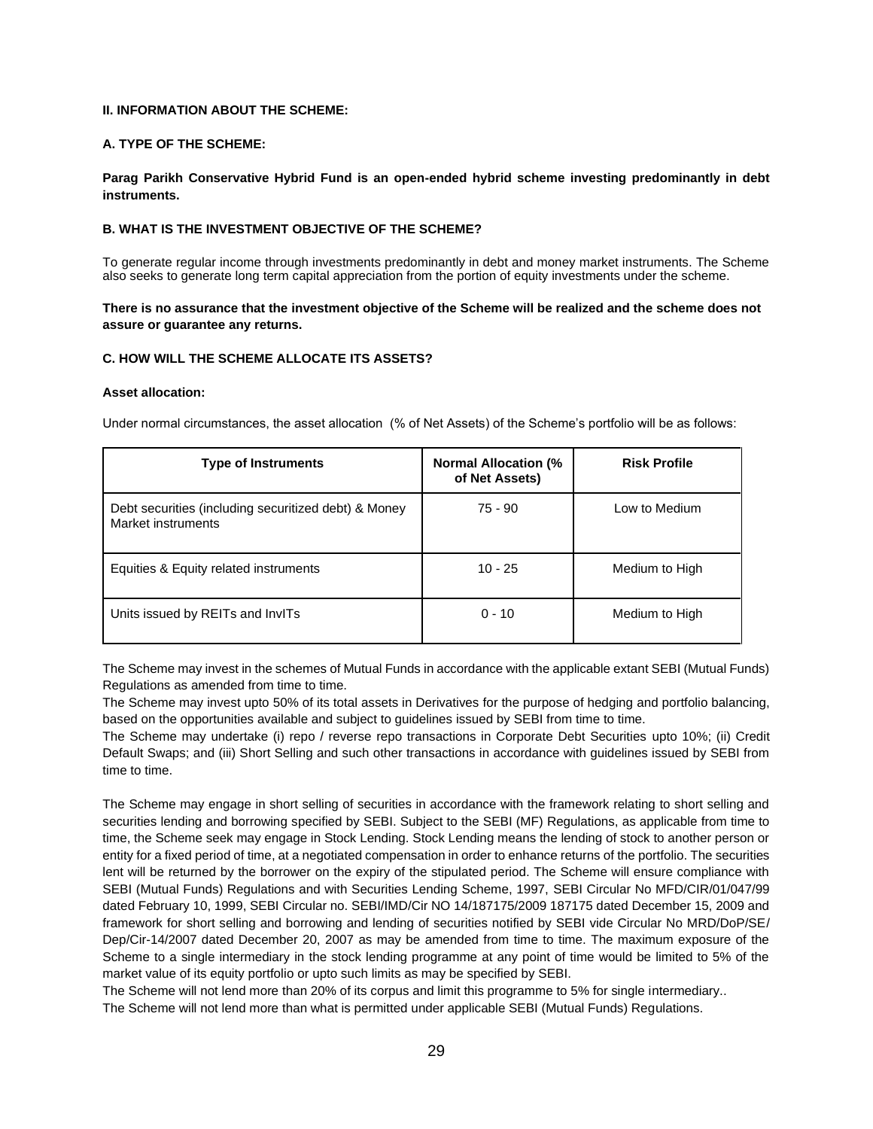### **II. INFORMATION ABOUT THE SCHEME:**

#### **A. TYPE OF THE SCHEME:**

**Parag Parikh Conservative Hybrid Fund is an open-ended hybrid scheme investing predominantly in debt instruments.**

# **B. WHAT IS THE INVESTMENT OBJECTIVE OF THE SCHEME?**

To generate regular income through investments predominantly in debt and money market instruments. The Scheme also seeks to generate long term capital appreciation from the portion of equity investments under the scheme.

### **There is no assurance that the investment objective of the Scheme will be realized and the scheme does not assure or guarantee any returns.**

#### **C. HOW WILL THE SCHEME ALLOCATE ITS ASSETS?**

#### **Asset allocation:**

Under normal circumstances, the asset allocation (% of Net Assets) of the Scheme's portfolio will be as follows:

| <b>Type of Instruments</b>                                                 | <b>Normal Allocation (%</b><br>of Net Assets) | <b>Risk Profile</b> |
|----------------------------------------------------------------------------|-----------------------------------------------|---------------------|
| Debt securities (including securitized debt) & Money<br>Market instruments | 75 - 90                                       | Low to Medium       |
| Equities & Equity related instruments                                      | $10 - 25$                                     | Medium to High      |
| Units issued by REITs and InvITs                                           | $0 - 10$                                      | Medium to High      |

The Scheme may invest in the schemes of Mutual Funds in accordance with the applicable extant SEBI (Mutual Funds) Regulations as amended from time to time.

The Scheme may invest upto 50% of its total assets in Derivatives for the purpose of hedging and portfolio balancing, based on the opportunities available and subject to guidelines issued by SEBI from time to time.

The Scheme may undertake (i) repo / reverse repo transactions in Corporate Debt Securities upto 10%; (ii) Credit Default Swaps; and (iii) Short Selling and such other transactions in accordance with guidelines issued by SEBI from time to time.

The Scheme may engage in short selling of securities in accordance with the framework relating to short selling and securities lending and borrowing specified by SEBI. Subject to the SEBI (MF) Regulations, as applicable from time to time, the Scheme seek may engage in Stock Lending. Stock Lending means the lending of stock to another person or entity for a fixed period of time, at a negotiated compensation in order to enhance returns of the portfolio. The securities lent will be returned by the borrower on the expiry of the stipulated period. The Scheme will ensure compliance with SEBI (Mutual Funds) Regulations and with Securities Lending Scheme, 1997, SEBI Circular No MFD/CIR/01/047/99 dated February 10, 1999, SEBI Circular no. SEBI/IMD/Cir NO 14/187175/2009 187175 dated December 15, 2009 and framework for short selling and borrowing and lending of securities notified by SEBI vide Circular No MRD/DoP/SE/ Dep/Cir-14/2007 dated December 20, 2007 as may be amended from time to time. The maximum exposure of the Scheme to a single intermediary in the stock lending programme at any point of time would be limited to 5% of the market value of its equity portfolio or upto such limits as may be specified by SEBI.

The Scheme will not lend more than 20% of its corpus and limit this programme to 5% for single intermediary.. The Scheme will not lend more than what is permitted under applicable SEBI (Mutual Funds) Regulations.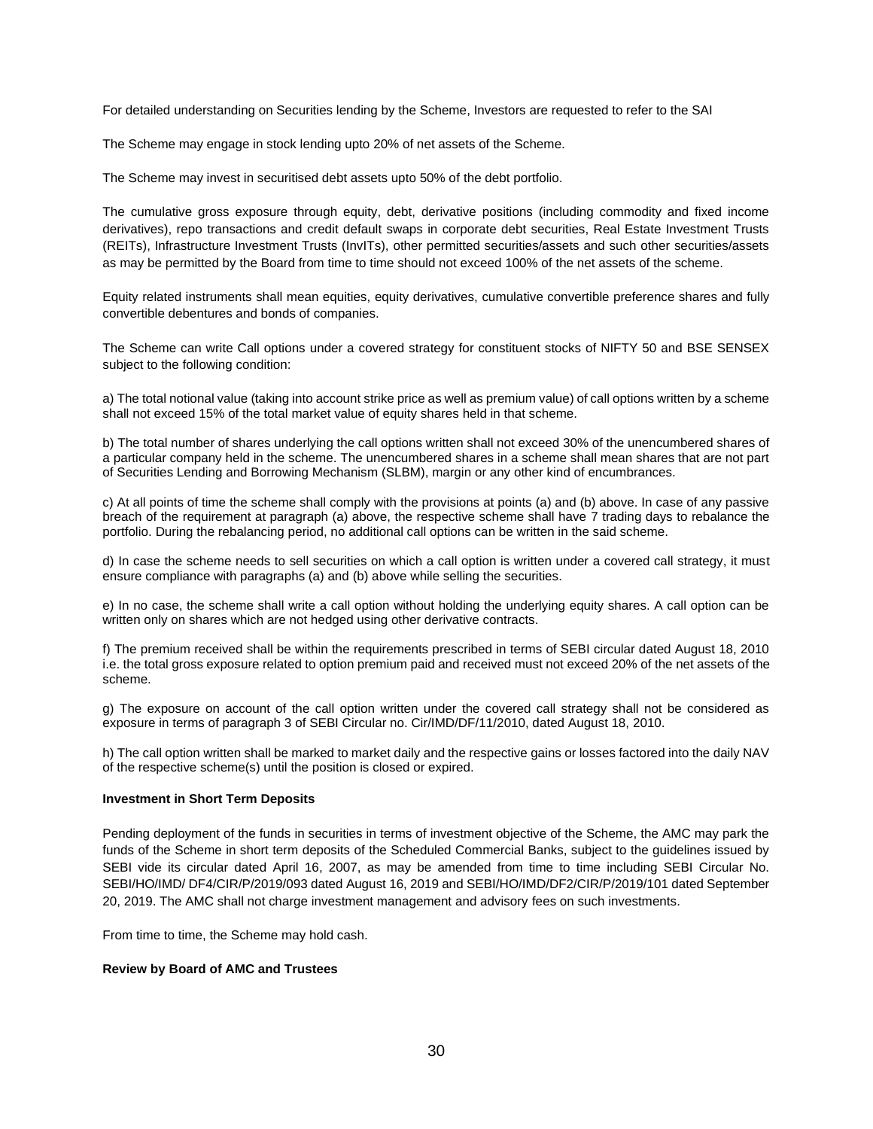For detailed understanding on Securities lending by the Scheme, Investors are requested to refer to the SAI

The Scheme may engage in stock lending upto 20% of net assets of the Scheme.

The Scheme may invest in securitised debt assets upto 50% of the debt portfolio.

The cumulative gross exposure through equity, debt, derivative positions (including commodity and fixed income derivatives), repo transactions and credit default swaps in corporate debt securities, Real Estate Investment Trusts (REITs), Infrastructure Investment Trusts (InvITs), other permitted securities/assets and such other securities/assets as may be permitted by the Board from time to time should not exceed 100% of the net assets of the scheme.

Equity related instruments shall mean equities, equity derivatives, cumulative convertible preference shares and fully convertible debentures and bonds of companies.

The Scheme can write Call options under a covered strategy for constituent stocks of NIFTY 50 and BSE SENSEX subject to the following condition:

a) The total notional value (taking into account strike price as well as premium value) of call options written by a scheme shall not exceed 15% of the total market value of equity shares held in that scheme.

b) The total number of shares underlying the call options written shall not exceed 30% of the unencumbered shares of a particular company held in the scheme. The unencumbered shares in a scheme shall mean shares that are not part of Securities Lending and Borrowing Mechanism (SLBM), margin or any other kind of encumbrances.

c) At all points of time the scheme shall comply with the provisions at points (a) and (b) above. In case of any passive breach of the requirement at paragraph (a) above, the respective scheme shall have 7 trading days to rebalance the portfolio. During the rebalancing period, no additional call options can be written in the said scheme.

d) In case the scheme needs to sell securities on which a call option is written under a covered call strategy, it must ensure compliance with paragraphs (a) and (b) above while selling the securities.

e) In no case, the scheme shall write a call option without holding the underlying equity shares. A call option can be written only on shares which are not hedged using other derivative contracts.

f) The premium received shall be within the requirements prescribed in terms of SEBI circular dated August 18, 2010 i.e. the total gross exposure related to option premium paid and received must not exceed 20% of the net assets of the scheme.

g) The exposure on account of the call option written under the covered call strategy shall not be considered as exposure in terms of paragraph 3 of SEBI Circular no. Cir/IMD/DF/11/2010, dated August 18, 2010.

h) The call option written shall be marked to market daily and the respective gains or losses factored into the daily NAV of the respective scheme(s) until the position is closed or expired.

#### **Investment in Short Term Deposits**

Pending deployment of the funds in securities in terms of investment objective of the Scheme, the AMC may park the funds of the Scheme in short term deposits of the Scheduled Commercial Banks, subject to the guidelines issued by SEBI vide its circular dated April 16, 2007, as may be amended from time to time including SEBI Circular No. SEBI/HO/IMD/ DF4/CIR/P/2019/093 dated August 16, 2019 and SEBI/HO/IMD/DF2/CIR/P/2019/101 dated September 20, 2019. The AMC shall not charge investment management and advisory fees on such investments.

From time to time, the Scheme may hold cash.

#### **Review by Board of AMC and Trustees**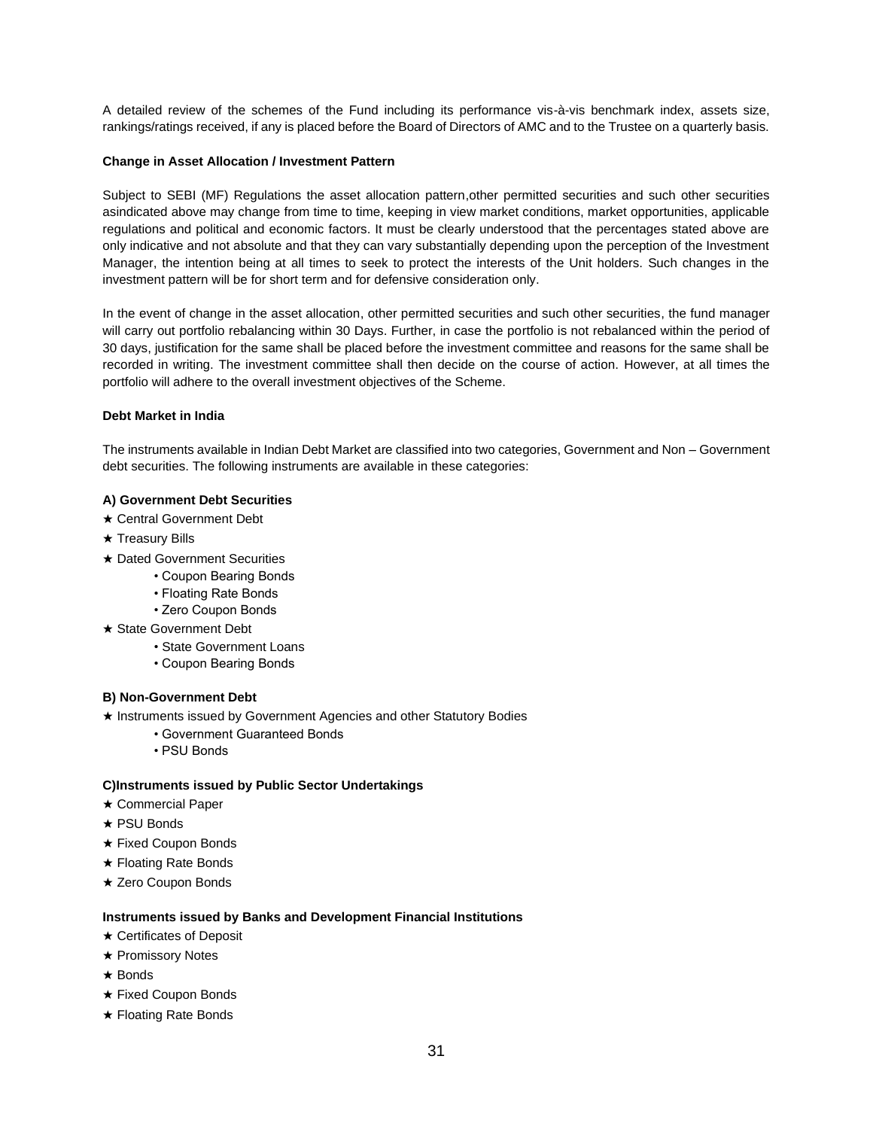A detailed review of the schemes of the Fund including its performance vis-à-vis benchmark index, assets size, rankings/ratings received, if any is placed before the Board of Directors of AMC and to the Trustee on a quarterly basis.

# **Change in Asset Allocation / Investment Pattern**

Subject to SEBI (MF) Regulations the asset allocation pattern,other permitted securities and such other securities asindicated above may change from time to time, keeping in view market conditions, market opportunities, applicable regulations and political and economic factors. It must be clearly understood that the percentages stated above are only indicative and not absolute and that they can vary substantially depending upon the perception of the Investment Manager, the intention being at all times to seek to protect the interests of the Unit holders. Such changes in the investment pattern will be for short term and for defensive consideration only.

In the event of change in the asset allocation, other permitted securities and such other securities, the fund manager will carry out portfolio rebalancing within 30 Days. Further, in case the portfolio is not rebalanced within the period of 30 days, justification for the same shall be placed before the investment committee and reasons for the same shall be recorded in writing. The investment committee shall then decide on the course of action. However, at all times the portfolio will adhere to the overall investment objectives of the Scheme.

### **Debt Market in India**

The instruments available in Indian Debt Market are classified into two categories, Government and Non – Government debt securities. The following instruments are available in these categories:

### **A) Government Debt Securities**

- ★ Central Government Debt
- ★ Treasury Bills
- ★ Dated Government Securities
	- Coupon Bearing Bonds
	- Floating Rate Bonds
	- Zero Coupon Bonds
- ★ State Government Debt
	- State Government Loans
	- Coupon Bearing Bonds

### **B) Non-Government Debt**

- ★ Instruments issued by Government Agencies and other Statutory Bodies
	- Government Guaranteed Bonds
	- PSU Bonds

### **C)Instruments issued by Public Sector Undertakings**

- ★ Commercial Paper
- ★ PSU Bonds
- ★ Fixed Coupon Bonds
- ★ Floating Rate Bonds
- ★ Zero Coupon Bonds

### **Instruments issued by Banks and Development Financial Institutions**

- ★ Certificates of Deposit
- ★ Promissory Notes
- ★ Bonds
- ★ Fixed Coupon Bonds
- ★ Floating Rate Bonds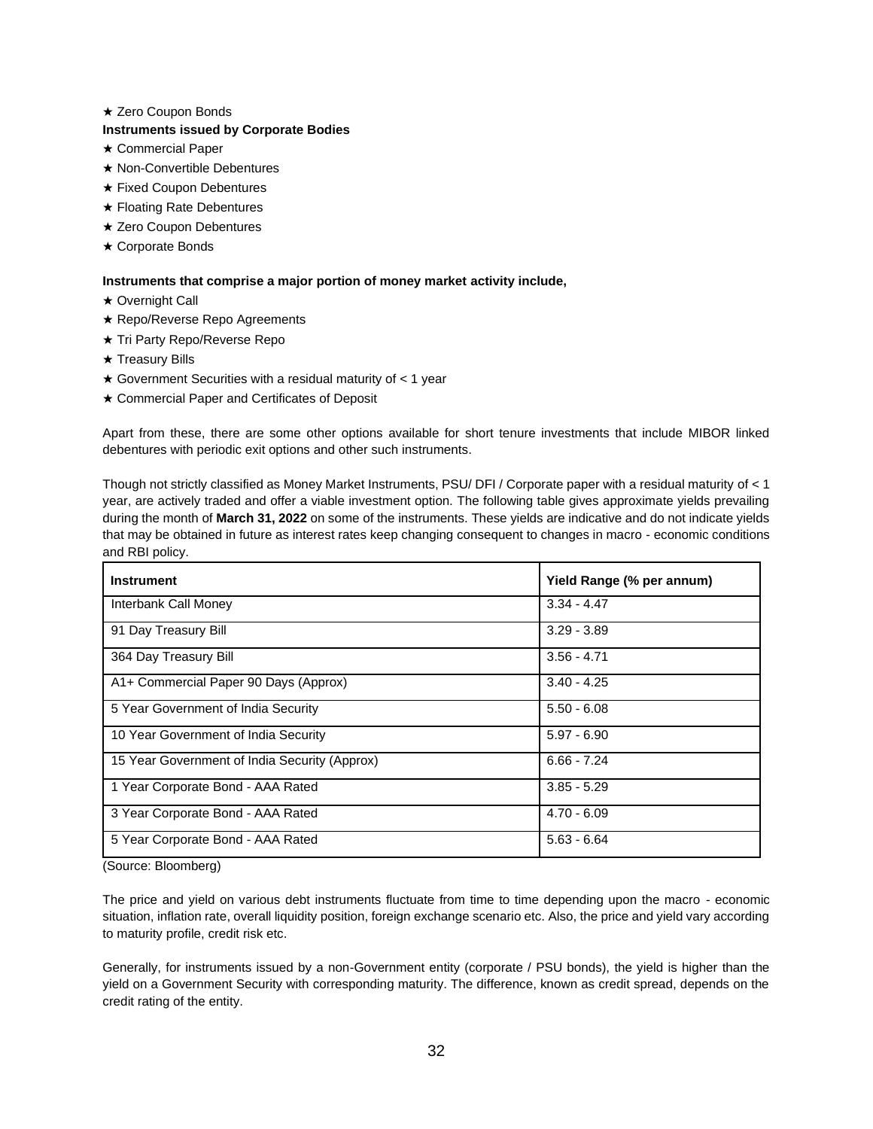## ★ Zero Coupon Bonds

# **Instruments issued by Corporate Bodies**

- ★ Commercial Paper
- ★ Non-Convertible Debentures
- ★ Fixed Coupon Debentures
- ★ Floating Rate Debentures
- ★ Zero Coupon Debentures
- ★ Corporate Bonds

## **Instruments that comprise a major portion of money market activity include,**

- ★ Overnight Call
- ★ Repo/Reverse Repo Agreements
- ★ Tri Party Repo/Reverse Repo
- ★ Treasury Bills
- $\star$  Government Securities with a residual maturity of  $<$  1 year
- ★ Commercial Paper and Certificates of Deposit

Apart from these, there are some other options available for short tenure investments that include MIBOR linked debentures with periodic exit options and other such instruments.

Though not strictly classified as Money Market Instruments, PSU/ DFI / Corporate paper with a residual maturity of < 1 year, are actively traded and offer a viable investment option. The following table gives approximate yields prevailing during the month of **March 31, 2022** on some of the instruments. These yields are indicative and do not indicate yields that may be obtained in future as interest rates keep changing consequent to changes in macro - economic conditions and RBI policy.

| <b>Instrument</b>                             | Yield Range (% per annum) |
|-----------------------------------------------|---------------------------|
| Interbank Call Money                          | $3.34 - 4.47$             |
| 91 Day Treasury Bill                          | $3.29 - 3.89$             |
| 364 Day Treasury Bill                         | $3.56 - 4.71$             |
| A1+ Commercial Paper 90 Days (Approx)         | $3.40 - 4.25$             |
| 5 Year Government of India Security           | $5.50 - 6.08$             |
| 10 Year Government of India Security          | $5.97 - 6.90$             |
| 15 Year Government of India Security (Approx) | $6.66 - 7.24$             |
| 1 Year Corporate Bond - AAA Rated             | $3.85 - 5.29$             |
| 3 Year Corporate Bond - AAA Rated             | $4.70 - 6.09$             |
| 5 Year Corporate Bond - AAA Rated             | $5.63 - 6.64$             |

(Source: Bloomberg)

The price and yield on various debt instruments fluctuate from time to time depending upon the macro - economic situation, inflation rate, overall liquidity position, foreign exchange scenario etc. Also, the price and yield vary according to maturity profile, credit risk etc.

Generally, for instruments issued by a non-Government entity (corporate / PSU bonds), the yield is higher than the yield on a Government Security with corresponding maturity. The difference, known as credit spread, depends on the credit rating of the entity.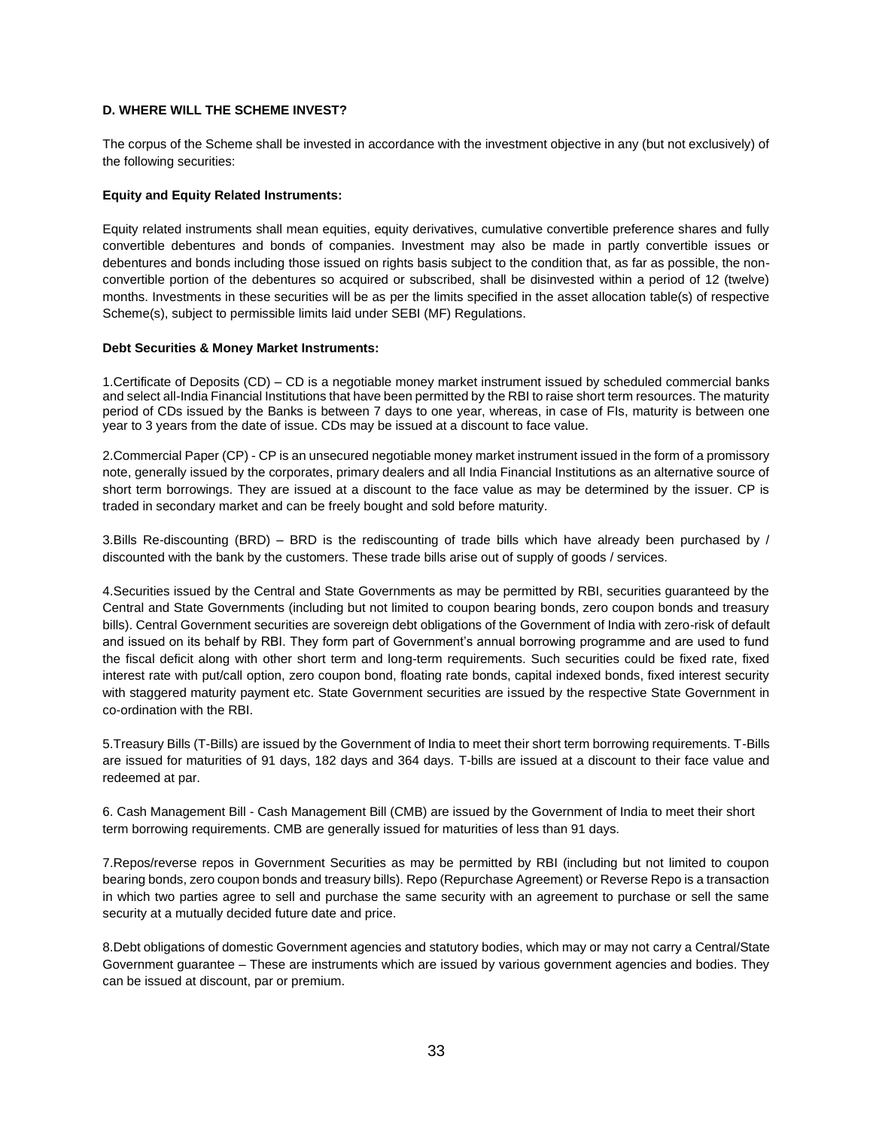# **D. WHERE WILL THE SCHEME INVEST?**

The corpus of the Scheme shall be invested in accordance with the investment objective in any (but not exclusively) of the following securities:

## **Equity and Equity Related Instruments:**

Equity related instruments shall mean equities, equity derivatives, cumulative convertible preference shares and fully convertible debentures and bonds of companies. Investment may also be made in partly convertible issues or debentures and bonds including those issued on rights basis subject to the condition that, as far as possible, the nonconvertible portion of the debentures so acquired or subscribed, shall be disinvested within a period of 12 (twelve) months. Investments in these securities will be as per the limits specified in the asset allocation table(s) of respective Scheme(s), subject to permissible limits laid under SEBI (MF) Regulations.

# **Debt Securities & Money Market Instruments:**

1.Certificate of Deposits (CD) – CD is a negotiable money market instrument issued by scheduled commercial banks and select all-India Financial Institutions that have been permitted by the RBI to raise short term resources. The maturity period of CDs issued by the Banks is between 7 days to one year, whereas, in case of FIs, maturity is between one year to 3 years from the date of issue. CDs may be issued at a discount to face value.

2.Commercial Paper (CP) - CP is an unsecured negotiable money market instrument issued in the form of a promissory note, generally issued by the corporates, primary dealers and all India Financial Institutions as an alternative source of short term borrowings. They are issued at a discount to the face value as may be determined by the issuer. CP is traded in secondary market and can be freely bought and sold before maturity.

3.Bills Re-discounting (BRD) – BRD is the rediscounting of trade bills which have already been purchased by / discounted with the bank by the customers. These trade bills arise out of supply of goods / services.

4.Securities issued by the Central and State Governments as may be permitted by RBI, securities guaranteed by the Central and State Governments (including but not limited to coupon bearing bonds, zero coupon bonds and treasury bills). Central Government securities are sovereign debt obligations of the Government of India with zero-risk of default and issued on its behalf by RBI. They form part of Government's annual borrowing programme and are used to fund the fiscal deficit along with other short term and long-term requirements. Such securities could be fixed rate, fixed interest rate with put/call option, zero coupon bond, floating rate bonds, capital indexed bonds, fixed interest security with staggered maturity payment etc. State Government securities are issued by the respective State Government in co-ordination with the RBI.

5.Treasury Bills (T-Bills) are issued by the Government of India to meet their short term borrowing requirements. T-Bills are issued for maturities of 91 days, 182 days and 364 days. T-bills are issued at a discount to their face value and redeemed at par.

6. Cash Management Bill - Cash Management Bill (CMB) are issued by the Government of India to meet their short term borrowing requirements. CMB are generally issued for maturities of less than 91 days.

7.Repos/reverse repos in Government Securities as may be permitted by RBI (including but not limited to coupon bearing bonds, zero coupon bonds and treasury bills). Repo (Repurchase Agreement) or Reverse Repo is a transaction in which two parties agree to sell and purchase the same security with an agreement to purchase or sell the same security at a mutually decided future date and price.

8.Debt obligations of domestic Government agencies and statutory bodies, which may or may not carry a Central/State Government guarantee – These are instruments which are issued by various government agencies and bodies. They can be issued at discount, par or premium.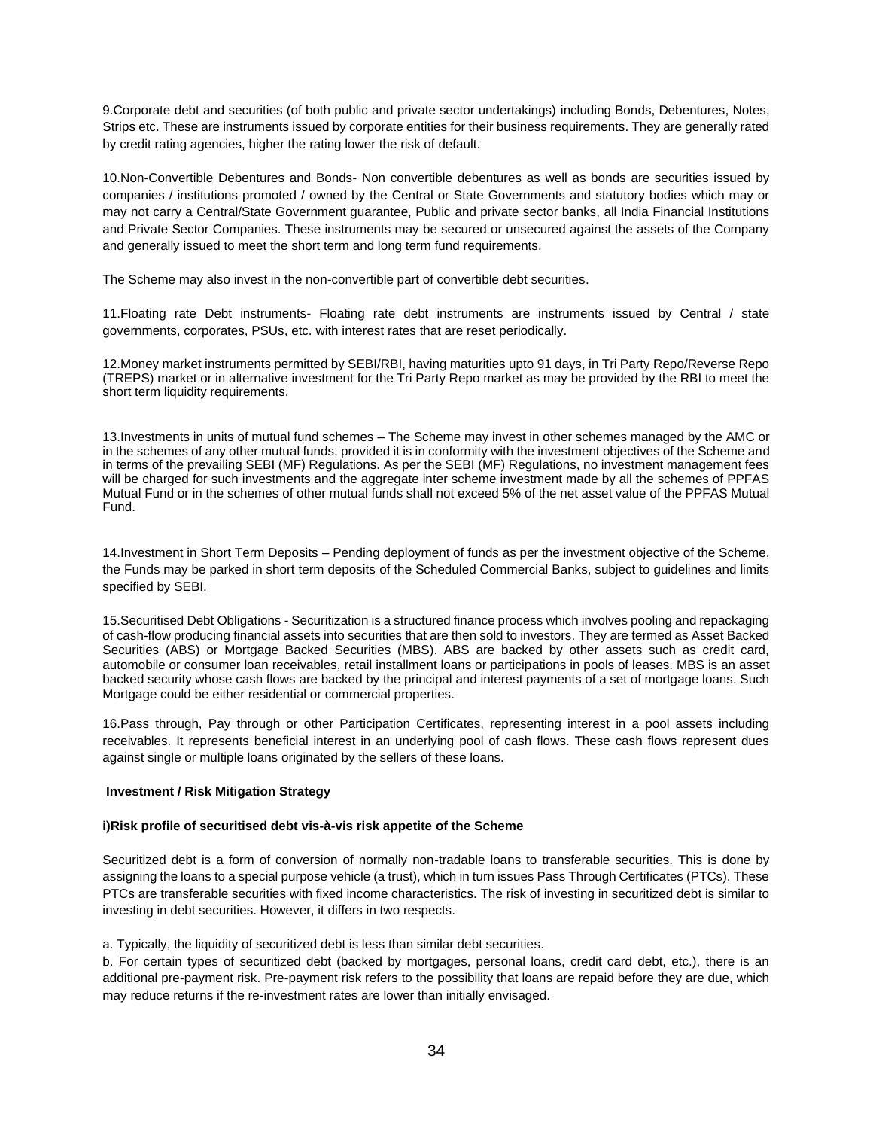9.Corporate debt and securities (of both public and private sector undertakings) including Bonds, Debentures, Notes, Strips etc. These are instruments issued by corporate entities for their business requirements. They are generally rated by credit rating agencies, higher the rating lower the risk of default.

10.Non-Convertible Debentures and Bonds- Non convertible debentures as well as bonds are securities issued by companies / institutions promoted / owned by the Central or State Governments and statutory bodies which may or may not carry a Central/State Government guarantee, Public and private sector banks, all India Financial Institutions and Private Sector Companies. These instruments may be secured or unsecured against the assets of the Company and generally issued to meet the short term and long term fund requirements.

The Scheme may also invest in the non-convertible part of convertible debt securities.

11.Floating rate Debt instruments- Floating rate debt instruments are instruments issued by Central / state governments, corporates, PSUs, etc. with interest rates that are reset periodically.

12.Money market instruments permitted by SEBI/RBI, having maturities upto 91 days, in Tri Party Repo/Reverse Repo (TREPS) market or in alternative investment for the Tri Party Repo market as may be provided by the RBI to meet the short term liquidity requirements.

13.Investments in units of mutual fund schemes – The Scheme may invest in other schemes managed by the AMC or in the schemes of any other mutual funds, provided it is in conformity with the investment objectives of the Scheme and in terms of the prevailing SEBI (MF) Regulations. As per the SEBI (MF) Regulations, no investment management fees will be charged for such investments and the aggregate inter scheme investment made by all the schemes of PPFAS Mutual Fund or in the schemes of other mutual funds shall not exceed 5% of the net asset value of the PPFAS Mutual Fund.

14.Investment in Short Term Deposits – Pending deployment of funds as per the investment objective of the Scheme, the Funds may be parked in short term deposits of the Scheduled Commercial Banks, subject to guidelines and limits specified by SEBI.

15.Securitised Debt Obligations - Securitization is a structured finance process which involves pooling and repackaging of cash-flow producing financial assets into securities that are then sold to investors. They are termed as Asset Backed Securities (ABS) or Mortgage Backed Securities (MBS). ABS are backed by other assets such as credit card, automobile or consumer loan receivables, retail installment loans or participations in pools of leases. MBS is an asset backed security whose cash flows are backed by the principal and interest payments of a set of mortgage loans. Such Mortgage could be either residential or commercial properties.

16.Pass through, Pay through or other Participation Certificates, representing interest in a pool assets including receivables. It represents beneficial interest in an underlying pool of cash flows. These cash flows represent dues against single or multiple loans originated by the sellers of these loans.

### **Investment / Risk Mitigation Strategy**

### **i)Risk profile of securitised debt vis-à-vis risk appetite of the Scheme**

Securitized debt is a form of conversion of normally non-tradable loans to transferable securities. This is done by assigning the loans to a special purpose vehicle (a trust), which in turn issues Pass Through Certificates (PTCs). These PTCs are transferable securities with fixed income characteristics. The risk of investing in securitized debt is similar to investing in debt securities. However, it differs in two respects.

a. Typically, the liquidity of securitized debt is less than similar debt securities.

b. For certain types of securitized debt (backed by mortgages, personal loans, credit card debt, etc.), there is an additional pre-payment risk. Pre-payment risk refers to the possibility that loans are repaid before they are due, which may reduce returns if the re-investment rates are lower than initially envisaged.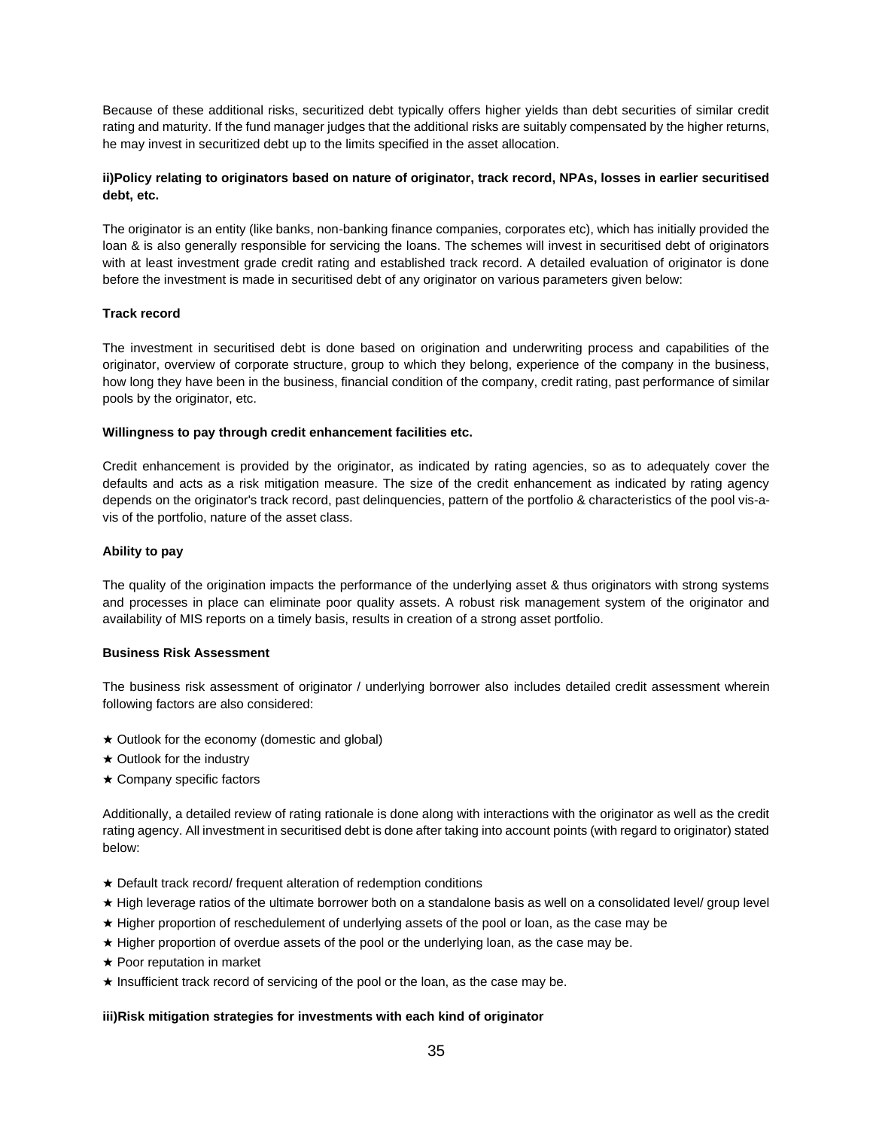Because of these additional risks, securitized debt typically offers higher yields than debt securities of similar credit rating and maturity. If the fund manager judges that the additional risks are suitably compensated by the higher returns, he may invest in securitized debt up to the limits specified in the asset allocation.

# **ii)Policy relating to originators based on nature of originator, track record, NPAs, losses in earlier securitised debt, etc.**

The originator is an entity (like banks, non-banking finance companies, corporates etc), which has initially provided the loan & is also generally responsible for servicing the loans. The schemes will invest in securitised debt of originators with at least investment grade credit rating and established track record. A detailed evaluation of originator is done before the investment is made in securitised debt of any originator on various parameters given below:

# **Track record**

The investment in securitised debt is done based on origination and underwriting process and capabilities of the originator, overview of corporate structure, group to which they belong, experience of the company in the business, how long they have been in the business, financial condition of the company, credit rating, past performance of similar pools by the originator, etc.

### **Willingness to pay through credit enhancement facilities etc.**

Credit enhancement is provided by the originator, as indicated by rating agencies, so as to adequately cover the defaults and acts as a risk mitigation measure. The size of the credit enhancement as indicated by rating agency depends on the originator's track record, past delinquencies, pattern of the portfolio & characteristics of the pool vis-avis of the portfolio, nature of the asset class.

### **Ability to pay**

The quality of the origination impacts the performance of the underlying asset & thus originators with strong systems and processes in place can eliminate poor quality assets. A robust risk management system of the originator and availability of MIS reports on a timely basis, results in creation of a strong asset portfolio.

### **Business Risk Assessment**

The business risk assessment of originator / underlying borrower also includes detailed credit assessment wherein following factors are also considered:

- ★ Outlook for the economy (domestic and global)
- ★ Outlook for the industry
- ★ Company specific factors

Additionally, a detailed review of rating rationale is done along with interactions with the originator as well as the credit rating agency. All investment in securitised debt is done after taking into account points (with regard to originator) stated below:

- ★ Default track record/ frequent alteration of redemption conditions
- ★ High leverage ratios of the ultimate borrower both on a standalone basis as well on a consolidated level/ group level
- ★ Higher proportion of reschedulement of underlying assets of the pool or loan, as the case may be
- ★ Higher proportion of overdue assets of the pool or the underlying loan, as the case may be.
- ★ Poor reputation in market
- ★ Insufficient track record of servicing of the pool or the loan, as the case may be.

# **iii)Risk mitigation strategies for investments with each kind of originator**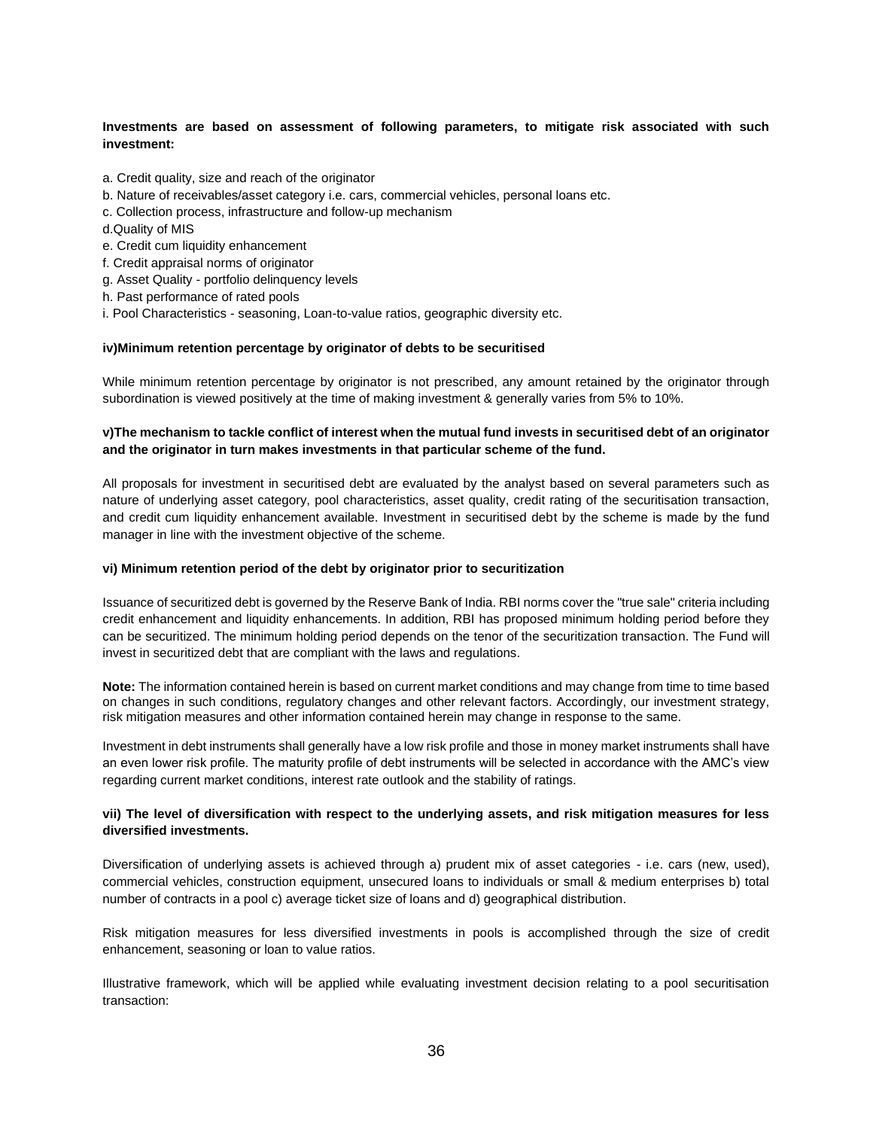## **Investments are based on assessment of following parameters, to mitigate risk associated with such investment:**

- a. Credit quality, size and reach of the originator
- b. Nature of receivables/asset category i.e. cars, commercial vehicles, personal loans etc.
- c. Collection process, infrastructure and follow-up mechanism
- d.Quality of MIS
- e. Credit cum liquidity enhancement
- f. Credit appraisal norms of originator
- g. Asset Quality portfolio delinquency levels
- h. Past performance of rated pools
- i. Pool Characteristics seasoning, Loan-to-value ratios, geographic diversity etc.

#### **iv)Minimum retention percentage by originator of debts to be securitised**

While minimum retention percentage by originator is not prescribed, any amount retained by the originator through subordination is viewed positively at the time of making investment & generally varies from 5% to 10%.

# **v)The mechanism to tackle conflict of interest when the mutual fund invests in securitised debt of an originator and the originator in turn makes investments in that particular scheme of the fund.**

All proposals for investment in securitised debt are evaluated by the analyst based on several parameters such as nature of underlying asset category, pool characteristics, asset quality, credit rating of the securitisation transaction, and credit cum liquidity enhancement available. Investment in securitised debt by the scheme is made by the fund manager in line with the investment objective of the scheme.

### **vi) Minimum retention period of the debt by originator prior to securitization**

Issuance of securitized debt is governed by the Reserve Bank of India. RBI norms cover the "true sale" criteria including credit enhancement and liquidity enhancements. In addition, RBI has proposed minimum holding period before they can be securitized. The minimum holding period depends on the tenor of the securitization transaction. The Fund will invest in securitized debt that are compliant with the laws and regulations.

**Note:** The information contained herein is based on current market conditions and may change from time to time based on changes in such conditions, regulatory changes and other relevant factors. Accordingly, our investment strategy, risk mitigation measures and other information contained herein may change in response to the same.

Investment in debt instruments shall generally have a low risk profile and those in money market instruments shall have an even lower risk profile. The maturity profile of debt instruments will be selected in accordance with the AMC's view regarding current market conditions, interest rate outlook and the stability of ratings.

### **vii) The level of diversification with respect to the underlying assets, and risk mitigation measures for less diversified investments.**

Diversification of underlying assets is achieved through a) prudent mix of asset categories - i.e. cars (new, used), commercial vehicles, construction equipment, unsecured loans to individuals or small & medium enterprises b) total number of contracts in a pool c) average ticket size of loans and d) geographical distribution.

Risk mitigation measures for less diversified investments in pools is accomplished through the size of credit enhancement, seasoning or loan to value ratios.

Illustrative framework, which will be applied while evaluating investment decision relating to a pool securitisation transaction: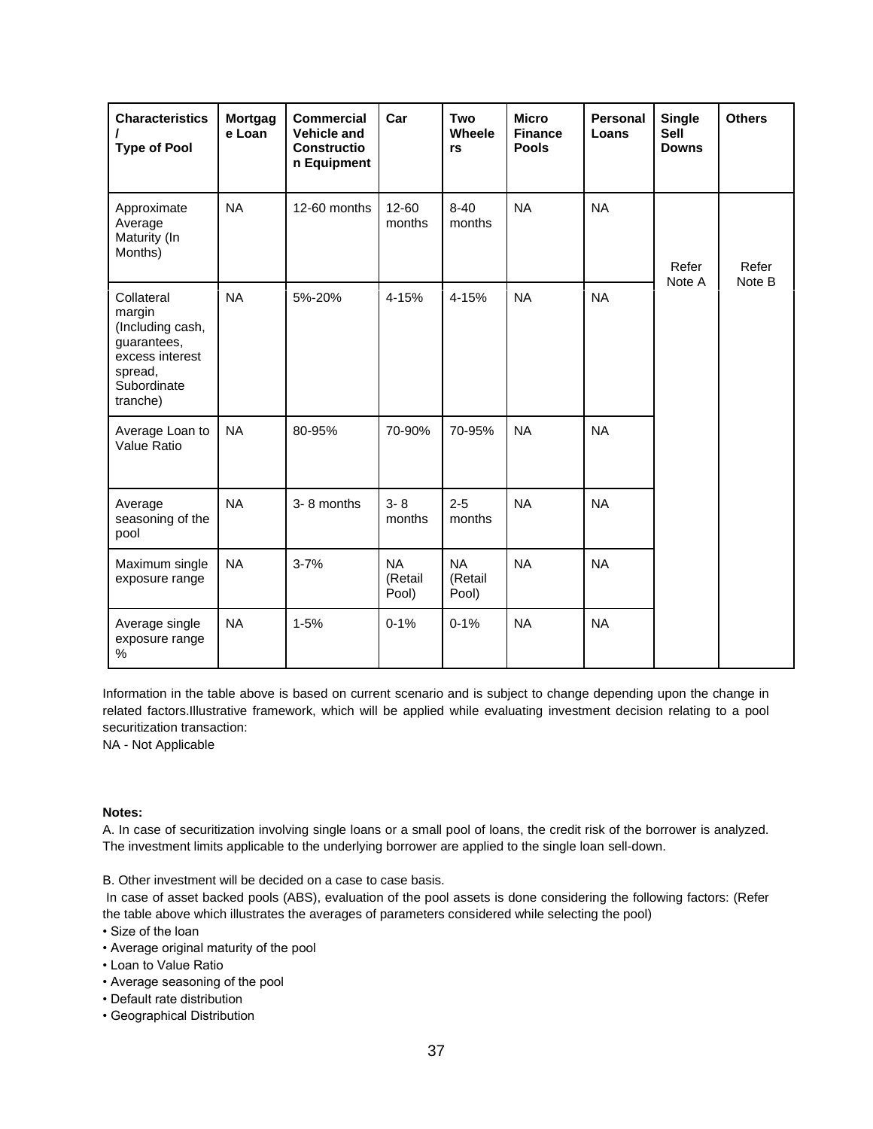| <b>Characteristics</b><br><b>Type of Pool</b>                                                                    | Mortgag<br>e Loan | <b>Commercial</b><br><b>Vehicle and</b><br><b>Constructio</b><br>n Equipment | Car                           | Two<br>Wheele<br>rs           | <b>Micro</b><br><b>Finance</b><br><b>Pools</b> | <b>Personal</b><br>Loans | <b>Single</b><br><b>Sell</b><br><b>Downs</b> | <b>Others</b>   |
|------------------------------------------------------------------------------------------------------------------|-------------------|------------------------------------------------------------------------------|-------------------------------|-------------------------------|------------------------------------------------|--------------------------|----------------------------------------------|-----------------|
| Approximate<br>Average<br>Maturity (In<br>Months)                                                                | <b>NA</b>         | 12-60 months                                                                 | 12-60<br>months               | $8 - 40$<br>months            | <b>NA</b>                                      | <b>NA</b>                | Refer<br>Note A                              | Refer<br>Note B |
| Collateral<br>margin<br>(Including cash,<br>guarantees,<br>excess interest<br>spread,<br>Subordinate<br>tranche) | <b>NA</b>         | 5%-20%                                                                       | 4-15%                         | 4-15%                         | <b>NA</b>                                      | <b>NA</b>                |                                              |                 |
| Average Loan to<br>Value Ratio                                                                                   | <b>NA</b>         | 80-95%                                                                       | 70-90%                        | 70-95%                        | <b>NA</b>                                      | <b>NA</b>                |                                              |                 |
| Average<br>seasoning of the<br>pool                                                                              | <b>NA</b>         | 3-8 months                                                                   | $3 - 8$<br>months             | $2 - 5$<br>months             | <b>NA</b>                                      | <b>NA</b>                |                                              |                 |
| Maximum single<br>exposure range                                                                                 | <b>NA</b>         | $3 - 7%$                                                                     | <b>NA</b><br>(Retail<br>Pool) | <b>NA</b><br>(Retail<br>Pool) | <b>NA</b>                                      | <b>NA</b>                |                                              |                 |
| Average single<br>exposure range<br>%                                                                            | <b>NA</b>         | $1 - 5%$                                                                     | $0 - 1%$                      | $0 - 1%$                      | <b>NA</b>                                      | <b>NA</b>                |                                              |                 |

Information in the table above is based on current scenario and is subject to change depending upon the change in related factors.Illustrative framework, which will be applied while evaluating investment decision relating to a pool securitization transaction:

NA - Not Applicable

# **Notes:**

A. In case of securitization involving single loans or a small pool of loans, the credit risk of the borrower is analyzed. The investment limits applicable to the underlying borrower are applied to the single loan sell-down.

B. Other investment will be decided on a case to case basis.

In case of asset backed pools (ABS), evaluation of the pool assets is done considering the following factors: (Refer the table above which illustrates the averages of parameters considered while selecting the pool)

• Size of the loan

- Average original maturity of the pool
- Loan to Value Ratio
- Average seasoning of the pool
- Default rate distribution
- Geographical Distribution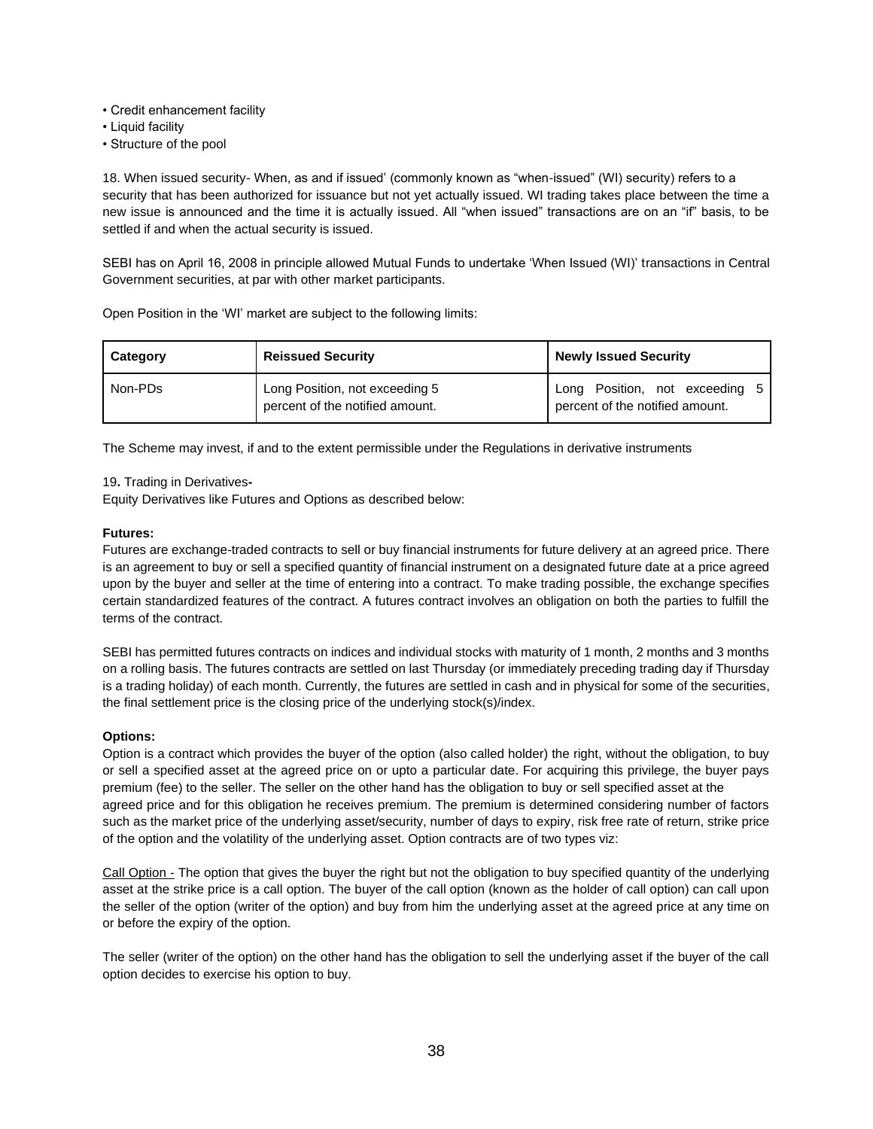- Credit enhancement facility
- Liquid facility
- Structure of the pool

18. When issued security- When, as and if issued' (commonly known as "when-issued" (WI) security) refers to a security that has been authorized for issuance but not yet actually issued. WI trading takes place between the time a new issue is announced and the time it is actually issued. All "when issued" transactions are on an "if" basis, to be settled if and when the actual security is issued.

SEBI has on April 16, 2008 in principle allowed Mutual Funds to undertake 'When Issued (WI)' transactions in Central Government securities, at par with other market participants.

Open Position in the 'WI' market are subject to the following limits:

| <b>Category</b> | <b>Reissued Security</b>                                          | <b>Newly Issued Security</b>                                      |
|-----------------|-------------------------------------------------------------------|-------------------------------------------------------------------|
| Non-PDs         | Long Position, not exceeding 5<br>percent of the notified amount. | Long Position, not exceeding 5<br>percent of the notified amount. |

The Scheme may invest, if and to the extent permissible under the Regulations in derivative instruments

19**.** Trading in Derivatives**-**

Equity Derivatives like Futures and Options as described below:

# **Futures:**

Futures are exchange-traded contracts to sell or buy financial instruments for future delivery at an agreed price. There is an agreement to buy or sell a specified quantity of financial instrument on a designated future date at a price agreed upon by the buyer and seller at the time of entering into a contract. To make trading possible, the exchange specifies certain standardized features of the contract. A futures contract involves an obligation on both the parties to fulfill the terms of the contract.

SEBI has permitted futures contracts on indices and individual stocks with maturity of 1 month, 2 months and 3 months on a rolling basis. The futures contracts are settled on last Thursday (or immediately preceding trading day if Thursday is a trading holiday) of each month. Currently, the futures are settled in cash and in physical for some of the securities, the final settlement price is the closing price of the underlying stock(s)/index.

# **Options:**

Option is a contract which provides the buyer of the option (also called holder) the right, without the obligation, to buy or sell a specified asset at the agreed price on or upto a particular date. For acquiring this privilege, the buyer pays premium (fee) to the seller. The seller on the other hand has the obligation to buy or sell specified asset at the agreed price and for this obligation he receives premium. The premium is determined considering number of factors such as the market price of the underlying asset/security, number of days to expiry, risk free rate of return, strike price of the option and the volatility of the underlying asset. Option contracts are of two types viz:

Call Option - The option that gives the buyer the right but not the obligation to buy specified quantity of the underlying asset at the strike price is a call option. The buyer of the call option (known as the holder of call option) can call upon the seller of the option (writer of the option) and buy from him the underlying asset at the agreed price at any time on or before the expiry of the option.

The seller (writer of the option) on the other hand has the obligation to sell the underlying asset if the buyer of the call option decides to exercise his option to buy.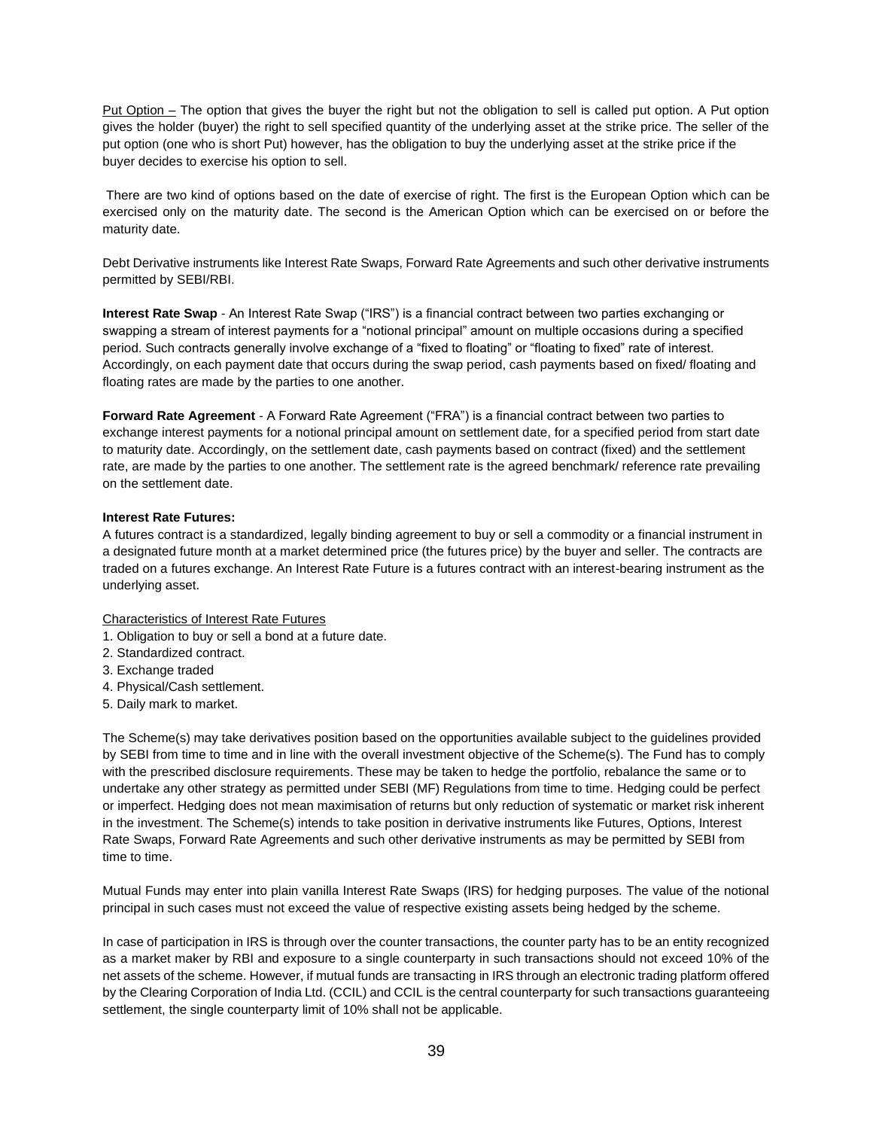Put Option – The option that gives the buyer the right but not the obligation to sell is called put option. A Put option gives the holder (buyer) the right to sell specified quantity of the underlying asset at the strike price. The seller of the put option (one who is short Put) however, has the obligation to buy the underlying asset at the strike price if the buyer decides to exercise his option to sell.

There are two kind of options based on the date of exercise of right. The first is the European Option which can be exercised only on the maturity date. The second is the American Option which can be exercised on or before the maturity date.

Debt Derivative instruments like Interest Rate Swaps, Forward Rate Agreements and such other derivative instruments permitted by SEBI/RBI.

**Interest Rate Swap** - An Interest Rate Swap ("IRS") is a financial contract between two parties exchanging or swapping a stream of interest payments for a "notional principal" amount on multiple occasions during a specified period. Such contracts generally involve exchange of a "fixed to floating" or "floating to fixed" rate of interest. Accordingly, on each payment date that occurs during the swap period, cash payments based on fixed/ floating and floating rates are made by the parties to one another.

**Forward Rate Agreement** - A Forward Rate Agreement ("FRA") is a financial contract between two parties to exchange interest payments for a notional principal amount on settlement date, for a specified period from start date to maturity date. Accordingly, on the settlement date, cash payments based on contract (fixed) and the settlement rate, are made by the parties to one another. The settlement rate is the agreed benchmark/ reference rate prevailing on the settlement date.

# **Interest Rate Futures:**

A futures contract is a standardized, legally binding agreement to buy or sell a commodity or a financial instrument in a designated future month at a market determined price (the futures price) by the buyer and seller. The contracts are traded on a futures exchange. An Interest Rate Future is a futures contract with an interest-bearing instrument as the underlying asset.

Characteristics of Interest Rate Futures

- 1. Obligation to buy or sell a bond at a future date.
- 2. Standardized contract.
- 3. Exchange traded
- 4. Physical/Cash settlement.
- 5. Daily mark to market.

The Scheme(s) may take derivatives position based on the opportunities available subject to the guidelines provided by SEBI from time to time and in line with the overall investment objective of the Scheme(s). The Fund has to comply with the prescribed disclosure requirements. These may be taken to hedge the portfolio, rebalance the same or to undertake any other strategy as permitted under SEBI (MF) Regulations from time to time. Hedging could be perfect or imperfect. Hedging does not mean maximisation of returns but only reduction of systematic or market risk inherent in the investment. The Scheme(s) intends to take position in derivative instruments like Futures, Options, Interest Rate Swaps, Forward Rate Agreements and such other derivative instruments as may be permitted by SEBI from time to time.

Mutual Funds may enter into plain vanilla Interest Rate Swaps (IRS) for hedging purposes. The value of the notional principal in such cases must not exceed the value of respective existing assets being hedged by the scheme.

In case of participation in IRS is through over the counter transactions, the counter party has to be an entity recognized as a market maker by RBI and exposure to a single counterparty in such transactions should not exceed 10% of the net assets of the scheme. However, if mutual funds are transacting in IRS through an electronic trading platform offered by the Clearing Corporation of India Ltd. (CCIL) and CCIL is the central counterparty for such transactions guaranteeing settlement, the single counterparty limit of 10% shall not be applicable.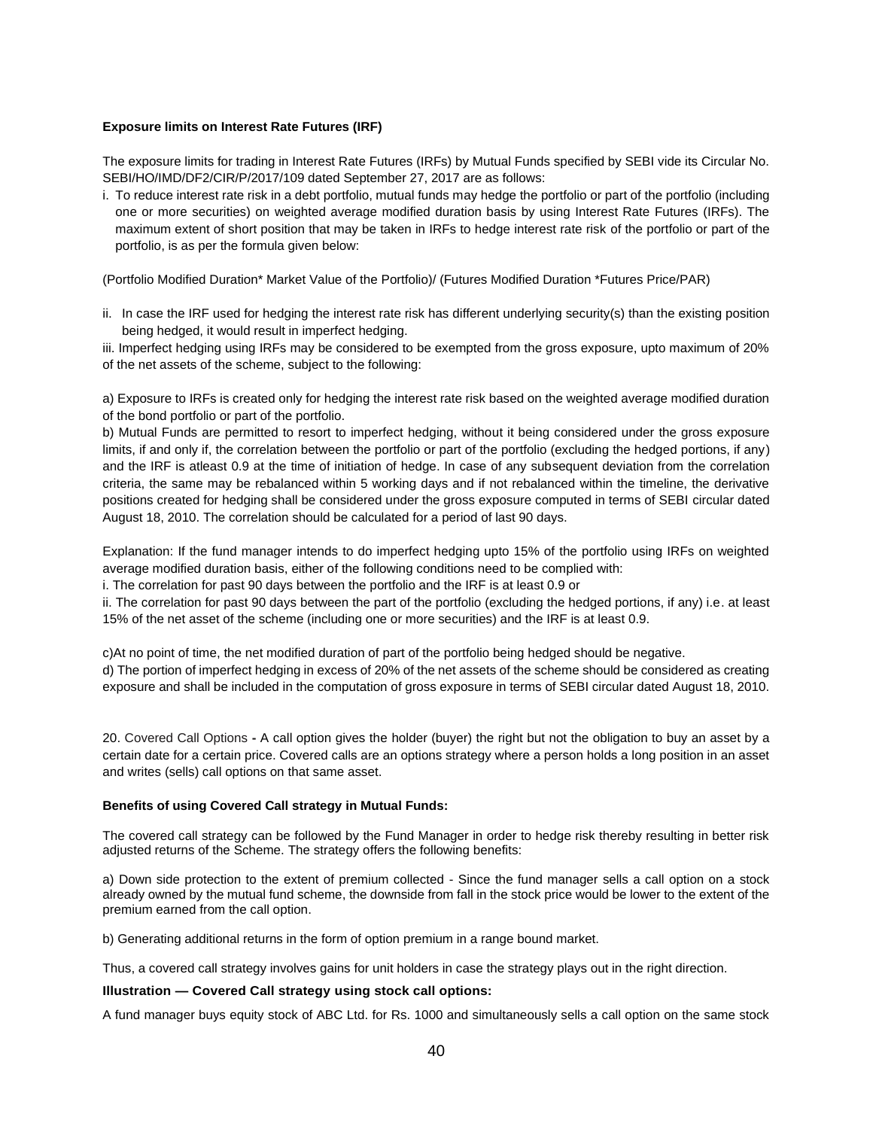# **Exposure limits on Interest Rate Futures (IRF)**

The exposure limits for trading in Interest Rate Futures (IRFs) by Mutual Funds specified by SEBI vide its Circular No. SEBI/HO/IMD/DF2/CIR/P/2017/109 dated September 27, 2017 are as follows:

i. To reduce interest rate risk in a debt portfolio, mutual funds may hedge the portfolio or part of the portfolio (including one or more securities) on weighted average modified duration basis by using Interest Rate Futures (IRFs). The maximum extent of short position that may be taken in IRFs to hedge interest rate risk of the portfolio or part of the portfolio, is as per the formula given below:

(Portfolio Modified Duration\* Market Value of the Portfolio)/ (Futures Modified Duration \*Futures Price/PAR)

ii. In case the IRF used for hedging the interest rate risk has different underlying security(s) than the existing position being hedged, it would result in imperfect hedging.

iii. Imperfect hedging using IRFs may be considered to be exempted from the gross exposure, upto maximum of 20% of the net assets of the scheme, subject to the following:

a) Exposure to IRFs is created only for hedging the interest rate risk based on the weighted average modified duration of the bond portfolio or part of the portfolio.

b) Mutual Funds are permitted to resort to imperfect hedging, without it being considered under the gross exposure limits, if and only if, the correlation between the portfolio or part of the portfolio (excluding the hedged portions, if any) and the IRF is atleast 0.9 at the time of initiation of hedge. In case of any subsequent deviation from the correlation criteria, the same may be rebalanced within 5 working days and if not rebalanced within the timeline, the derivative positions created for hedging shall be considered under the gross exposure computed in terms of SEBI circular dated August 18, 2010. The correlation should be calculated for a period of last 90 days.

Explanation: If the fund manager intends to do imperfect hedging upto 15% of the portfolio using IRFs on weighted average modified duration basis, either of the following conditions need to be complied with:

i. The correlation for past 90 days between the portfolio and the IRF is at least 0.9 or

ii. The correlation for past 90 days between the part of the portfolio (excluding the hedged portions, if any) i.e. at least 15% of the net asset of the scheme (including one or more securities) and the IRF is at least 0.9.

c)At no point of time, the net modified duration of part of the portfolio being hedged should be negative.

d) The portion of imperfect hedging in excess of 20% of the net assets of the scheme should be considered as creating exposure and shall be included in the computation of gross exposure in terms of SEBI circular dated August 18, 2010.

20. Covered Call Options **-** A call option gives the holder (buyer) the right but not the obligation to buy an asset by a certain date for a certain price. Covered calls are an options strategy where a person holds a long position in an asset and writes (sells) call options on that same asset.

# **Benefits of using Covered Call strategy in Mutual Funds:**

The covered call strategy can be followed by the Fund Manager in order to hedge risk thereby resulting in better risk adjusted returns of the Scheme. The strategy offers the following benefits:

a) Down side protection to the extent of premium collected - Since the fund manager sells a call option on a stock already owned by the mutual fund scheme, the downside from fall in the stock price would be lower to the extent of the premium earned from the call option.

b) Generating additional returns in the form of option premium in a range bound market.

Thus, a covered call strategy involves gains for unit holders in case the strategy plays out in the right direction.

# **Illustration — Covered Call strategy using stock call options:**

A fund manager buys equity stock of ABC Ltd. for Rs. 1000 and simultaneously sells a call option on the same stock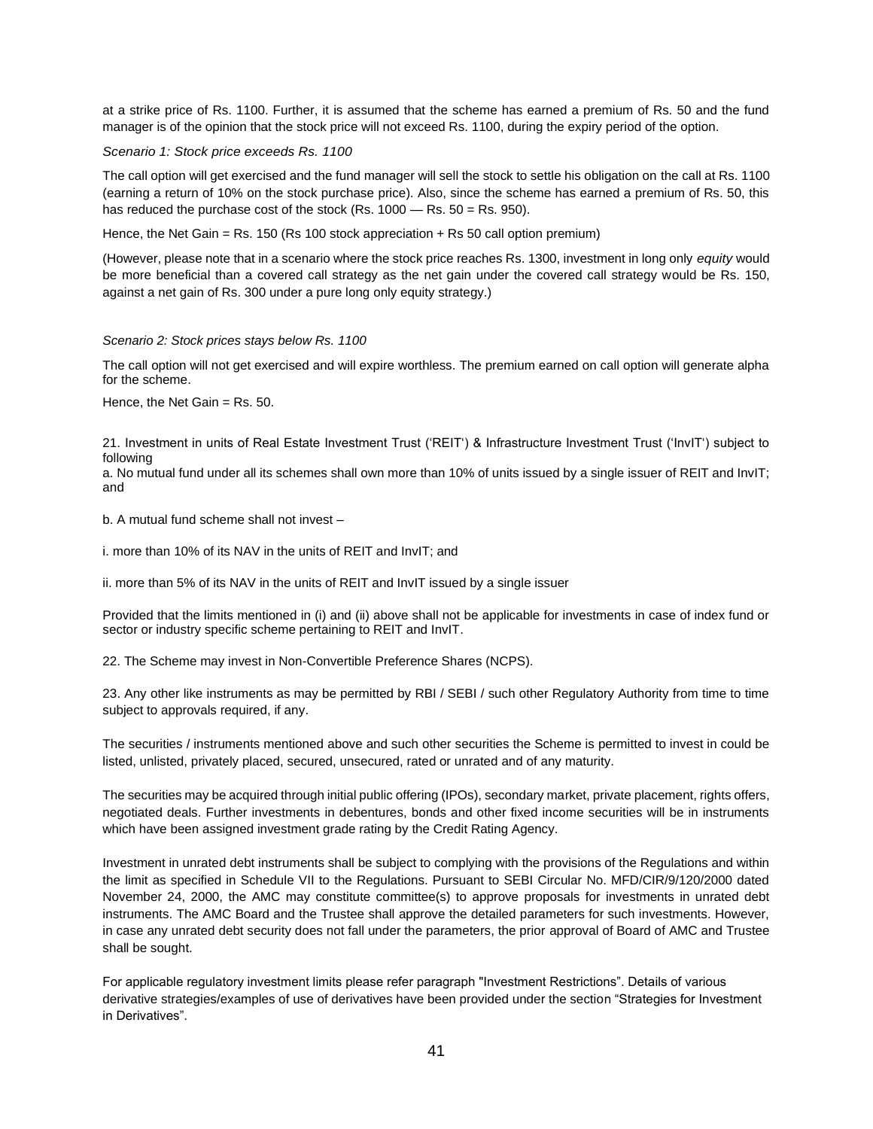at a strike price of Rs. 1100. Further, it is assumed that the scheme has earned a premium of Rs. 50 and the fund manager is of the opinion that the stock price will not exceed Rs. 1100, during the expiry period of the option.

#### *Scenario 1: Stock price exceeds Rs. 1100*

The call option will get exercised and the fund manager will sell the stock to settle his obligation on the call at Rs. 1100 (earning a return of 10% on the stock purchase price). Also, since the scheme has earned a premium of Rs. 50, this has reduced the purchase cost of the stock (Rs.  $1000 -$ Rs.  $50 =$ Rs.  $950$ ).

Hence, the Net Gain = Rs. 150 (Rs 100 stock appreciation + Rs 50 call option premium)

(However, please note that in a scenario where the stock price reaches Rs. 1300, investment in long only *equity* would be more beneficial than a covered call strategy as the net gain under the covered call strategy would be Rs. 150, against a net gain of Rs. 300 under a pure long only equity strategy.)

#### *Scenario 2: Stock prices stays below Rs. 1100*

The call option will not get exercised and will expire worthless. The premium earned on call option will generate alpha for the scheme.

Hence, the Net Gain = Rs. 50.

21. Investment in units of Real Estate Investment Trust ('REIT') & Infrastructure Investment Trust ('InvIT') subject to following

a. No mutual fund under all its schemes shall own more than 10% of units issued by a single issuer of REIT and InvIT; and

b. A mutual fund scheme shall not invest –

i. more than 10% of its NAV in the units of REIT and InvIT; and

ii. more than 5% of its NAV in the units of REIT and InvIT issued by a single issuer

Provided that the limits mentioned in (i) and (ii) above shall not be applicable for investments in case of index fund or sector or industry specific scheme pertaining to REIT and InvIT.

22. The Scheme may invest in Non-Convertible Preference Shares (NCPS).

23. Any other like instruments as may be permitted by RBI / SEBI / such other Regulatory Authority from time to time subject to approvals required, if any.

The securities / instruments mentioned above and such other securities the Scheme is permitted to invest in could be listed, unlisted, privately placed, secured, unsecured, rated or unrated and of any maturity.

The securities may be acquired through initial public offering (IPOs), secondary market, private placement, rights offers, negotiated deals. Further investments in debentures, bonds and other fixed income securities will be in instruments which have been assigned investment grade rating by the Credit Rating Agency.

Investment in unrated debt instruments shall be subject to complying with the provisions of the Regulations and within the limit as specified in Schedule VII to the Regulations. Pursuant to SEBI Circular No. MFD/CIR/9/120/2000 dated November 24, 2000, the AMC may constitute committee(s) to approve proposals for investments in unrated debt instruments. The AMC Board and the Trustee shall approve the detailed parameters for such investments. However, in case any unrated debt security does not fall under the parameters, the prior approval of Board of AMC and Trustee shall be sought.

For applicable regulatory investment limits please refer paragraph "Investment Restrictions". Details of various derivative strategies/examples of use of derivatives have been provided under the section "Strategies for Investment in Derivatives".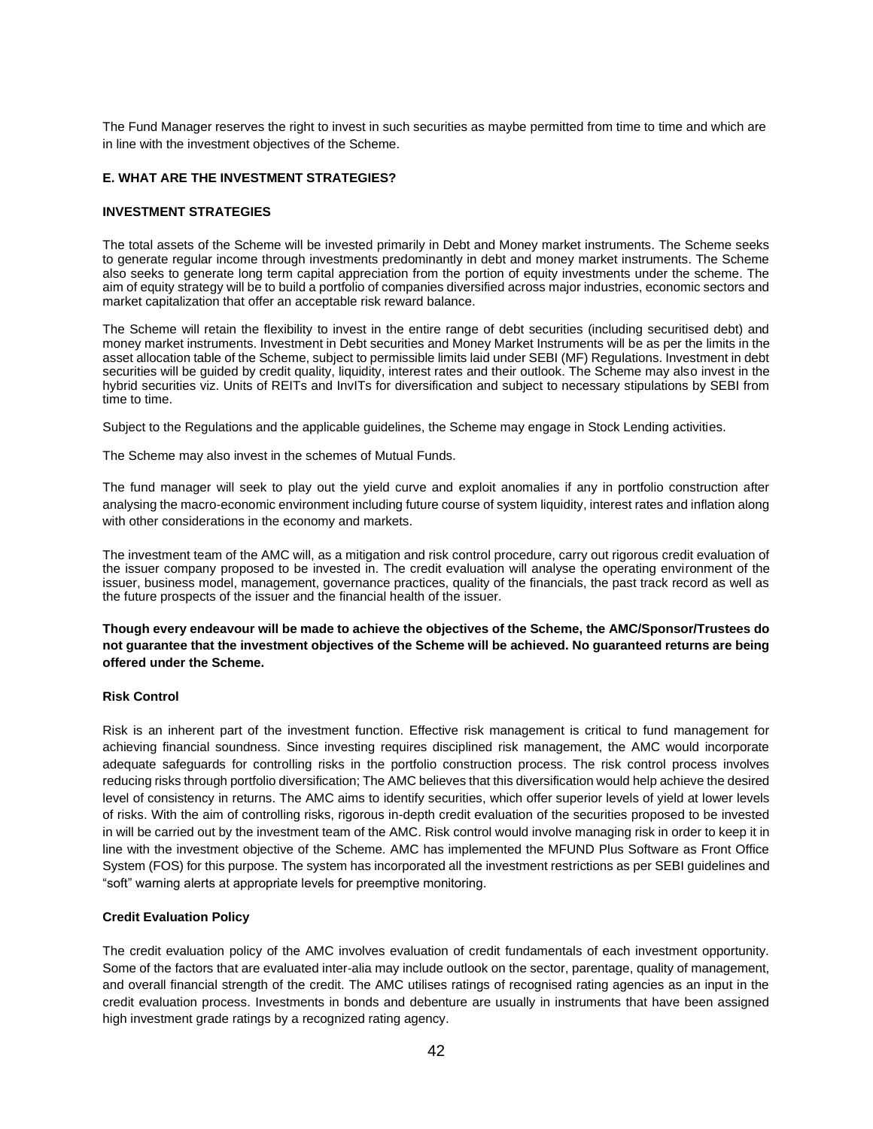The Fund Manager reserves the right to invest in such securities as maybe permitted from time to time and which are in line with the investment objectives of the Scheme.

#### **E. WHAT ARE THE INVESTMENT STRATEGIES?**

#### **INVESTMENT STRATEGIES**

The total assets of the Scheme will be invested primarily in Debt and Money market instruments. The Scheme seeks to generate regular income through investments predominantly in debt and money market instruments. The Scheme also seeks to generate long term capital appreciation from the portion of equity investments under the scheme. The aim of equity strategy will be to build a portfolio of companies diversified across major industries, economic sectors and market capitalization that offer an acceptable risk reward balance.

The Scheme will retain the flexibility to invest in the entire range of debt securities (including securitised debt) and money market instruments. Investment in Debt securities and Money Market Instruments will be as per the limits in the asset allocation table of the Scheme, subject to permissible limits laid under SEBI (MF) Regulations. Investment in debt securities will be guided by credit quality, liquidity, interest rates and their outlook. The Scheme may also invest in the hybrid securities viz. Units of REITs and InvITs for diversification and subject to necessary stipulations by SEBI from time to time.

Subject to the Regulations and the applicable guidelines, the Scheme may engage in Stock Lending activities.

The Scheme may also invest in the schemes of Mutual Funds.

The fund manager will seek to play out the yield curve and exploit anomalies if any in portfolio construction after analysing the macro-economic environment including future course of system liquidity, interest rates and inflation along with other considerations in the economy and markets.

The investment team of the AMC will, as a mitigation and risk control procedure, carry out rigorous credit evaluation of the issuer company proposed to be invested in. The credit evaluation will analyse the operating environment of the issuer, business model, management, governance practices, quality of the financials, the past track record as well as the future prospects of the issuer and the financial health of the issuer.

**Though every endeavour will be made to achieve the objectives of the Scheme, the AMC/Sponsor/Trustees do not guarantee that the investment objectives of the Scheme will be achieved. No guaranteed returns are being offered under the Scheme.**

# **Risk Control**

Risk is an inherent part of the investment function. Effective risk management is critical to fund management for achieving financial soundness. Since investing requires disciplined risk management, the AMC would incorporate adequate safeguards for controlling risks in the portfolio construction process. The risk control process involves reducing risks through portfolio diversification; The AMC believes that this diversification would help achieve the desired level of consistency in returns. The AMC aims to identify securities, which offer superior levels of yield at lower levels of risks. With the aim of controlling risks, rigorous in-depth credit evaluation of the securities proposed to be invested in will be carried out by the investment team of the AMC. Risk control would involve managing risk in order to keep it in line with the investment objective of the Scheme. AMC has implemented the MFUND Plus Software as Front Office System (FOS) for this purpose. The system has incorporated all the investment restrictions as per SEBI guidelines and "soft" warning alerts at appropriate levels for preemptive monitoring.

# **Credit Evaluation Policy**

The credit evaluation policy of the AMC involves evaluation of credit fundamentals of each investment opportunity. Some of the factors that are evaluated inter-alia may include outlook on the sector, parentage, quality of management, and overall financial strength of the credit. The AMC utilises ratings of recognised rating agencies as an input in the credit evaluation process. Investments in bonds and debenture are usually in instruments that have been assigned high investment grade ratings by a recognized rating agency.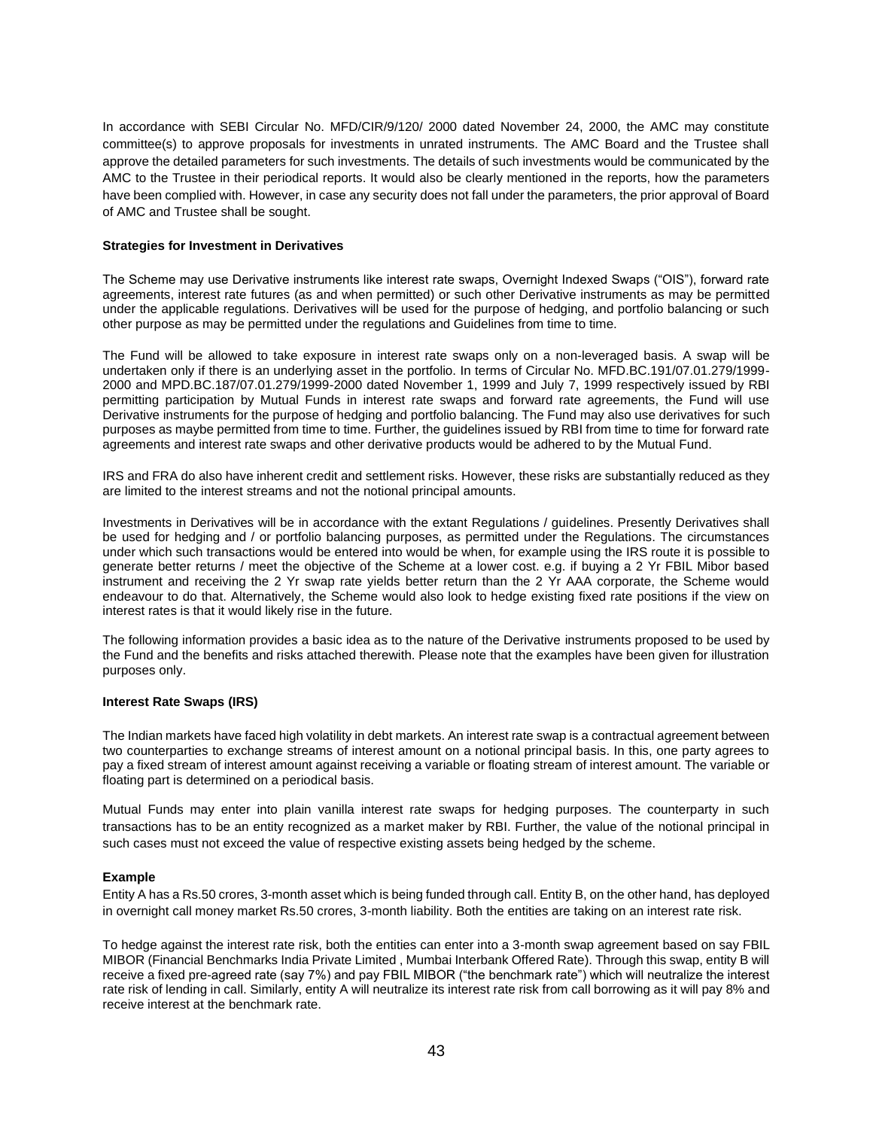In accordance with SEBI Circular No. MFD/CIR/9/120/ 2000 dated November 24, 2000, the AMC may constitute committee(s) to approve proposals for investments in unrated instruments. The AMC Board and the Trustee shall approve the detailed parameters for such investments. The details of such investments would be communicated by the AMC to the Trustee in their periodical reports. It would also be clearly mentioned in the reports, how the parameters have been complied with. However, in case any security does not fall under the parameters, the prior approval of Board of AMC and Trustee shall be sought.

#### **Strategies for Investment in Derivatives**

The Scheme may use Derivative instruments like interest rate swaps, Overnight Indexed Swaps ("OIS"), forward rate agreements, interest rate futures (as and when permitted) or such other Derivative instruments as may be permitted under the applicable regulations. Derivatives will be used for the purpose of hedging, and portfolio balancing or such other purpose as may be permitted under the regulations and Guidelines from time to time.

The Fund will be allowed to take exposure in interest rate swaps only on a non-leveraged basis. A swap will be undertaken only if there is an underlying asset in the portfolio. In terms of Circular No. MFD.BC.191/07.01.279/1999- 2000 and MPD.BC.187/07.01.279/1999-2000 dated November 1, 1999 and July 7, 1999 respectively issued by RBI permitting participation by Mutual Funds in interest rate swaps and forward rate agreements, the Fund will use Derivative instruments for the purpose of hedging and portfolio balancing. The Fund may also use derivatives for such purposes as maybe permitted from time to time. Further, the guidelines issued by RBI from time to time for forward rate agreements and interest rate swaps and other derivative products would be adhered to by the Mutual Fund.

IRS and FRA do also have inherent credit and settlement risks. However, these risks are substantially reduced as they are limited to the interest streams and not the notional principal amounts.

Investments in Derivatives will be in accordance with the extant Regulations / guidelines. Presently Derivatives shall be used for hedging and / or portfolio balancing purposes, as permitted under the Regulations. The circumstances under which such transactions would be entered into would be when, for example using the IRS route it is possible to generate better returns / meet the objective of the Scheme at a lower cost. e.g. if buying a 2 Yr FBIL Mibor based instrument and receiving the 2 Yr swap rate yields better return than the 2 Yr AAA corporate, the Scheme would endeavour to do that. Alternatively, the Scheme would also look to hedge existing fixed rate positions if the view on interest rates is that it would likely rise in the future.

The following information provides a basic idea as to the nature of the Derivative instruments proposed to be used by the Fund and the benefits and risks attached therewith. Please note that the examples have been given for illustration purposes only.

#### **Interest Rate Swaps (IRS)**

The Indian markets have faced high volatility in debt markets. An interest rate swap is a contractual agreement between two counterparties to exchange streams of interest amount on a notional principal basis. In this, one party agrees to pay a fixed stream of interest amount against receiving a variable or floating stream of interest amount. The variable or floating part is determined on a periodical basis.

Mutual Funds may enter into plain vanilla interest rate swaps for hedging purposes. The counterparty in such transactions has to be an entity recognized as a market maker by RBI. Further, the value of the notional principal in such cases must not exceed the value of respective existing assets being hedged by the scheme.

#### **Example**

Entity A has a Rs.50 crores, 3-month asset which is being funded through call. Entity B, on the other hand, has deployed in overnight call money market Rs.50 crores, 3-month liability. Both the entities are taking on an interest rate risk.

To hedge against the interest rate risk, both the entities can enter into a 3-month swap agreement based on say FBIL MIBOR (Financial Benchmarks India Private Limited , Mumbai Interbank Offered Rate). Through this swap, entity B will receive a fixed pre-agreed rate (say 7%) and pay FBIL MIBOR ("the benchmark rate") which will neutralize the interest rate risk of lending in call. Similarly, entity A will neutralize its interest rate risk from call borrowing as it will pay 8% and receive interest at the benchmark rate.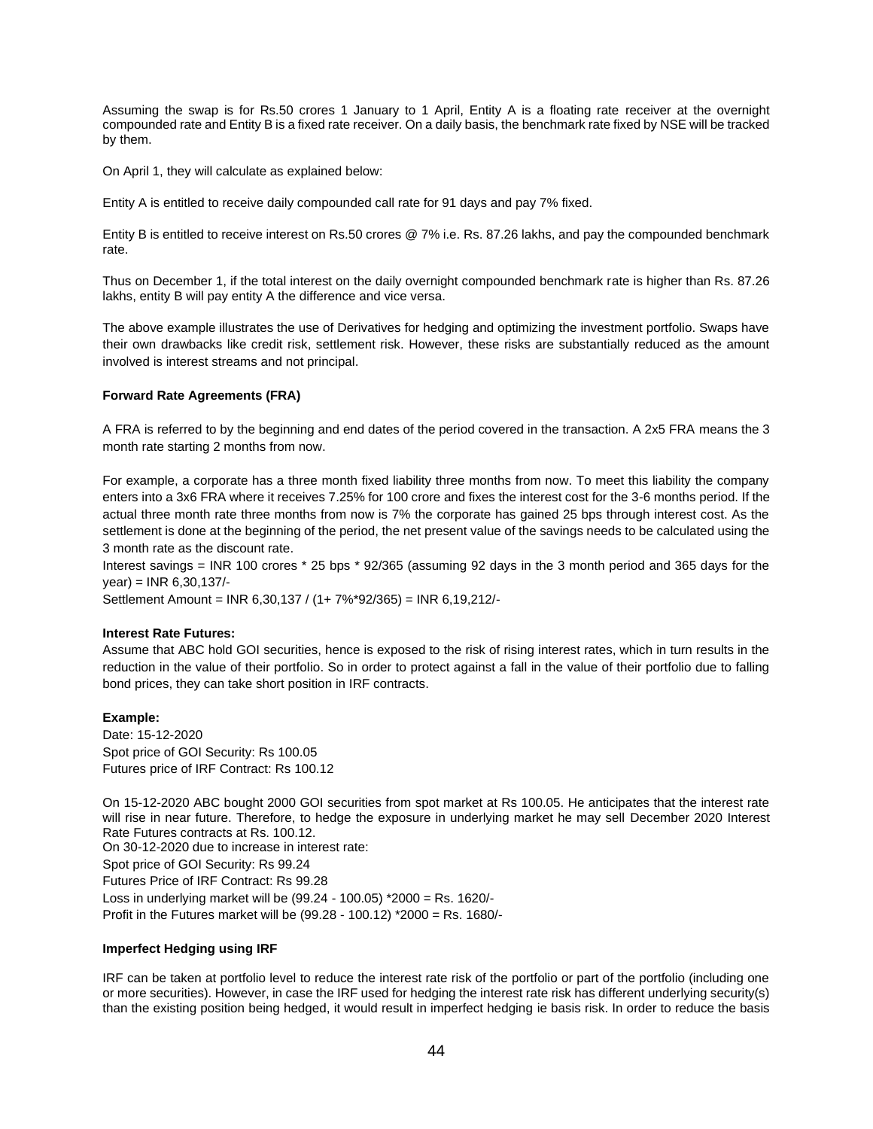Assuming the swap is for Rs.50 crores 1 January to 1 April, Entity A is a floating rate receiver at the overnight compounded rate and Entity B is a fixed rate receiver. On a daily basis, the benchmark rate fixed by NSE will be tracked by them.

On April 1, they will calculate as explained below:

Entity A is entitled to receive daily compounded call rate for 91 days and pay 7% fixed.

Entity B is entitled to receive interest on Rs.50 crores @ 7% i.e. Rs. 87.26 lakhs, and pay the compounded benchmark rate.

Thus on December 1, if the total interest on the daily overnight compounded benchmark rate is higher than Rs. 87.26 lakhs, entity B will pay entity A the difference and vice versa.

The above example illustrates the use of Derivatives for hedging and optimizing the investment portfolio. Swaps have their own drawbacks like credit risk, settlement risk. However, these risks are substantially reduced as the amount involved is interest streams and not principal.

# **Forward Rate Agreements (FRA)**

A FRA is referred to by the beginning and end dates of the period covered in the transaction. A 2x5 FRA means the 3 month rate starting 2 months from now.

For example, a corporate has a three month fixed liability three months from now. To meet this liability the company enters into a 3x6 FRA where it receives 7.25% for 100 crore and fixes the interest cost for the 3-6 months period. If the actual three month rate three months from now is 7% the corporate has gained 25 bps through interest cost. As the settlement is done at the beginning of the period, the net present value of the savings needs to be calculated using the 3 month rate as the discount rate.

Interest savings = INR 100 crores \* 25 bps \* 92/365 (assuming 92 days in the 3 month period and 365 days for the year) = INR 6,30,137/-

Settlement Amount = INR 6,30,137 / (1+ 7%\*92/365) = INR 6,19,212/-

#### **Interest Rate Futures:**

Assume that ABC hold GOI securities, hence is exposed to the risk of rising interest rates, which in turn results in the reduction in the value of their portfolio. So in order to protect against a fall in the value of their portfolio due to falling bond prices, they can take short position in IRF contracts.

#### **Example:**

Date: 15-12-2020 Spot price of GOI Security: Rs 100.05 Futures price of IRF Contract: Rs 100.12

On 15-12-2020 ABC bought 2000 GOI securities from spot market at Rs 100.05. He anticipates that the interest rate will rise in near future. Therefore, to hedge the exposure in underlying market he may sell December 2020 Interest Rate Futures contracts at Rs. 100.12. On 30-12-2020 due to increase in interest rate: Spot price of GOI Security: Rs 99.24 Futures Price of IRF Contract: Rs 99.28 Loss in underlying market will be (99.24 - 100.05) \*2000 = Rs. 1620/- Profit in the Futures market will be (99.28 - 100.12) \*2000 = Rs. 1680/-

#### **Imperfect Hedging using IRF**

IRF can be taken at portfolio level to reduce the interest rate risk of the portfolio or part of the portfolio (including one or more securities). However, in case the IRF used for hedging the interest rate risk has different underlying security(s) than the existing position being hedged, it would result in imperfect hedging ie basis risk. In order to reduce the basis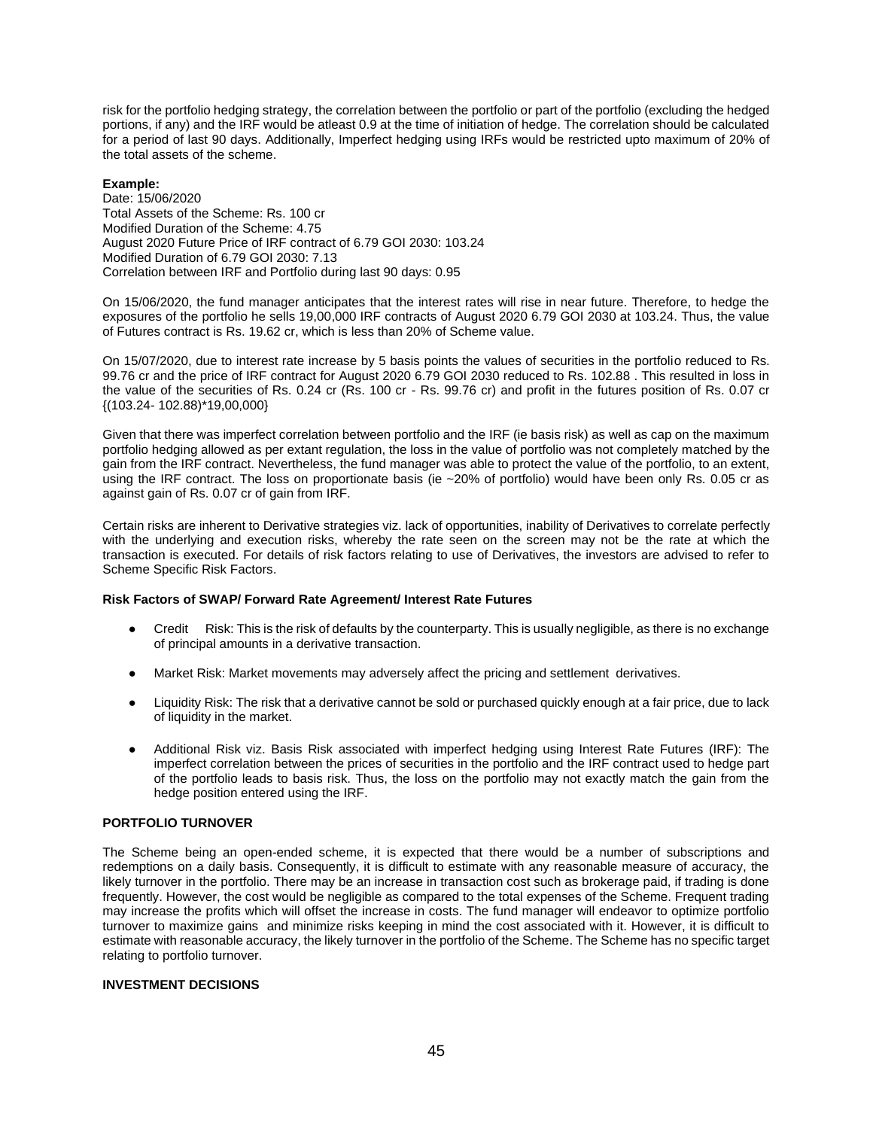risk for the portfolio hedging strategy, the correlation between the portfolio or part of the portfolio (excluding the hedged portions, if any) and the IRF would be atleast 0.9 at the time of initiation of hedge. The correlation should be calculated for a period of last 90 days. Additionally, Imperfect hedging using IRFs would be restricted upto maximum of 20% of the total assets of the scheme.

# **Example:**

Date: 15/06/2020 Total Assets of the Scheme: Rs. 100 cr Modified Duration of the Scheme: 4.75 August 2020 Future Price of IRF contract of 6.79 GOI 2030: 103.24 Modified Duration of 6.79 GOI 2030: 7.13 Correlation between IRF and Portfolio during last 90 days: 0.95

On 15/06/2020, the fund manager anticipates that the interest rates will rise in near future. Therefore, to hedge the exposures of the portfolio he sells 19,00,000 IRF contracts of August 2020 6.79 GOI 2030 at 103.24. Thus, the value of Futures contract is Rs. 19.62 cr, which is less than 20% of Scheme value.

On 15/07/2020, due to interest rate increase by 5 basis points the values of securities in the portfolio reduced to Rs. 99.76 cr and the price of IRF contract for August 2020 6.79 GOI 2030 reduced to Rs. 102.88 . This resulted in loss in the value of the securities of Rs. 0.24 cr (Rs. 100 cr - Rs. 99.76 cr) and profit in the futures position of Rs. 0.07 cr {(103.24- 102.88)\*19,00,000}

Given that there was imperfect correlation between portfolio and the IRF (ie basis risk) as well as cap on the maximum portfolio hedging allowed as per extant regulation, the loss in the value of portfolio was not completely matched by the gain from the IRF contract. Nevertheless, the fund manager was able to protect the value of the portfolio, to an extent, using the IRF contract. The loss on proportionate basis (ie ~20% of portfolio) would have been only Rs. 0.05 cr as against gain of Rs. 0.07 cr of gain from IRF.

Certain risks are inherent to Derivative strategies viz. lack of opportunities, inability of Derivatives to correlate perfectly with the underlying and execution risks, whereby the rate seen on the screen may not be the rate at which the transaction is executed. For details of risk factors relating to use of Derivatives, the investors are advised to refer to Scheme Specific Risk Factors.

# **Risk Factors of SWAP/ Forward Rate Agreement/ Interest Rate Futures**

- Credit Risk: This is the risk of defaults by the counterparty. This is usually negligible, as there is no exchange of principal amounts in a derivative transaction.
- Market Risk: Market movements may adversely affect the pricing and settlement derivatives.
- Liquidity Risk: The risk that a derivative cannot be sold or purchased quickly enough at a fair price, due to lack of liquidity in the market.
- Additional Risk viz. Basis Risk associated with imperfect hedging using Interest Rate Futures (IRF): The imperfect correlation between the prices of securities in the portfolio and the IRF contract used to hedge part of the portfolio leads to basis risk. Thus, the loss on the portfolio may not exactly match the gain from the hedge position entered using the IRF.

# **PORTFOLIO TURNOVER**

The Scheme being an open-ended scheme, it is expected that there would be a number of subscriptions and redemptions on a daily basis. Consequently, it is difficult to estimate with any reasonable measure of accuracy, the likely turnover in the portfolio. There may be an increase in transaction cost such as brokerage paid, if trading is done frequently. However, the cost would be negligible as compared to the total expenses of the Scheme. Frequent trading may increase the profits which will offset the increase in costs. The fund manager will endeavor to optimize portfolio turnover to maximize gains and minimize risks keeping in mind the cost associated with it. However, it is difficult to estimate with reasonable accuracy, the likely turnover in the portfolio of the Scheme. The Scheme has no specific target relating to portfolio turnover.

# **INVESTMENT DECISIONS**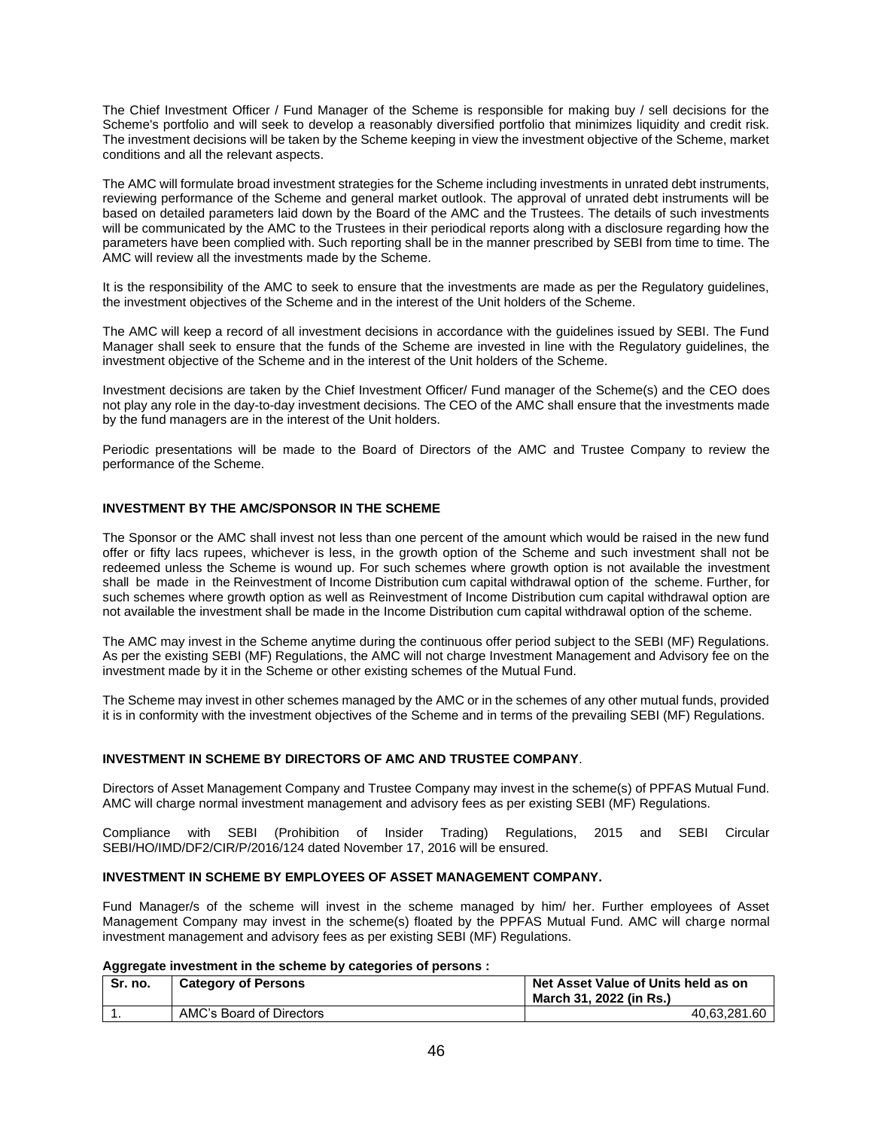The Chief Investment Officer / Fund Manager of the Scheme is responsible for making buy / sell decisions for the Scheme's portfolio and will seek to develop a reasonably diversified portfolio that minimizes liquidity and credit risk. The investment decisions will be taken by the Scheme keeping in view the investment objective of the Scheme, market conditions and all the relevant aspects.

The AMC will formulate broad investment strategies for the Scheme including investments in unrated debt instruments, reviewing performance of the Scheme and general market outlook. The approval of unrated debt instruments will be based on detailed parameters laid down by the Board of the AMC and the Trustees. The details of such investments will be communicated by the AMC to the Trustees in their periodical reports along with a disclosure regarding how the parameters have been complied with. Such reporting shall be in the manner prescribed by SEBI from time to time. The AMC will review all the investments made by the Scheme.

It is the responsibility of the AMC to seek to ensure that the investments are made as per the Regulatory guidelines, the investment objectives of the Scheme and in the interest of the Unit holders of the Scheme.

The AMC will keep a record of all investment decisions in accordance with the guidelines issued by SEBI. The Fund Manager shall seek to ensure that the funds of the Scheme are invested in line with the Regulatory guidelines, the investment objective of the Scheme and in the interest of the Unit holders of the Scheme.

Investment decisions are taken by the Chief Investment Officer/ Fund manager of the Scheme(s) and the CEO does not play any role in the day-to-day investment decisions. The CEO of the AMC shall ensure that the investments made by the fund managers are in the interest of the Unit holders.

Periodic presentations will be made to the Board of Directors of the AMC and Trustee Company to review the performance of the Scheme.

# **INVESTMENT BY THE AMC/SPONSOR IN THE SCHEME**

The Sponsor or the AMC shall invest not less than one percent of the amount which would be raised in the new fund offer or fifty lacs rupees, whichever is less, in the growth option of the Scheme and such investment shall not be redeemed unless the Scheme is wound up. For such schemes where growth option is not available the investment shall be made in the Reinvestment of Income Distribution cum capital withdrawal option of the scheme. Further, for such schemes where growth option as well as Reinvestment of Income Distribution cum capital withdrawal option are not available the investment shall be made in the Income Distribution cum capital withdrawal option of the scheme.

The AMC may invest in the Scheme anytime during the continuous offer period subject to the SEBI (MF) Regulations. As per the existing SEBI (MF) Regulations, the AMC will not charge Investment Management and Advisory fee on the investment made by it in the Scheme or other existing schemes of the Mutual Fund.

The Scheme may invest in other schemes managed by the AMC or in the schemes of any other mutual funds, provided it is in conformity with the investment objectives of the Scheme and in terms of the prevailing SEBI (MF) Regulations.

# **INVESTMENT IN SCHEME BY DIRECTORS OF AMC AND TRUSTEE COMPANY**.

Directors of Asset Management Company and Trustee Company may invest in the scheme(s) of PPFAS Mutual Fund. AMC will charge normal investment management and advisory fees as per existing SEBI (MF) Regulations.

Compliance with SEBI (Prohibition of Insider Trading) Regulations, 2015 and SEBI Circular SEBI/HO/IMD/DF2/CIR/P/2016/124 dated November 17, 2016 will be ensured.

# **INVESTMENT IN SCHEME BY EMPLOYEES OF ASSET MANAGEMENT COMPANY.**

Fund Manager/s of the scheme will invest in the scheme managed by him/ her. Further employees of Asset Management Company may invest in the scheme(s) floated by the PPFAS Mutual Fund. AMC will charge normal investment management and advisory fees as per existing SEBI (MF) Regulations.

## **Aggregate investment in the scheme by categories of persons :**

| Sr. no. | <b>Category of Persons</b> | Net Asset Value of Units held as on<br>March 31, 2022 (in Rs.) |
|---------|----------------------------|----------------------------------------------------------------|
|         | AMC's Board of Directors   | 40.63.281.60                                                   |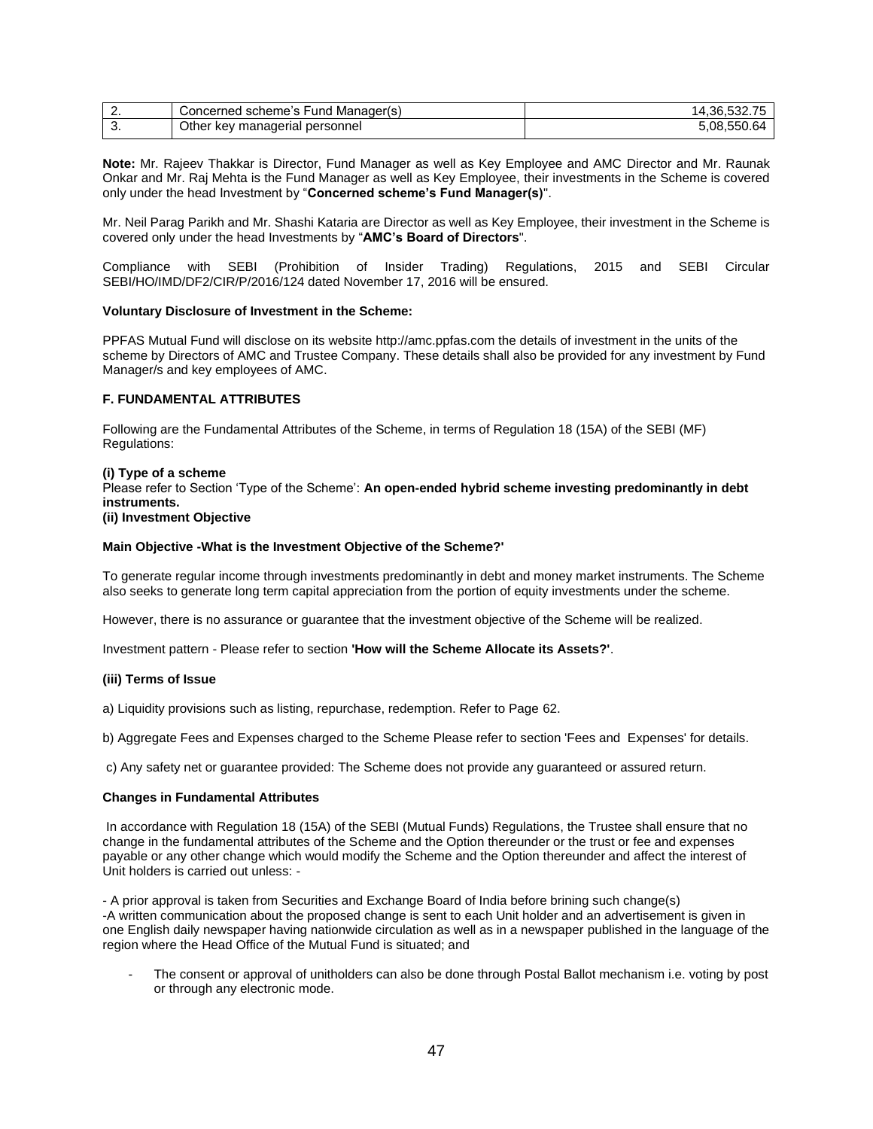| . . | Concerned scheme's Fund<br>l Manager(s)  | 14.36.             |
|-----|------------------------------------------|--------------------|
| J.  | Other<br>∶ key manaqerial ∣<br>personnel | 5.08.550.<br>∣ h∕4 |

**Note:** Mr. Rajeev Thakkar is Director, Fund Manager as well as Key Employee and AMC Director and Mr. Raunak Onkar and Mr. Raj Mehta is the Fund Manager as well as Key Employee, their investments in the Scheme is covered only under the head Investment by "**Concerned scheme's Fund Manager(s)**".

Mr. Neil Parag Parikh and Mr. Shashi Kataria are Director as well as Key Employee, their investment in the Scheme is covered only under the head Investments by "**AMC's Board of Directors**".

Compliance with SEBI (Prohibition of Insider Trading) Regulations, 2015 and SEBI Circular SEBI/HO/IMD/DF2/CIR/P/2016/124 dated November 17, 2016 will be ensured.

#### **Voluntary Disclosure of Investment in the Scheme:**

PPFAS Mutual Fund will disclose on its website http://amc.ppfas.com the details of investment in the units of the scheme by Directors of AMC and Trustee Company. These details shall also be provided for any investment by Fund Manager/s and key employees of AMC.

## **F. FUNDAMENTAL ATTRIBUTES**

Following are the Fundamental Attributes of the Scheme, in terms of Regulation 18 (15A) of the SEBI (MF) Regulations:

#### **(i) Type of a scheme**

Please refer to Section 'Type of the Scheme': **An open-ended hybrid scheme investing predominantly in debt instruments.**

# **(ii) Investment Objective**

## **Main Objective -What is the Investment Objective of the Scheme?'**

To generate regular income through investments predominantly in debt and money market instruments. The Scheme also seeks to generate long term capital appreciation from the portion of equity investments under the scheme.

However, there is no assurance or guarantee that the investment objective of the Scheme will be realized.

Investment pattern - Please refer to section **'How will the Scheme Allocate its Assets?'**.

#### **(iii) Terms of Issue**

a) Liquidity provisions such as listing, repurchase, redemption. Refer to Page 62.

b) Aggregate Fees and Expenses charged to the Scheme Please refer to section 'Fees and Expenses' for details.

c) Any safety net or guarantee provided: The Scheme does not provide any guaranteed or assured return.

#### **Changes in Fundamental Attributes**

In accordance with Regulation 18 (15A) of the SEBI (Mutual Funds) Regulations, the Trustee shall ensure that no change in the fundamental attributes of the Scheme and the Option thereunder or the trust or fee and expenses payable or any other change which would modify the Scheme and the Option thereunder and affect the interest of Unit holders is carried out unless: -

- A prior approval is taken from Securities and Exchange Board of India before brining such change(s) -A written communication about the proposed change is sent to each Unit holder and an advertisement is given in one English daily newspaper having nationwide circulation as well as in a newspaper published in the language of the region where the Head Office of the Mutual Fund is situated; and

The consent or approval of unitholders can also be done through Postal Ballot mechanism i.e. voting by post or through any electronic mode.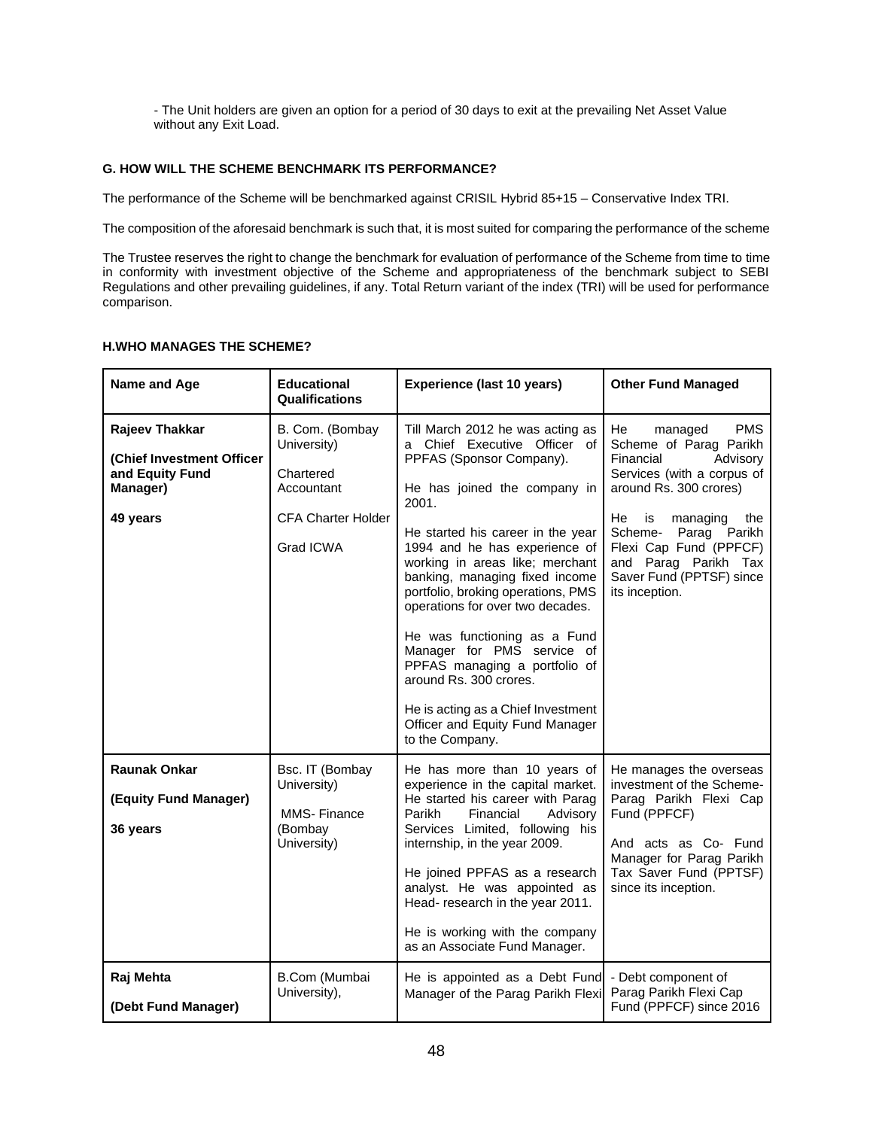- The Unit holders are given an option for a period of 30 days to exit at the prevailing Net Asset Value without any Exit Load.

# **G. HOW WILL THE SCHEME BENCHMARK ITS PERFORMANCE?**

The performance of the Scheme will be benchmarked against CRISIL Hybrid 85+15 – Conservative Index TRI.

The composition of the aforesaid benchmark is such that, it is most suited for comparing the performance of the scheme

The Trustee reserves the right to change the benchmark for evaluation of performance of the Scheme from time to time in conformity with investment objective of the Scheme and appropriateness of the benchmark subject to SEBI Regulations and other prevailing guidelines, if any. Total Return variant of the index (TRI) will be used for performance comparison.

# **H.WHO MANAGES THE SCHEME?**

| Name and Age                                                                           | <b>Educational</b><br><b>Qualifications</b>                                                         | <b>Experience (last 10 years)</b>                                                                                                                                                                                                                                                                                                                                                                                                                                                                                                                                               | <b>Other Fund Managed</b>                                                                                                                                                                                                                                                                     |
|----------------------------------------------------------------------------------------|-----------------------------------------------------------------------------------------------------|---------------------------------------------------------------------------------------------------------------------------------------------------------------------------------------------------------------------------------------------------------------------------------------------------------------------------------------------------------------------------------------------------------------------------------------------------------------------------------------------------------------------------------------------------------------------------------|-----------------------------------------------------------------------------------------------------------------------------------------------------------------------------------------------------------------------------------------------------------------------------------------------|
| Rajeev Thakkar<br>(Chief Investment Officer<br>and Equity Fund<br>Manager)<br>49 years | B. Com. (Bombay<br>University)<br>Chartered<br>Accountant<br><b>CFA Charter Holder</b><br>Grad ICWA | Till March 2012 he was acting as<br>a Chief Executive Officer of<br>PPFAS (Sponsor Company).<br>He has joined the company in<br>2001.<br>He started his career in the year<br>1994 and he has experience of<br>working in areas like; merchant<br>banking, managing fixed income<br>portfolio, broking operations, PMS<br>operations for over two decades.<br>He was functioning as a Fund<br>Manager for PMS service of<br>PPFAS managing a portfolio of<br>around Rs. 300 crores.<br>He is acting as a Chief Investment<br>Officer and Equity Fund Manager<br>to the Company. | He<br><b>PMS</b><br>managed<br>Scheme of Parag Parikh<br>Financial<br>Advisory<br>Services (with a corpus of<br>around Rs. 300 crores)<br>He<br>is<br>managing<br>the<br>Scheme- Parag Parikh<br>Flexi Cap Fund (PPFCF)<br>and Parag Parikh Tax<br>Saver Fund (PPTSF) since<br>its inception. |
| <b>Raunak Onkar</b><br>(Equity Fund Manager)<br>36 years                               | Bsc. IT (Bombay<br>University)<br>MMS-Finance<br>(Bombay<br>University)                             | He has more than 10 years of<br>experience in the capital market.<br>He started his career with Parag<br>Parikh<br>Financial<br>Advisory<br>Services Limited, following his<br>internship, in the year 2009.<br>He joined PPFAS as a research<br>analyst. He was appointed as<br>Head-research in the year 2011.<br>He is working with the company<br>as an Associate Fund Manager.                                                                                                                                                                                             | He manages the overseas<br>investment of the Scheme-<br>Parag Parikh Flexi Cap<br>Fund (PPFCF)<br>And acts as Co- Fund<br>Manager for Parag Parikh<br>Tax Saver Fund (PPTSF)<br>since its inception.                                                                                          |
| Raj Mehta<br>(Debt Fund Manager)                                                       | B.Com (Mumbai<br>University),                                                                       | He is appointed as a Debt Fund - Debt component of<br>Manager of the Parag Parikh Flexi                                                                                                                                                                                                                                                                                                                                                                                                                                                                                         | Parag Parikh Flexi Cap<br>Fund (PPFCF) since 2016                                                                                                                                                                                                                                             |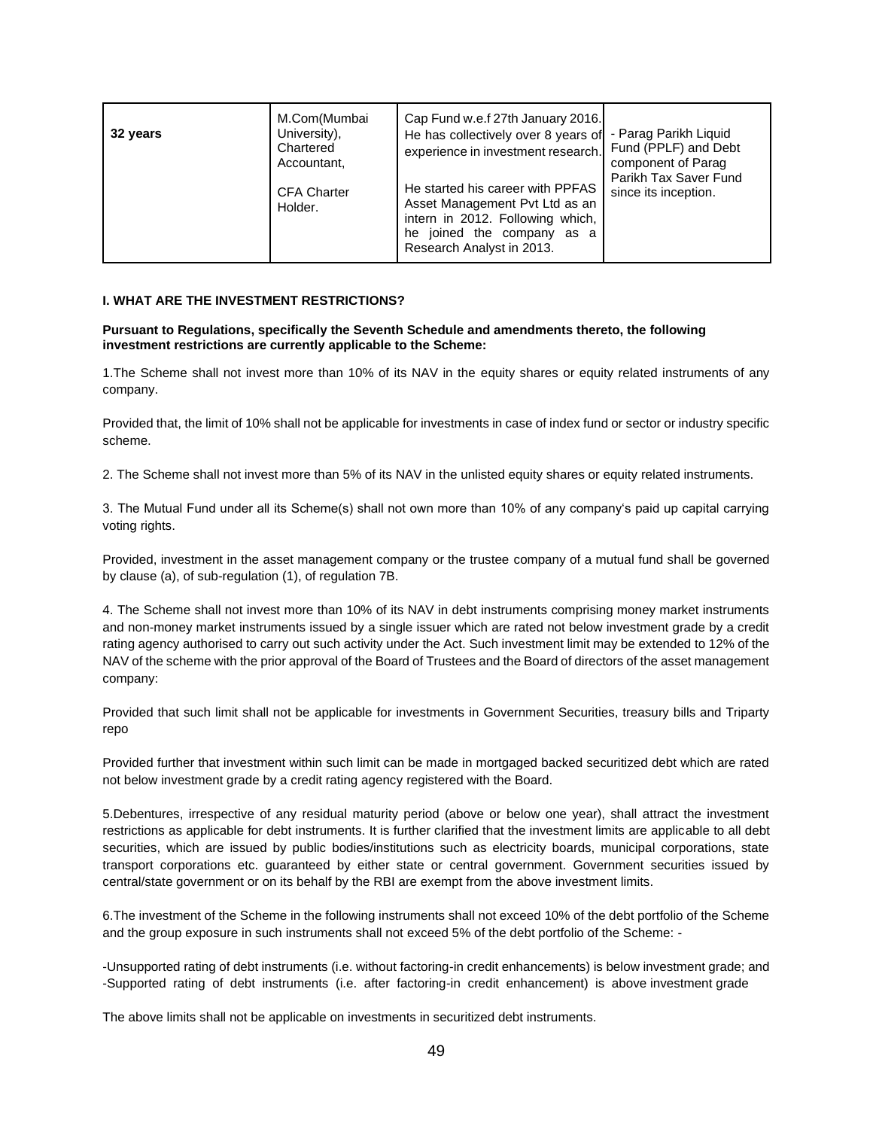| M.Com(Mumbai<br>University),<br>32 years<br>Chartered<br>Accountant,<br><b>CFA Charter</b><br>Holder. | Cap Fund w.e.f 27th January 2016.<br>He has collectively over 8 years of<br>experience in investment research.<br>He started his career with PPFAS<br>Asset Management Pvt Ltd as an<br>intern in 2012. Following which,<br>he joined the company as a<br>Research Analyst in 2013. | - Parag Parikh Liquid<br>Fund (PPLF) and Debt<br>component of Parag<br>Parikh Tax Saver Fund<br>since its inception. |
|-------------------------------------------------------------------------------------------------------|-------------------------------------------------------------------------------------------------------------------------------------------------------------------------------------------------------------------------------------------------------------------------------------|----------------------------------------------------------------------------------------------------------------------|
|-------------------------------------------------------------------------------------------------------|-------------------------------------------------------------------------------------------------------------------------------------------------------------------------------------------------------------------------------------------------------------------------------------|----------------------------------------------------------------------------------------------------------------------|

# **I. WHAT ARE THE INVESTMENT RESTRICTIONS?**

#### **Pursuant to Regulations, specifically the Seventh Schedule and amendments thereto, the following investment restrictions are currently applicable to the Scheme:**

1.The Scheme shall not invest more than 10% of its NAV in the equity shares or equity related instruments of any company.

Provided that, the limit of 10% shall not be applicable for investments in case of index fund or sector or industry specific scheme.

2. The Scheme shall not invest more than 5% of its NAV in the unlisted equity shares or equity related instruments.

3. The Mutual Fund under all its Scheme(s) shall not own more than 10% of any company's paid up capital carrying voting rights.

Provided, investment in the asset management company or the trustee company of a mutual fund shall be governed by clause (a), of sub-regulation (1), of regulation 7B.

4. The Scheme shall not invest more than 10% of its NAV in debt instruments comprising money market instruments and non-money market instruments issued by a single issuer which are rated not below investment grade by a credit rating agency authorised to carry out such activity under the Act. Such investment limit may be extended to 12% of the NAV of the scheme with the prior approval of the Board of Trustees and the Board of directors of the asset management company:

Provided that such limit shall not be applicable for investments in Government Securities, treasury bills and Triparty repo

Provided further that investment within such limit can be made in mortgaged backed securitized debt which are rated not below investment grade by a credit rating agency registered with the Board.

5.Debentures, irrespective of any residual maturity period (above or below one year), shall attract the investment restrictions as applicable for debt instruments. It is further clarified that the investment limits are applicable to all debt securities, which are issued by public bodies/institutions such as electricity boards, municipal corporations, state transport corporations etc. guaranteed by either state or central government. Government securities issued by central/state government or on its behalf by the RBI are exempt from the above investment limits.

6.The investment of the Scheme in the following instruments shall not exceed 10% of the debt portfolio of the Scheme and the group exposure in such instruments shall not exceed 5% of the debt portfolio of the Scheme: -

-Unsupported rating of debt instruments (i.e. without factoring-in credit enhancements) is below investment grade; and -Supported rating of debt instruments (i.e. after factoring-in credit enhancement) is above investment grade

The above limits shall not be applicable on investments in securitized debt instruments.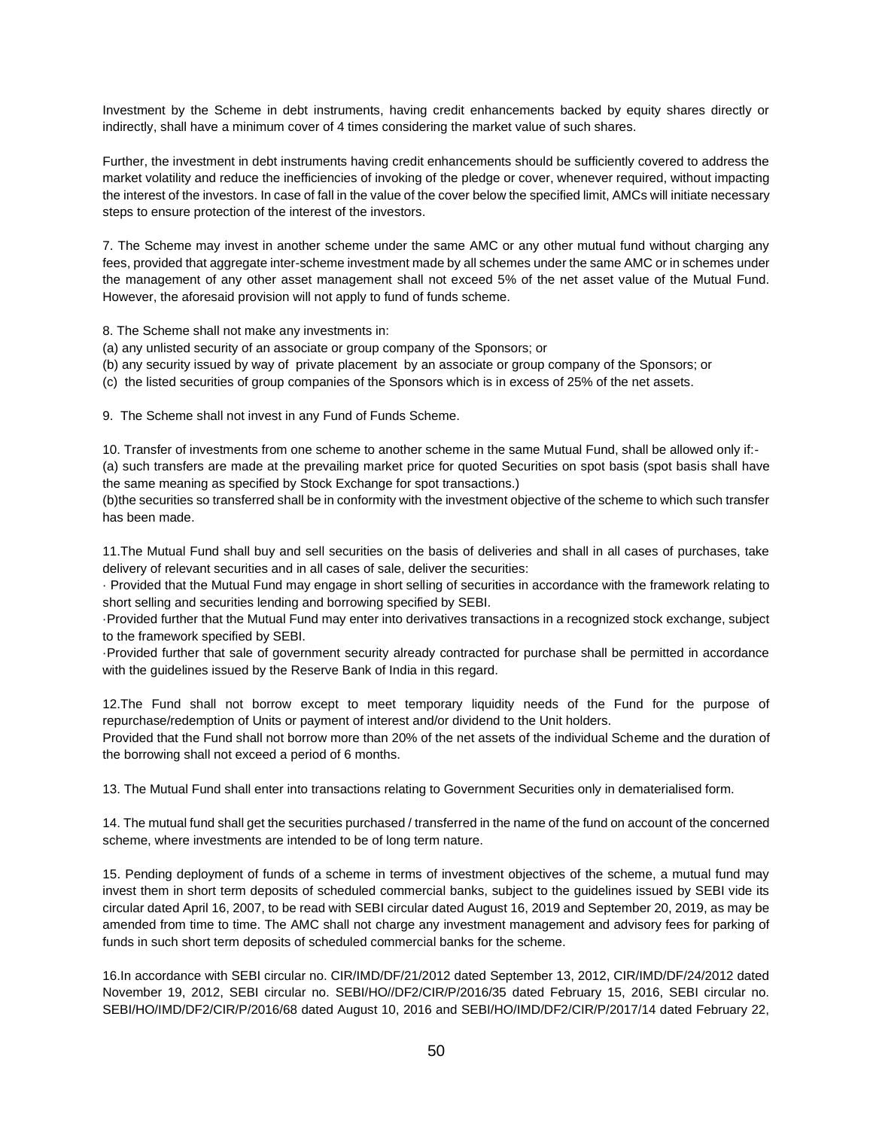Investment by the Scheme in debt instruments, having credit enhancements backed by equity shares directly or indirectly, shall have a minimum cover of 4 times considering the market value of such shares.

Further, the investment in debt instruments having credit enhancements should be sufficiently covered to address the market volatility and reduce the inefficiencies of invoking of the pledge or cover, whenever required, without impacting the interest of the investors. In case of fall in the value of the cover below the specified limit, AMCs will initiate necessary steps to ensure protection of the interest of the investors.

7. The Scheme may invest in another scheme under the same AMC or any other mutual fund without charging any fees, provided that aggregate inter-scheme investment made by all schemes under the same AMC or in schemes under the management of any other asset management shall not exceed 5% of the net asset value of the Mutual Fund. However, the aforesaid provision will not apply to fund of funds scheme.

8. The Scheme shall not make any investments in:

- (a) any unlisted security of an associate or group company of the Sponsors; or
- (b) any security issued by way of private placement by an associate or group company of the Sponsors; or
- (c) the listed securities of group companies of the Sponsors which is in excess of 25% of the net assets.

9. The Scheme shall not invest in any Fund of Funds Scheme.

10. Transfer of investments from one scheme to another scheme in the same Mutual Fund, shall be allowed only if:- (a) such transfers are made at the prevailing market price for quoted Securities on spot basis (spot basis shall have the same meaning as specified by Stock Exchange for spot transactions.)

(b)the securities so transferred shall be in conformity with the investment objective of the scheme to which such transfer has been made.

11.The Mutual Fund shall buy and sell securities on the basis of deliveries and shall in all cases of purchases, take delivery of relevant securities and in all cases of sale, deliver the securities:

· Provided that the Mutual Fund may engage in short selling of securities in accordance with the framework relating to short selling and securities lending and borrowing specified by SEBI.

·Provided further that the Mutual Fund may enter into derivatives transactions in a recognized stock exchange, subject to the framework specified by SEBI.

·Provided further that sale of government security already contracted for purchase shall be permitted in accordance with the guidelines issued by the Reserve Bank of India in this regard.

12.The Fund shall not borrow except to meet temporary liquidity needs of the Fund for the purpose of repurchase/redemption of Units or payment of interest and/or dividend to the Unit holders.

Provided that the Fund shall not borrow more than 20% of the net assets of the individual Scheme and the duration of the borrowing shall not exceed a period of 6 months.

13. The Mutual Fund shall enter into transactions relating to Government Securities only in dematerialised form.

14. The mutual fund shall get the securities purchased / transferred in the name of the fund on account of the concerned scheme, where investments are intended to be of long term nature.

15. Pending deployment of funds of a scheme in terms of investment objectives of the scheme, a mutual fund may invest them in short term deposits of scheduled commercial banks, subject to the guidelines issued by SEBI vide its circular dated April 16, 2007, to be read with SEBI circular dated August 16, 2019 and September 20, 2019, as may be amended from time to time. The AMC shall not charge any investment management and advisory fees for parking of funds in such short term deposits of scheduled commercial banks for the scheme.

16.In accordance with SEBI circular no. CIR/IMD/DF/21/2012 dated September 13, 2012, CIR/IMD/DF/24/2012 dated November 19, 2012, SEBI circular no. SEBI/HO//DF2/CIR/P/2016/35 dated February 15, 2016, SEBI circular no. SEBI/HO/IMD/DF2/CIR/P/2016/68 dated August 10, 2016 and SEBI/HO/IMD/DF2/CIR/P/2017/14 dated February 22,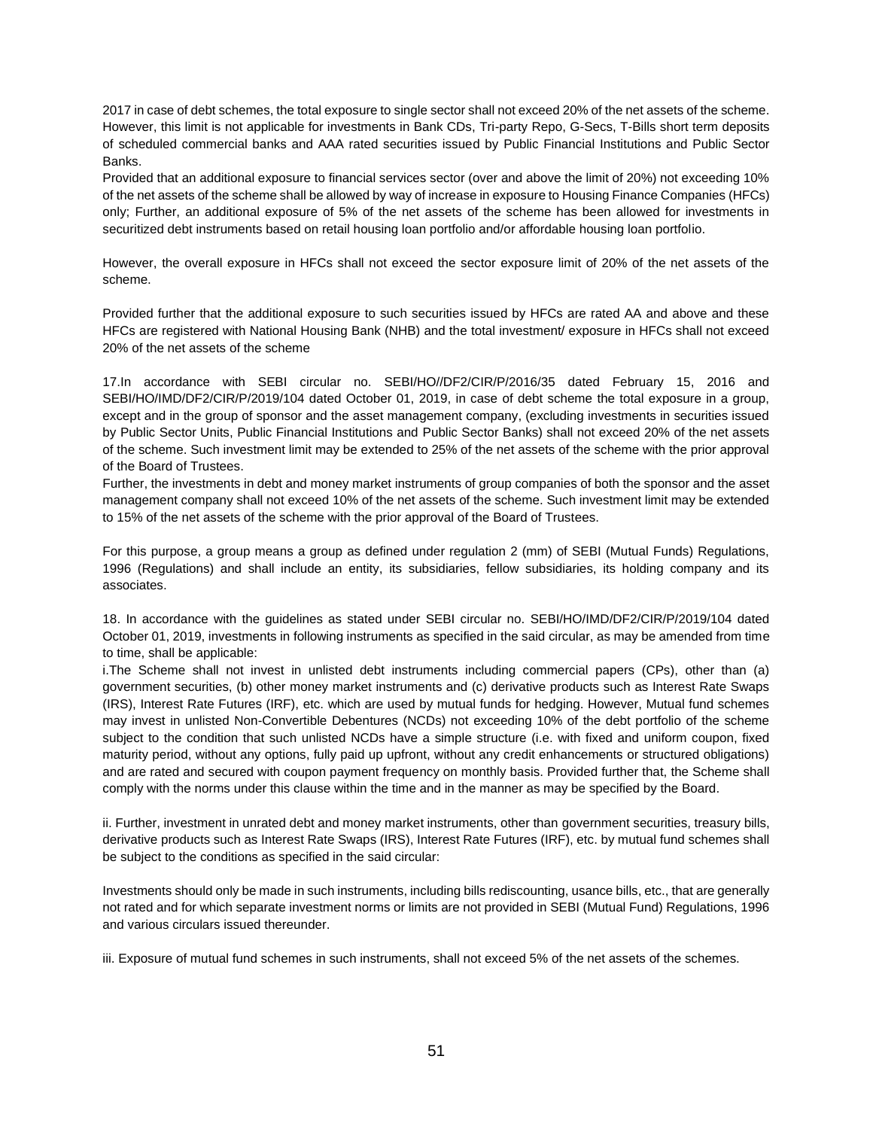2017 in case of debt schemes, the total exposure to single sector shall not exceed 20% of the net assets of the scheme. However, this limit is not applicable for investments in Bank CDs, Tri-party Repo, G-Secs, T-Bills short term deposits of scheduled commercial banks and AAA rated securities issued by Public Financial Institutions and Public Sector Banks.

Provided that an additional exposure to financial services sector (over and above the limit of 20%) not exceeding 10% of the net assets of the scheme shall be allowed by way of increase in exposure to Housing Finance Companies (HFCs) only; Further, an additional exposure of 5% of the net assets of the scheme has been allowed for investments in securitized debt instruments based on retail housing loan portfolio and/or affordable housing loan portfolio.

However, the overall exposure in HFCs shall not exceed the sector exposure limit of 20% of the net assets of the scheme.

Provided further that the additional exposure to such securities issued by HFCs are rated AA and above and these HFCs are registered with National Housing Bank (NHB) and the total investment/ exposure in HFCs shall not exceed 20% of the net assets of the scheme

17.In accordance with SEBI circular no. SEBI/HO//DF2/CIR/P/2016/35 dated February 15, 2016 and SEBI/HO/IMD/DF2/CIR/P/2019/104 dated October 01, 2019, in case of debt scheme the total exposure in a group, except and in the group of sponsor and the asset management company, (excluding investments in securities issued by Public Sector Units, Public Financial Institutions and Public Sector Banks) shall not exceed 20% of the net assets of the scheme. Such investment limit may be extended to 25% of the net assets of the scheme with the prior approval of the Board of Trustees.

Further, the investments in debt and money market instruments of group companies of both the sponsor and the asset management company shall not exceed 10% of the net assets of the scheme. Such investment limit may be extended to 15% of the net assets of the scheme with the prior approval of the Board of Trustees.

For this purpose, a group means a group as defined under regulation 2 (mm) of SEBI (Mutual Funds) Regulations, 1996 (Regulations) and shall include an entity, its subsidiaries, fellow subsidiaries, its holding company and its associates.

18. In accordance with the guidelines as stated under SEBI circular no. SEBI/HO/IMD/DF2/CIR/P/2019/104 dated October 01, 2019, investments in following instruments as specified in the said circular, as may be amended from time to time, shall be applicable:

i.The Scheme shall not invest in unlisted debt instruments including commercial papers (CPs), other than (a) government securities, (b) other money market instruments and (c) derivative products such as Interest Rate Swaps (IRS), Interest Rate Futures (IRF), etc. which are used by mutual funds for hedging. However, Mutual fund schemes may invest in unlisted Non-Convertible Debentures (NCDs) not exceeding 10% of the debt portfolio of the scheme subject to the condition that such unlisted NCDs have a simple structure (i.e. with fixed and uniform coupon, fixed maturity period, without any options, fully paid up upfront, without any credit enhancements or structured obligations) and are rated and secured with coupon payment frequency on monthly basis. Provided further that, the Scheme shall comply with the norms under this clause within the time and in the manner as may be specified by the Board.

ii. Further, investment in unrated debt and money market instruments, other than government securities, treasury bills, derivative products such as Interest Rate Swaps (IRS), Interest Rate Futures (IRF), etc. by mutual fund schemes shall be subject to the conditions as specified in the said circular:

Investments should only be made in such instruments, including bills rediscounting, usance bills, etc., that are generally not rated and for which separate investment norms or limits are not provided in SEBI (Mutual Fund) Regulations, 1996 and various circulars issued thereunder.

iii. Exposure of mutual fund schemes in such instruments, shall not exceed 5% of the net assets of the schemes.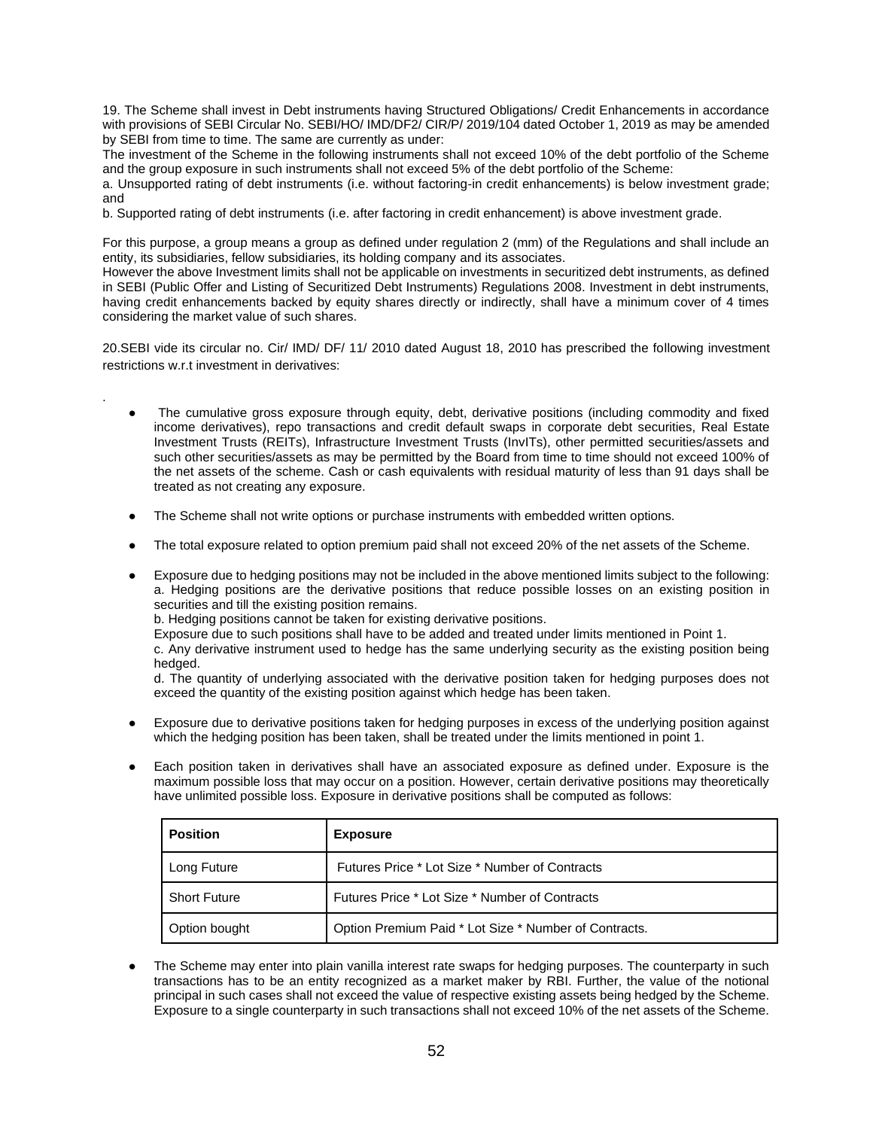19. The Scheme shall invest in Debt instruments having Structured Obligations/ Credit Enhancements in accordance with provisions of SEBI Circular No. SEBI/HO/ IMD/DF2/ CIR/P/ 2019/104 dated October 1, 2019 as may be amended by SEBI from time to time. The same are currently as under:

The investment of the Scheme in the following instruments shall not exceed 10% of the debt portfolio of the Scheme and the group exposure in such instruments shall not exceed 5% of the debt portfolio of the Scheme:

a. Unsupported rating of debt instruments (i.e. without factoring-in credit enhancements) is below investment grade; and

b. Supported rating of debt instruments (i.e. after factoring in credit enhancement) is above investment grade.

For this purpose, a group means a group as defined under regulation 2 (mm) of the Regulations and shall include an entity, its subsidiaries, fellow subsidiaries, its holding company and its associates.

However the above Investment limits shall not be applicable on investments in securitized debt instruments, as defined in SEBI (Public Offer and Listing of Securitized Debt Instruments) Regulations 2008. Investment in debt instruments, having credit enhancements backed by equity shares directly or indirectly, shall have a minimum cover of 4 times considering the market value of such shares.

20.SEBI vide its circular no. Cir/ IMD/ DF/ 11/ 2010 dated August 18, 2010 has prescribed the following investment restrictions w.r.t investment in derivatives:

- The cumulative gross exposure through equity, debt, derivative positions (including commodity and fixed income derivatives), repo transactions and credit default swaps in corporate debt securities, Real Estate Investment Trusts (REITs), Infrastructure Investment Trusts (InvITs), other permitted securities/assets and such other securities/assets as may be permitted by the Board from time to time should not exceed 100% of the net assets of the scheme. Cash or cash equivalents with residual maturity of less than 91 days shall be treated as not creating any exposure.
- The Scheme shall not write options or purchase instruments with embedded written options.
- The total exposure related to option premium paid shall not exceed 20% of the net assets of the Scheme.
- Exposure due to hedging positions may not be included in the above mentioned limits subject to the following: a. Hedging positions are the derivative positions that reduce possible losses on an existing position in securities and till the existing position remains.

b. Hedging positions cannot be taken for existing derivative positions.

.

Exposure due to such positions shall have to be added and treated under limits mentioned in Point 1.

c. Any derivative instrument used to hedge has the same underlying security as the existing position being hedged.

d. The quantity of underlying associated with the derivative position taken for hedging purposes does not exceed the quantity of the existing position against which hedge has been taken.

- Exposure due to derivative positions taken for hedging purposes in excess of the underlying position against which the hedging position has been taken, shall be treated under the limits mentioned in point 1.
- Each position taken in derivatives shall have an associated exposure as defined under. Exposure is the maximum possible loss that may occur on a position. However, certain derivative positions may theoretically have unlimited possible loss. Exposure in derivative positions shall be computed as follows:

| <b>Position</b>     | <b>Exposure</b>                                       |  |
|---------------------|-------------------------------------------------------|--|
| Long Future         | Futures Price * Lot Size * Number of Contracts        |  |
| <b>Short Future</b> | Futures Price * Lot Size * Number of Contracts        |  |
| Option bought       | Option Premium Paid * Lot Size * Number of Contracts. |  |

The Scheme may enter into plain vanilla interest rate swaps for hedging purposes. The counterparty in such transactions has to be an entity recognized as a market maker by RBI. Further, the value of the notional principal in such cases shall not exceed the value of respective existing assets being hedged by the Scheme. Exposure to a single counterparty in such transactions shall not exceed 10% of the net assets of the Scheme.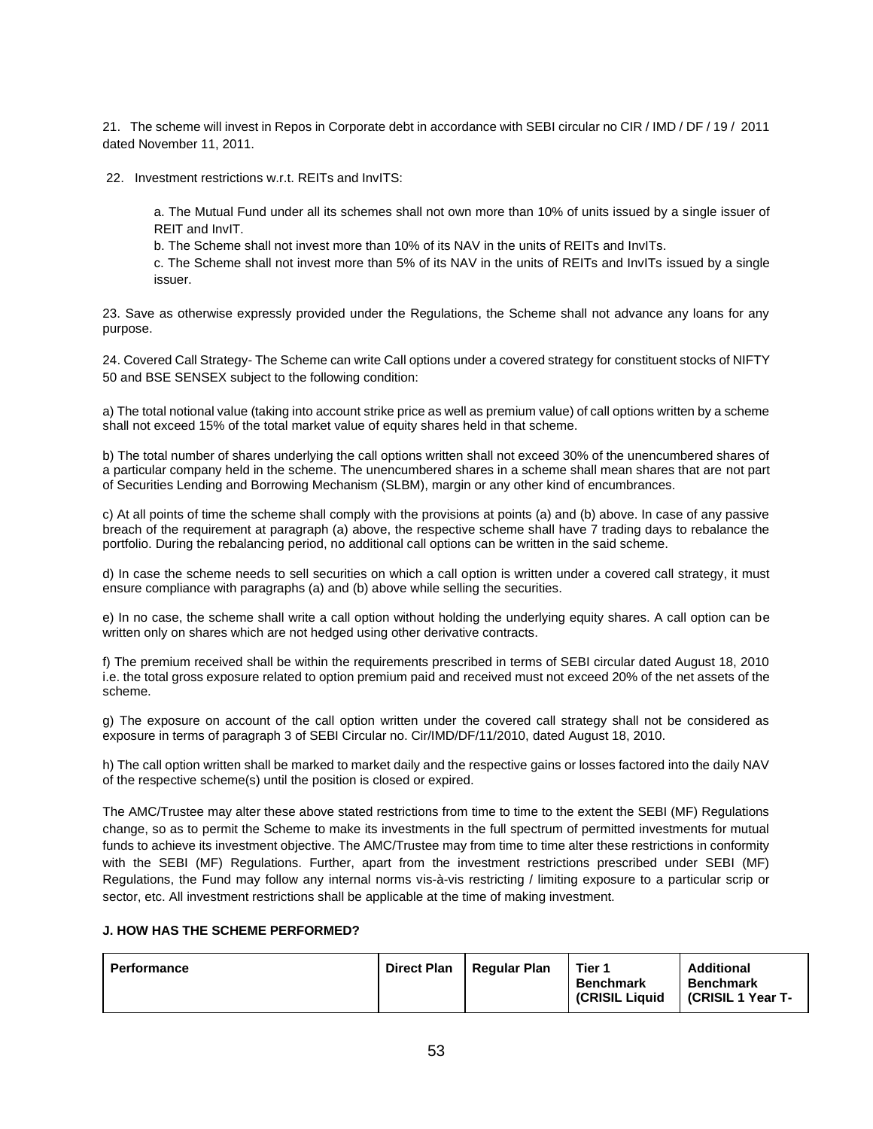21. The scheme will invest in Repos in Corporate debt in accordance with SEBI circular no CIR / IMD / DF / 19 / 2011 dated November 11, 2011.

22. Investment restrictions w.r.t. REITs and InvITS:

a. The Mutual Fund under all its schemes shall not own more than 10% of units issued by a single issuer of REIT and InvIT.

b. The Scheme shall not invest more than 10% of its NAV in the units of REITs and InvITs.

c. The Scheme shall not invest more than 5% of its NAV in the units of REITs and InvITs issued by a single issuer.

23. Save as otherwise expressly provided under the Regulations, the Scheme shall not advance any loans for any purpose.

24. Covered Call Strategy- The Scheme can write Call options under a covered strategy for constituent stocks of NIFTY 50 and BSE SENSEX subject to the following condition:

a) The total notional value (taking into account strike price as well as premium value) of call options written by a scheme shall not exceed 15% of the total market value of equity shares held in that scheme.

b) The total number of shares underlying the call options written shall not exceed 30% of the unencumbered shares of a particular company held in the scheme. The unencumbered shares in a scheme shall mean shares that are not part of Securities Lending and Borrowing Mechanism (SLBM), margin or any other kind of encumbrances.

c) At all points of time the scheme shall comply with the provisions at points (a) and (b) above. In case of any passive breach of the requirement at paragraph (a) above, the respective scheme shall have 7 trading days to rebalance the portfolio. During the rebalancing period, no additional call options can be written in the said scheme.

d) In case the scheme needs to sell securities on which a call option is written under a covered call strategy, it must ensure compliance with paragraphs (a) and (b) above while selling the securities.

e) In no case, the scheme shall write a call option without holding the underlying equity shares. A call option can be written only on shares which are not hedged using other derivative contracts.

f) The premium received shall be within the requirements prescribed in terms of SEBI circular dated August 18, 2010 i.e. the total gross exposure related to option premium paid and received must not exceed 20% of the net assets of the scheme.

g) The exposure on account of the call option written under the covered call strategy shall not be considered as exposure in terms of paragraph 3 of SEBI Circular no. Cir/IMD/DF/11/2010, dated August 18, 2010.

h) The call option written shall be marked to market daily and the respective gains or losses factored into the daily NAV of the respective scheme(s) until the position is closed or expired.

The AMC/Trustee may alter these above stated restrictions from time to time to the extent the SEBI (MF) Regulations change, so as to permit the Scheme to make its investments in the full spectrum of permitted investments for mutual funds to achieve its investment objective. The AMC/Trustee may from time to time alter these restrictions in conformity with the SEBI (MF) Regulations. Further, apart from the investment restrictions prescribed under SEBI (MF) Regulations, the Fund may follow any internal norms vis-à-vis restricting / limiting exposure to a particular scrip or sector, etc. All investment restrictions shall be applicable at the time of making investment.

# **J. HOW HAS THE SCHEME PERFORMED?**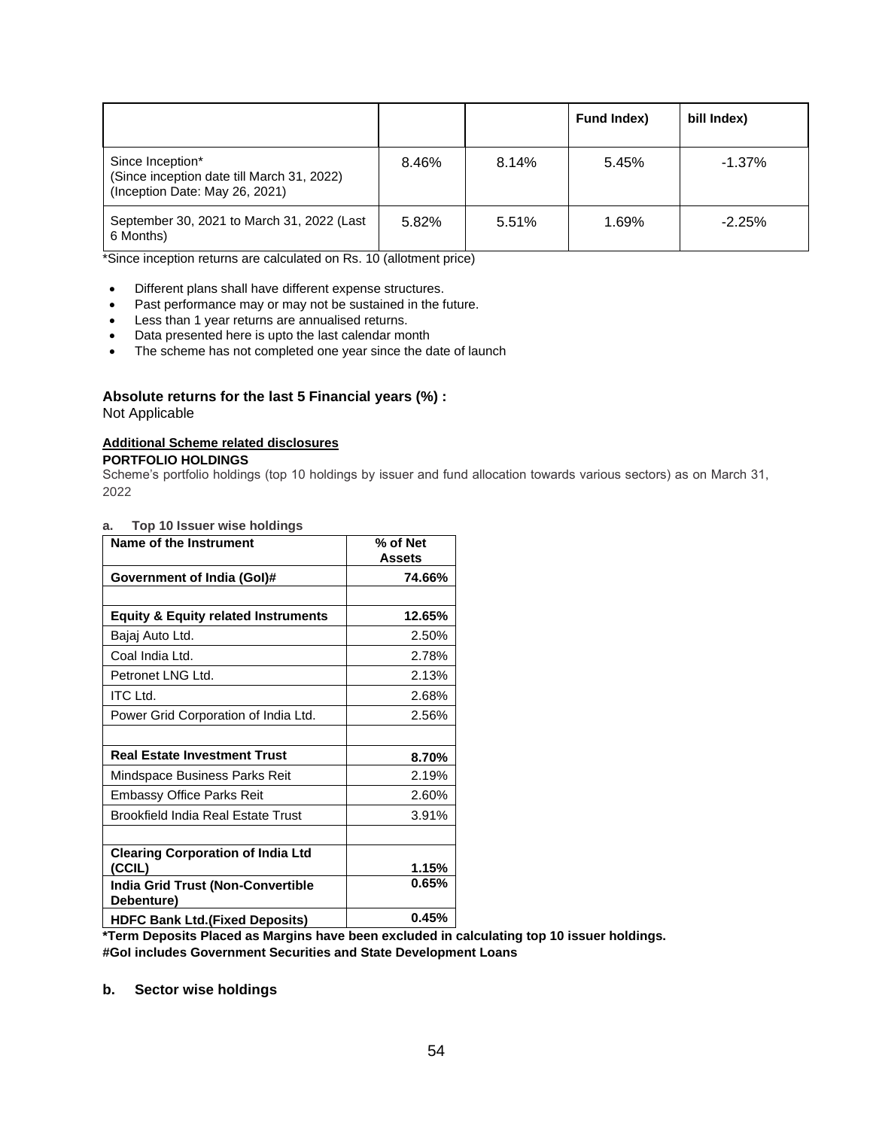|                                                                                                  |       |       | <b>Fund Index)</b> | bill Index) |
|--------------------------------------------------------------------------------------------------|-------|-------|--------------------|-------------|
| Since Inception*<br>(Since inception date till March 31, 2022)<br>(Inception Date: May 26, 2021) | 8.46% | 8.14% | 5.45%              | $-1.37\%$   |
| September 30, 2021 to March 31, 2022 (Last<br>6 Months)                                          | 5.82% | 5.51% | 1.69%              | $-2.25%$    |

\*Since inception returns are calculated on Rs. 10 (allotment price)

- Different plans shall have different expense structures.
- Past performance may or may not be sustained in the future.
- Less than 1 year returns are annualised returns.
- Data presented here is upto the last calendar month
- The scheme has not completed one year since the date of launch

# **Absolute returns for the last 5 Financial years (%) :**

Not Applicable

# **Additional Scheme related disclosures**

**PORTFOLIO HOLDINGS**

Scheme's portfolio holdings (top 10 holdings by issuer and fund allocation towards various sectors) as on March 31, 2022

# **a. Top 10 Issuer wise holdings**

| Name of the Instrument                                 | % of Net<br><b>Assets</b> |
|--------------------------------------------------------|---------------------------|
| Government of India (Gol)#                             | 74.66%                    |
| <b>Equity &amp; Equity related Instruments</b>         | 12.65%                    |
| Bajaj Auto Ltd.                                        | 2.50%                     |
| Coal India Ltd.                                        | 2.78%                     |
| Petronet LNG Ltd.                                      | 2.13%                     |
| <b>ITC Ltd.</b>                                        | 2.68%                     |
| Power Grid Corporation of India Ltd.                   | 2.56%                     |
|                                                        |                           |
| <b>Real Estate Investment Trust</b>                    | 8.70%                     |
| Mindspace Business Parks Reit                          | 2.19%                     |
| <b>Embassy Office Parks Reit</b>                       | 2.60%                     |
| Brookfield India Real Estate Trust                     | 3.91%                     |
|                                                        |                           |
| <b>Clearing Corporation of India Ltd</b><br>(CCIL)     | 1.15%                     |
| <b>India Grid Trust (Non-Convertible</b><br>Debenture) | 0.65%                     |
| <b>HDFC Bank Ltd. (Fixed Deposits)</b>                 | 0.45%                     |

**\*Term Deposits Placed as Margins have been excluded in calculating top 10 issuer holdings. #GoI includes Government Securities and State Development Loans**

**b. Sector wise holdings**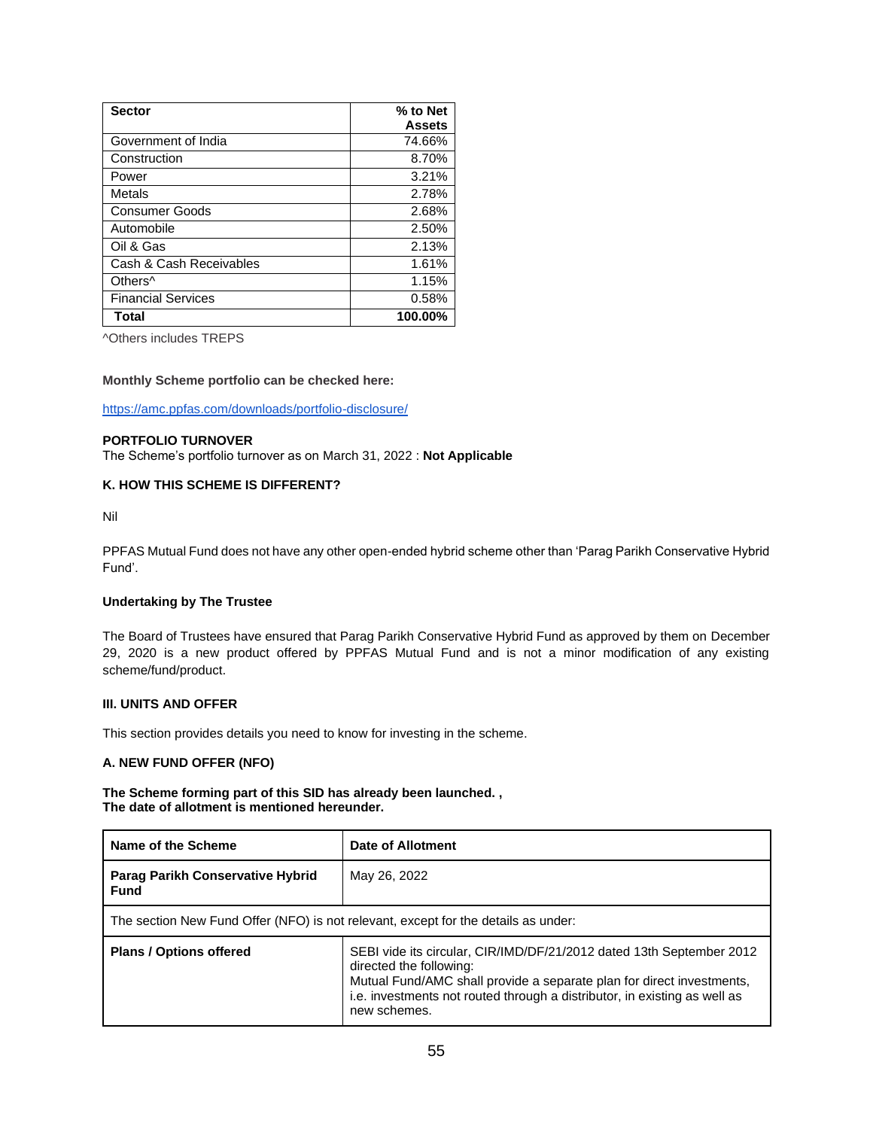| <b>Sector</b>             | % to Net<br><b>Assets</b> |
|---------------------------|---------------------------|
| Government of India       | 74.66%                    |
| Construction              | 8.70%                     |
| Power                     | 3.21%                     |
| Metals                    | 2.78%                     |
| <b>Consumer Goods</b>     | 2.68%                     |
| Automobile                | 2.50%                     |
| Oil & Gas                 | 2.13%                     |
| Cash & Cash Receivables   | 1.61%                     |
| Others <sup>^</sup>       | 1.15%                     |
| <b>Financial Services</b> | 0.58%                     |
| Total                     | 100.00%                   |

^Others includes TREPS

#### **Monthly Scheme portfolio can be checked here:**

<https://amc.ppfas.com/downloads/portfolio-disclosure/>

## **PORTFOLIO TURNOVER**

The Scheme's portfolio turnover as on March 31, 2022 : **Not Applicable**

## **K. HOW THIS SCHEME IS DIFFERENT?**

Nil

PPFAS Mutual Fund does not have any other open-ended hybrid scheme other than 'Parag Parikh Conservative Hybrid Fund'.

#### **Undertaking by The Trustee**

The Board of Trustees have ensured that Parag Parikh Conservative Hybrid Fund as approved by them on December 29, 2020 is a new product offered by PPFAS Mutual Fund and is not a minor modification of any existing scheme/fund/product.

## **III. UNITS AND OFFER**

This section provides details you need to know for investing in the scheme.

# **A. NEW FUND OFFER (NFO)**

**The Scheme forming part of this SID has already been launched. , The date of allotment is mentioned hereunder.** 

| Name of the Scheme                                                                 | Date of Allotment                                                                                                                                                                                                                                                     |  |  |  |
|------------------------------------------------------------------------------------|-----------------------------------------------------------------------------------------------------------------------------------------------------------------------------------------------------------------------------------------------------------------------|--|--|--|
| Parag Parikh Conservative Hybrid<br><b>Fund</b>                                    | May 26, 2022                                                                                                                                                                                                                                                          |  |  |  |
| The section New Fund Offer (NFO) is not relevant, except for the details as under: |                                                                                                                                                                                                                                                                       |  |  |  |
| <b>Plans / Options offered</b>                                                     | SEBI vide its circular, CIR/IMD/DF/21/2012 dated 13th September 2012<br>directed the following:<br>Mutual Fund/AMC shall provide a separate plan for direct investments,<br>i.e. investments not routed through a distributor, in existing as well as<br>new schemes. |  |  |  |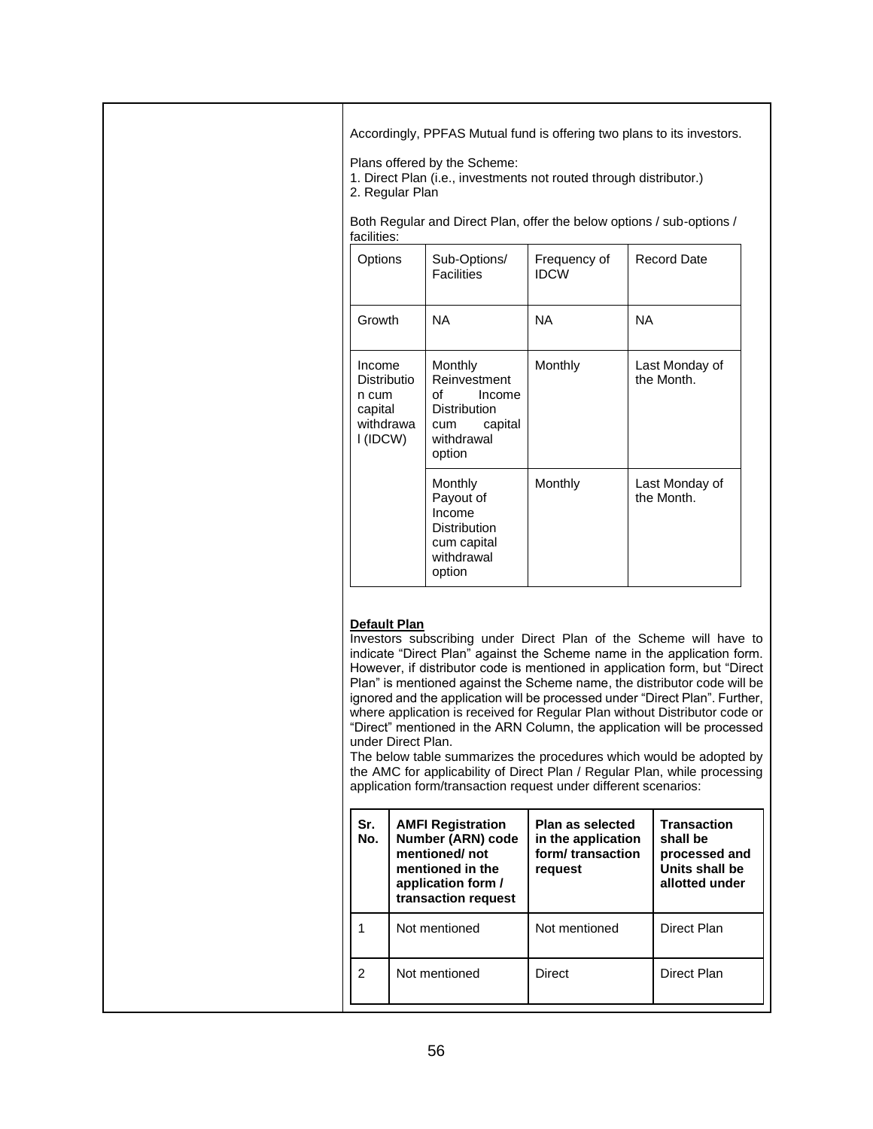Accordingly, PPFAS Mutual fund is offering two plans to its investors. Plans offered by the Scheme: 1. Direct Plan (i.e., investments not routed through distributor.) 2. Regular Plan Both Regular and Direct Plan, offer the below options / sub-options / facilities: Options | Sub-Options/ **Facilities** Frequency of IDCW Record Date Growth NA NA NA Income Distributio n cum capital withdrawa l (IDCW) **Monthly** Reinvestment of Income Distribution<br>cum ca capital withdrawal option Monthly Last Monday of the Month. Monthly Payout of Income **Distribution** cum capital withdrawal option Monthly Last Monday of the Month.

# **Default Plan**

Investors subscribing under Direct Plan of the Scheme will have to indicate "Direct Plan" against the Scheme name in the application form. However, if distributor code is mentioned in application form, but "Direct Plan" is mentioned against the Scheme name, the distributor code will be ignored and the application will be processed under "Direct Plan". Further, where application is received for Regular Plan without Distributor code or "Direct" mentioned in the ARN Column, the application will be processed under Direct Plan.

The below table summarizes the procedures which would be adopted by the AMC for applicability of Direct Plan / Regular Plan, while processing application form/transaction request under different scenarios:

| Sr.<br>No. | <b>AMFI Registration</b><br>Number (ARN) code<br>mentioned/not<br>mentioned in the<br>application form /<br>transaction request | Plan as selected<br>in the application<br>form/transaction<br>request | <b>Transaction</b><br>shall be<br>processed and<br>Units shall be<br>allotted under |
|------------|---------------------------------------------------------------------------------------------------------------------------------|-----------------------------------------------------------------------|-------------------------------------------------------------------------------------|
|            | Not mentioned                                                                                                                   | Not mentioned                                                         | Direct Plan                                                                         |
| 2          | Not mentioned                                                                                                                   | Direct                                                                | Direct Plan                                                                         |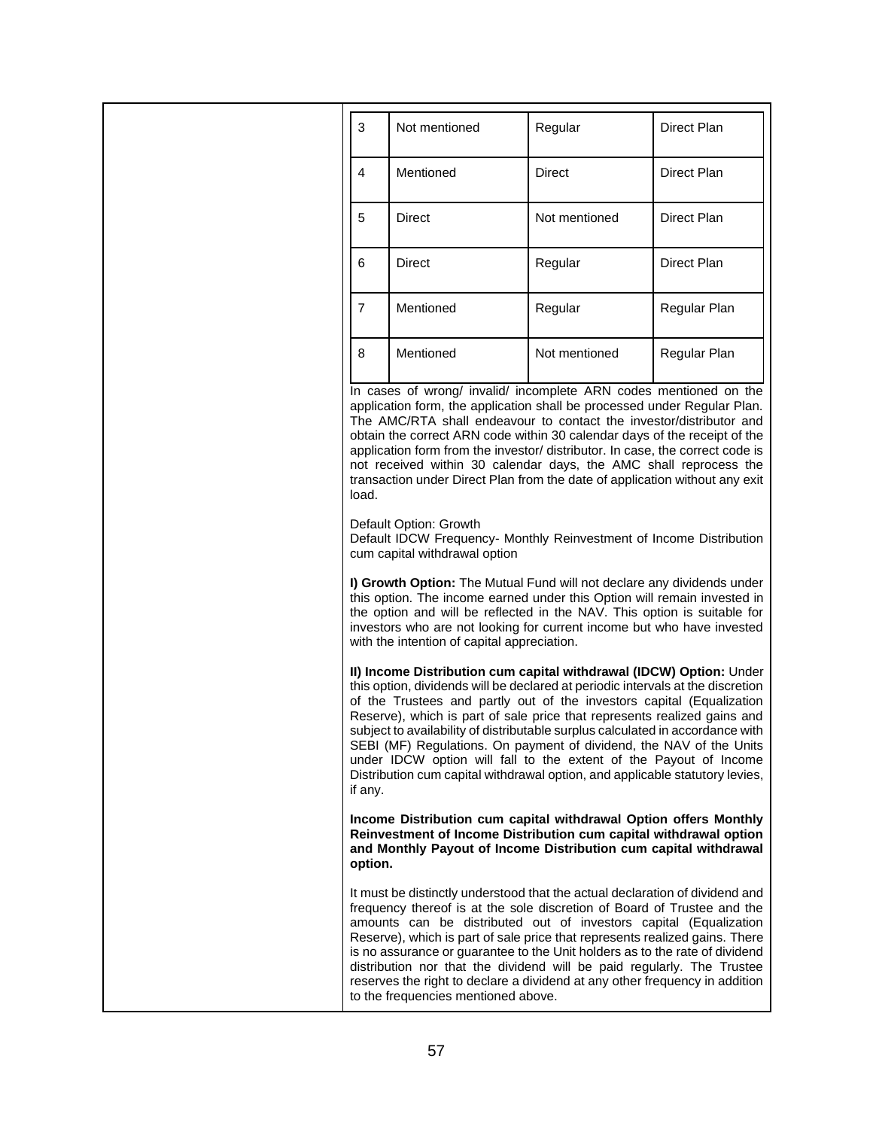| 3              | Not mentioned | Regular       | Direct Plan  |
|----------------|---------------|---------------|--------------|
|                |               |               |              |
| 4              | Mentioned     | Direct        | Direct Plan  |
| 5              | Direct        | Not mentioned | Direct Plan  |
| 6              | <b>Direct</b> | Regular       | Direct Plan  |
| $\overline{7}$ | Mentioned     | Regular       | Regular Plan |
| 8              | Mentioned     | Not mentioned | Regular Plan |

In cases of wrong/ invalid/ incomplete ARN codes mentioned on the application form, the application shall be processed under Regular Plan. The AMC/RTA shall endeavour to contact the investor/distributor and obtain the correct ARN code within 30 calendar days of the receipt of the application form from the investor/ distributor. In case, the correct code is not received within 30 calendar days, the AMC shall reprocess the transaction under Direct Plan from the date of application without any exit load.

Default Option: Growth

Default IDCW Frequency- Monthly Reinvestment of Income Distribution cum capital withdrawal option

**I) Growth Option:** The Mutual Fund will not declare any dividends under this option. The income earned under this Option will remain invested in the option and will be reflected in the NAV. This option is suitable for investors who are not looking for current income but who have invested with the intention of capital appreciation.

**II) Income Distribution cum capital withdrawal (IDCW) Option:** Under this option, dividends will be declared at periodic intervals at the discretion of the Trustees and partly out of the investors capital (Equalization Reserve), which is part of sale price that represents realized gains and subject to availability of distributable surplus calculated in accordance with SEBI (MF) Regulations. On payment of dividend, the NAV of the Units under IDCW option will fall to the extent of the Payout of Income Distribution cum capital withdrawal option, and applicable statutory levies, if any.

**Income Distribution cum capital withdrawal Option offers Monthly Reinvestment of Income Distribution cum capital withdrawal option and Monthly Payout of Income Distribution cum capital withdrawal option.**

It must be distinctly understood that the actual declaration of dividend and frequency thereof is at the sole discretion of Board of Trustee and the amounts can be distributed out of investors capital (Equalization Reserve), which is part of sale price that represents realized gains. There is no assurance or guarantee to the Unit holders as to the rate of dividend distribution nor that the dividend will be paid regularly. The Trustee reserves the right to declare a dividend at any other frequency in addition to the frequencies mentioned above.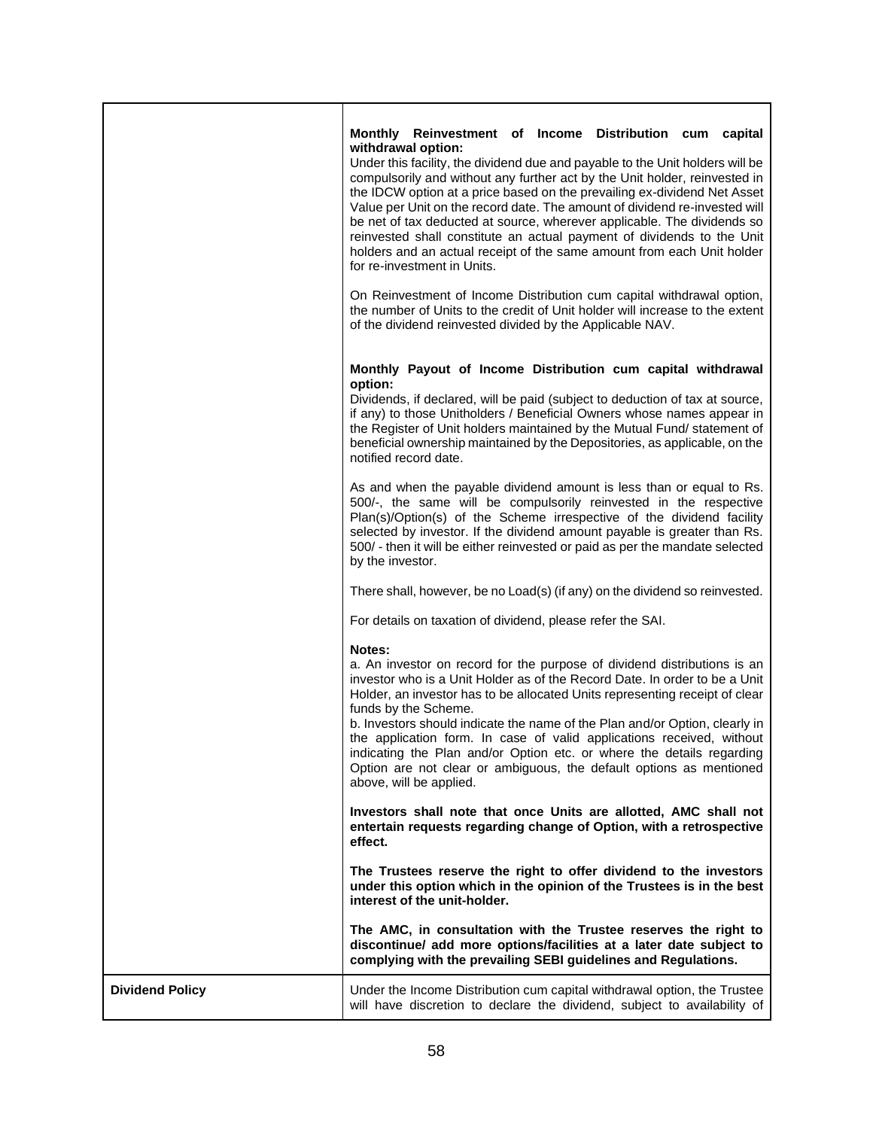|                        | Monthly Reinvestment of Income Distribution cum capital<br>withdrawal option:<br>Under this facility, the dividend due and payable to the Unit holders will be<br>compulsorily and without any further act by the Unit holder, reinvested in<br>the IDCW option at a price based on the prevailing ex-dividend Net Asset<br>Value per Unit on the record date. The amount of dividend re-invested will<br>be net of tax deducted at source, wherever applicable. The dividends so<br>reinvested shall constitute an actual payment of dividends to the Unit<br>holders and an actual receipt of the same amount from each Unit holder<br>for re-investment in Units.<br>On Reinvestment of Income Distribution cum capital withdrawal option,<br>the number of Units to the credit of Unit holder will increase to the extent<br>of the dividend reinvested divided by the Applicable NAV. |
|------------------------|--------------------------------------------------------------------------------------------------------------------------------------------------------------------------------------------------------------------------------------------------------------------------------------------------------------------------------------------------------------------------------------------------------------------------------------------------------------------------------------------------------------------------------------------------------------------------------------------------------------------------------------------------------------------------------------------------------------------------------------------------------------------------------------------------------------------------------------------------------------------------------------------|
|                        | Monthly Payout of Income Distribution cum capital withdrawal<br>option:<br>Dividends, if declared, will be paid (subject to deduction of tax at source,<br>if any) to those Unitholders / Beneficial Owners whose names appear in<br>the Register of Unit holders maintained by the Mutual Fund/ statement of<br>beneficial ownership maintained by the Depositories, as applicable, on the<br>notified record date.                                                                                                                                                                                                                                                                                                                                                                                                                                                                       |
|                        | As and when the payable dividend amount is less than or equal to Rs.<br>500/-, the same will be compulsorily reinvested in the respective<br>Plan(s)/Option(s) of the Scheme irrespective of the dividend facility<br>selected by investor. If the dividend amount payable is greater than Rs.<br>500/ - then it will be either reinvested or paid as per the mandate selected<br>by the investor.                                                                                                                                                                                                                                                                                                                                                                                                                                                                                         |
|                        | There shall, however, be no Load(s) (if any) on the dividend so reinvested.                                                                                                                                                                                                                                                                                                                                                                                                                                                                                                                                                                                                                                                                                                                                                                                                                |
|                        | For details on taxation of dividend, please refer the SAI.                                                                                                                                                                                                                                                                                                                                                                                                                                                                                                                                                                                                                                                                                                                                                                                                                                 |
|                        | Notes:<br>a. An investor on record for the purpose of dividend distributions is an<br>investor who is a Unit Holder as of the Record Date. In order to be a Unit<br>Holder, an investor has to be allocated Units representing receipt of clear<br>funds by the Scheme.<br>b. Investors should indicate the name of the Plan and/or Option, clearly in<br>the application form. In case of valid applications received, without<br>indicating the Plan and/or Option etc. or where the details regarding<br>Option are not clear or ambiguous, the default options as mentioned<br>above, will be applied.                                                                                                                                                                                                                                                                                 |
|                        | Investors shall note that once Units are allotted, AMC shall not<br>entertain requests regarding change of Option, with a retrospective<br>effect.                                                                                                                                                                                                                                                                                                                                                                                                                                                                                                                                                                                                                                                                                                                                         |
|                        | The Trustees reserve the right to offer dividend to the investors<br>under this option which in the opinion of the Trustees is in the best<br>interest of the unit-holder.                                                                                                                                                                                                                                                                                                                                                                                                                                                                                                                                                                                                                                                                                                                 |
|                        | The AMC, in consultation with the Trustee reserves the right to<br>discontinue/ add more options/facilities at a later date subject to<br>complying with the prevailing SEBI guidelines and Regulations.                                                                                                                                                                                                                                                                                                                                                                                                                                                                                                                                                                                                                                                                                   |
| <b>Dividend Policy</b> | Under the Income Distribution cum capital withdrawal option, the Trustee<br>will have discretion to declare the dividend, subject to availability of                                                                                                                                                                                                                                                                                                                                                                                                                                                                                                                                                                                                                                                                                                                                       |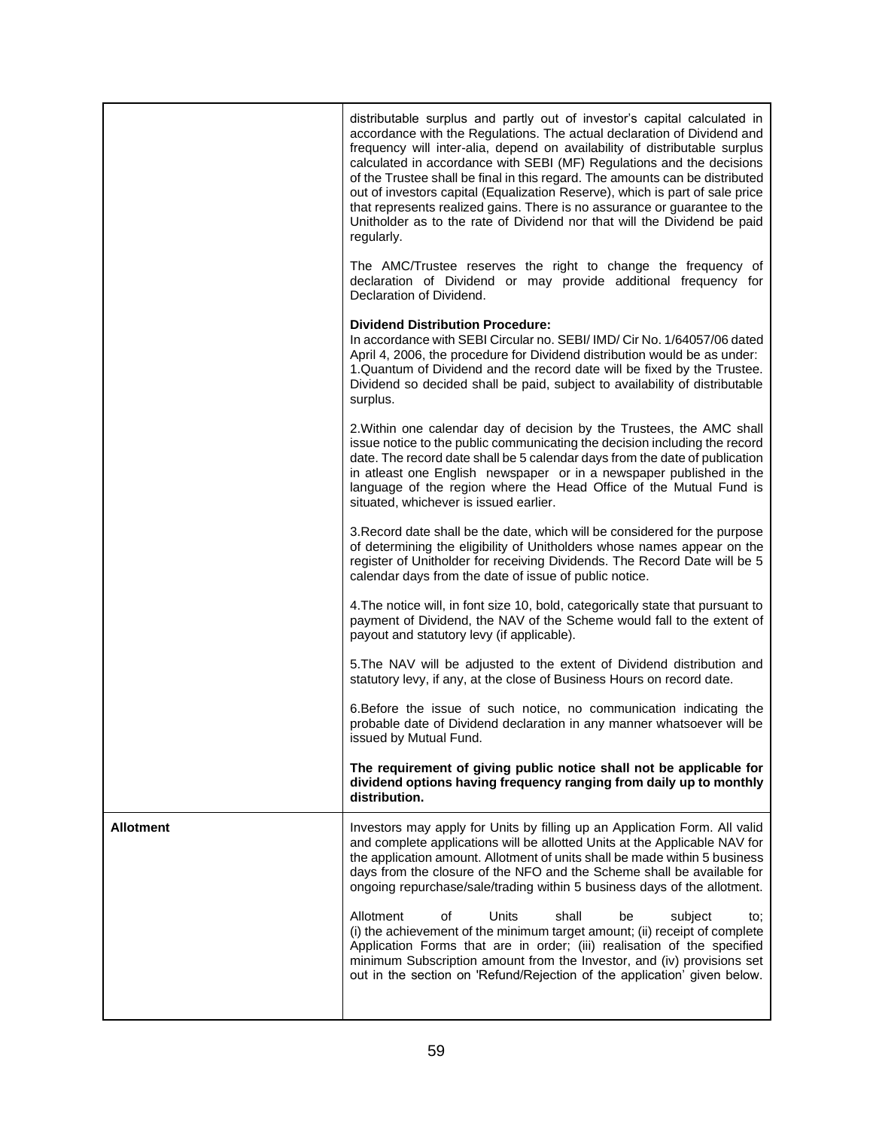|                  | distributable surplus and partly out of investor's capital calculated in<br>accordance with the Regulations. The actual declaration of Dividend and<br>frequency will inter-alia, depend on availability of distributable surplus<br>calculated in accordance with SEBI (MF) Regulations and the decisions<br>of the Trustee shall be final in this regard. The amounts can be distributed<br>out of investors capital (Equalization Reserve), which is part of sale price<br>that represents realized gains. There is no assurance or guarantee to the<br>Unitholder as to the rate of Dividend nor that will the Dividend be paid<br>regularly. |
|------------------|---------------------------------------------------------------------------------------------------------------------------------------------------------------------------------------------------------------------------------------------------------------------------------------------------------------------------------------------------------------------------------------------------------------------------------------------------------------------------------------------------------------------------------------------------------------------------------------------------------------------------------------------------|
|                  | The AMC/Trustee reserves the right to change the frequency of<br>declaration of Dividend or may provide additional frequency for<br>Declaration of Dividend.                                                                                                                                                                                                                                                                                                                                                                                                                                                                                      |
|                  | <b>Dividend Distribution Procedure:</b><br>In accordance with SEBI Circular no. SEBI/IMD/ Cir No. 1/64057/06 dated<br>April 4, 2006, the procedure for Dividend distribution would be as under:<br>1. Quantum of Dividend and the record date will be fixed by the Trustee.<br>Dividend so decided shall be paid, subject to availability of distributable<br>surplus.                                                                                                                                                                                                                                                                            |
|                  | 2. Within one calendar day of decision by the Trustees, the AMC shall<br>issue notice to the public communicating the decision including the record<br>date. The record date shall be 5 calendar days from the date of publication<br>in atleast one English newspaper or in a newspaper published in the<br>language of the region where the Head Office of the Mutual Fund is<br>situated, whichever is issued earlier.                                                                                                                                                                                                                         |
|                  | 3. Record date shall be the date, which will be considered for the purpose<br>of determining the eligibility of Unitholders whose names appear on the<br>register of Unitholder for receiving Dividends. The Record Date will be 5<br>calendar days from the date of issue of public notice.                                                                                                                                                                                                                                                                                                                                                      |
|                  | 4. The notice will, in font size 10, bold, categorically state that pursuant to<br>payment of Dividend, the NAV of the Scheme would fall to the extent of<br>payout and statutory levy (if applicable).                                                                                                                                                                                                                                                                                                                                                                                                                                           |
|                  | 5. The NAV will be adjusted to the extent of Dividend distribution and<br>statutory levy, if any, at the close of Business Hours on record date.                                                                                                                                                                                                                                                                                                                                                                                                                                                                                                  |
|                  | 6. Before the issue of such notice, no communication indicating the<br>probable date of Dividend declaration in any manner whatsoever will be<br>issued by Mutual Fund.                                                                                                                                                                                                                                                                                                                                                                                                                                                                           |
|                  | The requirement of giving public notice shall not be applicable for<br>dividend options having frequency ranging from daily up to monthly<br>distribution.                                                                                                                                                                                                                                                                                                                                                                                                                                                                                        |
| <b>Allotment</b> | Investors may apply for Units by filling up an Application Form. All valid<br>and complete applications will be allotted Units at the Applicable NAV for<br>the application amount. Allotment of units shall be made within 5 business<br>days from the closure of the NFO and the Scheme shall be available for<br>ongoing repurchase/sale/trading within 5 business days of the allotment.                                                                                                                                                                                                                                                      |
|                  | <b>Units</b><br>shall<br>Allotment<br>οf<br>subject<br>be<br>to:<br>(i) the achievement of the minimum target amount; (ii) receipt of complete<br>Application Forms that are in order; (iii) realisation of the specified<br>minimum Subscription amount from the Investor, and (iv) provisions set<br>out in the section on 'Refund/Rejection of the application' given below.                                                                                                                                                                                                                                                                   |
|                  |                                                                                                                                                                                                                                                                                                                                                                                                                                                                                                                                                                                                                                                   |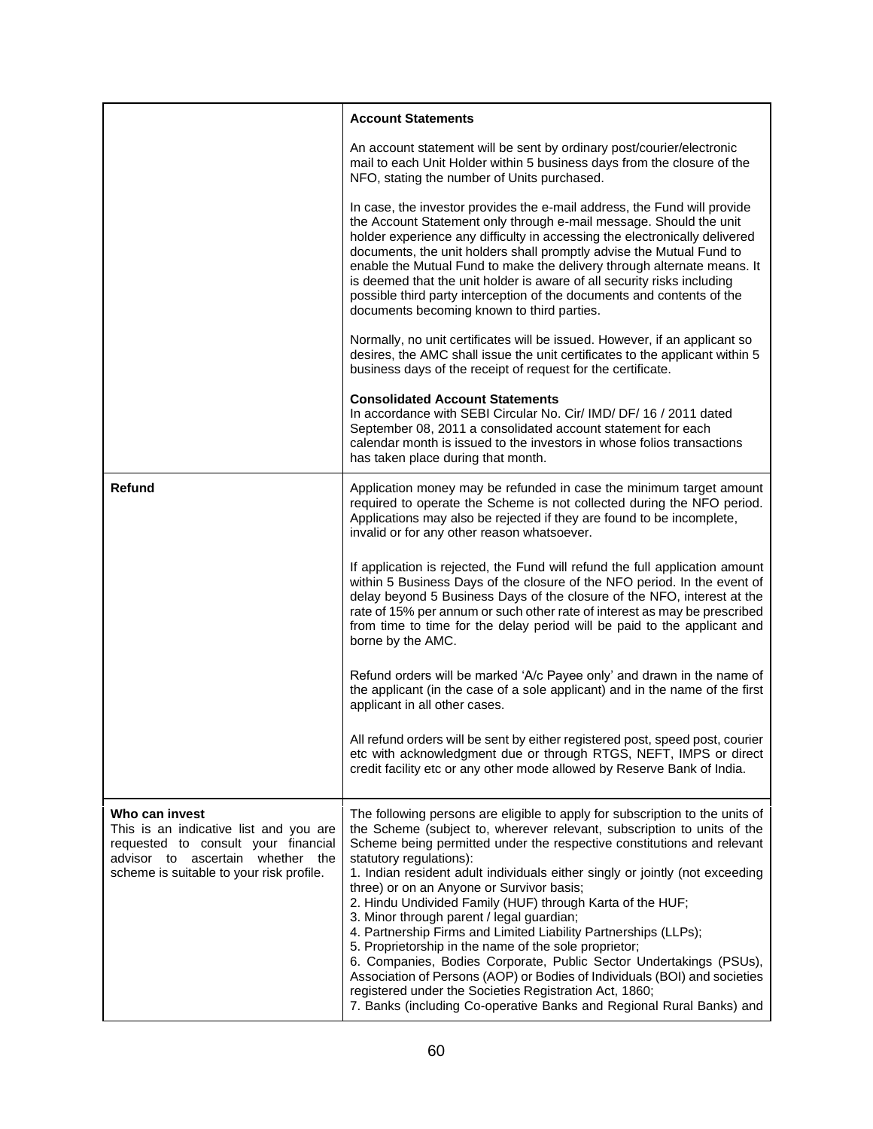|                                                                                                                                                                                 | <b>Account Statements</b>                                                                                                                                                                                                                                                                                                                                                                                                                                                                                                                                                                                                                                                                                                                                                                                                                                                                                            |
|---------------------------------------------------------------------------------------------------------------------------------------------------------------------------------|----------------------------------------------------------------------------------------------------------------------------------------------------------------------------------------------------------------------------------------------------------------------------------------------------------------------------------------------------------------------------------------------------------------------------------------------------------------------------------------------------------------------------------------------------------------------------------------------------------------------------------------------------------------------------------------------------------------------------------------------------------------------------------------------------------------------------------------------------------------------------------------------------------------------|
|                                                                                                                                                                                 | An account statement will be sent by ordinary post/courier/electronic<br>mail to each Unit Holder within 5 business days from the closure of the<br>NFO, stating the number of Units purchased.                                                                                                                                                                                                                                                                                                                                                                                                                                                                                                                                                                                                                                                                                                                      |
|                                                                                                                                                                                 | In case, the investor provides the e-mail address, the Fund will provide<br>the Account Statement only through e-mail message. Should the unit<br>holder experience any difficulty in accessing the electronically delivered<br>documents, the unit holders shall promptly advise the Mutual Fund to<br>enable the Mutual Fund to make the delivery through alternate means. It<br>is deemed that the unit holder is aware of all security risks including<br>possible third party interception of the documents and contents of the<br>documents becoming known to third parties.                                                                                                                                                                                                                                                                                                                                   |
|                                                                                                                                                                                 | Normally, no unit certificates will be issued. However, if an applicant so<br>desires, the AMC shall issue the unit certificates to the applicant within 5<br>business days of the receipt of request for the certificate.                                                                                                                                                                                                                                                                                                                                                                                                                                                                                                                                                                                                                                                                                           |
|                                                                                                                                                                                 | <b>Consolidated Account Statements</b><br>In accordance with SEBI Circular No. Cir/ IMD/ DF/ 16 / 2011 dated<br>September 08, 2011 a consolidated account statement for each<br>calendar month is issued to the investors in whose folios transactions<br>has taken place during that month.                                                                                                                                                                                                                                                                                                                                                                                                                                                                                                                                                                                                                         |
| Refund                                                                                                                                                                          | Application money may be refunded in case the minimum target amount<br>required to operate the Scheme is not collected during the NFO period.<br>Applications may also be rejected if they are found to be incomplete,<br>invalid or for any other reason whatsoever.                                                                                                                                                                                                                                                                                                                                                                                                                                                                                                                                                                                                                                                |
|                                                                                                                                                                                 | If application is rejected, the Fund will refund the full application amount<br>within 5 Business Days of the closure of the NFO period. In the event of<br>delay beyond 5 Business Days of the closure of the NFO, interest at the<br>rate of 15% per annum or such other rate of interest as may be prescribed<br>from time to time for the delay period will be paid to the applicant and<br>borne by the AMC.                                                                                                                                                                                                                                                                                                                                                                                                                                                                                                    |
|                                                                                                                                                                                 | Refund orders will be marked 'A/c Payee only' and drawn in the name of<br>the applicant (in the case of a sole applicant) and in the name of the first<br>applicant in all other cases.                                                                                                                                                                                                                                                                                                                                                                                                                                                                                                                                                                                                                                                                                                                              |
|                                                                                                                                                                                 | All refund orders will be sent by either registered post, speed post, courier<br>etc with acknowledgment due or through RTGS, NEFT, IMPS or direct<br>credit facility etc or any other mode allowed by Reserve Bank of India.                                                                                                                                                                                                                                                                                                                                                                                                                                                                                                                                                                                                                                                                                        |
| Who can invest<br>This is an indicative list and you are<br>requested to consult your financial<br>advisor to ascertain whether the<br>scheme is suitable to your risk profile. | The following persons are eligible to apply for subscription to the units of<br>the Scheme (subject to, wherever relevant, subscription to units of the<br>Scheme being permitted under the respective constitutions and relevant<br>statutory regulations):<br>1. Indian resident adult individuals either singly or jointly (not exceeding<br>three) or on an Anyone or Survivor basis;<br>2. Hindu Undivided Family (HUF) through Karta of the HUF;<br>3. Minor through parent / legal guardian;<br>4. Partnership Firms and Limited Liability Partnerships (LLPs);<br>5. Proprietorship in the name of the sole proprietor;<br>6. Companies, Bodies Corporate, Public Sector Undertakings (PSUs),<br>Association of Persons (AOP) or Bodies of Individuals (BOI) and societies<br>registered under the Societies Registration Act, 1860;<br>7. Banks (including Co-operative Banks and Regional Rural Banks) and |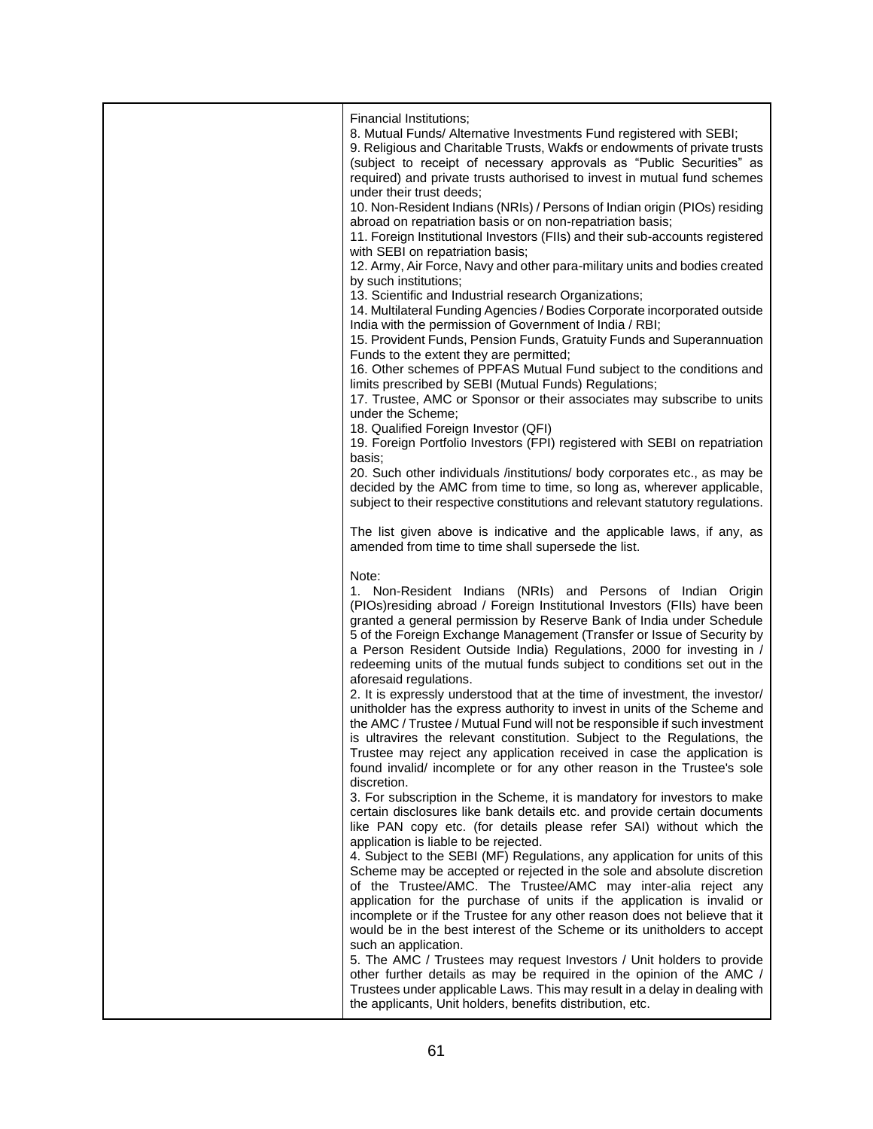| Financial Institutions;<br>8. Mutual Funds/ Alternative Investments Fund registered with SEBI;<br>9. Religious and Charitable Trusts, Wakfs or endowments of private trusts<br>(subject to receipt of necessary approvals as "Public Securities" as<br>required) and private trusts authorised to invest in mutual fund schemes<br>under their trust deeds;<br>10. Non-Resident Indians (NRIs) / Persons of Indian origin (PIOs) residing<br>abroad on repatriation basis or on non-repatriation basis;<br>11. Foreign Institutional Investors (FIIs) and their sub-accounts registered<br>with SEBI on repatriation basis;<br>12. Army, Air Force, Navy and other para-military units and bodies created<br>by such institutions;<br>13. Scientific and Industrial research Organizations;<br>14. Multilateral Funding Agencies / Bodies Corporate incorporated outside<br>India with the permission of Government of India / RBI;<br>15. Provident Funds, Pension Funds, Gratuity Funds and Superannuation<br>Funds to the extent they are permitted;<br>16. Other schemes of PPFAS Mutual Fund subject to the conditions and<br>limits prescribed by SEBI (Mutual Funds) Regulations;<br>17. Trustee, AMC or Sponsor or their associates may subscribe to units<br>under the Scheme;<br>18. Qualified Foreign Investor (QFI)<br>19. Foreign Portfolio Investors (FPI) registered with SEBI on repatriation<br>basis;<br>20. Such other individuals /institutions/ body corporates etc., as may be<br>decided by the AMC from time to time, so long as, wherever applicable,<br>subject to their respective constitutions and relevant statutory regulations.<br>The list given above is indicative and the applicable laws, if any, as<br>amended from time to time shall supersede the list.                                                                                                                                                                                                                                     |
|--------------------------------------------------------------------------------------------------------------------------------------------------------------------------------------------------------------------------------------------------------------------------------------------------------------------------------------------------------------------------------------------------------------------------------------------------------------------------------------------------------------------------------------------------------------------------------------------------------------------------------------------------------------------------------------------------------------------------------------------------------------------------------------------------------------------------------------------------------------------------------------------------------------------------------------------------------------------------------------------------------------------------------------------------------------------------------------------------------------------------------------------------------------------------------------------------------------------------------------------------------------------------------------------------------------------------------------------------------------------------------------------------------------------------------------------------------------------------------------------------------------------------------------------------------------------------------------------------------------------------------------------------------------------------------------------------------------------------------------------------------------------------------------------------------------------------------------------------------------------------------------------------------------------------------------------------------------------------------------------------------------------------------------|
| Note:<br>1. Non-Resident Indians (NRIs) and Persons of Indian Origin<br>(PIOs)residing abroad / Foreign Institutional Investors (FIIs) have been<br>granted a general permission by Reserve Bank of India under Schedule<br>5 of the Foreign Exchange Management (Transfer or Issue of Security by<br>a Person Resident Outside India) Regulations, 2000 for investing in /<br>redeeming units of the mutual funds subject to conditions set out in the<br>aforesaid regulations.<br>2. It is expressly understood that at the time of investment, the investor/<br>unitholder has the express authority to invest in units of the Scheme and<br>the AMC / Trustee / Mutual Fund will not be responsible if such investment<br>is ultravires the relevant constitution. Subject to the Regulations, the<br>Trustee may reject any application received in case the application is<br>found invalid/ incomplete or for any other reason in the Trustee's sole<br>discretion.<br>3. For subscription in the Scheme, it is mandatory for investors to make<br>certain disclosures like bank details etc. and provide certain documents<br>like PAN copy etc. (for details please refer SAI) without which the<br>application is liable to be rejected.<br>4. Subject to the SEBI (MF) Regulations, any application for units of this<br>Scheme may be accepted or rejected in the sole and absolute discretion<br>of the Trustee/AMC. The Trustee/AMC may inter-alia reject any<br>application for the purchase of units if the application is invalid or<br>incomplete or if the Trustee for any other reason does not believe that it<br>would be in the best interest of the Scheme or its unitholders to accept<br>such an application.<br>5. The AMC / Trustees may request Investors / Unit holders to provide<br>other further details as may be required in the opinion of the AMC /<br>Trustees under applicable Laws. This may result in a delay in dealing with<br>the applicants, Unit holders, benefits distribution, etc. |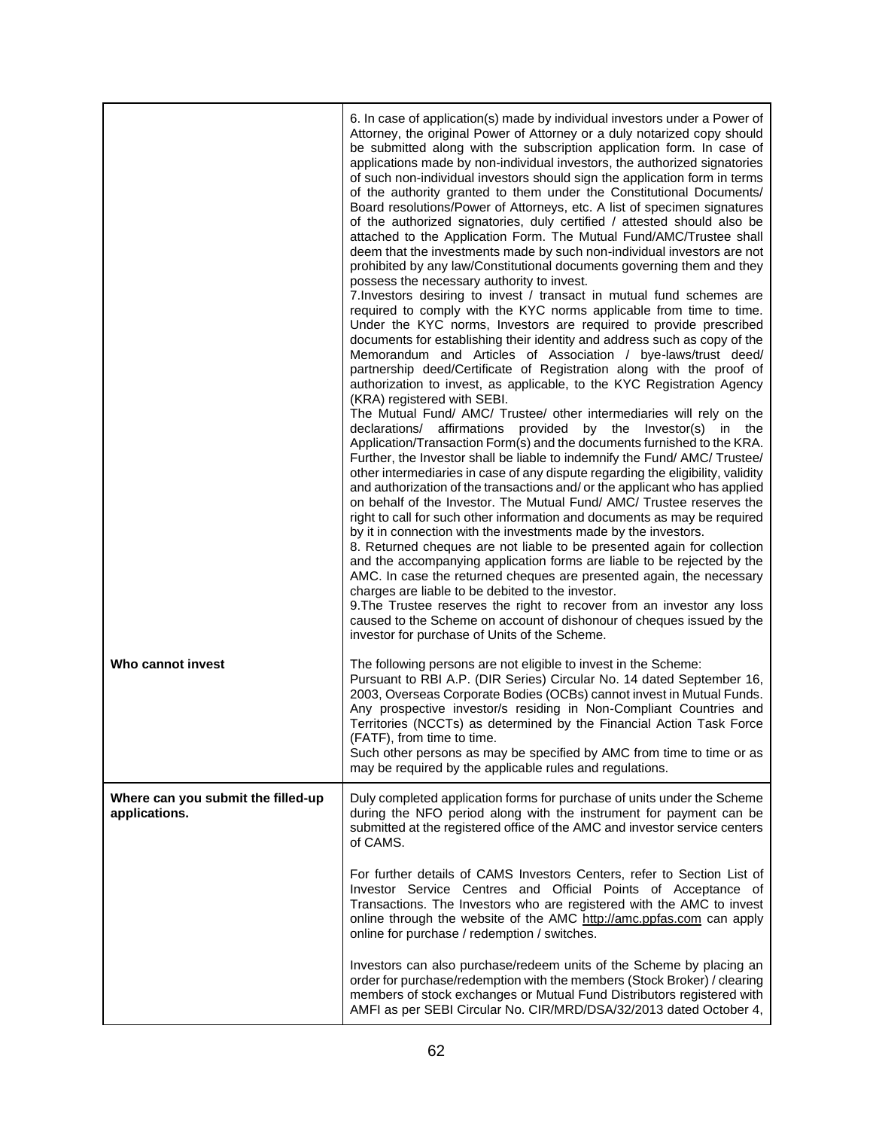| Who cannot invest                                   | 6. In case of application(s) made by individual investors under a Power of<br>Attorney, the original Power of Attorney or a duly notarized copy should<br>be submitted along with the subscription application form. In case of<br>applications made by non-individual investors, the authorized signatories<br>of such non-individual investors should sign the application form in terms<br>of the authority granted to them under the Constitutional Documents/<br>Board resolutions/Power of Attorneys, etc. A list of specimen signatures<br>of the authorized signatories, duly certified / attested should also be<br>attached to the Application Form. The Mutual Fund/AMC/Trustee shall<br>deem that the investments made by such non-individual investors are not<br>prohibited by any law/Constitutional documents governing them and they<br>possess the necessary authority to invest.<br>7. Investors desiring to invest / transact in mutual fund schemes are<br>required to comply with the KYC norms applicable from time to time.<br>Under the KYC norms, Investors are required to provide prescribed<br>documents for establishing their identity and address such as copy of the<br>Memorandum and Articles of Association / bye-laws/trust deed/<br>partnership deed/Certificate of Registration along with the proof of<br>authorization to invest, as applicable, to the KYC Registration Agency<br>(KRA) registered with SEBI.<br>The Mutual Fund/ AMC/ Trustee/ other intermediaries will rely on the<br>declarations/ affirmations provided<br>by the<br>Investor(s)<br>in.<br>the<br>Application/Transaction Form(s) and the documents furnished to the KRA.<br>Further, the Investor shall be liable to indemnify the Fund/ AMC/ Trustee/<br>other intermediaries in case of any dispute regarding the eligibility, validity<br>and authorization of the transactions and/ or the applicant who has applied<br>on behalf of the Investor. The Mutual Fund/ AMC/ Trustee reserves the<br>right to call for such other information and documents as may be required<br>by it in connection with the investments made by the investors.<br>8. Returned cheques are not liable to be presented again for collection<br>and the accompanying application forms are liable to be rejected by the<br>AMC. In case the returned cheques are presented again, the necessary<br>charges are liable to be debited to the investor.<br>9. The Trustee reserves the right to recover from an investor any loss<br>caused to the Scheme on account of dishonour of cheques issued by the<br>investor for purchase of Units of the Scheme.<br>The following persons are not eligible to invest in the Scheme:<br>Pursuant to RBI A.P. (DIR Series) Circular No. 14 dated September 16, |
|-----------------------------------------------------|------------------------------------------------------------------------------------------------------------------------------------------------------------------------------------------------------------------------------------------------------------------------------------------------------------------------------------------------------------------------------------------------------------------------------------------------------------------------------------------------------------------------------------------------------------------------------------------------------------------------------------------------------------------------------------------------------------------------------------------------------------------------------------------------------------------------------------------------------------------------------------------------------------------------------------------------------------------------------------------------------------------------------------------------------------------------------------------------------------------------------------------------------------------------------------------------------------------------------------------------------------------------------------------------------------------------------------------------------------------------------------------------------------------------------------------------------------------------------------------------------------------------------------------------------------------------------------------------------------------------------------------------------------------------------------------------------------------------------------------------------------------------------------------------------------------------------------------------------------------------------------------------------------------------------------------------------------------------------------------------------------------------------------------------------------------------------------------------------------------------------------------------------------------------------------------------------------------------------------------------------------------------------------------------------------------------------------------------------------------------------------------------------------------------------------------------------------------------------------------------------------------------------------------------------------------------------------------------------------------------------------------------------------------------------------------------------------------------------------------------------------------------------------------------------|
|                                                     | 2003, Overseas Corporate Bodies (OCBs) cannot invest in Mutual Funds.<br>Any prospective investor/s residing in Non-Compliant Countries and<br>Territories (NCCTs) as determined by the Financial Action Task Force<br>(FATF), from time to time.<br>Such other persons as may be specified by AMC from time to time or as<br>may be required by the applicable rules and regulations.                                                                                                                                                                                                                                                                                                                                                                                                                                                                                                                                                                                                                                                                                                                                                                                                                                                                                                                                                                                                                                                                                                                                                                                                                                                                                                                                                                                                                                                                                                                                                                                                                                                                                                                                                                                                                                                                                                                                                                                                                                                                                                                                                                                                                                                                                                                                                                                                               |
| Where can you submit the filled-up<br>applications. | Duly completed application forms for purchase of units under the Scheme<br>during the NFO period along with the instrument for payment can be<br>submitted at the registered office of the AMC and investor service centers<br>of CAMS.                                                                                                                                                                                                                                                                                                                                                                                                                                                                                                                                                                                                                                                                                                                                                                                                                                                                                                                                                                                                                                                                                                                                                                                                                                                                                                                                                                                                                                                                                                                                                                                                                                                                                                                                                                                                                                                                                                                                                                                                                                                                                                                                                                                                                                                                                                                                                                                                                                                                                                                                                              |
|                                                     | For further details of CAMS Investors Centers, refer to Section List of<br>Investor Service Centres and Official Points of Acceptance of<br>Transactions. The Investors who are registered with the AMC to invest<br>online through the website of the AMC http://amc.ppfas.com can apply<br>online for purchase / redemption / switches.                                                                                                                                                                                                                                                                                                                                                                                                                                                                                                                                                                                                                                                                                                                                                                                                                                                                                                                                                                                                                                                                                                                                                                                                                                                                                                                                                                                                                                                                                                                                                                                                                                                                                                                                                                                                                                                                                                                                                                                                                                                                                                                                                                                                                                                                                                                                                                                                                                                            |
|                                                     | Investors can also purchase/redeem units of the Scheme by placing an<br>order for purchase/redemption with the members (Stock Broker) / clearing<br>members of stock exchanges or Mutual Fund Distributors registered with<br>AMFI as per SEBI Circular No. CIR/MRD/DSA/32/2013 dated October 4,                                                                                                                                                                                                                                                                                                                                                                                                                                                                                                                                                                                                                                                                                                                                                                                                                                                                                                                                                                                                                                                                                                                                                                                                                                                                                                                                                                                                                                                                                                                                                                                                                                                                                                                                                                                                                                                                                                                                                                                                                                                                                                                                                                                                                                                                                                                                                                                                                                                                                                     |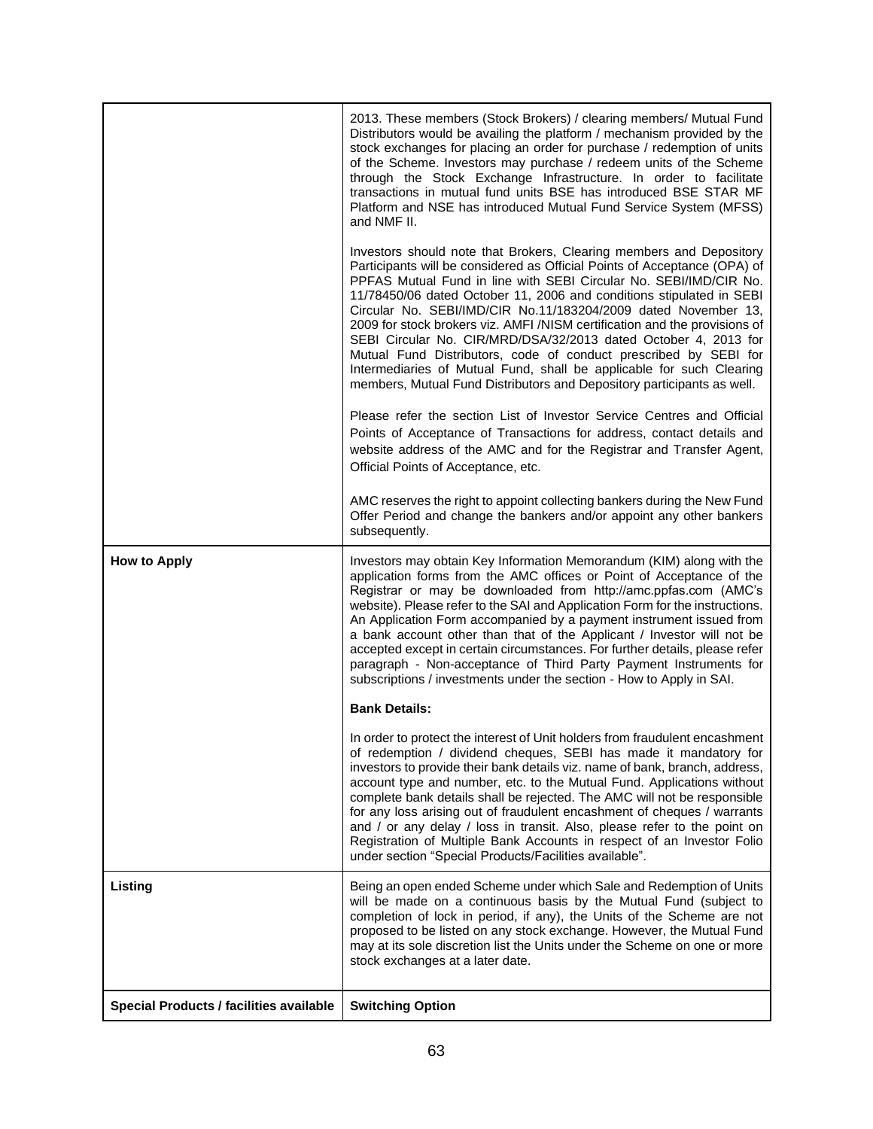|                                                | 2013. These members (Stock Brokers) / clearing members/ Mutual Fund<br>Distributors would be availing the platform / mechanism provided by the<br>stock exchanges for placing an order for purchase / redemption of units<br>of the Scheme. Investors may purchase / redeem units of the Scheme<br>through the Stock Exchange Infrastructure. In order to facilitate<br>transactions in mutual fund units BSE has introduced BSE STAR MF<br>Platform and NSE has introduced Mutual Fund Service System (MFSS)<br>and NMF II.                                                                                                                                                                                                           |
|------------------------------------------------|----------------------------------------------------------------------------------------------------------------------------------------------------------------------------------------------------------------------------------------------------------------------------------------------------------------------------------------------------------------------------------------------------------------------------------------------------------------------------------------------------------------------------------------------------------------------------------------------------------------------------------------------------------------------------------------------------------------------------------------|
|                                                | Investors should note that Brokers, Clearing members and Depository<br>Participants will be considered as Official Points of Acceptance (OPA) of<br>PPFAS Mutual Fund in line with SEBI Circular No. SEBI/IMD/CIR No.<br>11/78450/06 dated October 11, 2006 and conditions stipulated in SEBI<br>Circular No. SEBI/IMD/CIR No.11/183204/2009 dated November 13,<br>2009 for stock brokers viz. AMFI /NISM certification and the provisions of<br>SEBI Circular No. CIR/MRD/DSA/32/2013 dated October 4, 2013 for<br>Mutual Fund Distributors, code of conduct prescribed by SEBI for<br>Intermediaries of Mutual Fund, shall be applicable for such Clearing<br>members, Mutual Fund Distributors and Depository participants as well. |
|                                                | Please refer the section List of Investor Service Centres and Official<br>Points of Acceptance of Transactions for address, contact details and<br>website address of the AMC and for the Registrar and Transfer Agent,<br>Official Points of Acceptance, etc.                                                                                                                                                                                                                                                                                                                                                                                                                                                                         |
|                                                | AMC reserves the right to appoint collecting bankers during the New Fund<br>Offer Period and change the bankers and/or appoint any other bankers<br>subsequently.                                                                                                                                                                                                                                                                                                                                                                                                                                                                                                                                                                      |
| <b>How to Apply</b>                            | Investors may obtain Key Information Memorandum (KIM) along with the<br>application forms from the AMC offices or Point of Acceptance of the<br>Registrar or may be downloaded from http://amc.ppfas.com (AMC's<br>website). Please refer to the SAI and Application Form for the instructions.<br>An Application Form accompanied by a payment instrument issued from<br>a bank account other than that of the Applicant / Investor will not be<br>accepted except in certain circumstances. For further details, please refer<br>paragraph - Non-acceptance of Third Party Payment Instruments for<br>subscriptions / investments under the section - How to Apply in SAI.                                                           |
|                                                | <b>Bank Details:</b>                                                                                                                                                                                                                                                                                                                                                                                                                                                                                                                                                                                                                                                                                                                   |
|                                                | In order to protect the interest of Unit holders from fraudulent encashment<br>of redemption / dividend cheques, SEBI has made it mandatory for<br>investors to provide their bank details viz. name of bank, branch, address,<br>account type and number, etc. to the Mutual Fund. Applications without<br>complete bank details shall be rejected. The AMC will not be responsible<br>for any loss arising out of fraudulent encashment of cheques / warrants<br>and / or any delay / loss in transit. Also, please refer to the point on<br>Registration of Multiple Bank Accounts in respect of an Investor Folio<br>under section "Special Products/Facilities available".                                                        |
| Listing                                        | Being an open ended Scheme under which Sale and Redemption of Units<br>will be made on a continuous basis by the Mutual Fund (subject to<br>completion of lock in period, if any), the Units of the Scheme are not<br>proposed to be listed on any stock exchange. However, the Mutual Fund<br>may at its sole discretion list the Units under the Scheme on one or more<br>stock exchanges at a later date.                                                                                                                                                                                                                                                                                                                           |
| <b>Special Products / facilities available</b> | <b>Switching Option</b>                                                                                                                                                                                                                                                                                                                                                                                                                                                                                                                                                                                                                                                                                                                |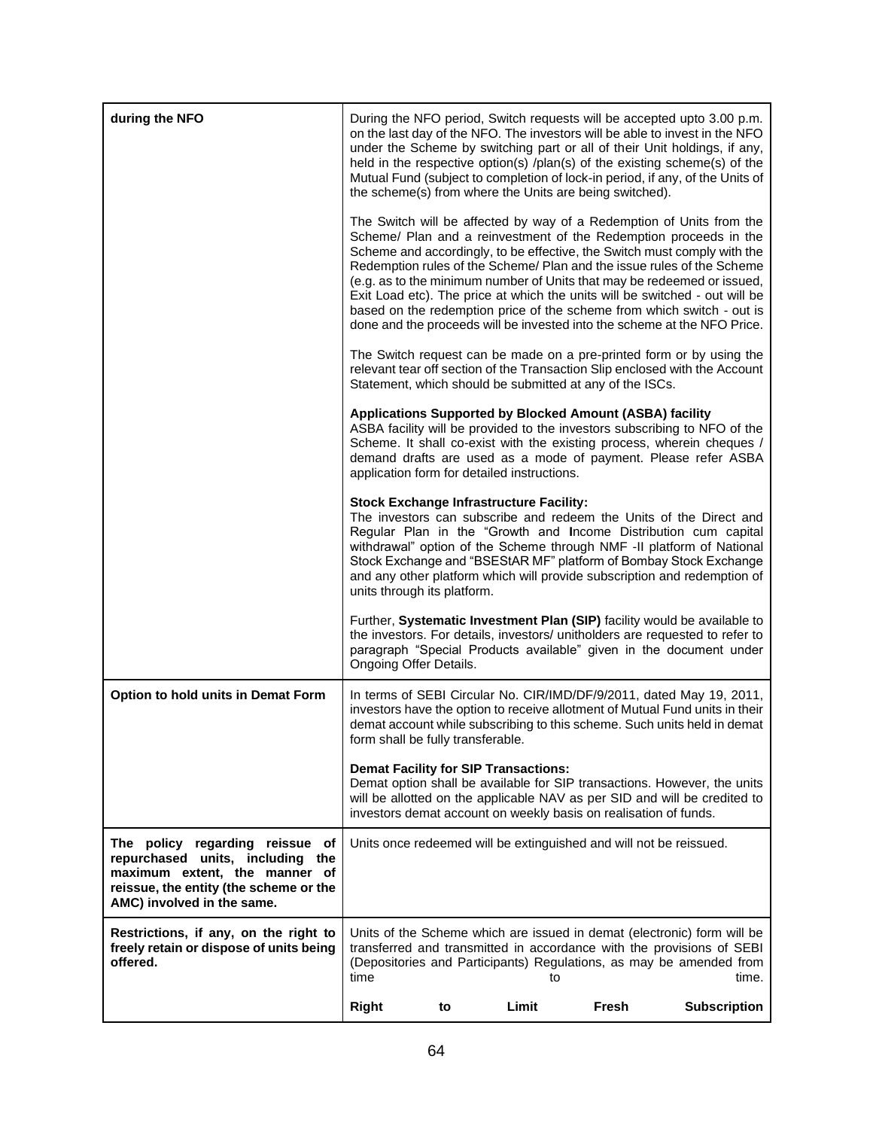| during the NFO                                                                                                                                                               |                                   |    |                                                | the scheme(s) from where the Units are being switched).            | During the NFO period, Switch requests will be accepted upto 3.00 p.m.<br>on the last day of the NFO. The investors will be able to invest in the NFO<br>under the Scheme by switching part or all of their Unit holdings, if any,<br>held in the respective option(s) /plan(s) of the existing scheme(s) of the<br>Mutual Fund (subject to completion of lock-in period, if any, of the Units of                                                                                                                                                                                                               |
|------------------------------------------------------------------------------------------------------------------------------------------------------------------------------|-----------------------------------|----|------------------------------------------------|--------------------------------------------------------------------|-----------------------------------------------------------------------------------------------------------------------------------------------------------------------------------------------------------------------------------------------------------------------------------------------------------------------------------------------------------------------------------------------------------------------------------------------------------------------------------------------------------------------------------------------------------------------------------------------------------------|
|                                                                                                                                                                              |                                   |    |                                                |                                                                    | The Switch will be affected by way of a Redemption of Units from the<br>Scheme/ Plan and a reinvestment of the Redemption proceeds in the<br>Scheme and accordingly, to be effective, the Switch must comply with the<br>Redemption rules of the Scheme/ Plan and the issue rules of the Scheme<br>(e.g. as to the minimum number of Units that may be redeemed or issued,<br>Exit Load etc). The price at which the units will be switched - out will be<br>based on the redemption price of the scheme from which switch - out is<br>done and the proceeds will be invested into the scheme at the NFO Price. |
|                                                                                                                                                                              |                                   |    |                                                | Statement, which should be submitted at any of the ISCs.           | The Switch request can be made on a pre-printed form or by using the<br>relevant tear off section of the Transaction Slip enclosed with the Account                                                                                                                                                                                                                                                                                                                                                                                                                                                             |
|                                                                                                                                                                              |                                   |    | application form for detailed instructions.    | Applications Supported by Blocked Amount (ASBA) facility           | ASBA facility will be provided to the investors subscribing to NFO of the<br>Scheme. It shall co-exist with the existing process, wherein cheques /<br>demand drafts are used as a mode of payment. Please refer ASBA                                                                                                                                                                                                                                                                                                                                                                                           |
|                                                                                                                                                                              | units through its platform.       |    | <b>Stock Exchange Infrastructure Facility:</b> |                                                                    | The investors can subscribe and redeem the Units of the Direct and<br>Regular Plan in the "Growth and Income Distribution cum capital<br>withdrawal" option of the Scheme through NMF -II platform of National<br>Stock Exchange and "BSEStAR MF" platform of Bombay Stock Exchange<br>and any other platform which will provide subscription and redemption of                                                                                                                                                                                                                                                 |
|                                                                                                                                                                              | Ongoing Offer Details.            |    |                                                |                                                                    | Further, Systematic Investment Plan (SIP) facility would be available to<br>the investors. For details, investors/ unitholders are requested to refer to<br>paragraph "Special Products available" given in the document under                                                                                                                                                                                                                                                                                                                                                                                  |
| Option to hold units in Demat Form                                                                                                                                           | form shall be fully transferable. |    |                                                |                                                                    | In terms of SEBI Circular No. CIR/IMD/DF/9/2011, dated May 19, 2011,<br>investors have the option to receive allotment of Mutual Fund units in their<br>demat account while subscribing to this scheme. Such units held in demat                                                                                                                                                                                                                                                                                                                                                                                |
|                                                                                                                                                                              |                                   |    | <b>Demat Facility for SIP Transactions:</b>    | investors demat account on weekly basis on realisation of funds.   | Demat option shall be available for SIP transactions. However, the units<br>will be allotted on the applicable NAV as per SID and will be credited to                                                                                                                                                                                                                                                                                                                                                                                                                                                           |
| The policy regarding reissue of<br>repurchased units, including the<br>maximum extent, the manner of<br>reissue, the entity (the scheme or the<br>AMC) involved in the same. |                                   |    |                                                | Units once redeemed will be extinguished and will not be reissued. |                                                                                                                                                                                                                                                                                                                                                                                                                                                                                                                                                                                                                 |
| Restrictions, if any, on the right to<br>freely retain or dispose of units being<br>offered.                                                                                 | time                              |    | to                                             |                                                                    | Units of the Scheme which are issued in demat (electronic) form will be<br>transferred and transmitted in accordance with the provisions of SEBI<br>(Depositories and Participants) Regulations, as may be amended from<br>time.                                                                                                                                                                                                                                                                                                                                                                                |
|                                                                                                                                                                              | <b>Right</b>                      | to | Limit                                          | Fresh                                                              | <b>Subscription</b>                                                                                                                                                                                                                                                                                                                                                                                                                                                                                                                                                                                             |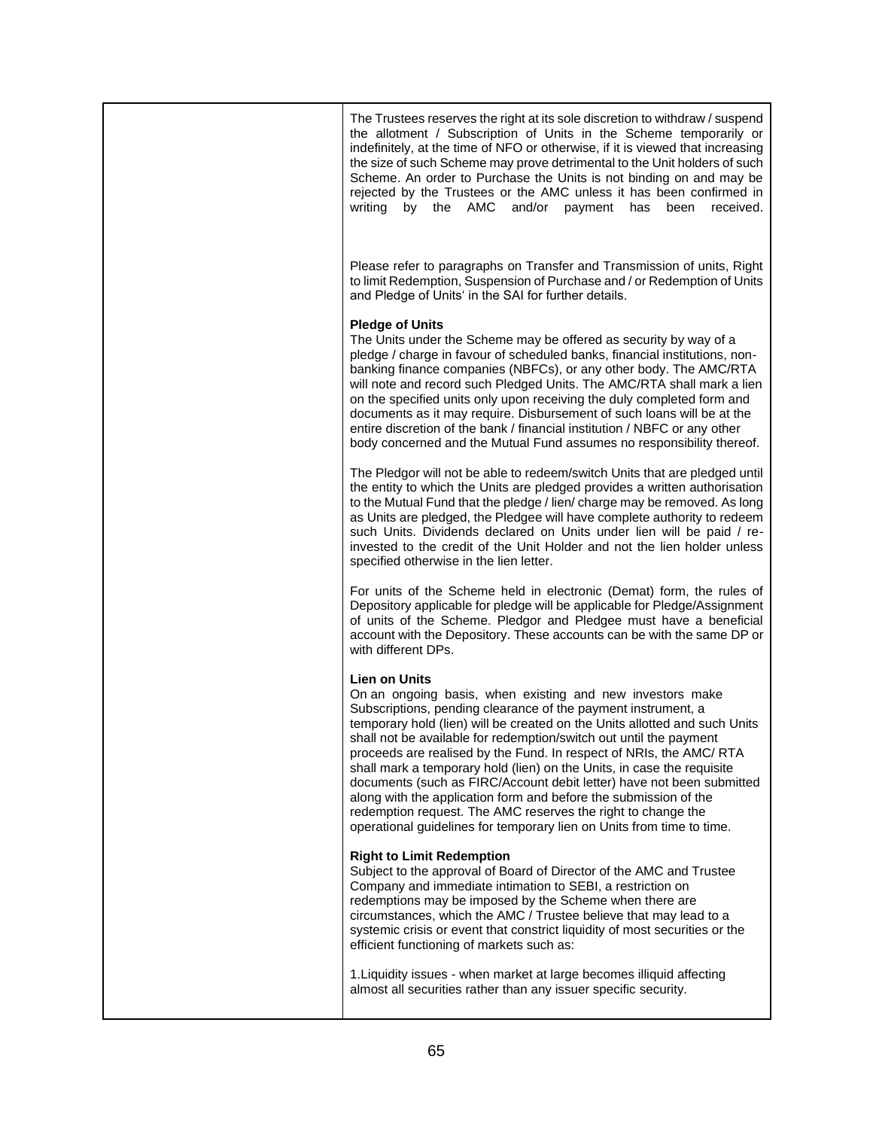| The Trustees reserves the right at its sole discretion to withdraw / suspend<br>the allotment / Subscription of Units in the Scheme temporarily or<br>indefinitely, at the time of NFO or otherwise, if it is viewed that increasing<br>the size of such Scheme may prove detrimental to the Unit holders of such<br>Scheme. An order to Purchase the Units is not binding on and may be<br>rejected by the Trustees or the AMC unless it has been confirmed in<br>writing<br>by the<br>AMC<br>and/or payment<br>has<br>received.<br>been                                                                                                                                                                                                     |
|-----------------------------------------------------------------------------------------------------------------------------------------------------------------------------------------------------------------------------------------------------------------------------------------------------------------------------------------------------------------------------------------------------------------------------------------------------------------------------------------------------------------------------------------------------------------------------------------------------------------------------------------------------------------------------------------------------------------------------------------------|
| Please refer to paragraphs on Transfer and Transmission of units, Right<br>to limit Redemption, Suspension of Purchase and / or Redemption of Units<br>and Pledge of Units' in the SAI for further details.                                                                                                                                                                                                                                                                                                                                                                                                                                                                                                                                   |
| <b>Pledge of Units</b><br>The Units under the Scheme may be offered as security by way of a<br>pledge / charge in favour of scheduled banks, financial institutions, non-<br>banking finance companies (NBFCs), or any other body. The AMC/RTA<br>will note and record such Pledged Units. The AMC/RTA shall mark a lien<br>on the specified units only upon receiving the duly completed form and<br>documents as it may require. Disbursement of such loans will be at the<br>entire discretion of the bank / financial institution / NBFC or any other<br>body concerned and the Mutual Fund assumes no responsibility thereof.                                                                                                            |
| The Pledgor will not be able to redeem/switch Units that are pledged until<br>the entity to which the Units are pledged provides a written authorisation<br>to the Mutual Fund that the pledge / lien/ charge may be removed. As long<br>as Units are pledged, the Pledgee will have complete authority to redeem<br>such Units. Dividends declared on Units under lien will be paid / re-<br>invested to the credit of the Unit Holder and not the lien holder unless<br>specified otherwise in the lien letter.                                                                                                                                                                                                                             |
| For units of the Scheme held in electronic (Demat) form, the rules of<br>Depository applicable for pledge will be applicable for Pledge/Assignment<br>of units of the Scheme. Pledgor and Pledgee must have a beneficial<br>account with the Depository. These accounts can be with the same DP or<br>with different DPs.                                                                                                                                                                                                                                                                                                                                                                                                                     |
| <b>Lien on Units</b><br>On an ongoing basis, when existing and new investors make<br>Subscriptions, pending clearance of the payment instrument, a<br>temporary hold (lien) will be created on the Units allotted and such Units<br>shall not be available for redemption/switch out until the payment<br>proceeds are realised by the Fund. In respect of NRIs, the AMC/ RTA<br>shall mark a temporary hold (lien) on the Units, in case the requisite<br>documents (such as FIRC/Account debit letter) have not been submitted<br>along with the application form and before the submission of the<br>redemption request. The AMC reserves the right to change the<br>operational guidelines for temporary lien on Units from time to time. |
| <b>Right to Limit Redemption</b><br>Subject to the approval of Board of Director of the AMC and Trustee<br>Company and immediate intimation to SEBI, a restriction on<br>redemptions may be imposed by the Scheme when there are<br>circumstances, which the AMC / Trustee believe that may lead to a<br>systemic crisis or event that constrict liquidity of most securities or the<br>efficient functioning of markets such as:                                                                                                                                                                                                                                                                                                             |
| 1. Liquidity issues - when market at large becomes illiquid affecting<br>almost all securities rather than any issuer specific security.                                                                                                                                                                                                                                                                                                                                                                                                                                                                                                                                                                                                      |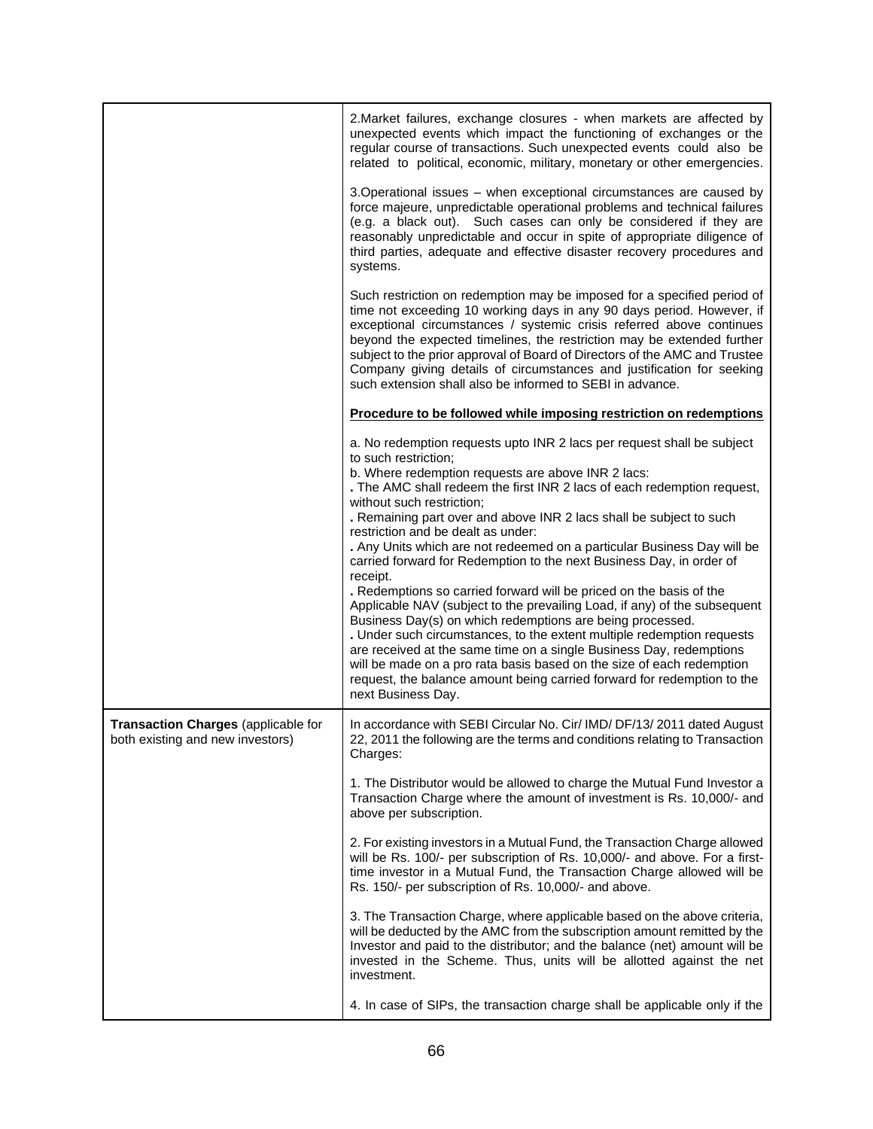|                                                                         | 2. Market failures, exchange closures - when markets are affected by<br>unexpected events which impact the functioning of exchanges or the<br>regular course of transactions. Such unexpected events could also be<br>related to political, economic, military, monetary or other emergencies.                                                                                                                                                                                                                                                                                                                                                                                                                                                                                                                                                                                                                                                                                                                                                                                       |
|-------------------------------------------------------------------------|--------------------------------------------------------------------------------------------------------------------------------------------------------------------------------------------------------------------------------------------------------------------------------------------------------------------------------------------------------------------------------------------------------------------------------------------------------------------------------------------------------------------------------------------------------------------------------------------------------------------------------------------------------------------------------------------------------------------------------------------------------------------------------------------------------------------------------------------------------------------------------------------------------------------------------------------------------------------------------------------------------------------------------------------------------------------------------------|
|                                                                         | 3. Operational issues - when exceptional circumstances are caused by<br>force majeure, unpredictable operational problems and technical failures<br>(e.g. a black out). Such cases can only be considered if they are<br>reasonably unpredictable and occur in spite of appropriate diligence of<br>third parties, adequate and effective disaster recovery procedures and<br>systems.                                                                                                                                                                                                                                                                                                                                                                                                                                                                                                                                                                                                                                                                                               |
|                                                                         | Such restriction on redemption may be imposed for a specified period of<br>time not exceeding 10 working days in any 90 days period. However, if<br>exceptional circumstances / systemic crisis referred above continues<br>beyond the expected timelines, the restriction may be extended further<br>subject to the prior approval of Board of Directors of the AMC and Trustee<br>Company giving details of circumstances and justification for seeking<br>such extension shall also be informed to SEBI in advance.                                                                                                                                                                                                                                                                                                                                                                                                                                                                                                                                                               |
|                                                                         | Procedure to be followed while imposing restriction on redemptions                                                                                                                                                                                                                                                                                                                                                                                                                                                                                                                                                                                                                                                                                                                                                                                                                                                                                                                                                                                                                   |
|                                                                         | a. No redemption requests upto INR 2 lacs per request shall be subject<br>to such restriction;<br>b. Where redemption requests are above INR 2 lacs:<br>. The AMC shall redeem the first INR 2 lacs of each redemption request,<br>without such restriction;<br>. Remaining part over and above INR 2 lacs shall be subject to such<br>restriction and be dealt as under:<br>. Any Units which are not redeemed on a particular Business Day will be<br>carried forward for Redemption to the next Business Day, in order of<br>receipt.<br>. Redemptions so carried forward will be priced on the basis of the<br>Applicable NAV (subject to the prevailing Load, if any) of the subsequent<br>Business Day(s) on which redemptions are being processed.<br>. Under such circumstances, to the extent multiple redemption requests<br>are received at the same time on a single Business Day, redemptions<br>will be made on a pro rata basis based on the size of each redemption<br>request, the balance amount being carried forward for redemption to the<br>next Business Day. |
| Transaction Charges (applicable for<br>both existing and new investors) | In accordance with SEBI Circular No. Cir/ IMD/ DF/13/ 2011 dated August<br>22, 2011 the following are the terms and conditions relating to Transaction  <br>Charges:                                                                                                                                                                                                                                                                                                                                                                                                                                                                                                                                                                                                                                                                                                                                                                                                                                                                                                                 |
|                                                                         | 1. The Distributor would be allowed to charge the Mutual Fund Investor a<br>Transaction Charge where the amount of investment is Rs. 10,000/- and<br>above per subscription.                                                                                                                                                                                                                                                                                                                                                                                                                                                                                                                                                                                                                                                                                                                                                                                                                                                                                                         |
|                                                                         | 2. For existing investors in a Mutual Fund, the Transaction Charge allowed<br>will be Rs. 100/- per subscription of Rs. 10,000/- and above. For a first-<br>time investor in a Mutual Fund, the Transaction Charge allowed will be<br>Rs. 150/- per subscription of Rs. 10,000/- and above.                                                                                                                                                                                                                                                                                                                                                                                                                                                                                                                                                                                                                                                                                                                                                                                          |
|                                                                         | 3. The Transaction Charge, where applicable based on the above criteria,<br>will be deducted by the AMC from the subscription amount remitted by the<br>Investor and paid to the distributor; and the balance (net) amount will be<br>invested in the Scheme. Thus, units will be allotted against the net<br>investment.                                                                                                                                                                                                                                                                                                                                                                                                                                                                                                                                                                                                                                                                                                                                                            |
|                                                                         | 4. In case of SIPs, the transaction charge shall be applicable only if the                                                                                                                                                                                                                                                                                                                                                                                                                                                                                                                                                                                                                                                                                                                                                                                                                                                                                                                                                                                                           |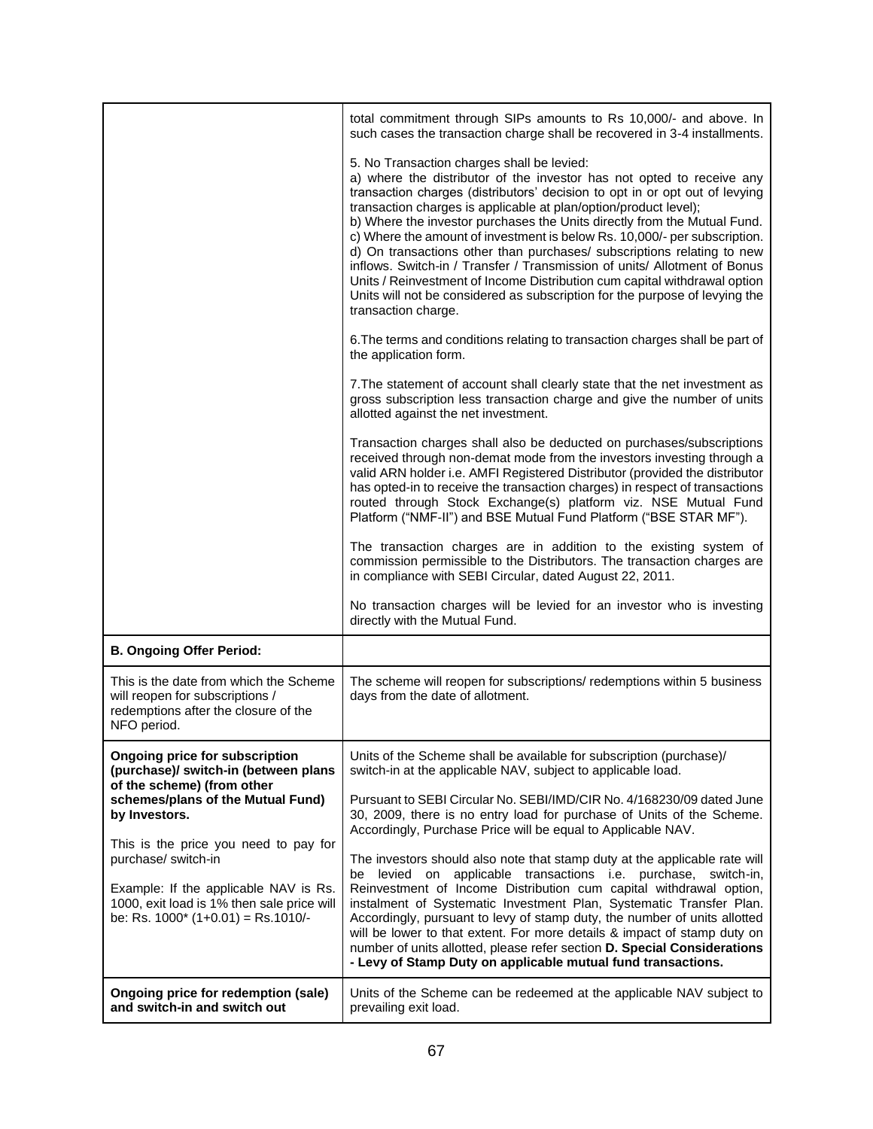|                                                                                                                                                                                               | total commitment through SIPs amounts to Rs 10,000/- and above. In<br>such cases the transaction charge shall be recovered in 3-4 installments.                                                                                                                                                                                                                                                                                                                                                                                                                                                                                                                                                                                                                           |
|-----------------------------------------------------------------------------------------------------------------------------------------------------------------------------------------------|---------------------------------------------------------------------------------------------------------------------------------------------------------------------------------------------------------------------------------------------------------------------------------------------------------------------------------------------------------------------------------------------------------------------------------------------------------------------------------------------------------------------------------------------------------------------------------------------------------------------------------------------------------------------------------------------------------------------------------------------------------------------------|
|                                                                                                                                                                                               | 5. No Transaction charges shall be levied:<br>a) where the distributor of the investor has not opted to receive any<br>transaction charges (distributors' decision to opt in or opt out of levying<br>transaction charges is applicable at plan/option/product level);<br>b) Where the investor purchases the Units directly from the Mutual Fund.<br>c) Where the amount of investment is below Rs. 10,000/- per subscription.<br>d) On transactions other than purchases/ subscriptions relating to new<br>inflows. Switch-in / Transfer / Transmission of units/ Allotment of Bonus<br>Units / Reinvestment of Income Distribution cum capital withdrawal option<br>Units will not be considered as subscription for the purpose of levying the<br>transaction charge. |
|                                                                                                                                                                                               | 6. The terms and conditions relating to transaction charges shall be part of<br>the application form.                                                                                                                                                                                                                                                                                                                                                                                                                                                                                                                                                                                                                                                                     |
|                                                                                                                                                                                               | 7. The statement of account shall clearly state that the net investment as<br>gross subscription less transaction charge and give the number of units<br>allotted against the net investment.                                                                                                                                                                                                                                                                                                                                                                                                                                                                                                                                                                             |
|                                                                                                                                                                                               | Transaction charges shall also be deducted on purchases/subscriptions<br>received through non-demat mode from the investors investing through a<br>valid ARN holder i.e. AMFI Registered Distributor (provided the distributor<br>has opted-in to receive the transaction charges) in respect of transactions<br>routed through Stock Exchange(s) platform viz. NSE Mutual Fund<br>Platform ("NMF-II") and BSE Mutual Fund Platform ("BSE STAR MF").                                                                                                                                                                                                                                                                                                                      |
|                                                                                                                                                                                               | The transaction charges are in addition to the existing system of<br>commission permissible to the Distributors. The transaction charges are<br>in compliance with SEBI Circular, dated August 22, 2011.                                                                                                                                                                                                                                                                                                                                                                                                                                                                                                                                                                  |
|                                                                                                                                                                                               | No transaction charges will be levied for an investor who is investing<br>directly with the Mutual Fund.                                                                                                                                                                                                                                                                                                                                                                                                                                                                                                                                                                                                                                                                  |
| <b>B. Ongoing Offer Period:</b>                                                                                                                                                               |                                                                                                                                                                                                                                                                                                                                                                                                                                                                                                                                                                                                                                                                                                                                                                           |
| This is the date from which the Scheme<br>will reopen for subscriptions /<br>redemptions after the closure of the<br>NFO period.                                                              | The scheme will reopen for subscriptions/ redemptions within 5 business<br>days from the date of allotment.                                                                                                                                                                                                                                                                                                                                                                                                                                                                                                                                                                                                                                                               |
| <b>Ongoing price for subscription</b><br>(purchase)/ switch-in (between plans<br>of the scheme) (from other                                                                                   | Units of the Scheme shall be available for subscription (purchase)/<br>switch-in at the applicable NAV, subject to applicable load.                                                                                                                                                                                                                                                                                                                                                                                                                                                                                                                                                                                                                                       |
| schemes/plans of the Mutual Fund)<br>by Investors.                                                                                                                                            | Pursuant to SEBI Circular No. SEBI/IMD/CIR No. 4/168230/09 dated June<br>30, 2009, there is no entry load for purchase of Units of the Scheme.<br>Accordingly, Purchase Price will be equal to Applicable NAV.                                                                                                                                                                                                                                                                                                                                                                                                                                                                                                                                                            |
| This is the price you need to pay for<br>purchase/ switch-in<br>Example: If the applicable NAV is Rs.<br>1000, exit load is 1% then sale price will<br>be: Rs. $1000^*$ (1+0.01) = Rs. 1010/- | The investors should also note that stamp duty at the applicable rate will<br>levied on applicable transactions i.e. purchase, switch-in,<br>be<br>Reinvestment of Income Distribution cum capital withdrawal option,<br>instalment of Systematic Investment Plan, Systematic Transfer Plan.<br>Accordingly, pursuant to levy of stamp duty, the number of units allotted<br>will be lower to that extent. For more details & impact of stamp duty on<br>number of units allotted, please refer section D. Special Considerations<br>- Levy of Stamp Duty on applicable mutual fund transactions.                                                                                                                                                                         |
| Ongoing price for redemption (sale)<br>and switch-in and switch out                                                                                                                           | Units of the Scheme can be redeemed at the applicable NAV subject to<br>prevailing exit load.                                                                                                                                                                                                                                                                                                                                                                                                                                                                                                                                                                                                                                                                             |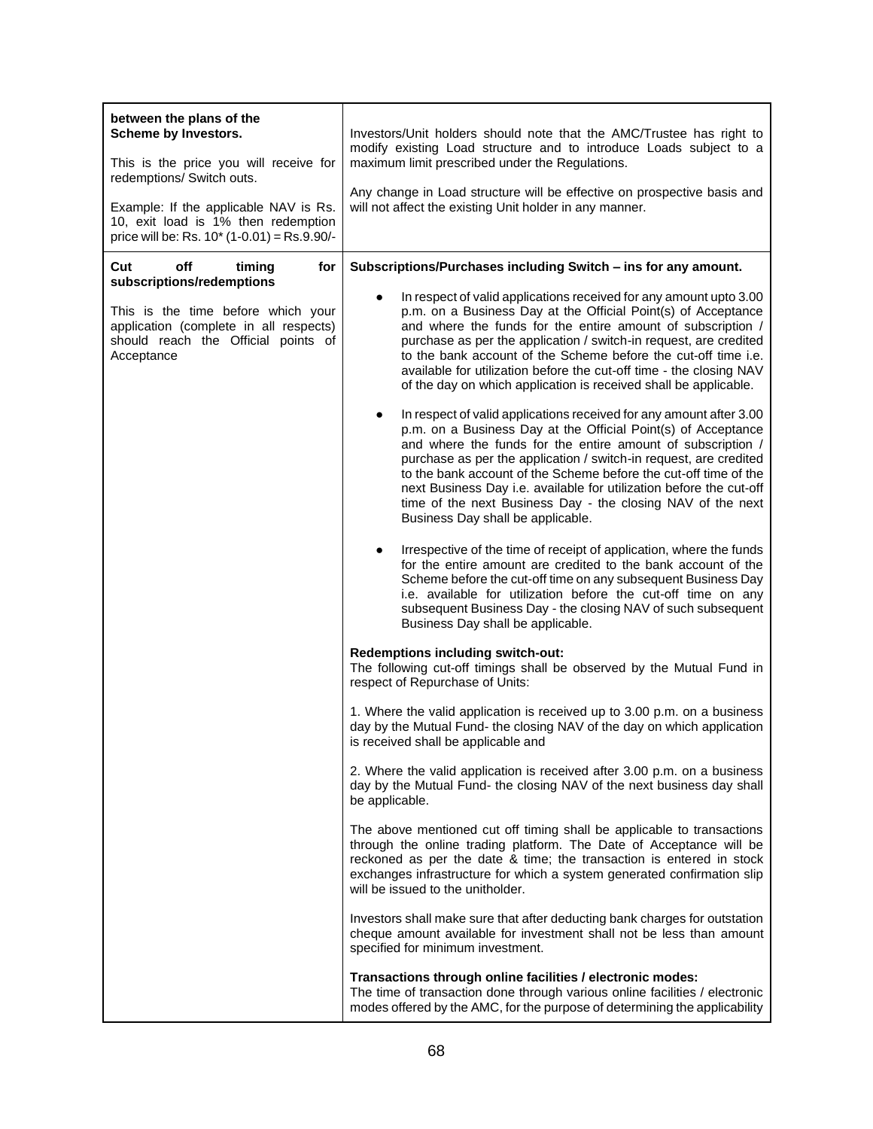| between the plans of the<br>Scheme by Investors.<br>This is the price you will receive for<br>redemptions/ Switch outs.<br>Example: If the applicable NAV is Rs.<br>10, exit load is 1% then redemption<br>price will be: Rs. $10^*$ (1-0.01) = Rs. 9.90/- | Investors/Unit holders should note that the AMC/Trustee has right to<br>modify existing Load structure and to introduce Loads subject to a<br>maximum limit prescribed under the Regulations.<br>Any change in Load structure will be effective on prospective basis and<br>will not affect the existing Unit holder in any manner.                                                                                                                                                                                     |  |
|------------------------------------------------------------------------------------------------------------------------------------------------------------------------------------------------------------------------------------------------------------|-------------------------------------------------------------------------------------------------------------------------------------------------------------------------------------------------------------------------------------------------------------------------------------------------------------------------------------------------------------------------------------------------------------------------------------------------------------------------------------------------------------------------|--|
| Cut<br>off<br>timing<br>for<br>subscriptions/redemptions                                                                                                                                                                                                   | Subscriptions/Purchases including Switch - ins for any amount.                                                                                                                                                                                                                                                                                                                                                                                                                                                          |  |
| This is the time before which your<br>application (complete in all respects)<br>should reach the Official points of<br>Acceptance                                                                                                                          | In respect of valid applications received for any amount upto 3.00<br>p.m. on a Business Day at the Official Point(s) of Acceptance<br>and where the funds for the entire amount of subscription /<br>purchase as per the application / switch-in request, are credited<br>to the bank account of the Scheme before the cut-off time i.e.<br>available for utilization before the cut-off time - the closing NAV<br>of the day on which application is received shall be applicable.                                    |  |
|                                                                                                                                                                                                                                                            | In respect of valid applications received for any amount after 3.00<br>p.m. on a Business Day at the Official Point(s) of Acceptance<br>and where the funds for the entire amount of subscription /<br>purchase as per the application / switch-in request, are credited<br>to the bank account of the Scheme before the cut-off time of the<br>next Business Day i.e. available for utilization before the cut-off<br>time of the next Business Day - the closing NAV of the next<br>Business Day shall be applicable. |  |
|                                                                                                                                                                                                                                                            | Irrespective of the time of receipt of application, where the funds<br>$\bullet$<br>for the entire amount are credited to the bank account of the<br>Scheme before the cut-off time on any subsequent Business Day<br>i.e. available for utilization before the cut-off time on any<br>subsequent Business Day - the closing NAV of such subsequent<br>Business Day shall be applicable.                                                                                                                                |  |
|                                                                                                                                                                                                                                                            | Redemptions including switch-out:<br>The following cut-off timings shall be observed by the Mutual Fund in<br>respect of Repurchase of Units:<br>1. Where the valid application is received up to 3.00 p.m. on a business<br>day by the Mutual Fund- the closing NAV of the day on which application<br>is received shall be applicable and<br>2. Where the valid application is received after 3.00 p.m. on a business<br>day by the Mutual Fund- the closing NAV of the next business day shall<br>be applicable.     |  |
|                                                                                                                                                                                                                                                            |                                                                                                                                                                                                                                                                                                                                                                                                                                                                                                                         |  |
|                                                                                                                                                                                                                                                            |                                                                                                                                                                                                                                                                                                                                                                                                                                                                                                                         |  |
|                                                                                                                                                                                                                                                            | The above mentioned cut off timing shall be applicable to transactions<br>through the online trading platform. The Date of Acceptance will be<br>reckoned as per the date & time; the transaction is entered in stock<br>exchanges infrastructure for which a system generated confirmation slip<br>will be issued to the unitholder.                                                                                                                                                                                   |  |
|                                                                                                                                                                                                                                                            | Investors shall make sure that after deducting bank charges for outstation<br>cheque amount available for investment shall not be less than amount<br>specified for minimum investment.                                                                                                                                                                                                                                                                                                                                 |  |
|                                                                                                                                                                                                                                                            | Transactions through online facilities / electronic modes:<br>The time of transaction done through various online facilities / electronic<br>modes offered by the AMC, for the purpose of determining the applicability                                                                                                                                                                                                                                                                                                 |  |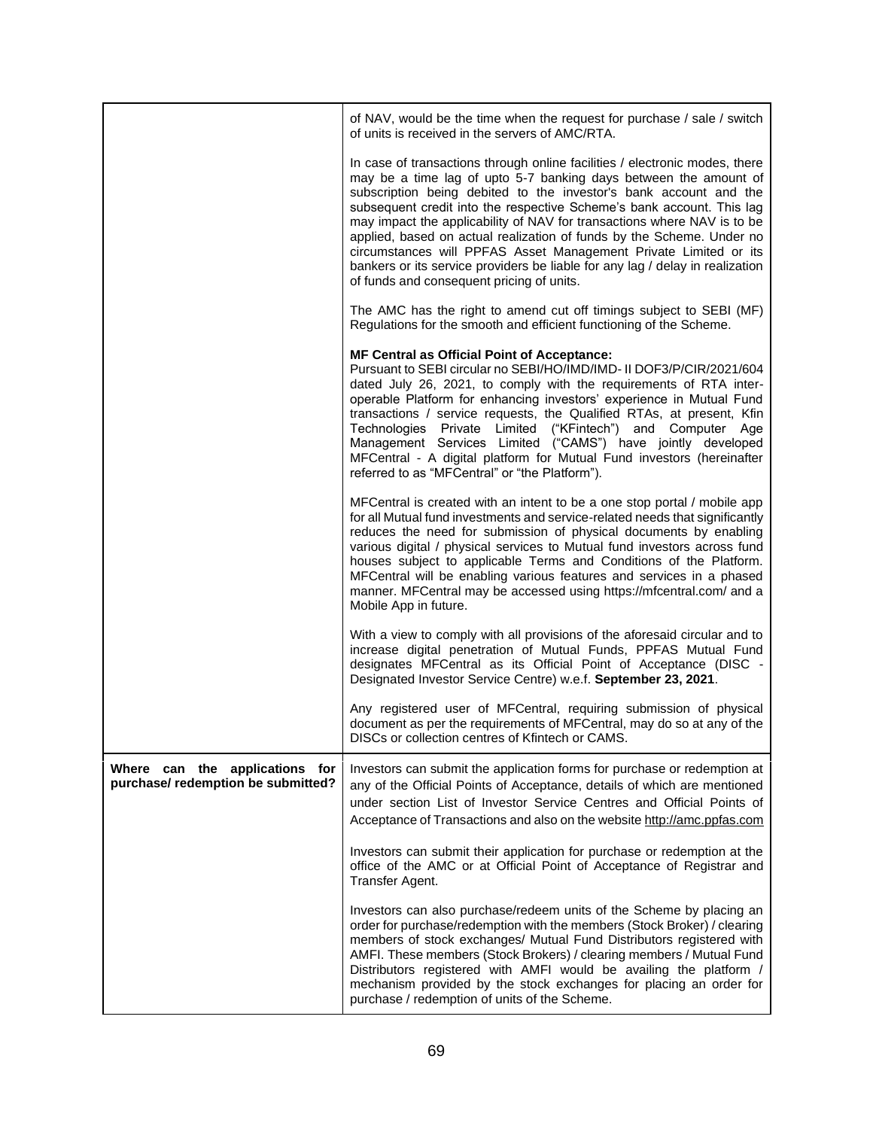|                                                                      | of NAV, would be the time when the request for purchase / sale / switch<br>of units is received in the servers of AMC/RTA.                                                                                                                                                                                                                                                                                                                                                                                                                                                                                                                          |
|----------------------------------------------------------------------|-----------------------------------------------------------------------------------------------------------------------------------------------------------------------------------------------------------------------------------------------------------------------------------------------------------------------------------------------------------------------------------------------------------------------------------------------------------------------------------------------------------------------------------------------------------------------------------------------------------------------------------------------------|
|                                                                      | In case of transactions through online facilities / electronic modes, there<br>may be a time lag of upto 5-7 banking days between the amount of<br>subscription being debited to the investor's bank account and the<br>subsequent credit into the respective Scheme's bank account. This lag<br>may impact the applicability of NAV for transactions where NAV is to be<br>applied, based on actual realization of funds by the Scheme. Under no<br>circumstances will PPFAS Asset Management Private Limited or its<br>bankers or its service providers be liable for any lag / delay in realization<br>of funds and consequent pricing of units. |
|                                                                      | The AMC has the right to amend cut off timings subject to SEBI (MF)<br>Regulations for the smooth and efficient functioning of the Scheme.                                                                                                                                                                                                                                                                                                                                                                                                                                                                                                          |
|                                                                      | <b>MF Central as Official Point of Acceptance:</b><br>Pursuant to SEBI circular no SEBI/HO/IMD/IMD- II DOF3/P/CIR/2021/604<br>dated July 26, 2021, to comply with the requirements of RTA inter-<br>operable Platform for enhancing investors' experience in Mutual Fund<br>transactions / service requests, the Qualified RTAs, at present, Kfin<br>Technologies Private Limited ("KFintech") and Computer Age<br>Management Services Limited ("CAMS") have jointly developed<br>MFCentral - A digital platform for Mutual Fund investors (hereinafter<br>referred to as "MFCentral" or "the Platform").                                           |
|                                                                      | MFCentral is created with an intent to be a one stop portal / mobile app<br>for all Mutual fund investments and service-related needs that significantly<br>reduces the need for submission of physical documents by enabling<br>various digital / physical services to Mutual fund investors across fund<br>houses subject to applicable Terms and Conditions of the Platform.<br>MFCentral will be enabling various features and services in a phased<br>manner. MFCentral may be accessed using https://mfcentral.com/ and a<br>Mobile App in future.                                                                                            |
|                                                                      | With a view to comply with all provisions of the aforesaid circular and to<br>increase digital penetration of Mutual Funds, PPFAS Mutual Fund<br>designates MFCentral as its Official Point of Acceptance (DISC -<br>Designated Investor Service Centre) w.e.f. September 23, 2021.                                                                                                                                                                                                                                                                                                                                                                 |
|                                                                      | Any registered user of MFCentral, requiring submission of physical<br>document as per the requirements of MFCentral, may do so at any of the<br>DISCs or collection centres of Kfintech or CAMS.                                                                                                                                                                                                                                                                                                                                                                                                                                                    |
| Where can the applications for<br>purchase/ redemption be submitted? | Investors can submit the application forms for purchase or redemption at<br>any of the Official Points of Acceptance, details of which are mentioned<br>under section List of Investor Service Centres and Official Points of<br>Acceptance of Transactions and also on the website http://amc.ppfas.com                                                                                                                                                                                                                                                                                                                                            |
|                                                                      | Investors can submit their application for purchase or redemption at the<br>office of the AMC or at Official Point of Acceptance of Registrar and<br>Transfer Agent.                                                                                                                                                                                                                                                                                                                                                                                                                                                                                |
|                                                                      | Investors can also purchase/redeem units of the Scheme by placing an<br>order for purchase/redemption with the members (Stock Broker) / clearing<br>members of stock exchanges/ Mutual Fund Distributors registered with<br>AMFI. These members (Stock Brokers) / clearing members / Mutual Fund<br>Distributors registered with AMFI would be availing the platform /<br>mechanism provided by the stock exchanges for placing an order for<br>purchase / redemption of units of the Scheme.                                                                                                                                                       |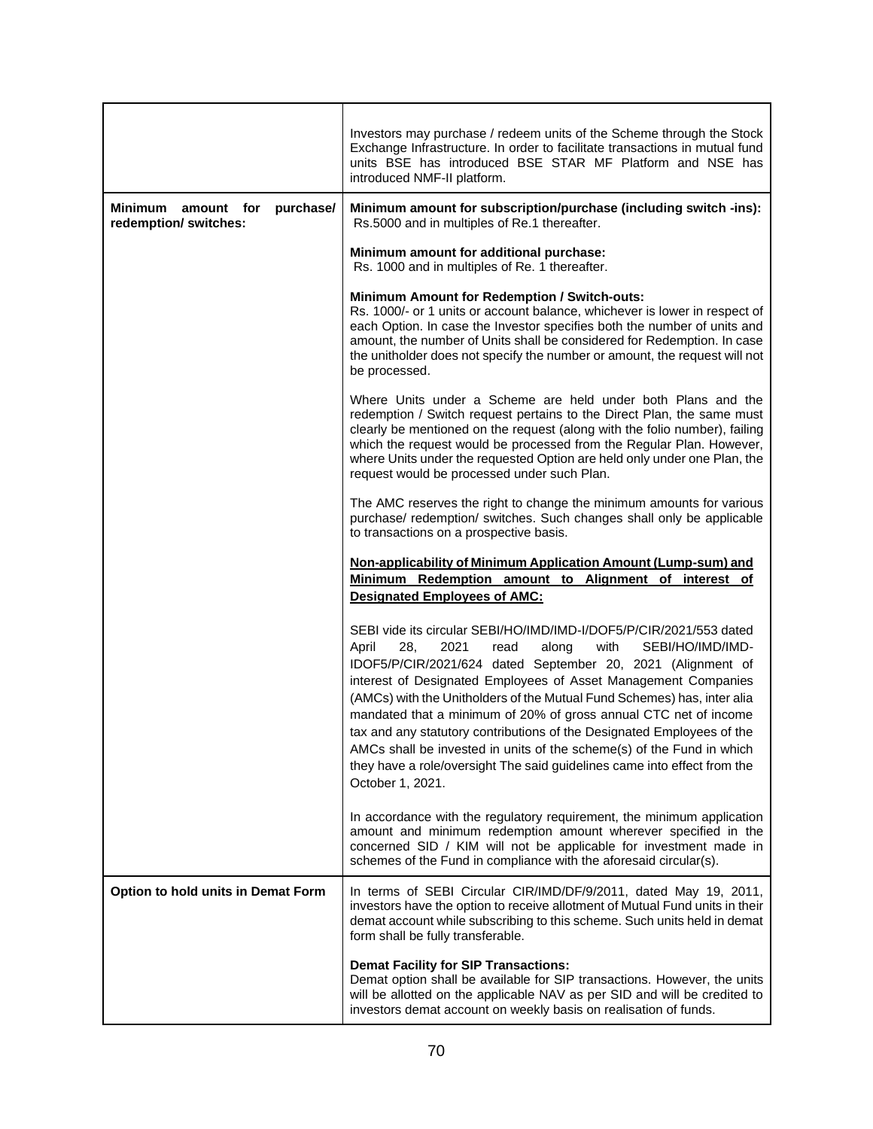|                                                                    | Investors may purchase / redeem units of the Scheme through the Stock<br>Exchange Infrastructure. In order to facilitate transactions in mutual fund<br>units BSE has introduced BSE STAR MF Platform and NSE has<br>introduced NMF-II platform.                                                                                                                                                                                                                                                                                                                                                                                                                           |  |  |
|--------------------------------------------------------------------|----------------------------------------------------------------------------------------------------------------------------------------------------------------------------------------------------------------------------------------------------------------------------------------------------------------------------------------------------------------------------------------------------------------------------------------------------------------------------------------------------------------------------------------------------------------------------------------------------------------------------------------------------------------------------|--|--|
| <b>Minimum</b><br>purchase/<br>amount for<br>redemption/ switches: | Minimum amount for subscription/purchase (including switch -ins):<br>Rs.5000 and in multiples of Re.1 thereafter.                                                                                                                                                                                                                                                                                                                                                                                                                                                                                                                                                          |  |  |
|                                                                    | Minimum amount for additional purchase:<br>Rs. 1000 and in multiples of Re. 1 thereafter.                                                                                                                                                                                                                                                                                                                                                                                                                                                                                                                                                                                  |  |  |
|                                                                    | <b>Minimum Amount for Redemption / Switch-outs:</b><br>Rs. 1000/- or 1 units or account balance, whichever is lower in respect of<br>each Option. In case the Investor specifies both the number of units and<br>amount, the number of Units shall be considered for Redemption. In case<br>the unitholder does not specify the number or amount, the request will not<br>be processed.                                                                                                                                                                                                                                                                                    |  |  |
|                                                                    | Where Units under a Scheme are held under both Plans and the<br>redemption / Switch request pertains to the Direct Plan, the same must<br>clearly be mentioned on the request (along with the folio number), failing<br>which the request would be processed from the Regular Plan. However,<br>where Units under the requested Option are held only under one Plan, the<br>request would be processed under such Plan.                                                                                                                                                                                                                                                    |  |  |
|                                                                    | The AMC reserves the right to change the minimum amounts for various<br>purchase/ redemption/ switches. Such changes shall only be applicable<br>to transactions on a prospective basis.                                                                                                                                                                                                                                                                                                                                                                                                                                                                                   |  |  |
|                                                                    | Non-applicability of Minimum Application Amount (Lump-sum) and<br>Minimum Redemption amount to Alignment of interest of<br><b>Designated Employees of AMC:</b>                                                                                                                                                                                                                                                                                                                                                                                                                                                                                                             |  |  |
|                                                                    | SEBI vide its circular SEBI/HO/IMD/IMD-I/DOF5/P/CIR/2021/553 dated<br>with<br>28,<br>2021<br>read<br>along<br>SEBI/HO/IMD/IMD-<br>April<br>IDOF5/P/CIR/2021/624 dated September 20, 2021 (Alignment of<br>interest of Designated Employees of Asset Management Companies<br>(AMCs) with the Unitholders of the Mutual Fund Schemes) has, inter alia<br>mandated that a minimum of 20% of gross annual CTC net of income<br>tax and any statutory contributions of the Designated Employees of the<br>AMCs shall be invested in units of the scheme(s) of the Fund in which<br>they have a role/oversight The said guidelines came into effect from the<br>October 1, 2021. |  |  |
|                                                                    | In accordance with the regulatory requirement, the minimum application<br>amount and minimum redemption amount wherever specified in the<br>concerned SID / KIM will not be applicable for investment made in<br>schemes of the Fund in compliance with the aforesaid circular(s).                                                                                                                                                                                                                                                                                                                                                                                         |  |  |
| Option to hold units in Demat Form                                 | In terms of SEBI Circular CIR/IMD/DF/9/2011, dated May 19, 2011,<br>investors have the option to receive allotment of Mutual Fund units in their<br>demat account while subscribing to this scheme. Such units held in demat<br>form shall be fully transferable.                                                                                                                                                                                                                                                                                                                                                                                                          |  |  |
|                                                                    | <b>Demat Facility for SIP Transactions:</b><br>Demat option shall be available for SIP transactions. However, the units<br>will be allotted on the applicable NAV as per SID and will be credited to<br>investors demat account on weekly basis on realisation of funds.                                                                                                                                                                                                                                                                                                                                                                                                   |  |  |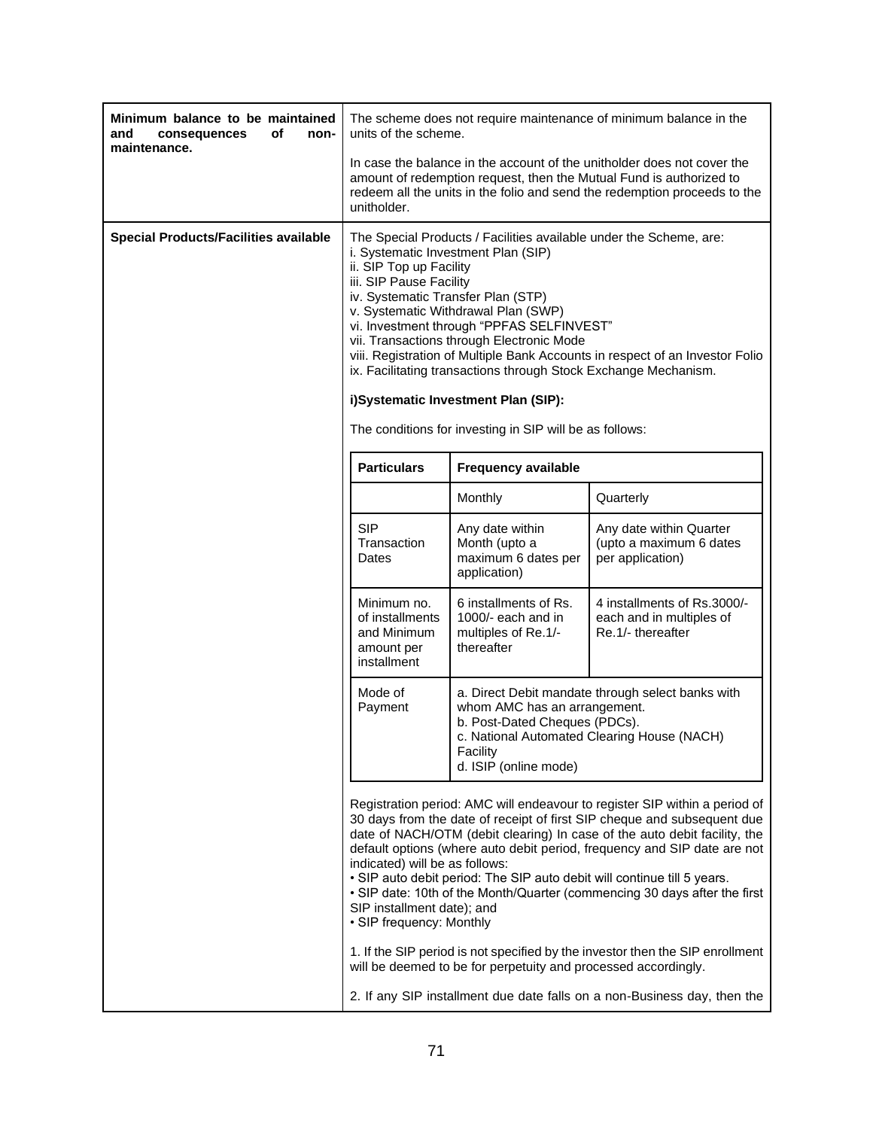| Minimum balance to be maintained<br>of<br>and<br>consequences<br>non-<br>maintenance. | The scheme does not require maintenance of minimum balance in the<br>units of the scheme.                                                                                                                                                                                                                                                                                                                                                                                                                                                                                                                                                                                                                                                                                                         |                                                                                  |                                                                              |
|---------------------------------------------------------------------------------------|---------------------------------------------------------------------------------------------------------------------------------------------------------------------------------------------------------------------------------------------------------------------------------------------------------------------------------------------------------------------------------------------------------------------------------------------------------------------------------------------------------------------------------------------------------------------------------------------------------------------------------------------------------------------------------------------------------------------------------------------------------------------------------------------------|----------------------------------------------------------------------------------|------------------------------------------------------------------------------|
|                                                                                       | In case the balance in the account of the unitholder does not cover the<br>amount of redemption request, then the Mutual Fund is authorized to<br>redeem all the units in the folio and send the redemption proceeds to the<br>unitholder.                                                                                                                                                                                                                                                                                                                                                                                                                                                                                                                                                        |                                                                                  |                                                                              |
| <b>Special Products/Facilities available</b>                                          | The Special Products / Facilities available under the Scheme, are:<br>i. Systematic Investment Plan (SIP)<br>ii. SIP Top up Facility<br>iii. SIP Pause Facility<br>iv. Systematic Transfer Plan (STP)<br>v. Systematic Withdrawal Plan (SWP)<br>vi. Investment through "PPFAS SELFINVEST"<br>vii. Transactions through Electronic Mode<br>viii. Registration of Multiple Bank Accounts in respect of an Investor Folio<br>ix. Facilitating transactions through Stock Exchange Mechanism.<br>i)Systematic Investment Plan (SIP):                                                                                                                                                                                                                                                                  |                                                                                  |                                                                              |
|                                                                                       | The conditions for investing in SIP will be as follows:                                                                                                                                                                                                                                                                                                                                                                                                                                                                                                                                                                                                                                                                                                                                           |                                                                                  |                                                                              |
|                                                                                       | <b>Particulars</b>                                                                                                                                                                                                                                                                                                                                                                                                                                                                                                                                                                                                                                                                                                                                                                                | <b>Frequency available</b>                                                       |                                                                              |
|                                                                                       |                                                                                                                                                                                                                                                                                                                                                                                                                                                                                                                                                                                                                                                                                                                                                                                                   | Monthly                                                                          | Quarterly                                                                    |
|                                                                                       | <b>SIP</b><br>Transaction<br>Dates                                                                                                                                                                                                                                                                                                                                                                                                                                                                                                                                                                                                                                                                                                                                                                | Any date within<br>Month (upto a<br>maximum 6 dates per<br>application)          | Any date within Quarter<br>(upto a maximum 6 dates<br>per application)       |
|                                                                                       | Minimum no.<br>of installments<br>and Minimum<br>amount per<br>installment                                                                                                                                                                                                                                                                                                                                                                                                                                                                                                                                                                                                                                                                                                                        | 6 installments of Rs.<br>1000/- each and in<br>multiples of Re.1/-<br>thereafter | 4 installments of Rs.3000/-<br>each and in multiples of<br>Re.1/- thereafter |
|                                                                                       | Mode of<br>a. Direct Debit mandate through select banks with<br>Payment<br>whom AMC has an arrangement.<br>b. Post-Dated Cheques (PDCs).<br>c. National Automated Clearing House (NACH)<br>Facility<br>d. ISIP (online mode)                                                                                                                                                                                                                                                                                                                                                                                                                                                                                                                                                                      |                                                                                  |                                                                              |
|                                                                                       | Registration period: AMC will endeavour to register SIP within a period of<br>30 days from the date of receipt of first SIP cheque and subsequent due<br>date of NACH/OTM (debit clearing) In case of the auto debit facility, the<br>default options (where auto debit period, frequency and SIP date are not<br>indicated) will be as follows:<br>. SIP auto debit period: The SIP auto debit will continue till 5 years.<br>• SIP date: 10th of the Month/Quarter (commencing 30 days after the first<br>SIP installment date); and<br>• SIP frequency: Monthly<br>1. If the SIP period is not specified by the investor then the SIP enrollment<br>will be deemed to be for perpetuity and processed accordingly.<br>2. If any SIP installment due date falls on a non-Business day, then the |                                                                                  |                                                                              |
|                                                                                       |                                                                                                                                                                                                                                                                                                                                                                                                                                                                                                                                                                                                                                                                                                                                                                                                   |                                                                                  |                                                                              |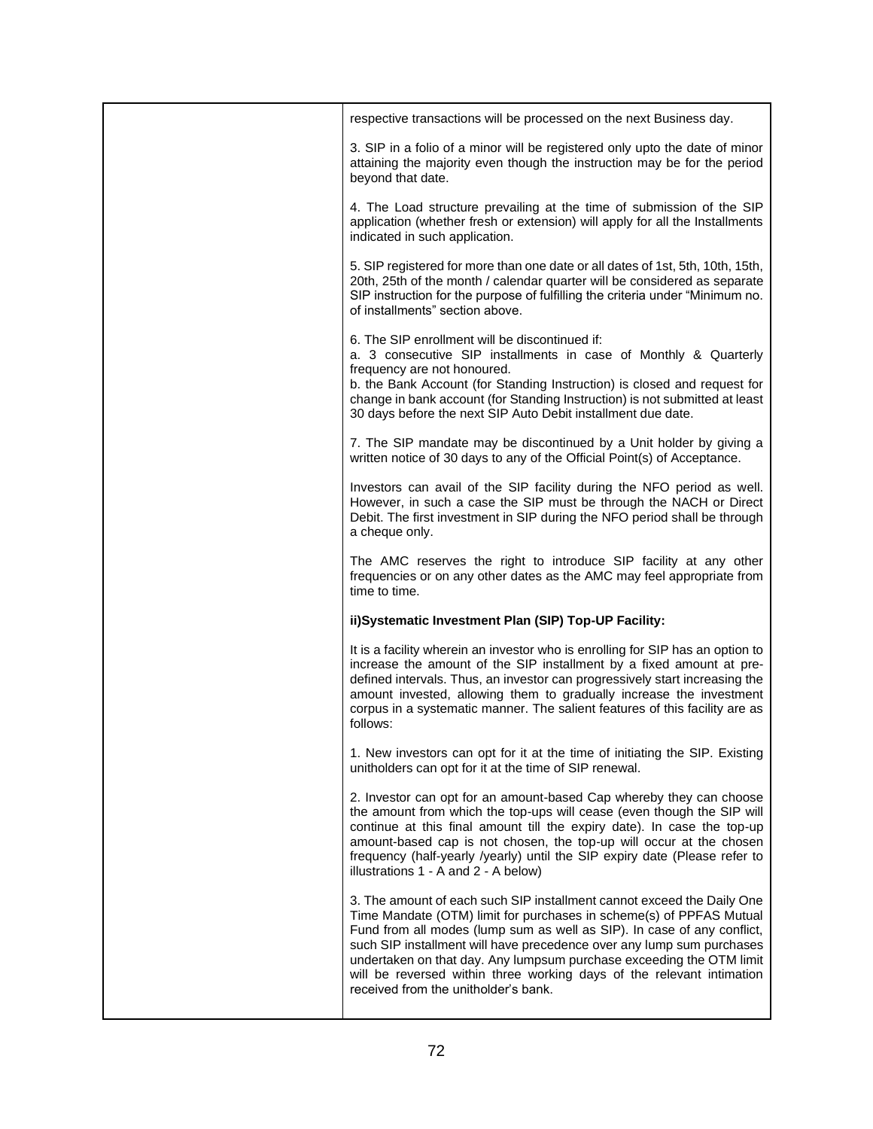| respective transactions will be processed on the next Business day.                                                                                                                                                                                                                                                                                                                                                                                                                        |
|--------------------------------------------------------------------------------------------------------------------------------------------------------------------------------------------------------------------------------------------------------------------------------------------------------------------------------------------------------------------------------------------------------------------------------------------------------------------------------------------|
| 3. SIP in a folio of a minor will be registered only upto the date of minor<br>attaining the majority even though the instruction may be for the period<br>beyond that date.                                                                                                                                                                                                                                                                                                               |
| 4. The Load structure prevailing at the time of submission of the SIP<br>application (whether fresh or extension) will apply for all the Installments<br>indicated in such application.                                                                                                                                                                                                                                                                                                    |
| 5. SIP registered for more than one date or all dates of 1st, 5th, 10th, 15th,<br>20th, 25th of the month / calendar quarter will be considered as separate<br>SIP instruction for the purpose of fulfilling the criteria under "Minimum no.<br>of installments" section above.                                                                                                                                                                                                            |
| 6. The SIP enrollment will be discontinued if:<br>a. 3 consecutive SIP installments in case of Monthly & Quarterly<br>frequency are not honoured.<br>b. the Bank Account (for Standing Instruction) is closed and request for<br>change in bank account (for Standing Instruction) is not submitted at least<br>30 days before the next SIP Auto Debit installment due date.                                                                                                               |
| 7. The SIP mandate may be discontinued by a Unit holder by giving a<br>written notice of 30 days to any of the Official Point(s) of Acceptance.                                                                                                                                                                                                                                                                                                                                            |
| Investors can avail of the SIP facility during the NFO period as well.<br>However, in such a case the SIP must be through the NACH or Direct<br>Debit. The first investment in SIP during the NFO period shall be through<br>a cheque only.                                                                                                                                                                                                                                                |
| The AMC reserves the right to introduce SIP facility at any other<br>frequencies or on any other dates as the AMC may feel appropriate from<br>time to time.                                                                                                                                                                                                                                                                                                                               |
| ii)Systematic Investment Plan (SIP) Top-UP Facility:                                                                                                                                                                                                                                                                                                                                                                                                                                       |
| It is a facility wherein an investor who is enrolling for SIP has an option to<br>increase the amount of the SIP installment by a fixed amount at pre-<br>defined intervals. Thus, an investor can progressively start increasing the<br>amount invested, allowing them to gradually increase the investment<br>corpus in a systematic manner. The salient features of this facility are as<br>follows:                                                                                    |
| 1. New investors can opt for it at the time of initiating the SIP. Existing<br>unitholders can opt for it at the time of SIP renewal.                                                                                                                                                                                                                                                                                                                                                      |
| 2. Investor can opt for an amount-based Cap whereby they can choose<br>the amount from which the top-ups will cease (even though the SIP will<br>continue at this final amount till the expiry date). In case the top-up<br>amount-based cap is not chosen, the top-up will occur at the chosen<br>frequency (half-yearly /yearly) until the SIP expiry date (Please refer to<br>illustrations 1 - A and 2 - A below)                                                                      |
| 3. The amount of each such SIP installment cannot exceed the Daily One<br>Time Mandate (OTM) limit for purchases in scheme(s) of PPFAS Mutual<br>Fund from all modes (lump sum as well as SIP). In case of any conflict,<br>such SIP installment will have precedence over any lump sum purchases<br>undertaken on that day. Any lumpsum purchase exceeding the OTM limit<br>will be reversed within three working days of the relevant intimation<br>received from the unitholder's bank. |
|                                                                                                                                                                                                                                                                                                                                                                                                                                                                                            |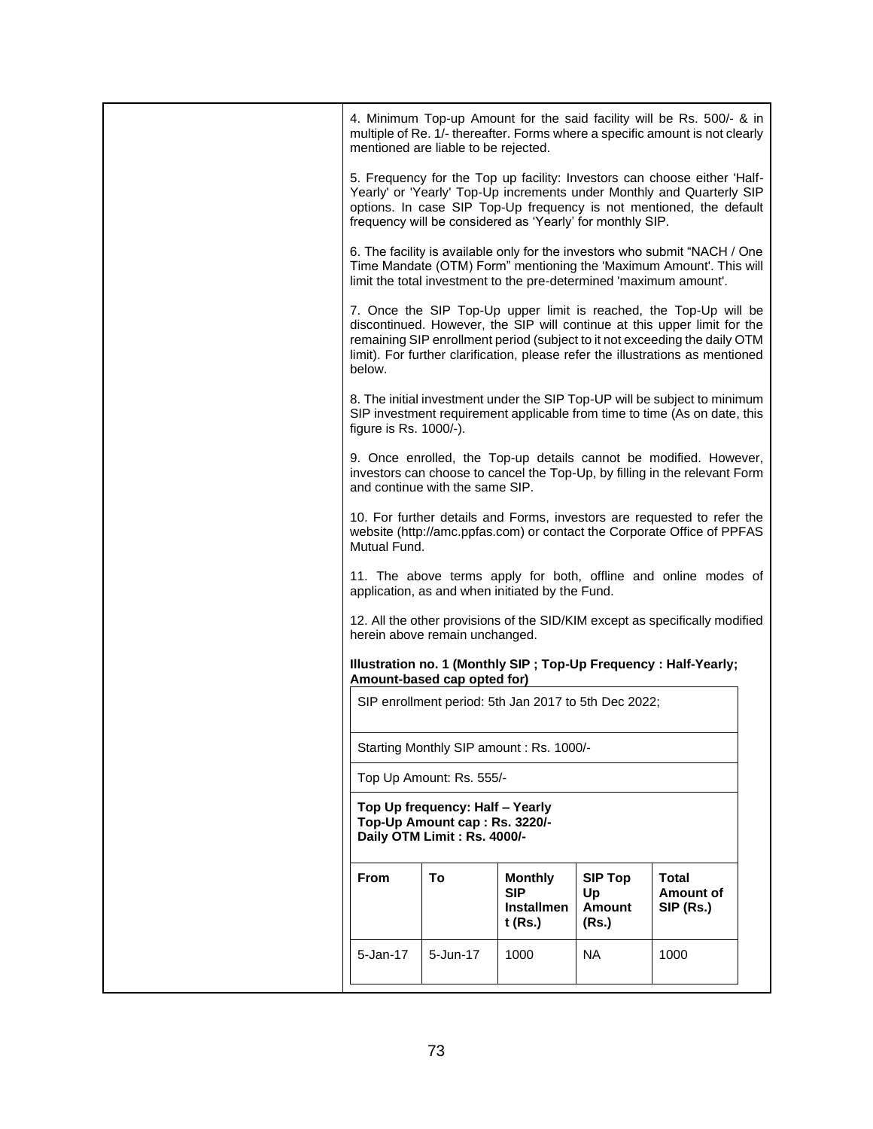|                        | mentioned are liable to be rejected.                                                            |                                                              |                                                | 4. Minimum Top-up Amount for the said facility will be Rs. 500/- & in<br>multiple of Re. 1/- thereafter. Forms where a specific amount is not clearly                                                                                                                                                         |  |
|------------------------|-------------------------------------------------------------------------------------------------|--------------------------------------------------------------|------------------------------------------------|---------------------------------------------------------------------------------------------------------------------------------------------------------------------------------------------------------------------------------------------------------------------------------------------------------------|--|
|                        |                                                                                                 | frequency will be considered as 'Yearly' for monthly SIP.    |                                                | 5. Frequency for the Top up facility: Investors can choose either 'Half-<br>Yearly' or 'Yearly' Top-Up increments under Monthly and Quarterly SIP<br>options. In case SIP Top-Up frequency is not mentioned, the default                                                                                      |  |
|                        |                                                                                                 |                                                              |                                                | 6. The facility is available only for the investors who submit "NACH / One<br>Time Mandate (OTM) Form" mentioning the 'Maximum Amount'. This will<br>limit the total investment to the pre-determined 'maximum amount'.                                                                                       |  |
| below.                 |                                                                                                 |                                                              |                                                | 7. Once the SIP Top-Up upper limit is reached, the Top-Up will be<br>discontinued. However, the SIP will continue at this upper limit for the<br>remaining SIP enrollment period (subject to it not exceeding the daily OTM<br>limit). For further clarification, please refer the illustrations as mentioned |  |
| figure is Rs. 1000/-). |                                                                                                 |                                                              |                                                | 8. The initial investment under the SIP Top-UP will be subject to minimum<br>SIP investment requirement applicable from time to time (As on date, this                                                                                                                                                        |  |
|                        | and continue with the same SIP.                                                                 |                                                              |                                                | 9. Once enrolled, the Top-up details cannot be modified. However,<br>investors can choose to cancel the Top-Up, by filling in the relevant Form                                                                                                                                                               |  |
| Mutual Fund.           |                                                                                                 |                                                              |                                                | 10. For further details and Forms, investors are requested to refer the<br>website (http://amc.ppfas.com) or contact the Corporate Office of PPFAS                                                                                                                                                            |  |
|                        |                                                                                                 | application, as and when initiated by the Fund.              |                                                | 11. The above terms apply for both, offline and online modes of                                                                                                                                                                                                                                               |  |
|                        | herein above remain unchanged.                                                                  |                                                              |                                                | 12. All the other provisions of the SID/KIM except as specifically modified                                                                                                                                                                                                                                   |  |
|                        | Amount-based cap opted for)                                                                     |                                                              |                                                | Illustration no. 1 (Monthly SIP ; Top-Up Frequency : Half-Yearly;                                                                                                                                                                                                                                             |  |
|                        |                                                                                                 | SIP enrollment period: 5th Jan 2017 to 5th Dec 2022;         |                                                |                                                                                                                                                                                                                                                                                                               |  |
|                        |                                                                                                 | Starting Monthly SIP amount : Rs. 1000/-                     |                                                |                                                                                                                                                                                                                                                                                                               |  |
|                        | Top Up Amount: Rs. 555/-                                                                        |                                                              |                                                |                                                                                                                                                                                                                                                                                                               |  |
|                        | Top Up frequency: Half - Yearly<br>Top-Up Amount cap: Rs. 3220/-<br>Daily OTM Limit: Rs. 4000/- |                                                              |                                                |                                                                                                                                                                                                                                                                                                               |  |
| <b>From</b>            | To                                                                                              | <b>Monthly</b><br><b>SIP</b><br><b>Installmen</b><br>t (Rs.) | <b>SIP Top</b><br>Up<br><b>Amount</b><br>(Rs.) | <b>Total</b><br><b>Amount of</b><br>SIP (Rs.)                                                                                                                                                                                                                                                                 |  |
| 5-Jan-17               | 5-Jun-17                                                                                        | 1000                                                         | <b>NA</b>                                      | 1000                                                                                                                                                                                                                                                                                                          |  |
|                        |                                                                                                 |                                                              |                                                |                                                                                                                                                                                                                                                                                                               |  |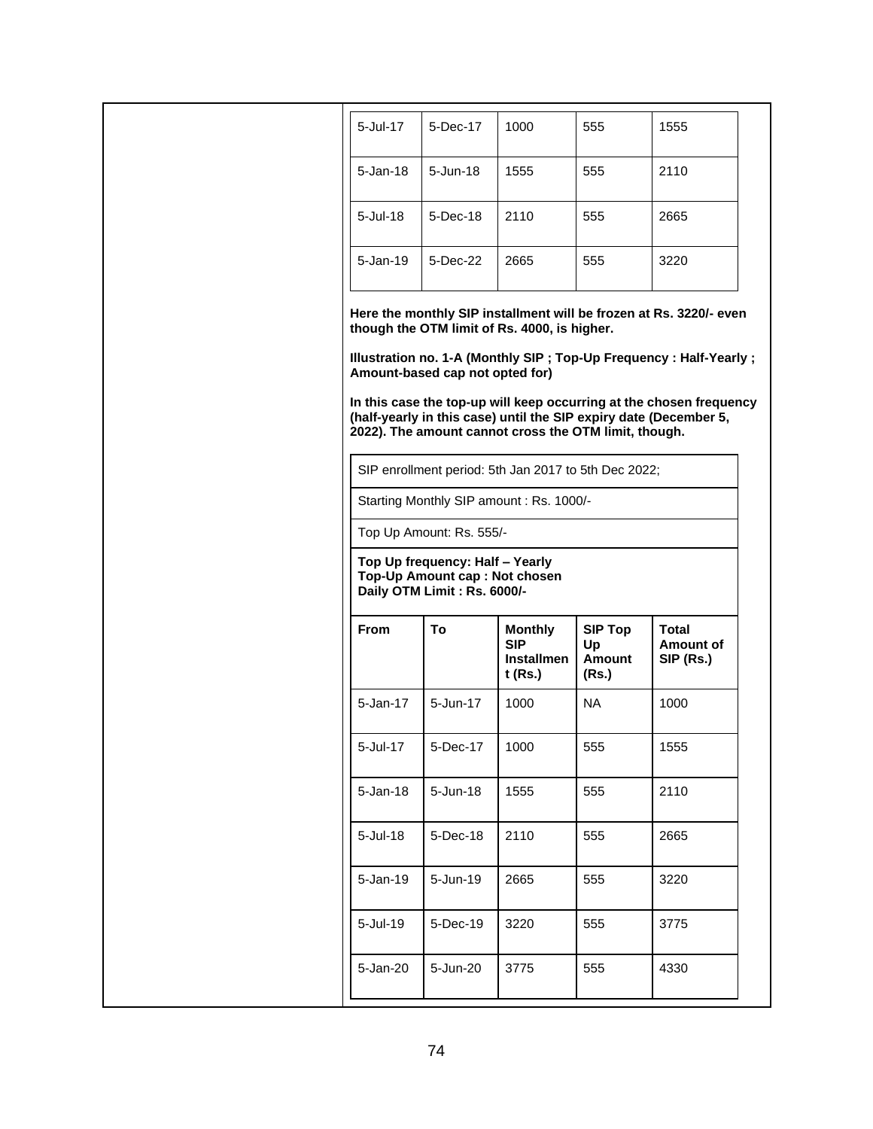| 5-Jul-17        | 5-Dec-17                                                                                                                                                         | 1000                                                                                                                                                                                                      | 555                                     | 1555                                                                                                                                                                                                                                                                                   |  |
|-----------------|------------------------------------------------------------------------------------------------------------------------------------------------------------------|-----------------------------------------------------------------------------------------------------------------------------------------------------------------------------------------------------------|-----------------------------------------|----------------------------------------------------------------------------------------------------------------------------------------------------------------------------------------------------------------------------------------------------------------------------------------|--|
| $5 - Jan-18$    | 5-Jun-18                                                                                                                                                         | 1555                                                                                                                                                                                                      | 555                                     | 2110                                                                                                                                                                                                                                                                                   |  |
| $5 -$ Jul $-18$ | 5-Dec-18                                                                                                                                                         | 2110                                                                                                                                                                                                      | 555                                     | 2665                                                                                                                                                                                                                                                                                   |  |
| $5 - Jan-19$    | 5-Dec-22                                                                                                                                                         | 2665                                                                                                                                                                                                      | 555                                     | 3220                                                                                                                                                                                                                                                                                   |  |
|                 | Amount-based cap not opted for)<br>Top Up Amount: Rs. 555/-<br>Top Up frequency: Half - Yearly<br>Top-Up Amount cap : Not chosen<br>Daily OTM Limit : Rs. 6000/- | though the OTM limit of Rs. 4000, is higher.<br>2022). The amount cannot cross the OTM limit, though.<br>SIP enrollment period: 5th Jan 2017 to 5th Dec 2022;<br>Starting Monthly SIP amount : Rs. 1000/- |                                         | Here the monthly SIP installment will be frozen at Rs. 3220/- even<br>Illustration no. 1-A (Monthly SIP ; Top-Up Frequency : Half-Yearly ;<br>In this case the top-up will keep occurring at the chosen frequency<br>(half-yearly in this case) until the SIP expiry date (December 5, |  |
| <b>From</b>     | To                                                                                                                                                               | <b>Monthly</b><br><b>SIP</b><br><b>Installmen</b><br>$t$ (Rs.)                                                                                                                                            | <b>SIP Top</b><br>Up<br>Amount<br>(Rs.) | Total<br><b>Amount of</b><br>SIP (Rs.)                                                                                                                                                                                                                                                 |  |
| 5-Jan-17        | 5-Jun-17                                                                                                                                                         | 1000                                                                                                                                                                                                      | <b>NA</b>                               | 1000                                                                                                                                                                                                                                                                                   |  |
| 5-Jul-17        | 5-Dec-17                                                                                                                                                         | 1000                                                                                                                                                                                                      | 555                                     | 1555                                                                                                                                                                                                                                                                                   |  |
| 5-Jan-18        | 5-Jun-18                                                                                                                                                         | 1555                                                                                                                                                                                                      | 555                                     | 2110                                                                                                                                                                                                                                                                                   |  |
| 5-Jul-18        | 5-Dec-18                                                                                                                                                         | 2110                                                                                                                                                                                                      | 555                                     | 2665                                                                                                                                                                                                                                                                                   |  |
| 5-Jan-19        | 5-Jun-19                                                                                                                                                         | 2665                                                                                                                                                                                                      | 555                                     | 3220                                                                                                                                                                                                                                                                                   |  |
| 5-Jul-19        | 5-Dec-19                                                                                                                                                         | 3220                                                                                                                                                                                                      | 555                                     | 3775                                                                                                                                                                                                                                                                                   |  |
| 5-Jan-20        | 5-Jun-20                                                                                                                                                         | 3775                                                                                                                                                                                                      | 555                                     | 4330                                                                                                                                                                                                                                                                                   |  |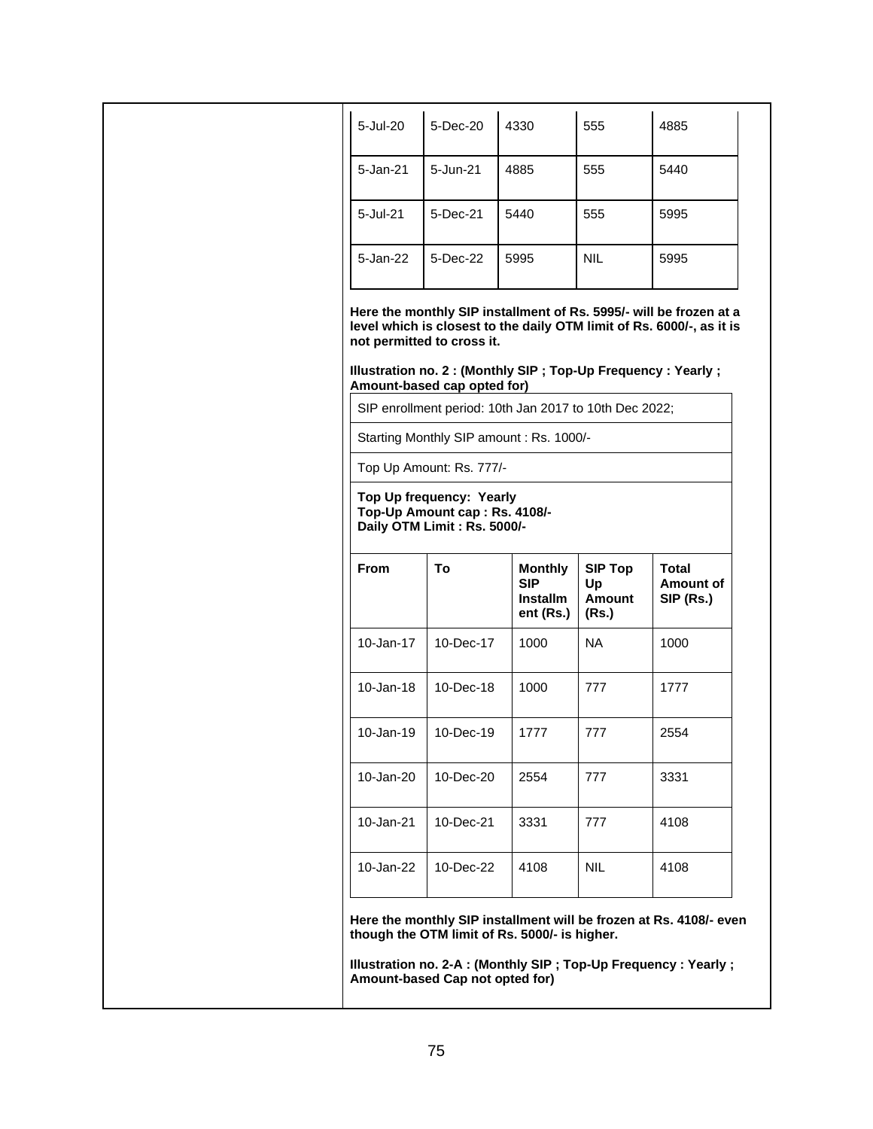| 5-Jul-20                 | 5-Dec-20                                                            | 4330                                                         | 555                                     | 4885                                                                                                                                     |
|--------------------------|---------------------------------------------------------------------|--------------------------------------------------------------|-----------------------------------------|------------------------------------------------------------------------------------------------------------------------------------------|
| 5-Jan-21                 | 5-Jun-21                                                            | 4885                                                         | 555                                     | 5440                                                                                                                                     |
| 5-Jul-21                 | 5-Dec-21                                                            | 5440                                                         | 555                                     | 5995                                                                                                                                     |
| 5-Jan-22                 | 5-Dec-22                                                            | 5995                                                         | <b>NIL</b>                              | 5995                                                                                                                                     |
|                          | not permitted to cross it.<br>Amount-based cap opted for)           | SIP enrollment period: 10th Jan 2017 to 10th Dec 2022;       |                                         | level which is closest to the daily OTM limit of Rs. 6000/-, as it is<br>Illustration no. 2 : (Monthly SIP ; Top-Up Frequency : Yearly ; |
|                          |                                                                     | Starting Monthly SIP amount : Rs. 1000/-                     |                                         |                                                                                                                                          |
|                          |                                                                     |                                                              |                                         |                                                                                                                                          |
| Top Up Amount: Rs. 777/- | Top Up frequency: Yearly                                            |                                                              |                                         |                                                                                                                                          |
| <b>From</b>              | Top-Up Amount cap : Rs. 4108/-<br>Daily OTM Limit: Rs. 5000/-<br>To | <b>Monthly</b><br><b>SIP</b><br><b>Installm</b><br>ent (Rs.) | <b>SIP Top</b><br>Up<br>Amount<br>(Rs.) | <b>Total</b><br><b>Amount of</b><br>SIP (Rs.)                                                                                            |
| 10-Jan-17                | 10-Dec-17                                                           | 1000                                                         | NA                                      | 1000                                                                                                                                     |
| $10 - Jan-18$            | 10-Dec-18                                                           | 1000                                                         | 777                                     | 1777                                                                                                                                     |
| 10-Jan-19                | 10-Dec-19                                                           | 1777                                                         | 777                                     | 2554                                                                                                                                     |
| 10-Jan-20                | 10-Dec-20                                                           | 2554                                                         | 777                                     | 3331                                                                                                                                     |
| 10-Jan-21                | 10-Dec-21                                                           | 3331                                                         | 777                                     | 4108                                                                                                                                     |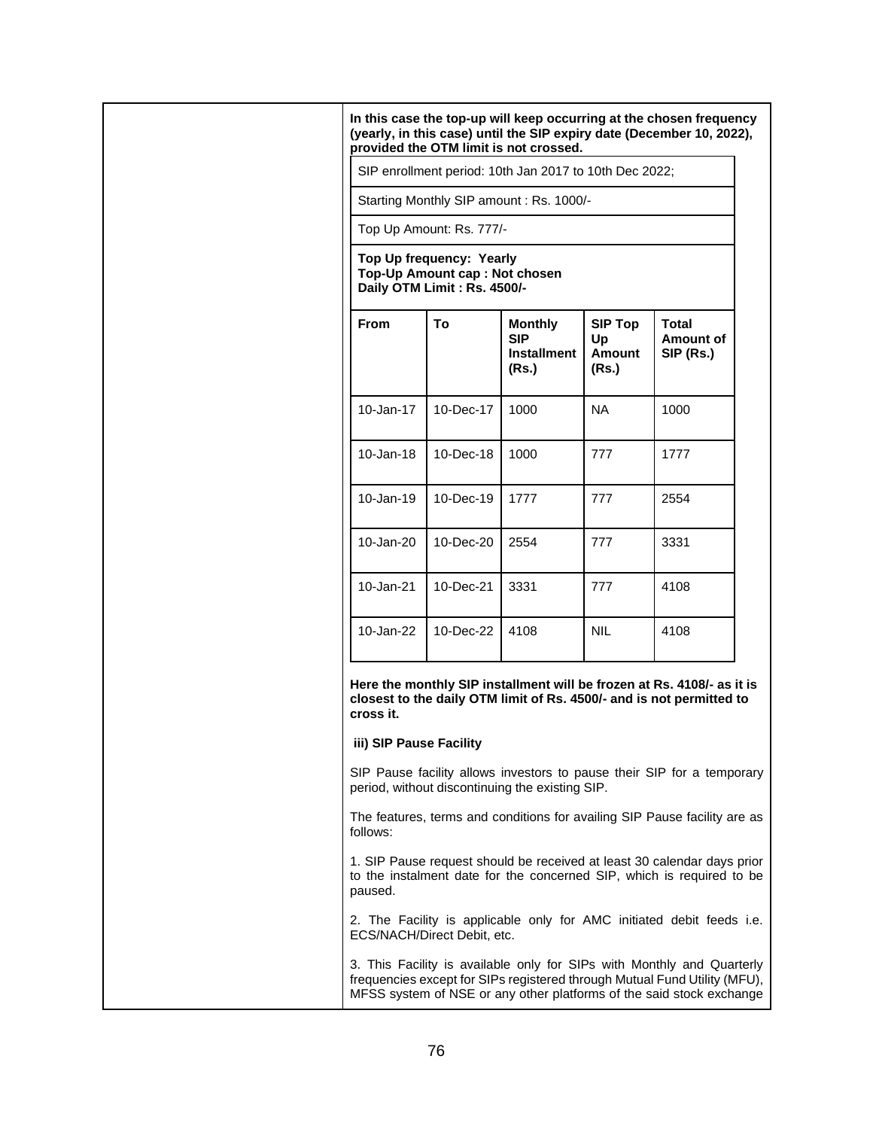|                         |                                                                                          | SIP enrollment period: 10th Jan 2017 to 10th Dec 2022;      |                                         |                                                                                                                                                                                                                             |
|-------------------------|------------------------------------------------------------------------------------------|-------------------------------------------------------------|-----------------------------------------|-----------------------------------------------------------------------------------------------------------------------------------------------------------------------------------------------------------------------------|
|                         |                                                                                          | Starting Monthly SIP amount : Rs. 1000/-                    |                                         |                                                                                                                                                                                                                             |
|                         | Top Up Amount: Rs. 777/-                                                                 |                                                             |                                         |                                                                                                                                                                                                                             |
|                         | Top Up frequency: Yearly<br>Top-Up Amount cap: Not chosen<br>Daily OTM Limit: Rs. 4500/- |                                                             |                                         |                                                                                                                                                                                                                             |
| <b>From</b>             | To                                                                                       | <b>Monthly</b><br><b>SIP</b><br><b>Installment</b><br>(Rs.) | <b>SIP Top</b><br>Up<br>Amount<br>(Rs.) | Total<br>Amount of<br>SIP (Rs.)                                                                                                                                                                                             |
| 10-Jan-17               | 10-Dec-17                                                                                | 1000                                                        | NA.                                     | 1000                                                                                                                                                                                                                        |
| $10 - Jan-18$           | 10-Dec-18                                                                                | 1000                                                        | 777                                     | 1777                                                                                                                                                                                                                        |
| 10-Jan-19               | 10-Dec-19                                                                                | 1777                                                        | 777                                     | 2554                                                                                                                                                                                                                        |
| 10-Jan-20               | 10-Dec-20                                                                                | 2554                                                        | 777                                     | 3331                                                                                                                                                                                                                        |
| 10-Jan-21               | 10-Dec-21                                                                                | 3331                                                        | 777                                     | 4108                                                                                                                                                                                                                        |
| 10-Jan-22               | 10-Dec-22                                                                                | 4108                                                        | <b>NIL</b>                              | 4108                                                                                                                                                                                                                        |
| cross it.               |                                                                                          |                                                             |                                         | Here the monthly SIP installment will be frozen at Rs. 4108/- as it is<br>closest to the daily OTM limit of Rs. 4500/- and is not permitted to                                                                              |
| iii) SIP Pause Facility |                                                                                          |                                                             |                                         |                                                                                                                                                                                                                             |
|                         |                                                                                          | period, without discontinuing the existing SIP.             |                                         | SIP Pause facility allows investors to pause their SIP for a temporary                                                                                                                                                      |
| follows:                |                                                                                          |                                                             |                                         | The features, terms and conditions for availing SIP Pause facility are as                                                                                                                                                   |
| paused.                 |                                                                                          |                                                             |                                         | 1. SIP Pause request should be received at least 30 calendar days prior<br>to the instalment date for the concerned SIP, which is required to be                                                                            |
|                         | ECS/NACH/Direct Debit, etc.                                                              |                                                             |                                         | 2. The Facility is applicable only for AMC initiated debit feeds i.e.                                                                                                                                                       |
|                         |                                                                                          |                                                             |                                         | 3. This Facility is available only for SIPs with Monthly and Quarterly<br>frequencies except for SIPs registered through Mutual Fund Utility (MFU),<br>MFSS system of NSE or any other platforms of the said stock exchange |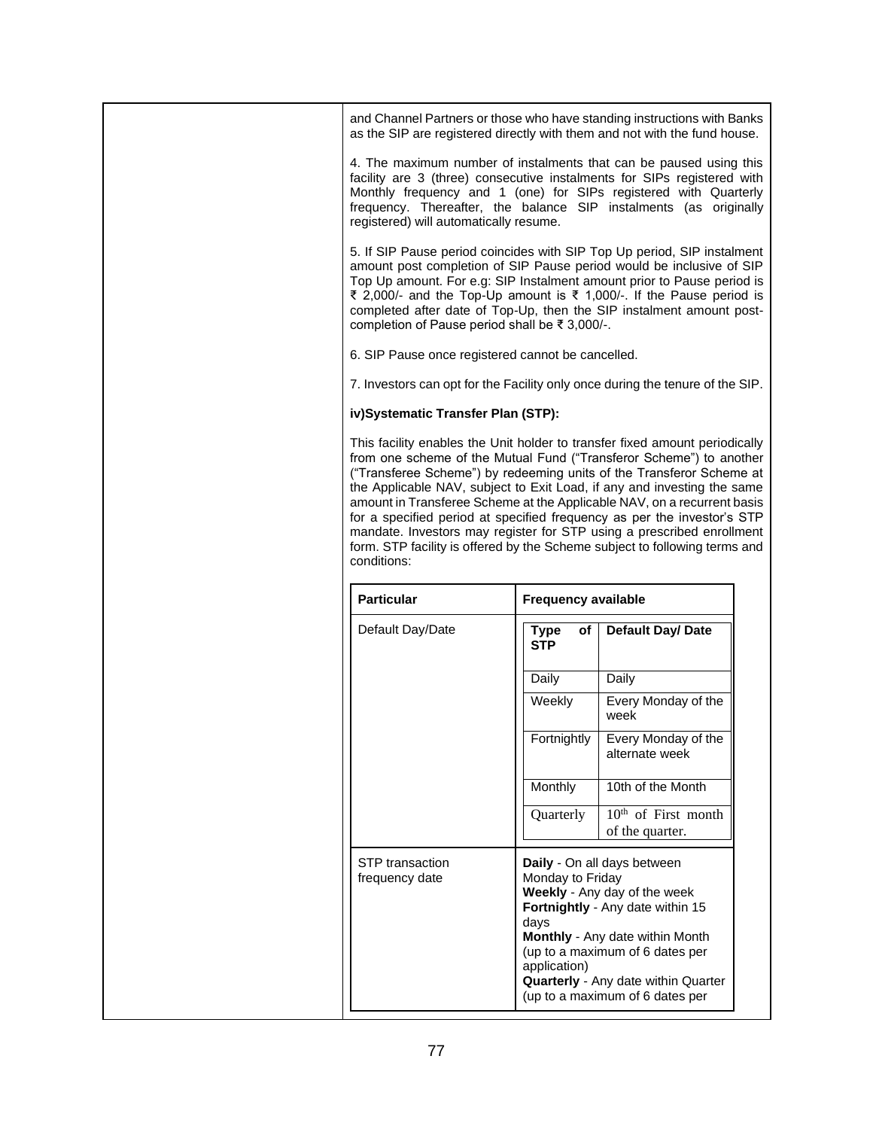|                                                | and Channel Partners or those who have standing instructions with Banks                                                                                                                                                                                                                                                                                                      |
|------------------------------------------------|------------------------------------------------------------------------------------------------------------------------------------------------------------------------------------------------------------------------------------------------------------------------------------------------------------------------------------------------------------------------------|
|                                                | as the SIP are registered directly with them and not with the fund house.                                                                                                                                                                                                                                                                                                    |
| registered) will automatically resume.         | 4. The maximum number of instalments that can be paused using this<br>facility are 3 (three) consecutive instalments for SIPs registered with<br>Monthly frequency and 1 (one) for SIPs registered with Quarterly<br>frequency. Thereafter, the balance SIP instalments (as originally                                                                                       |
| completion of Pause period shall be ₹ 3,000/-. | 5. If SIP Pause period coincides with SIP Top Up period, SIP instalment<br>amount post completion of SIP Pause period would be inclusive of SIP<br>Top Up amount. For e.g: SIP Instalment amount prior to Pause period is<br>₹ 2,000/- and the Top-Up amount is ₹ 1,000/-. If the Pause period is<br>completed after date of Top-Up, then the SIP instalment amount post-    |
|                                                | 6. SIP Pause once registered cannot be cancelled.                                                                                                                                                                                                                                                                                                                            |
|                                                | 7. Investors can opt for the Facility only once during the tenure of the SIP.                                                                                                                                                                                                                                                                                                |
| iv)Systematic Transfer Plan (STP):             |                                                                                                                                                                                                                                                                                                                                                                              |
|                                                | from one scheme of the Mutual Fund ("Transferor Scheme") to another<br>("Transferee Scheme") by redeeming units of the Transferor Scheme at<br>the Applicable NAV, subject to Exit Load, if any and investing the same<br>amount in Transferee Scheme at the Applicable NAV, on a recurrent basis<br>for a specified period at specified frequency as per the investor's STP |
|                                                | mandate. Investors may register for STP using a prescribed enrollment<br>form. STP facility is offered by the Scheme subject to following terms and                                                                                                                                                                                                                          |
| <b>Particular</b>                              | <b>Frequency available</b>                                                                                                                                                                                                                                                                                                                                                   |
| conditions:<br>Default Day/Date                | Default Day/ Date<br>of<br><b>Type</b><br><b>STP</b>                                                                                                                                                                                                                                                                                                                         |
|                                                | Daily<br>Daily                                                                                                                                                                                                                                                                                                                                                               |
|                                                | Every Monday of the<br>Weekly<br>week                                                                                                                                                                                                                                                                                                                                        |
|                                                | Fortnightly<br>Every Monday of the<br>alternate week                                                                                                                                                                                                                                                                                                                         |
|                                                | 10th of the Month<br>Monthly                                                                                                                                                                                                                                                                                                                                                 |
|                                                | $10th$ of First month<br>Quarterly                                                                                                                                                                                                                                                                                                                                           |
|                                                | of the quarter.                                                                                                                                                                                                                                                                                                                                                              |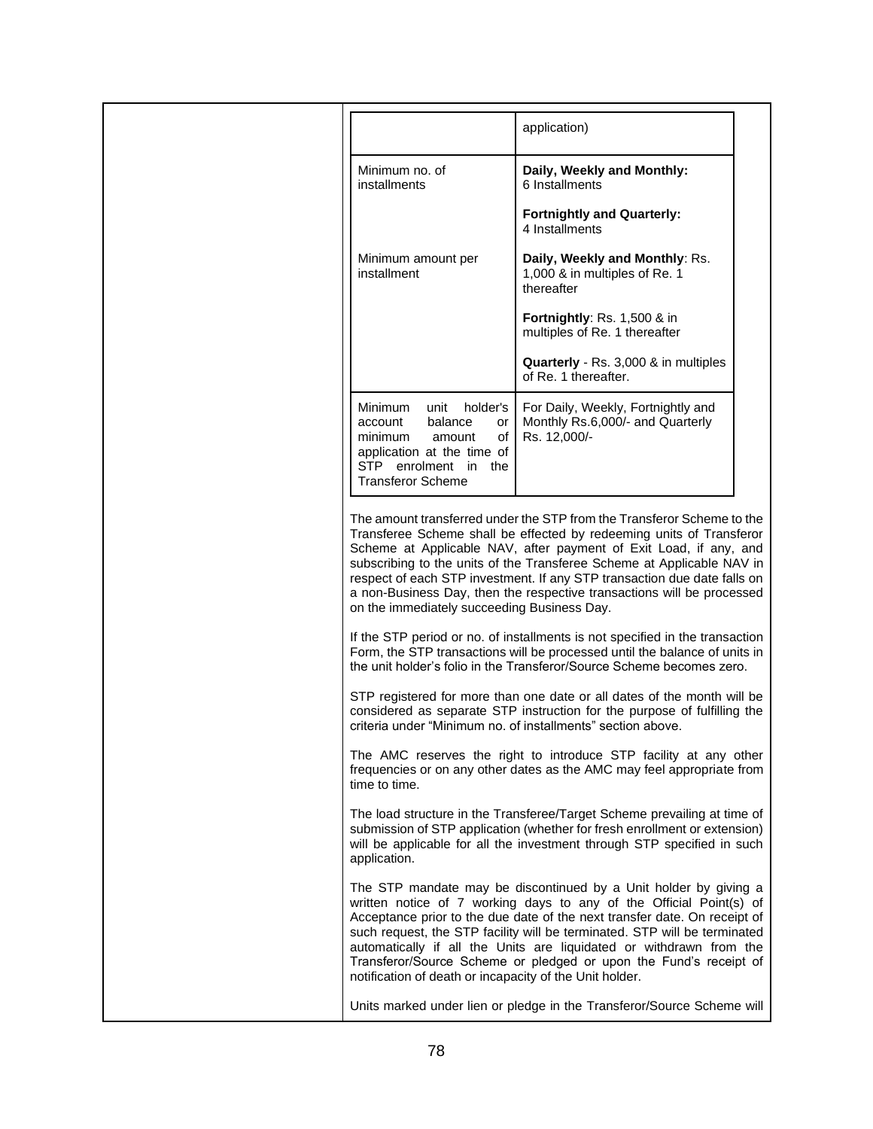|                                                                                                                                                                         | application)                                                                                                                                                                                                                                                                                                                                                                                                                                        |
|-------------------------------------------------------------------------------------------------------------------------------------------------------------------------|-----------------------------------------------------------------------------------------------------------------------------------------------------------------------------------------------------------------------------------------------------------------------------------------------------------------------------------------------------------------------------------------------------------------------------------------------------|
| Minimum no. of<br>installments                                                                                                                                          | Daily, Weekly and Monthly:<br>6 Installments                                                                                                                                                                                                                                                                                                                                                                                                        |
|                                                                                                                                                                         | <b>Fortnightly and Quarterly:</b><br>4 Installments                                                                                                                                                                                                                                                                                                                                                                                                 |
| Minimum amount per<br>installment                                                                                                                                       | Daily, Weekly and Monthly: Rs.<br>1,000 & in multiples of Re. 1<br>thereafter                                                                                                                                                                                                                                                                                                                                                                       |
|                                                                                                                                                                         | Fortnightly: Rs. 1,500 & in<br>multiples of Re. 1 thereafter                                                                                                                                                                                                                                                                                                                                                                                        |
|                                                                                                                                                                         | Quarterly - Rs. 3,000 & in multiples<br>of Re. 1 thereafter.                                                                                                                                                                                                                                                                                                                                                                                        |
| holder's<br>Minimum<br>unit<br>balance<br>account<br>or<br>minimum<br>οf<br>amount<br>application at the time of<br>STP enrolment in<br>the<br><b>Transferor Scheme</b> | For Daily, Weekly, Fortnightly and<br>Monthly Rs.6,000/- and Quarterly<br>Rs. 12,000/-                                                                                                                                                                                                                                                                                                                                                              |
| on the immediately succeeding Business Day.                                                                                                                             | The amount transferred under the STP from the Transferor Scheme to the<br>Transferee Scheme shall be effected by redeeming units of Transferor<br>Scheme at Applicable NAV, after payment of Exit Load, if any, and<br>subscribing to the units of the Transferee Scheme at Applicable NAV in<br>respect of each STP investment. If any STP transaction due date falls on<br>a non-Business Day, then the respective transactions will be processed |
|                                                                                                                                                                         | If the STP period or no. of installments is not specified in the transaction<br>Form, the STP transactions will be processed until the balance of units in<br>the unit holder's folio in the Transferor/Source Scheme becomes zero.                                                                                                                                                                                                                 |
|                                                                                                                                                                         | STP registered for more than one date or all dates of the month will be<br>considered as separate STP instruction for the purpose of fulfilling the<br>criteria under "Minimum no. of installments" section above.                                                                                                                                                                                                                                  |
| time to time.                                                                                                                                                           | The AMC reserves the right to introduce STP facility at any other<br>frequencies or on any other dates as the AMC may feel appropriate from                                                                                                                                                                                                                                                                                                         |
| application.                                                                                                                                                            | The load structure in the Transferee/Target Scheme prevailing at time of<br>submission of STP application (whether for fresh enrollment or extension)<br>will be applicable for all the investment through STP specified in such                                                                                                                                                                                                                    |
| notification of death or incapacity of the Unit holder.                                                                                                                 | The STP mandate may be discontinued by a Unit holder by giving a<br>written notice of 7 working days to any of the Official Point(s) of<br>Acceptance prior to the due date of the next transfer date. On receipt of<br>such request, the STP facility will be terminated. STP will be terminated<br>automatically if all the Units are liquidated or withdrawn from the<br>Transferor/Source Scheme or pledged or upon the Fund's receipt of       |
|                                                                                                                                                                         | Units marked under lien or pledge in the Transferor/Source Scheme will                                                                                                                                                                                                                                                                                                                                                                              |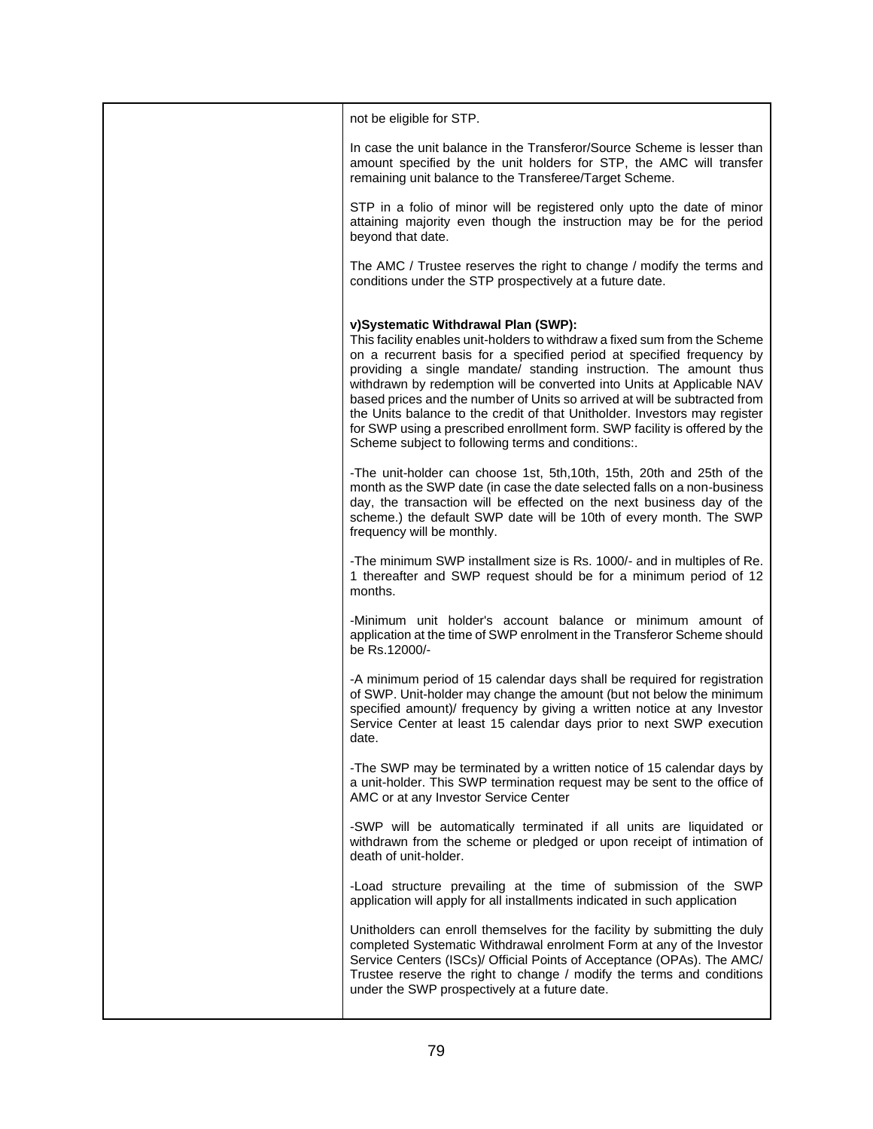| not be eligible for STP.                                                                                                                                                                                                                                                                                                                                                                                                                                                                                                                                                                                                                  |
|-------------------------------------------------------------------------------------------------------------------------------------------------------------------------------------------------------------------------------------------------------------------------------------------------------------------------------------------------------------------------------------------------------------------------------------------------------------------------------------------------------------------------------------------------------------------------------------------------------------------------------------------|
| In case the unit balance in the Transferor/Source Scheme is lesser than<br>amount specified by the unit holders for STP, the AMC will transfer<br>remaining unit balance to the Transferee/Target Scheme.                                                                                                                                                                                                                                                                                                                                                                                                                                 |
| STP in a folio of minor will be registered only upto the date of minor<br>attaining majority even though the instruction may be for the period<br>beyond that date.                                                                                                                                                                                                                                                                                                                                                                                                                                                                       |
| The AMC / Trustee reserves the right to change / modify the terms and<br>conditions under the STP prospectively at a future date.                                                                                                                                                                                                                                                                                                                                                                                                                                                                                                         |
| v)Systematic Withdrawal Plan (SWP):<br>This facility enables unit-holders to withdraw a fixed sum from the Scheme<br>on a recurrent basis for a specified period at specified frequency by<br>providing a single mandate/ standing instruction. The amount thus<br>withdrawn by redemption will be converted into Units at Applicable NAV<br>based prices and the number of Units so arrived at will be subtracted from<br>the Units balance to the credit of that Unitholder. Investors may register<br>for SWP using a prescribed enrollment form. SWP facility is offered by the<br>Scheme subject to following terms and conditions:. |
| -The unit-holder can choose 1st, 5th, 10th, 15th, 20th and 25th of the<br>month as the SWP date (in case the date selected falls on a non-business<br>day, the transaction will be effected on the next business day of the<br>scheme.) the default SWP date will be 10th of every month. The SWP<br>frequency will be monthly.                                                                                                                                                                                                                                                                                                           |
| -The minimum SWP installment size is Rs. 1000/- and in multiples of Re.<br>1 thereafter and SWP request should be for a minimum period of 12<br>months.                                                                                                                                                                                                                                                                                                                                                                                                                                                                                   |
| -Minimum unit holder's account balance or minimum amount of<br>application at the time of SWP enrolment in the Transferor Scheme should<br>be Rs.12000/-                                                                                                                                                                                                                                                                                                                                                                                                                                                                                  |
| -A minimum period of 15 calendar days shall be required for registration<br>of SWP. Unit-holder may change the amount (but not below the minimum<br>specified amount)/ frequency by giving a written notice at any Investor<br>Service Center at least 15 calendar days prior to next SWP execution<br>date.                                                                                                                                                                                                                                                                                                                              |
| -The SWP may be terminated by a written notice of 15 calendar days by<br>a unit-holder. This SWP termination request may be sent to the office of<br>AMC or at any Investor Service Center                                                                                                                                                                                                                                                                                                                                                                                                                                                |
| -SWP will be automatically terminated if all units are liquidated or<br>withdrawn from the scheme or pledged or upon receipt of intimation of<br>death of unit-holder.                                                                                                                                                                                                                                                                                                                                                                                                                                                                    |
| -Load structure prevailing at the time of submission of the SWP<br>application will apply for all installments indicated in such application                                                                                                                                                                                                                                                                                                                                                                                                                                                                                              |
| Unitholders can enroll themselves for the facility by submitting the duly<br>completed Systematic Withdrawal enrolment Form at any of the Investor<br>Service Centers (ISCs)/ Official Points of Acceptance (OPAs). The AMC/<br>Trustee reserve the right to change / modify the terms and conditions<br>under the SWP prospectively at a future date.                                                                                                                                                                                                                                                                                    |
|                                                                                                                                                                                                                                                                                                                                                                                                                                                                                                                                                                                                                                           |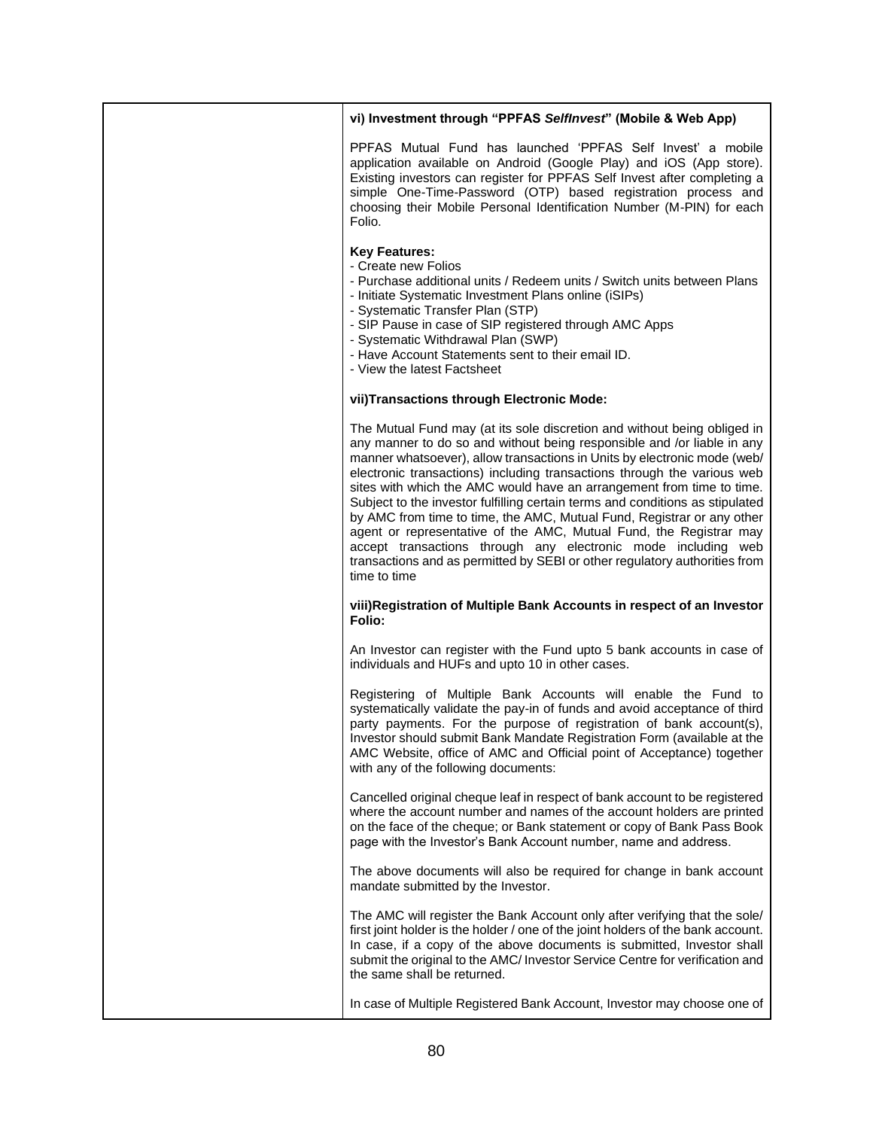## **vi) Investment through "PPFAS** *SelfInvest***" (Mobile & Web App)**

PPFAS Mutual Fund has launched 'PPFAS Self Invest' a mobile application available on Android (Google Play) and iOS (App store). Existing investors can register for PPFAS Self Invest after completing a simple One-Time-Password (OTP) based registration process and choosing their Mobile Personal Identification Number (M-PIN) for each Folio.

#### **Key Features:**

- Create new Folios
- Purchase additional units / Redeem units / Switch units between Plans
- Initiate Systematic Investment Plans online (iSIPs)
- Systematic Transfer Plan (STP)
- SIP Pause in case of SIP registered through AMC Apps
- Systematic Withdrawal Plan (SWP)
- Have Account Statements sent to their email ID.
- View the latest Factsheet

## **vii)Transactions through Electronic Mode:**

The Mutual Fund may (at its sole discretion and without being obliged in any manner to do so and without being responsible and /or liable in any manner whatsoever), allow transactions in Units by electronic mode (web/ electronic transactions) including transactions through the various web sites with which the AMC would have an arrangement from time to time. Subject to the investor fulfilling certain terms and conditions as stipulated by AMC from time to time, the AMC, Mutual Fund, Registrar or any other agent or representative of the AMC, Mutual Fund, the Registrar may accept transactions through any electronic mode including web transactions and as permitted by SEBI or other regulatory authorities from time to time

#### **viii)Registration of Multiple Bank Accounts in respect of an Investor Folio:**

An Investor can register with the Fund upto 5 bank accounts in case of individuals and HUFs and upto 10 in other cases.

Registering of Multiple Bank Accounts will enable the Fund to systematically validate the pay-in of funds and avoid acceptance of third party payments. For the purpose of registration of bank account(s), Investor should submit Bank Mandate Registration Form (available at the AMC Website, office of AMC and Official point of Acceptance) together with any of the following documents:

Cancelled original cheque leaf in respect of bank account to be registered where the account number and names of the account holders are printed on the face of the cheque; or Bank statement or copy of Bank Pass Book page with the Investor's Bank Account number, name and address.

The above documents will also be required for change in bank account mandate submitted by the Investor.

The AMC will register the Bank Account only after verifying that the sole/ first joint holder is the holder / one of the joint holders of the bank account. In case, if a copy of the above documents is submitted, Investor shall submit the original to the AMC/ Investor Service Centre for verification and the same shall be returned.

In case of Multiple Registered Bank Account, Investor may choose one of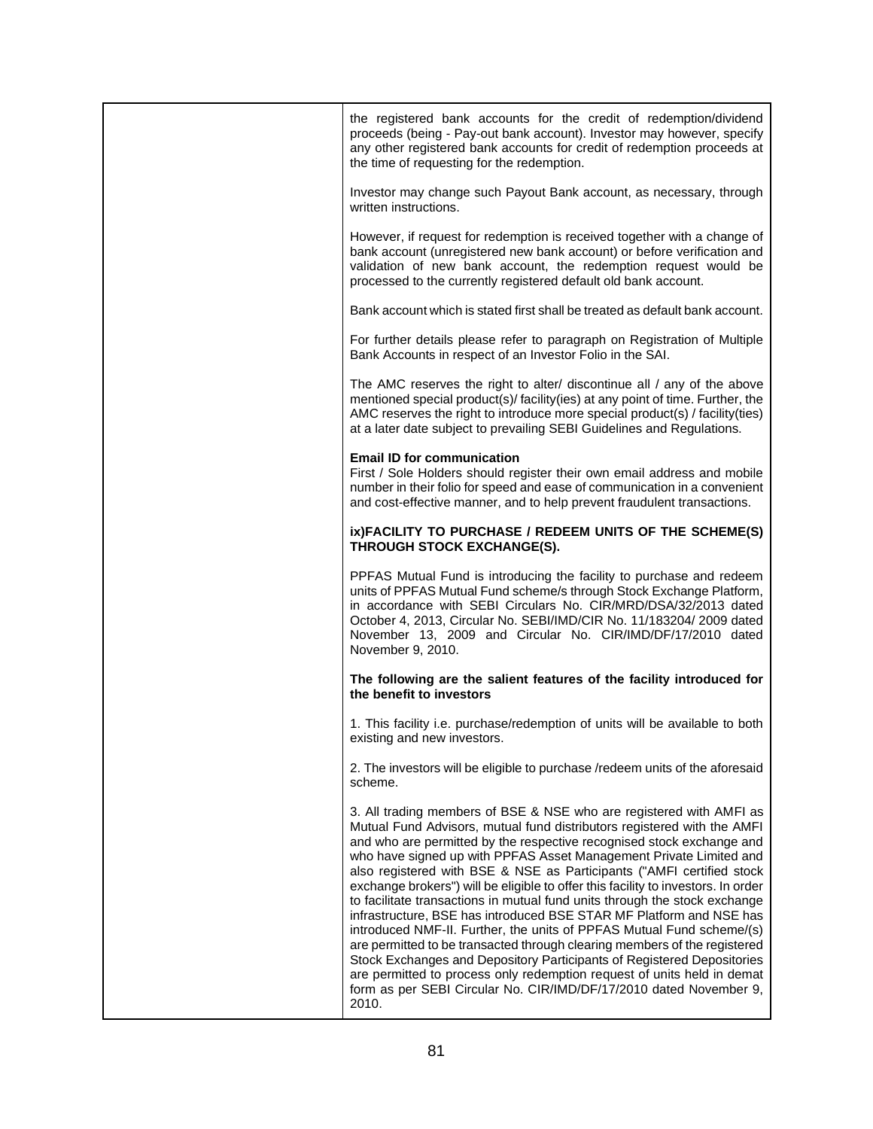| the registered bank accounts for the credit of redemption/dividend<br>proceeds (being - Pay-out bank account). Investor may however, specify<br>any other registered bank accounts for credit of redemption proceeds at<br>the time of requesting for the redemption.                                                                                                                                                                                                                                                                                                                                                                                                                                                                                                                                                                                                                                                                                                                                      |
|------------------------------------------------------------------------------------------------------------------------------------------------------------------------------------------------------------------------------------------------------------------------------------------------------------------------------------------------------------------------------------------------------------------------------------------------------------------------------------------------------------------------------------------------------------------------------------------------------------------------------------------------------------------------------------------------------------------------------------------------------------------------------------------------------------------------------------------------------------------------------------------------------------------------------------------------------------------------------------------------------------|
| Investor may change such Payout Bank account, as necessary, through<br>written instructions.                                                                                                                                                                                                                                                                                                                                                                                                                                                                                                                                                                                                                                                                                                                                                                                                                                                                                                               |
| However, if request for redemption is received together with a change of<br>bank account (unregistered new bank account) or before verification and<br>validation of new bank account, the redemption request would be<br>processed to the currently registered default old bank account.                                                                                                                                                                                                                                                                                                                                                                                                                                                                                                                                                                                                                                                                                                                  |
| Bank account which is stated first shall be treated as default bank account.                                                                                                                                                                                                                                                                                                                                                                                                                                                                                                                                                                                                                                                                                                                                                                                                                                                                                                                               |
| For further details please refer to paragraph on Registration of Multiple<br>Bank Accounts in respect of an Investor Folio in the SAI.                                                                                                                                                                                                                                                                                                                                                                                                                                                                                                                                                                                                                                                                                                                                                                                                                                                                     |
| The AMC reserves the right to alter/ discontinue all / any of the above<br>mentioned special product(s)/ facility(ies) at any point of time. Further, the<br>AMC reserves the right to introduce more special product(s) / facility(ties)<br>at a later date subject to prevailing SEBI Guidelines and Regulations.                                                                                                                                                                                                                                                                                                                                                                                                                                                                                                                                                                                                                                                                                        |
| <b>Email ID for communication</b><br>First / Sole Holders should register their own email address and mobile<br>number in their folio for speed and ease of communication in a convenient<br>and cost-effective manner, and to help prevent fraudulent transactions.                                                                                                                                                                                                                                                                                                                                                                                                                                                                                                                                                                                                                                                                                                                                       |
| ix)FACILITY TO PURCHASE / REDEEM UNITS OF THE SCHEME(S)<br>THROUGH STOCK EXCHANGE(S).                                                                                                                                                                                                                                                                                                                                                                                                                                                                                                                                                                                                                                                                                                                                                                                                                                                                                                                      |
| PPFAS Mutual Fund is introducing the facility to purchase and redeem<br>units of PPFAS Mutual Fund scheme/s through Stock Exchange Platform,<br>in accordance with SEBI Circulars No. CIR/MRD/DSA/32/2013 dated<br>October 4, 2013, Circular No. SEBI/IMD/CIR No. 11/183204/ 2009 dated<br>November 13, 2009 and Circular No. CIR/IMD/DF/17/2010 dated<br>November 9, 2010.                                                                                                                                                                                                                                                                                                                                                                                                                                                                                                                                                                                                                                |
| The following are the salient features of the facility introduced for<br>the benefit to investors                                                                                                                                                                                                                                                                                                                                                                                                                                                                                                                                                                                                                                                                                                                                                                                                                                                                                                          |
| 1. This facility i.e. purchase/redemption of units will be available to both<br>existing and new investors.                                                                                                                                                                                                                                                                                                                                                                                                                                                                                                                                                                                                                                                                                                                                                                                                                                                                                                |
| 2. The investors will be eligible to purchase /redeem units of the aforesaid<br>scheme.                                                                                                                                                                                                                                                                                                                                                                                                                                                                                                                                                                                                                                                                                                                                                                                                                                                                                                                    |
| 3. All trading members of BSE & NSE who are registered with AMFI as<br>Mutual Fund Advisors, mutual fund distributors registered with the AMFI<br>and who are permitted by the respective recognised stock exchange and<br>who have signed up with PPFAS Asset Management Private Limited and<br>also registered with BSE & NSE as Participants ("AMFI certified stock<br>exchange brokers") will be eligible to offer this facility to investors. In order<br>to facilitate transactions in mutual fund units through the stock exchange<br>infrastructure, BSE has introduced BSE STAR MF Platform and NSE has<br>introduced NMF-II. Further, the units of PPFAS Mutual Fund scheme/(s)<br>are permitted to be transacted through clearing members of the registered<br>Stock Exchanges and Depository Participants of Registered Depositories<br>are permitted to process only redemption request of units held in demat<br>form as per SEBI Circular No. CIR/IMD/DF/17/2010 dated November 9,<br>2010. |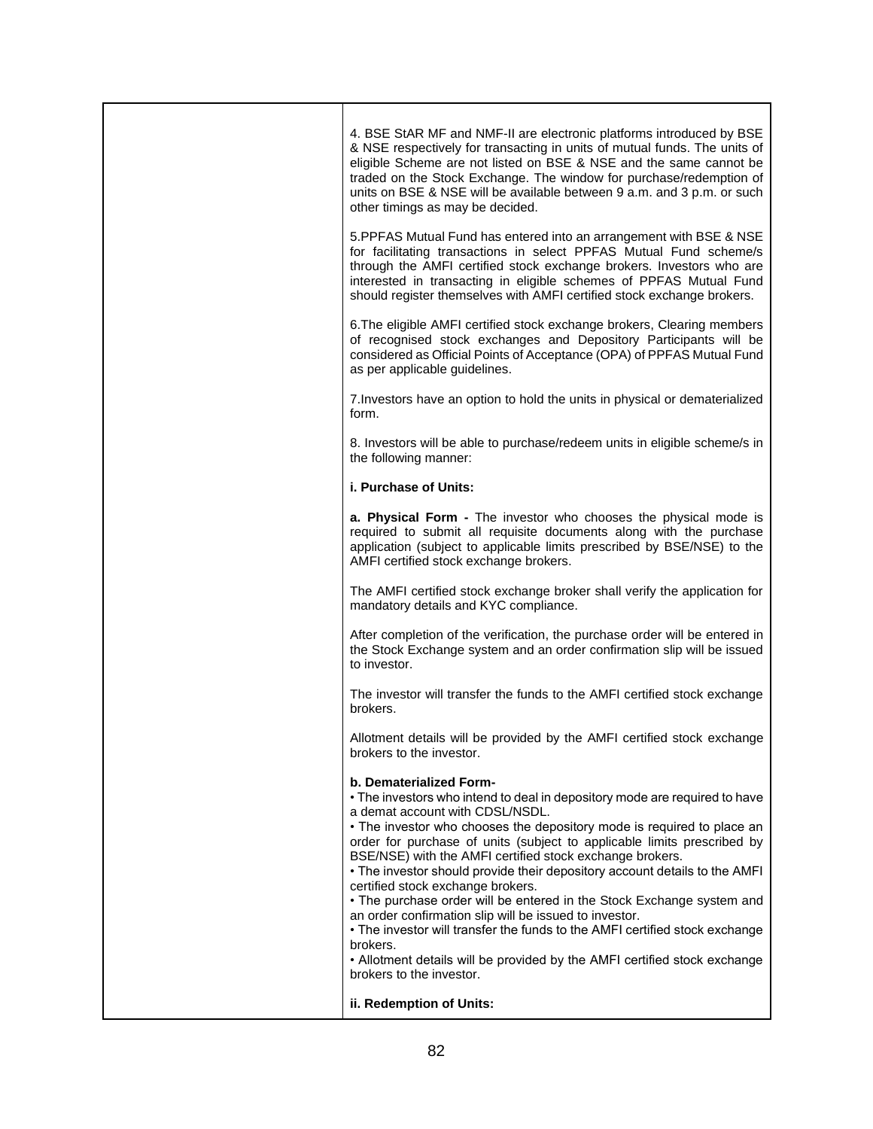| 4. BSE StAR MF and NMF-II are electronic platforms introduced by BSE<br>& NSE respectively for transacting in units of mutual funds. The units of<br>eligible Scheme are not listed on BSE & NSE and the same cannot be<br>traded on the Stock Exchange. The window for purchase/redemption of<br>units on BSE & NSE will be available between 9 a.m. and 3 p.m. or such<br>other timings as may be decided.                                                                                                                                                                                                                                                                                                                                                                                                        |
|---------------------------------------------------------------------------------------------------------------------------------------------------------------------------------------------------------------------------------------------------------------------------------------------------------------------------------------------------------------------------------------------------------------------------------------------------------------------------------------------------------------------------------------------------------------------------------------------------------------------------------------------------------------------------------------------------------------------------------------------------------------------------------------------------------------------|
| 5.PPFAS Mutual Fund has entered into an arrangement with BSE & NSE<br>for facilitating transactions in select PPFAS Mutual Fund scheme/s<br>through the AMFI certified stock exchange brokers. Investors who are<br>interested in transacting in eligible schemes of PPFAS Mutual Fund<br>should register themselves with AMFI certified stock exchange brokers.                                                                                                                                                                                                                                                                                                                                                                                                                                                    |
| 6. The eligible AMFI certified stock exchange brokers, Clearing members<br>of recognised stock exchanges and Depository Participants will be<br>considered as Official Points of Acceptance (OPA) of PPFAS Mutual Fund<br>as per applicable guidelines.                                                                                                                                                                                                                                                                                                                                                                                                                                                                                                                                                             |
| 7. Investors have an option to hold the units in physical or dematerialized<br>form.                                                                                                                                                                                                                                                                                                                                                                                                                                                                                                                                                                                                                                                                                                                                |
| 8. Investors will be able to purchase/redeem units in eligible scheme/s in<br>the following manner:                                                                                                                                                                                                                                                                                                                                                                                                                                                                                                                                                                                                                                                                                                                 |
| i. Purchase of Units:                                                                                                                                                                                                                                                                                                                                                                                                                                                                                                                                                                                                                                                                                                                                                                                               |
| a. Physical Form - The investor who chooses the physical mode is<br>required to submit all requisite documents along with the purchase<br>application (subject to applicable limits prescribed by BSE/NSE) to the<br>AMFI certified stock exchange brokers.                                                                                                                                                                                                                                                                                                                                                                                                                                                                                                                                                         |
| The AMFI certified stock exchange broker shall verify the application for<br>mandatory details and KYC compliance.                                                                                                                                                                                                                                                                                                                                                                                                                                                                                                                                                                                                                                                                                                  |
| After completion of the verification, the purchase order will be entered in<br>the Stock Exchange system and an order confirmation slip will be issued<br>to investor.                                                                                                                                                                                                                                                                                                                                                                                                                                                                                                                                                                                                                                              |
| The investor will transfer the funds to the AMFI certified stock exchange<br>brokers.                                                                                                                                                                                                                                                                                                                                                                                                                                                                                                                                                                                                                                                                                                                               |
| Allotment details will be provided by the AMFI certified stock exchange<br>brokers to the investor.                                                                                                                                                                                                                                                                                                                                                                                                                                                                                                                                                                                                                                                                                                                 |
| b. Dematerialized Form-<br>. The investors who intend to deal in depository mode are required to have<br>a demat account with CDSL/NSDL.<br>• The investor who chooses the depository mode is required to place an<br>order for purchase of units (subject to applicable limits prescribed by<br>BSE/NSE) with the AMFI certified stock exchange brokers.<br>. The investor should provide their depository account details to the AMFI<br>certified stock exchange brokers.<br>• The purchase order will be entered in the Stock Exchange system and<br>an order confirmation slip will be issued to investor.<br>• The investor will transfer the funds to the AMFI certified stock exchange<br>brokers.<br>• Allotment details will be provided by the AMFI certified stock exchange<br>brokers to the investor. |
| ii. Redemption of Units:                                                                                                                                                                                                                                                                                                                                                                                                                                                                                                                                                                                                                                                                                                                                                                                            |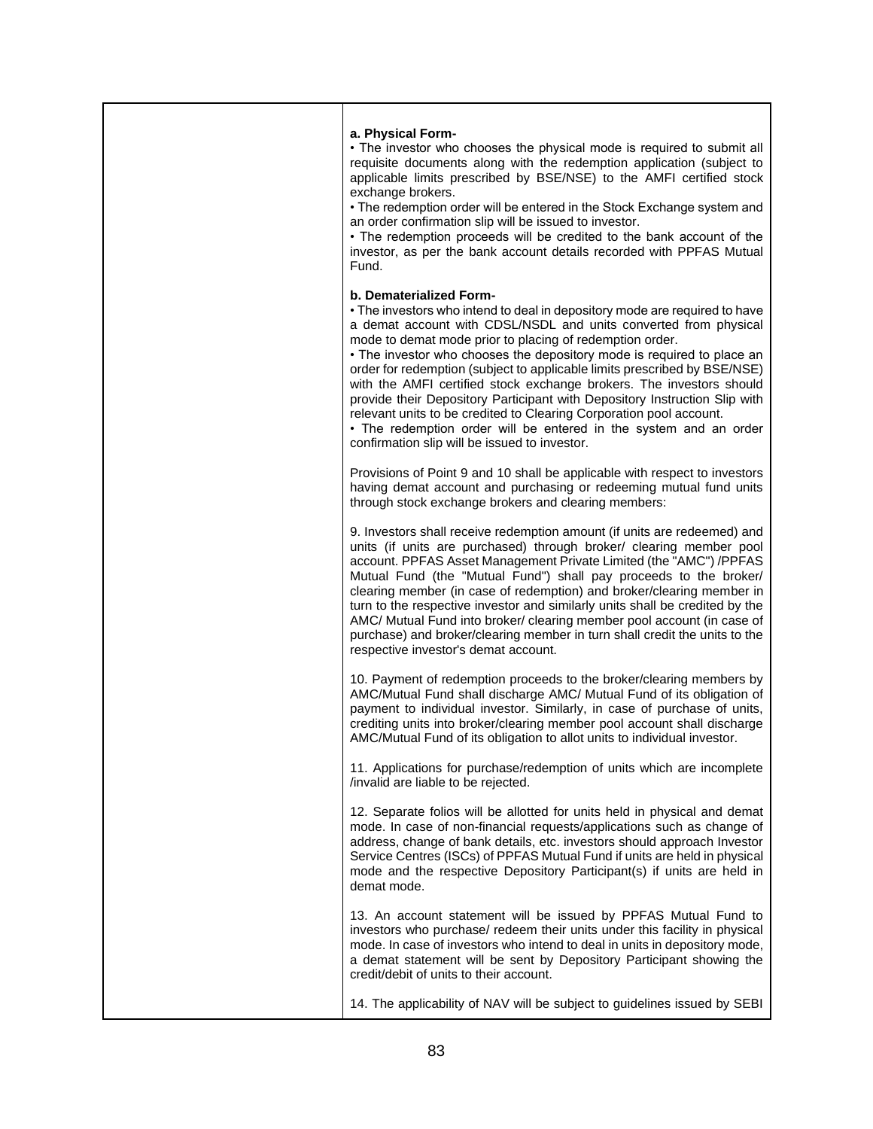| a. Physical Form-<br>. The investor who chooses the physical mode is required to submit all<br>requisite documents along with the redemption application (subject to<br>applicable limits prescribed by BSE/NSE) to the AMFI certified stock<br>exchange brokers.<br>• The redemption order will be entered in the Stock Exchange system and<br>an order confirmation slip will be issued to investor.<br>• The redemption proceeds will be credited to the bank account of the<br>investor, as per the bank account details recorded with PPFAS Mutual<br>Fund.                                                                                                                                                                                |
|-------------------------------------------------------------------------------------------------------------------------------------------------------------------------------------------------------------------------------------------------------------------------------------------------------------------------------------------------------------------------------------------------------------------------------------------------------------------------------------------------------------------------------------------------------------------------------------------------------------------------------------------------------------------------------------------------------------------------------------------------|
| b. Dematerialized Form-<br>. The investors who intend to deal in depository mode are required to have<br>a demat account with CDSL/NSDL and units converted from physical<br>mode to demat mode prior to placing of redemption order.<br>• The investor who chooses the depository mode is required to place an<br>order for redemption (subject to applicable limits prescribed by BSE/NSE)<br>with the AMFI certified stock exchange brokers. The investors should<br>provide their Depository Participant with Depository Instruction Slip with<br>relevant units to be credited to Clearing Corporation pool account.<br>• The redemption order will be entered in the system and an order<br>confirmation slip will be issued to investor. |
| Provisions of Point 9 and 10 shall be applicable with respect to investors<br>having demat account and purchasing or redeeming mutual fund units<br>through stock exchange brokers and clearing members:                                                                                                                                                                                                                                                                                                                                                                                                                                                                                                                                        |
| 9. Investors shall receive redemption amount (if units are redeemed) and<br>units (if units are purchased) through broker/ clearing member pool<br>account. PPFAS Asset Management Private Limited (the "AMC") /PPFAS<br>Mutual Fund (the "Mutual Fund") shall pay proceeds to the broker/<br>clearing member (in case of redemption) and broker/clearing member in<br>turn to the respective investor and similarly units shall be credited by the<br>AMC/ Mutual Fund into broker/ clearing member pool account (in case of<br>purchase) and broker/clearing member in turn shall credit the units to the<br>respective investor's demat account.                                                                                             |
| 10. Payment of redemption proceeds to the broker/clearing members by<br>AMC/Mutual Fund shall discharge AMC/ Mutual Fund of its obligation of<br>payment to individual investor. Similarly, in case of purchase of units,<br>crediting units into broker/clearing member pool account shall discharge<br>AMC/Mutual Fund of its obligation to allot units to individual investor.                                                                                                                                                                                                                                                                                                                                                               |
| 11. Applications for purchase/redemption of units which are incomplete<br>/invalid are liable to be rejected.                                                                                                                                                                                                                                                                                                                                                                                                                                                                                                                                                                                                                                   |
| 12. Separate folios will be allotted for units held in physical and demat<br>mode. In case of non-financial requests/applications such as change of<br>address, change of bank details, etc. investors should approach Investor<br>Service Centres (ISCs) of PPFAS Mutual Fund if units are held in physical<br>mode and the respective Depository Participant(s) if units are held in<br>demat mode.                                                                                                                                                                                                                                                                                                                                           |
| 13. An account statement will be issued by PPFAS Mutual Fund to<br>investors who purchase/ redeem their units under this facility in physical<br>mode. In case of investors who intend to deal in units in depository mode,<br>a demat statement will be sent by Depository Participant showing the<br>credit/debit of units to their account.                                                                                                                                                                                                                                                                                                                                                                                                  |
| 14. The applicability of NAV will be subject to guidelines issued by SEBI                                                                                                                                                                                                                                                                                                                                                                                                                                                                                                                                                                                                                                                                       |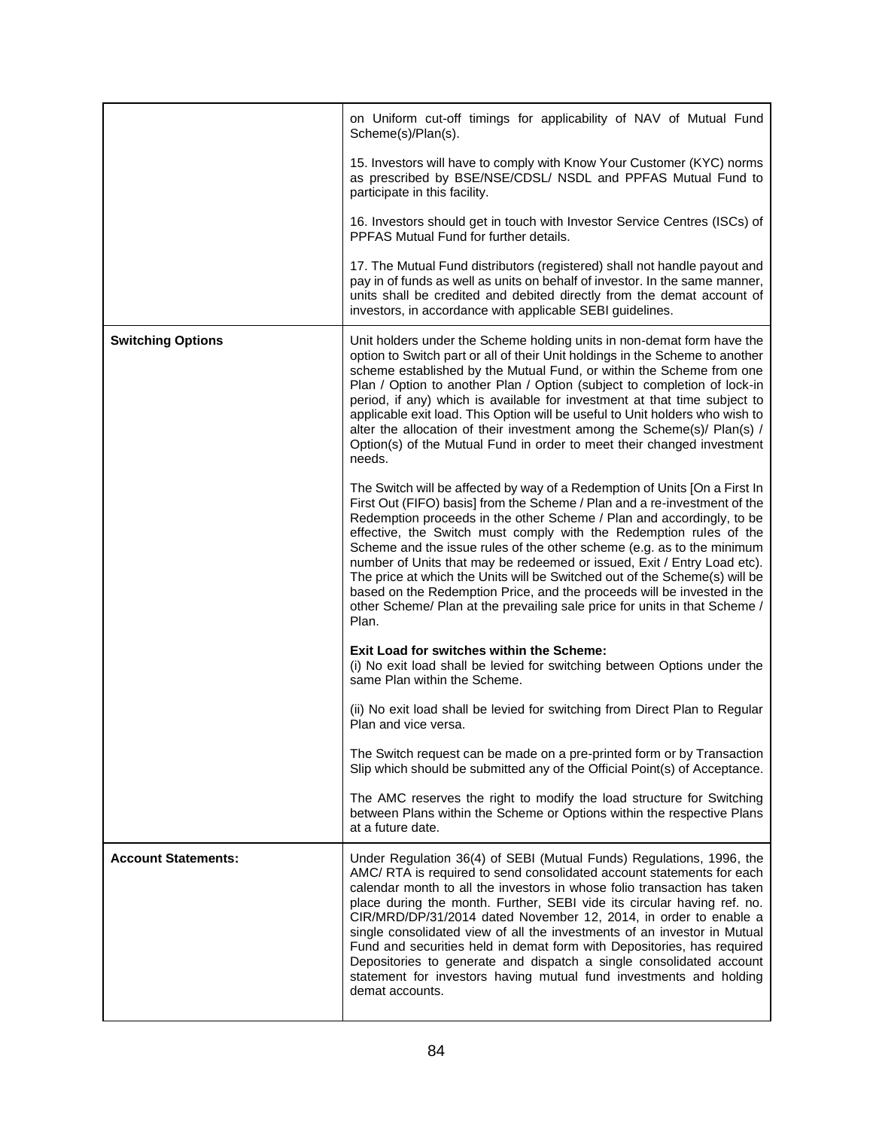|                            | on Uniform cut-off timings for applicability of NAV of Mutual Fund<br>Scheme(s)/Plan(s).                                                                                                                                                                                                                                                                                                                                                                                                                                                                                                                                                                                                                    |
|----------------------------|-------------------------------------------------------------------------------------------------------------------------------------------------------------------------------------------------------------------------------------------------------------------------------------------------------------------------------------------------------------------------------------------------------------------------------------------------------------------------------------------------------------------------------------------------------------------------------------------------------------------------------------------------------------------------------------------------------------|
|                            | 15. Investors will have to comply with Know Your Customer (KYC) norms<br>as prescribed by BSE/NSE/CDSL/ NSDL and PPFAS Mutual Fund to<br>participate in this facility.                                                                                                                                                                                                                                                                                                                                                                                                                                                                                                                                      |
|                            | 16. Investors should get in touch with Investor Service Centres (ISCs) of<br>PPFAS Mutual Fund for further details.                                                                                                                                                                                                                                                                                                                                                                                                                                                                                                                                                                                         |
|                            | 17. The Mutual Fund distributors (registered) shall not handle payout and<br>pay in of funds as well as units on behalf of investor. In the same manner,<br>units shall be credited and debited directly from the demat account of<br>investors, in accordance with applicable SEBI guidelines.                                                                                                                                                                                                                                                                                                                                                                                                             |
| <b>Switching Options</b>   | Unit holders under the Scheme holding units in non-demat form have the<br>option to Switch part or all of their Unit holdings in the Scheme to another<br>scheme established by the Mutual Fund, or within the Scheme from one<br>Plan / Option to another Plan / Option (subject to completion of lock-in<br>period, if any) which is available for investment at that time subject to<br>applicable exit load. This Option will be useful to Unit holders who wish to<br>alter the allocation of their investment among the Scheme(s)/ Plan(s) /<br>Option(s) of the Mutual Fund in order to meet their changed investment<br>needs.                                                                      |
|                            | The Switch will be affected by way of a Redemption of Units [On a First In<br>First Out (FIFO) basis] from the Scheme / Plan and a re-investment of the<br>Redemption proceeds in the other Scheme / Plan and accordingly, to be<br>effective, the Switch must comply with the Redemption rules of the<br>Scheme and the issue rules of the other scheme (e.g. as to the minimum<br>number of Units that may be redeemed or issued, Exit / Entry Load etc).<br>The price at which the Units will be Switched out of the Scheme(s) will be<br>based on the Redemption Price, and the proceeds will be invested in the<br>other Scheme/ Plan at the prevailing sale price for units in that Scheme /<br>Plan. |
|                            | Exit Load for switches within the Scheme:<br>(i) No exit load shall be levied for switching between Options under the<br>same Plan within the Scheme.                                                                                                                                                                                                                                                                                                                                                                                                                                                                                                                                                       |
|                            | (ii) No exit load shall be levied for switching from Direct Plan to Regular<br>Plan and vice versa.                                                                                                                                                                                                                                                                                                                                                                                                                                                                                                                                                                                                         |
|                            | The Switch request can be made on a pre-printed form or by Transaction<br>Slip which should be submitted any of the Official Point(s) of Acceptance.                                                                                                                                                                                                                                                                                                                                                                                                                                                                                                                                                        |
|                            | The AMC reserves the right to modify the load structure for Switching<br>between Plans within the Scheme or Options within the respective Plans<br>at a future date.                                                                                                                                                                                                                                                                                                                                                                                                                                                                                                                                        |
| <b>Account Statements:</b> | Under Regulation 36(4) of SEBI (Mutual Funds) Regulations, 1996, the<br>AMC/ RTA is required to send consolidated account statements for each<br>calendar month to all the investors in whose folio transaction has taken<br>place during the month. Further, SEBI vide its circular having ref. no.<br>CIR/MRD/DP/31/2014 dated November 12, 2014, in order to enable a<br>single consolidated view of all the investments of an investor in Mutual<br>Fund and securities held in demat form with Depositories, has required<br>Depositories to generate and dispatch a single consolidated account<br>statement for investors having mutual fund investments and holding<br>demat accounts.              |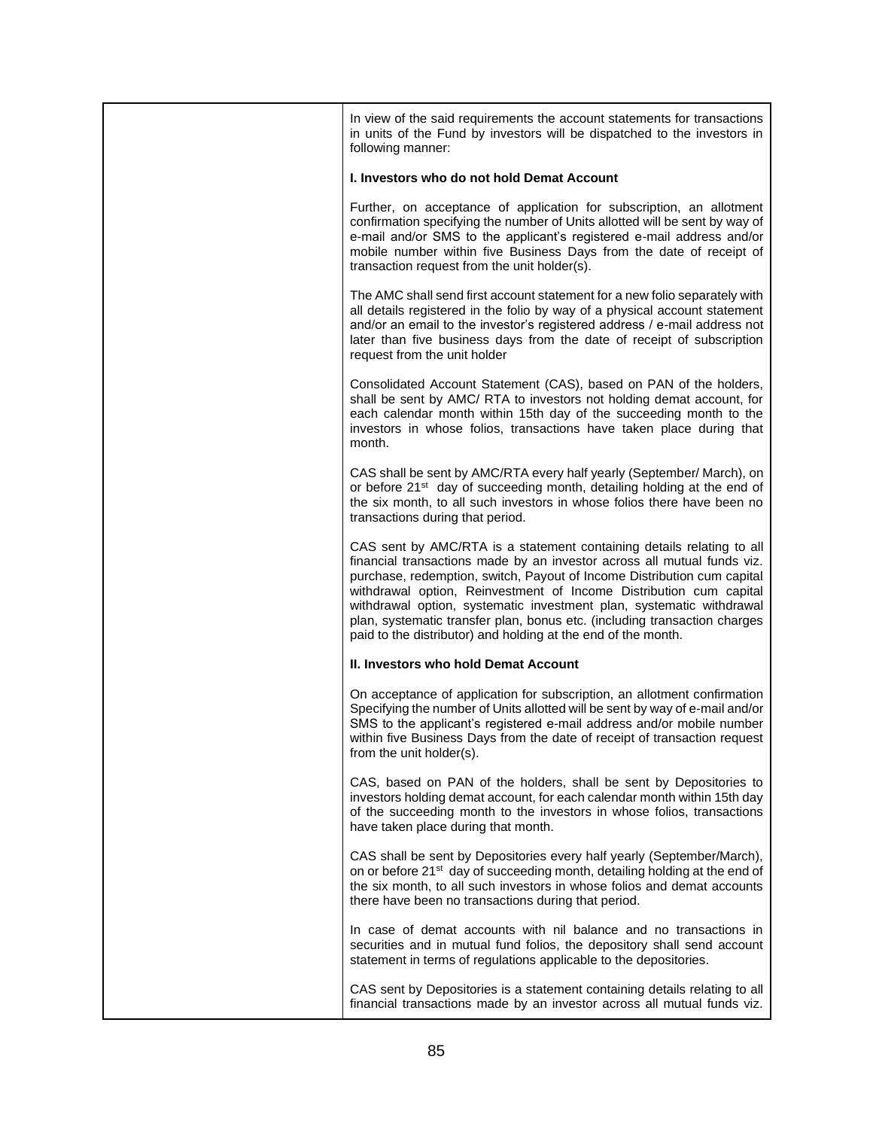| In view of the said requirements the account statements for transactions<br>in units of the Fund by investors will be dispatched to the investors in<br>following manner:                                                                                                                                                                                                                                                                                                                                               |
|-------------------------------------------------------------------------------------------------------------------------------------------------------------------------------------------------------------------------------------------------------------------------------------------------------------------------------------------------------------------------------------------------------------------------------------------------------------------------------------------------------------------------|
| I. Investors who do not hold Demat Account                                                                                                                                                                                                                                                                                                                                                                                                                                                                              |
| Further, on acceptance of application for subscription, an allotment<br>confirmation specifying the number of Units allotted will be sent by way of<br>e-mail and/or SMS to the applicant's registered e-mail address and/or<br>mobile number within five Business Days from the date of receipt of<br>transaction request from the unit holder(s).                                                                                                                                                                     |
| The AMC shall send first account statement for a new folio separately with<br>all details registered in the folio by way of a physical account statement<br>and/or an email to the investor's registered address / e-mail address not<br>later than five business days from the date of receipt of subscription<br>request from the unit holder                                                                                                                                                                         |
| Consolidated Account Statement (CAS), based on PAN of the holders,<br>shall be sent by AMC/RTA to investors not holding demat account, for<br>each calendar month within 15th day of the succeeding month to the<br>investors in whose folios, transactions have taken place during that<br>month.                                                                                                                                                                                                                      |
| CAS shall be sent by AMC/RTA every half yearly (September/ March), on<br>or before 21 <sup>st</sup> day of succeeding month, detailing holding at the end of<br>the six month, to all such investors in whose folios there have been no<br>transactions during that period.                                                                                                                                                                                                                                             |
| CAS sent by AMC/RTA is a statement containing details relating to all<br>financial transactions made by an investor across all mutual funds viz.<br>purchase, redemption, switch, Payout of Income Distribution cum capital<br>withdrawal option, Reinvestment of Income Distribution cum capital<br>withdrawal option, systematic investment plan, systematic withdrawal<br>plan, systematic transfer plan, bonus etc. (including transaction charges<br>paid to the distributor) and holding at the end of the month. |
| II. Investors who hold Demat Account                                                                                                                                                                                                                                                                                                                                                                                                                                                                                    |
| On acceptance of application for subscription, an allotment confirmation<br>Specifying the number of Units allotted will be sent by way of e-mail and/or<br>SMS to the applicant's registered e-mail address and/or mobile number<br>within five Business Days from the date of receipt of transaction request<br>from the unit holder(s).                                                                                                                                                                              |
| CAS, based on PAN of the holders, shall be sent by Depositories to<br>investors holding demat account, for each calendar month within 15th day<br>of the succeeding month to the investors in whose folios, transactions<br>have taken place during that month.                                                                                                                                                                                                                                                         |
| CAS shall be sent by Depositories every half yearly (September/March),<br>on or before 21 <sup>st</sup> day of succeeding month, detailing holding at the end of<br>the six month, to all such investors in whose folios and demat accounts<br>there have been no transactions during that period.                                                                                                                                                                                                                      |
| In case of demat accounts with nil balance and no transactions in<br>securities and in mutual fund folios, the depository shall send account<br>statement in terms of regulations applicable to the depositories.                                                                                                                                                                                                                                                                                                       |
| CAS sent by Depositories is a statement containing details relating to all<br>financial transactions made by an investor across all mutual funds viz.                                                                                                                                                                                                                                                                                                                                                                   |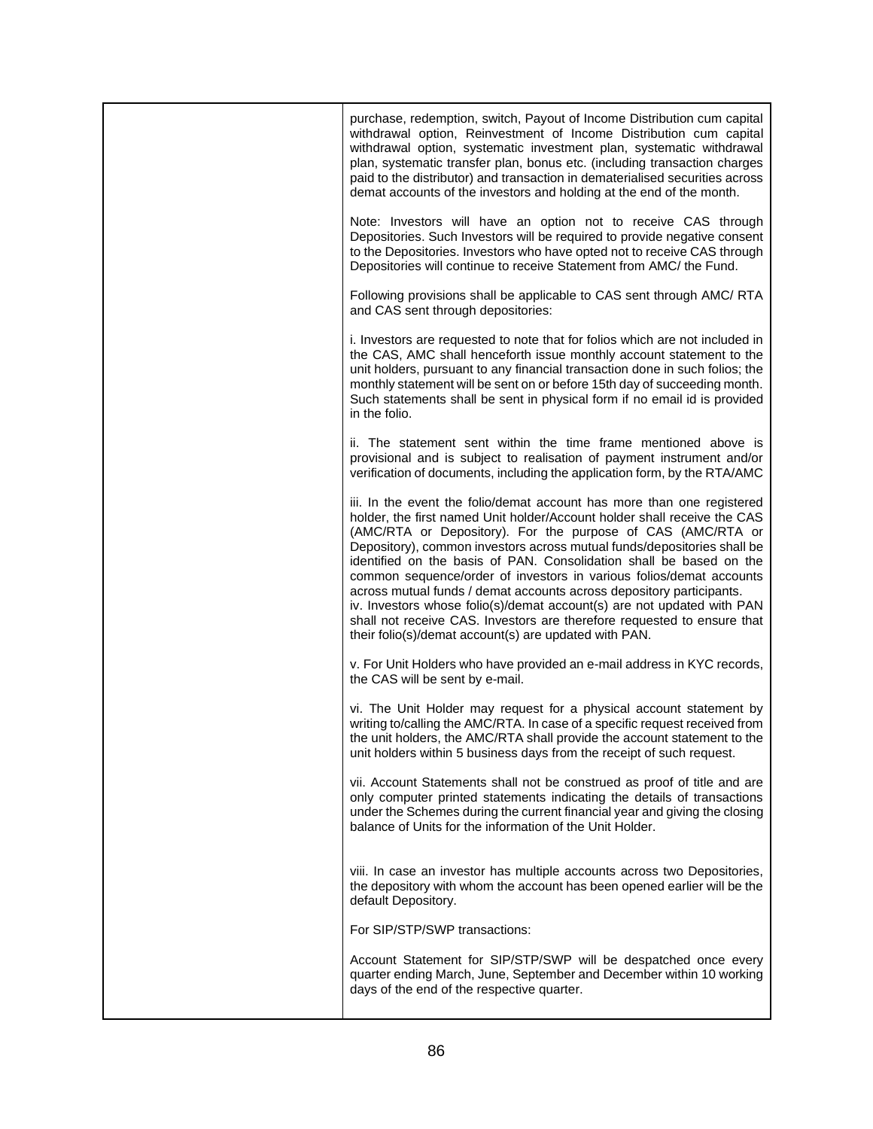| purchase, redemption, switch, Payout of Income Distribution cum capital<br>withdrawal option, Reinvestment of Income Distribution cum capital<br>withdrawal option, systematic investment plan, systematic withdrawal<br>plan, systematic transfer plan, bonus etc. (including transaction charges<br>paid to the distributor) and transaction in dematerialised securities across<br>demat accounts of the investors and holding at the end of the month.                                                                                                                                                                                                                                                                       |
|----------------------------------------------------------------------------------------------------------------------------------------------------------------------------------------------------------------------------------------------------------------------------------------------------------------------------------------------------------------------------------------------------------------------------------------------------------------------------------------------------------------------------------------------------------------------------------------------------------------------------------------------------------------------------------------------------------------------------------|
| Note: Investors will have an option not to receive CAS through<br>Depositories. Such Investors will be required to provide negative consent<br>to the Depositories. Investors who have opted not to receive CAS through<br>Depositories will continue to receive Statement from AMC/ the Fund.                                                                                                                                                                                                                                                                                                                                                                                                                                   |
| Following provisions shall be applicable to CAS sent through AMC/ RTA<br>and CAS sent through depositories:                                                                                                                                                                                                                                                                                                                                                                                                                                                                                                                                                                                                                      |
| i. Investors are requested to note that for folios which are not included in<br>the CAS, AMC shall henceforth issue monthly account statement to the<br>unit holders, pursuant to any financial transaction done in such folios; the<br>monthly statement will be sent on or before 15th day of succeeding month.<br>Such statements shall be sent in physical form if no email id is provided<br>in the folio.                                                                                                                                                                                                                                                                                                                  |
| ii. The statement sent within the time frame mentioned above is<br>provisional and is subject to realisation of payment instrument and/or<br>verification of documents, including the application form, by the RTA/AMC                                                                                                                                                                                                                                                                                                                                                                                                                                                                                                           |
| iii. In the event the folio/demat account has more than one registered<br>holder, the first named Unit holder/Account holder shall receive the CAS<br>(AMC/RTA or Depository). For the purpose of CAS (AMC/RTA or<br>Depository), common investors across mutual funds/depositories shall be<br>identified on the basis of PAN. Consolidation shall be based on the<br>common sequence/order of investors in various folios/demat accounts<br>across mutual funds / demat accounts across depository participants.<br>iv. Investors whose folio(s)/demat account(s) are not updated with PAN<br>shall not receive CAS. Investors are therefore requested to ensure that<br>their folio(s)/demat account(s) are updated with PAN. |
| v. For Unit Holders who have provided an e-mail address in KYC records,<br>the CAS will be sent by e-mail.                                                                                                                                                                                                                                                                                                                                                                                                                                                                                                                                                                                                                       |
| vi. The Unit Holder may request for a physical account statement by<br>writing to/calling the AMC/RTA. In case of a specific request received from<br>the unit holders, the AMC/RTA shall provide the account statement to the<br>unit holders within 5 business days from the receipt of such request.                                                                                                                                                                                                                                                                                                                                                                                                                          |
| vii. Account Statements shall not be construed as proof of title and are<br>only computer printed statements indicating the details of transactions<br>under the Schemes during the current financial year and giving the closing<br>balance of Units for the information of the Unit Holder.                                                                                                                                                                                                                                                                                                                                                                                                                                    |
| viii. In case an investor has multiple accounts across two Depositories,<br>the depository with whom the account has been opened earlier will be the<br>default Depository.                                                                                                                                                                                                                                                                                                                                                                                                                                                                                                                                                      |
| For SIP/STP/SWP transactions:                                                                                                                                                                                                                                                                                                                                                                                                                                                                                                                                                                                                                                                                                                    |
| Account Statement for SIP/STP/SWP will be despatched once every<br>quarter ending March, June, September and December within 10 working<br>days of the end of the respective quarter.                                                                                                                                                                                                                                                                                                                                                                                                                                                                                                                                            |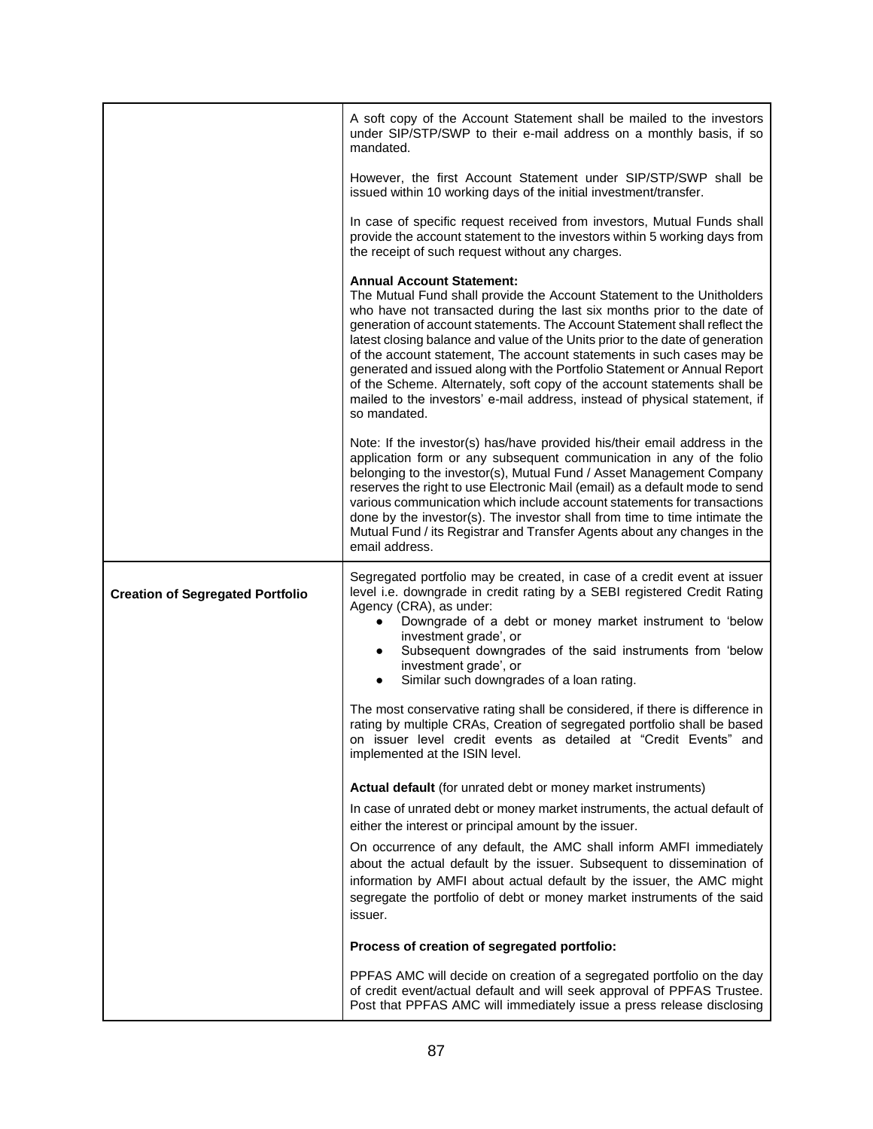|                                         | A soft copy of the Account Statement shall be mailed to the investors<br>under SIP/STP/SWP to their e-mail address on a monthly basis, if so<br>mandated.                                                                                                                                                                                                                                                                                                                                                                                                                                                                                                                          |  |  |
|-----------------------------------------|------------------------------------------------------------------------------------------------------------------------------------------------------------------------------------------------------------------------------------------------------------------------------------------------------------------------------------------------------------------------------------------------------------------------------------------------------------------------------------------------------------------------------------------------------------------------------------------------------------------------------------------------------------------------------------|--|--|
|                                         | However, the first Account Statement under SIP/STP/SWP shall be<br>issued within 10 working days of the initial investment/transfer.                                                                                                                                                                                                                                                                                                                                                                                                                                                                                                                                               |  |  |
|                                         | In case of specific request received from investors, Mutual Funds shall<br>provide the account statement to the investors within 5 working days from<br>the receipt of such request without any charges.                                                                                                                                                                                                                                                                                                                                                                                                                                                                           |  |  |
|                                         | <b>Annual Account Statement:</b><br>The Mutual Fund shall provide the Account Statement to the Unitholders<br>who have not transacted during the last six months prior to the date of<br>generation of account statements. The Account Statement shall reflect the<br>latest closing balance and value of the Units prior to the date of generation<br>of the account statement, The account statements in such cases may be<br>generated and issued along with the Portfolio Statement or Annual Report<br>of the Scheme. Alternately, soft copy of the account statements shall be<br>mailed to the investors' e-mail address, instead of physical statement, if<br>so mandated. |  |  |
|                                         | Note: If the investor(s) has/have provided his/their email address in the<br>application form or any subsequent communication in any of the folio<br>belonging to the investor(s), Mutual Fund / Asset Management Company<br>reserves the right to use Electronic Mail (email) as a default mode to send<br>various communication which include account statements for transactions<br>done by the investor(s). The investor shall from time to time intimate the<br>Mutual Fund / its Registrar and Transfer Agents about any changes in the<br>email address.                                                                                                                    |  |  |
| <b>Creation of Segregated Portfolio</b> | Segregated portfolio may be created, in case of a credit event at issuer<br>level i.e. downgrade in credit rating by a SEBI registered Credit Rating<br>Agency (CRA), as under:<br>Downgrade of a debt or money market instrument to 'below<br>$\bullet$<br>investment grade', or<br>Subsequent downgrades of the said instruments from 'below<br>investment grade', or<br>Similar such downgrades of a loan rating.                                                                                                                                                                                                                                                               |  |  |
|                                         | The most conservative rating shall be considered, if there is difference in<br>rating by multiple CRAs, Creation of segregated portfolio shall be based<br>on issuer level credit events as detailed at "Credit Events" and<br>implemented at the ISIN level.                                                                                                                                                                                                                                                                                                                                                                                                                      |  |  |
|                                         | <b>Actual default</b> (for unrated debt or money market instruments)                                                                                                                                                                                                                                                                                                                                                                                                                                                                                                                                                                                                               |  |  |
|                                         | In case of unrated debt or money market instruments, the actual default of<br>either the interest or principal amount by the issuer.                                                                                                                                                                                                                                                                                                                                                                                                                                                                                                                                               |  |  |
|                                         | On occurrence of any default, the AMC shall inform AMFI immediately<br>about the actual default by the issuer. Subsequent to dissemination of<br>information by AMFI about actual default by the issuer, the AMC might<br>segregate the portfolio of debt or money market instruments of the said<br>issuer.                                                                                                                                                                                                                                                                                                                                                                       |  |  |
|                                         | Process of creation of segregated portfolio:                                                                                                                                                                                                                                                                                                                                                                                                                                                                                                                                                                                                                                       |  |  |
|                                         | PPFAS AMC will decide on creation of a segregated portfolio on the day<br>of credit event/actual default and will seek approval of PPFAS Trustee.<br>Post that PPFAS AMC will immediately issue a press release disclosing                                                                                                                                                                                                                                                                                                                                                                                                                                                         |  |  |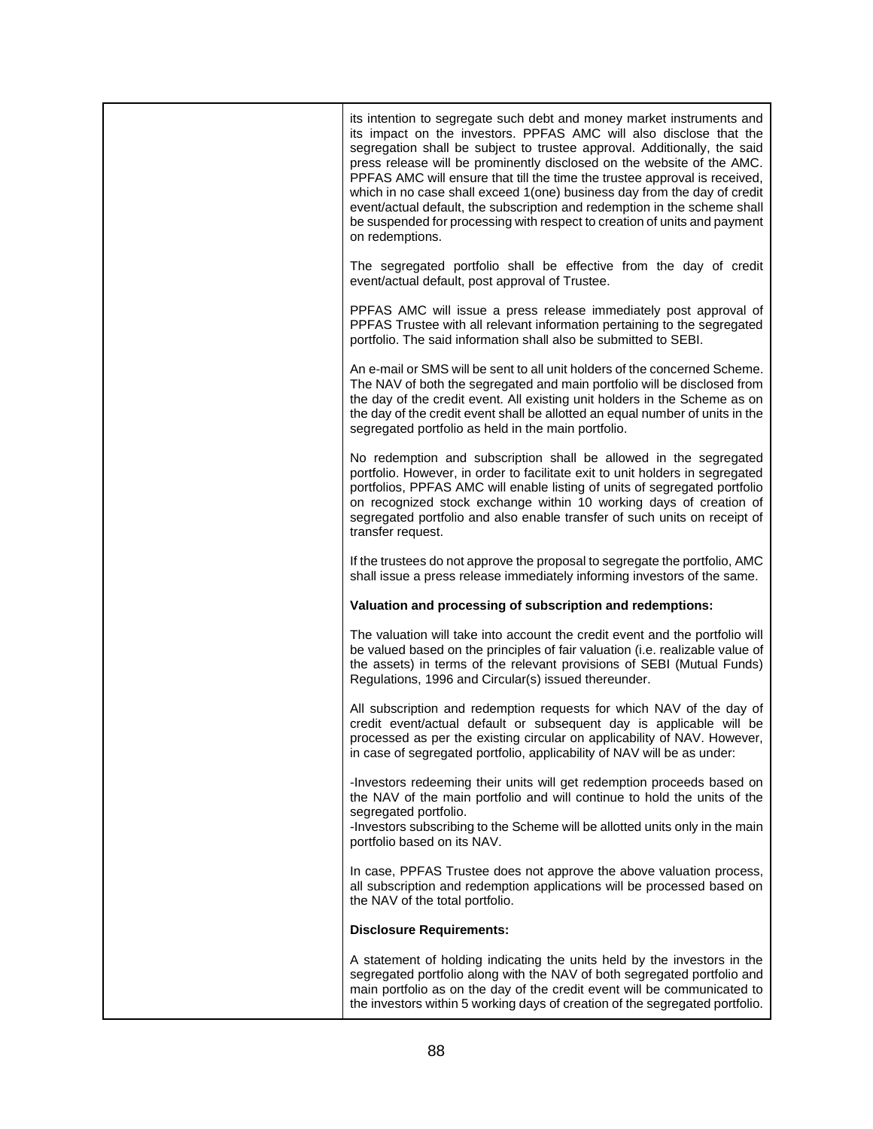| its intention to segregate such debt and money market instruments and<br>its impact on the investors. PPFAS AMC will also disclose that the<br>segregation shall be subject to trustee approval. Additionally, the said<br>press release will be prominently disclosed on the website of the AMC.<br>PPFAS AMC will ensure that till the time the trustee approval is received,<br>which in no case shall exceed 1(one) business day from the day of credit<br>event/actual default, the subscription and redemption in the scheme shall<br>be suspended for processing with respect to creation of units and payment<br>on redemptions. |
|------------------------------------------------------------------------------------------------------------------------------------------------------------------------------------------------------------------------------------------------------------------------------------------------------------------------------------------------------------------------------------------------------------------------------------------------------------------------------------------------------------------------------------------------------------------------------------------------------------------------------------------|
| The segregated portfolio shall be effective from the day of credit<br>event/actual default, post approval of Trustee.                                                                                                                                                                                                                                                                                                                                                                                                                                                                                                                    |
| PPFAS AMC will issue a press release immediately post approval of<br>PPFAS Trustee with all relevant information pertaining to the segregated<br>portfolio. The said information shall also be submitted to SEBI.                                                                                                                                                                                                                                                                                                                                                                                                                        |
| An e-mail or SMS will be sent to all unit holders of the concerned Scheme.<br>The NAV of both the segregated and main portfolio will be disclosed from<br>the day of the credit event. All existing unit holders in the Scheme as on<br>the day of the credit event shall be allotted an equal number of units in the<br>segregated portfolio as held in the main portfolio.                                                                                                                                                                                                                                                             |
| No redemption and subscription shall be allowed in the segregated<br>portfolio. However, in order to facilitate exit to unit holders in segregated<br>portfolios, PPFAS AMC will enable listing of units of segregated portfolio<br>on recognized stock exchange within 10 working days of creation of<br>segregated portfolio and also enable transfer of such units on receipt of<br>transfer request.                                                                                                                                                                                                                                 |
| If the trustees do not approve the proposal to segregate the portfolio, AMC<br>shall issue a press release immediately informing investors of the same.                                                                                                                                                                                                                                                                                                                                                                                                                                                                                  |
| Valuation and processing of subscription and redemptions:                                                                                                                                                                                                                                                                                                                                                                                                                                                                                                                                                                                |
| The valuation will take into account the credit event and the portfolio will<br>be valued based on the principles of fair valuation (i.e. realizable value of<br>the assets) in terms of the relevant provisions of SEBI (Mutual Funds)<br>Regulations, 1996 and Circular(s) issued thereunder.                                                                                                                                                                                                                                                                                                                                          |
| All subscription and redemption requests for which NAV of the day of<br>credit event/actual default or subsequent day is applicable will be<br>processed as per the existing circular on applicability of NAV. However,<br>in case of segregated portfolio, applicability of NAV will be as under:                                                                                                                                                                                                                                                                                                                                       |
| -Investors redeeming their units will get redemption proceeds based on<br>the NAV of the main portfolio and will continue to hold the units of the<br>segregated portfolio.<br>-Investors subscribing to the Scheme will be allotted units only in the main<br>portfolio based on its NAV.                                                                                                                                                                                                                                                                                                                                               |
| In case, PPFAS Trustee does not approve the above valuation process,<br>all subscription and redemption applications will be processed based on<br>the NAV of the total portfolio.                                                                                                                                                                                                                                                                                                                                                                                                                                                       |
| <b>Disclosure Requirements:</b>                                                                                                                                                                                                                                                                                                                                                                                                                                                                                                                                                                                                          |
| A statement of holding indicating the units held by the investors in the<br>segregated portfolio along with the NAV of both segregated portfolio and<br>main portfolio as on the day of the credit event will be communicated to<br>the investors within 5 working days of creation of the segregated portfolio.                                                                                                                                                                                                                                                                                                                         |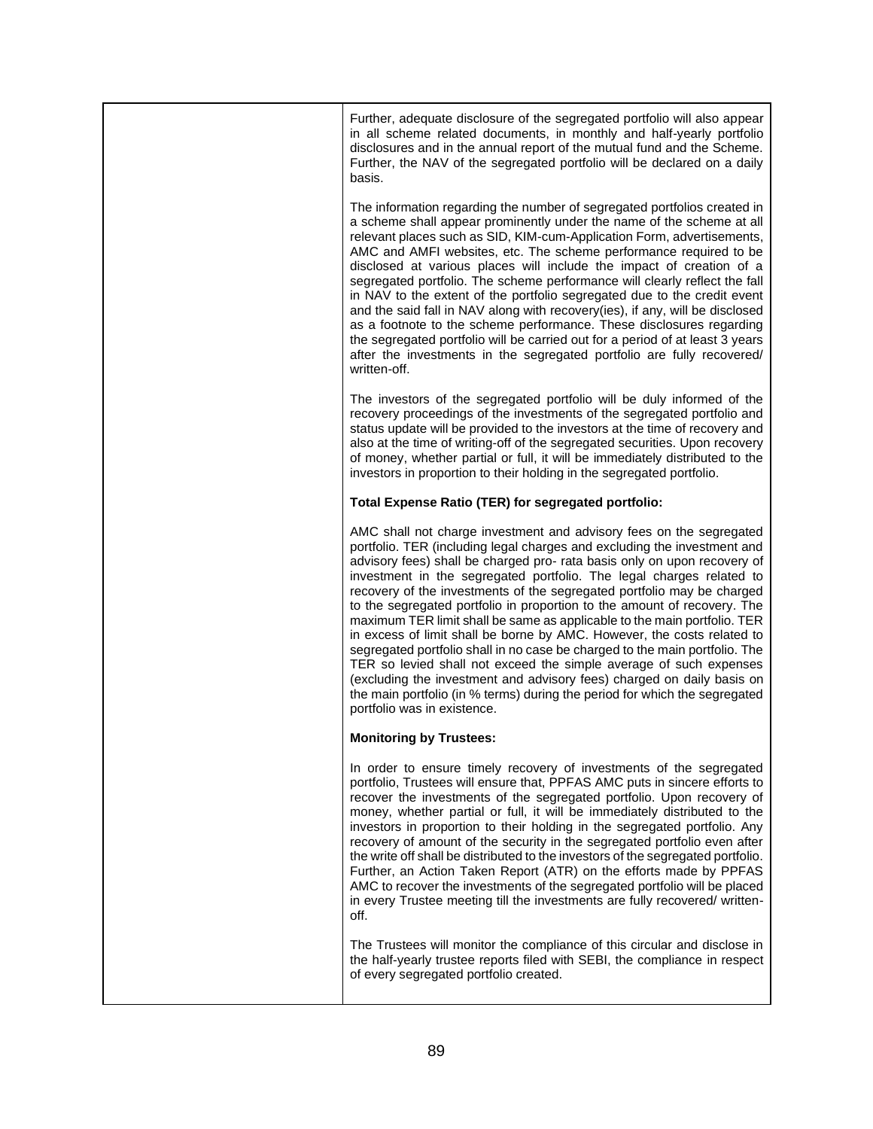Further, adequate disclosure of the segregated portfolio will also appear in all scheme related documents, in monthly and half-yearly portfolio disclosures and in the annual report of the mutual fund and the Scheme. Further, the NAV of the segregated portfolio will be declared on a daily basis.

The information regarding the number of segregated portfolios created in a scheme shall appear prominently under the name of the scheme at all relevant places such as SID, KIM-cum-Application Form, advertisements, AMC and AMFI websites, etc. The scheme performance required to be disclosed at various places will include the impact of creation of a segregated portfolio. The scheme performance will clearly reflect the fall in NAV to the extent of the portfolio segregated due to the credit event and the said fall in NAV along with recovery(ies), if any, will be disclosed as a footnote to the scheme performance. These disclosures regarding the segregated portfolio will be carried out for a period of at least 3 years after the investments in the segregated portfolio are fully recovered/ written-off.

The investors of the segregated portfolio will be duly informed of the recovery proceedings of the investments of the segregated portfolio and status update will be provided to the investors at the time of recovery and also at the time of writing-off of the segregated securities. Upon recovery of money, whether partial or full, it will be immediately distributed to the investors in proportion to their holding in the segregated portfolio.

## **Total Expense Ratio (TER) for segregated portfolio:**

AMC shall not charge investment and advisory fees on the segregated portfolio. TER (including legal charges and excluding the investment and advisory fees) shall be charged pro- rata basis only on upon recovery of investment in the segregated portfolio. The legal charges related to recovery of the investments of the segregated portfolio may be charged to the segregated portfolio in proportion to the amount of recovery. The maximum TER limit shall be same as applicable to the main portfolio. TER in excess of limit shall be borne by AMC. However, the costs related to segregated portfolio shall in no case be charged to the main portfolio. The TER so levied shall not exceed the simple average of such expenses (excluding the investment and advisory fees) charged on daily basis on the main portfolio (in % terms) during the period for which the segregated portfolio was in existence.

## **Monitoring by Trustees:**

In order to ensure timely recovery of investments of the segregated portfolio, Trustees will ensure that, PPFAS AMC puts in sincere efforts to recover the investments of the segregated portfolio. Upon recovery of money, whether partial or full, it will be immediately distributed to the investors in proportion to their holding in the segregated portfolio. Any recovery of amount of the security in the segregated portfolio even after the write off shall be distributed to the investors of the segregated portfolio. Further, an Action Taken Report (ATR) on the efforts made by PPFAS AMC to recover the investments of the segregated portfolio will be placed in every Trustee meeting till the investments are fully recovered/ writtenoff.

The Trustees will monitor the compliance of this circular and disclose in the half-yearly trustee reports filed with SEBI, the compliance in respect of every segregated portfolio created.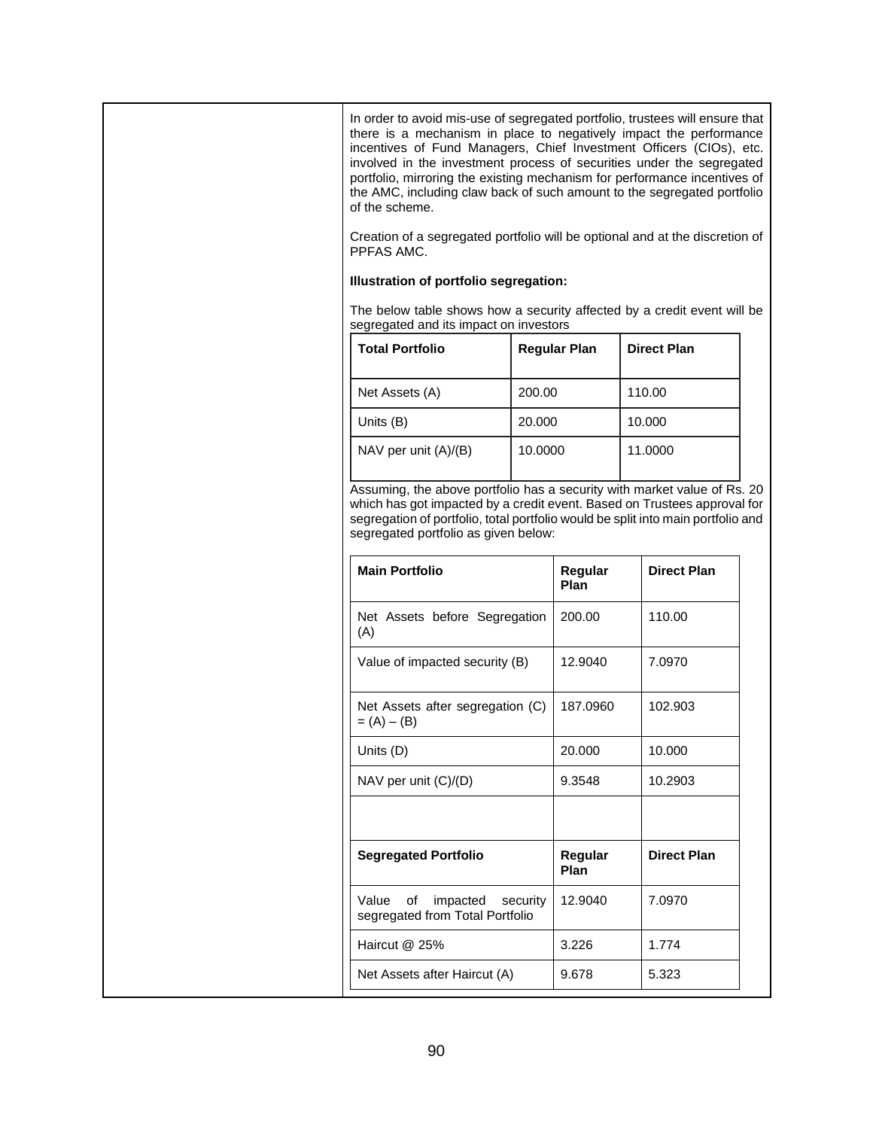In order to avoid mis-use of segregated portfolio, trustees will ensure that there is a mechanism in place to negatively impact the performance incentives of Fund Managers, Chief Investment Officers (CIOs), etc. involved in the investment process of securities under the segregated portfolio, mirroring the existing mechanism for performance incentives of the AMC, including claw back of such amount to the segregated portfolio of the scheme.

Creation of a segregated portfolio will be optional and at the discretion of PPFAS AMC.

## **Illustration of portfolio segregation:**

The below table shows how a security affected by a credit event will be segregated and its impact on investors

| <b>Total Portfolio</b> | <b>Regular Plan</b> | <b>Direct Plan</b> |
|------------------------|---------------------|--------------------|
| Net Assets (A)         | 200.00              | 110.00             |
| Units (B)              | 20,000              | 10.000             |
| NAV per unit $(A)/(B)$ | 10.0000             | 11.0000            |

Assuming, the above portfolio has a security with market value of Rs. 20 which has got impacted by a credit event. Based on Trustees approval for segregation of portfolio, total portfolio would be split into main portfolio and segregated portfolio as given below:

| <b>Main Portfolio</b>                                            | Regular<br>Plan | <b>Direct Plan</b> |
|------------------------------------------------------------------|-----------------|--------------------|
| Net Assets before Segregation<br>(A)                             | 200.00          | 110.00             |
| Value of impacted security (B)                                   | 12.9040         | 7.0970             |
| Net Assets after segregation (C)<br>$= (A) - (B)$                | 187.0960        | 102.903            |
| Units (D)                                                        | 20,000          | 10.000             |
| NAV per unit (C)/(D)                                             | 9.3548          | 10.2903            |
|                                                                  |                 |                    |
| <b>Segregated Portfolio</b>                                      | Regular<br>Plan | <b>Direct Plan</b> |
| impacted security<br>Value of<br>segregated from Total Portfolio | 12.9040         | 7.0970             |
| Haircut @ 25%                                                    | 3.226           | 1.774              |
| Net Assets after Haircut (A)                                     | 9.678           | 5.323              |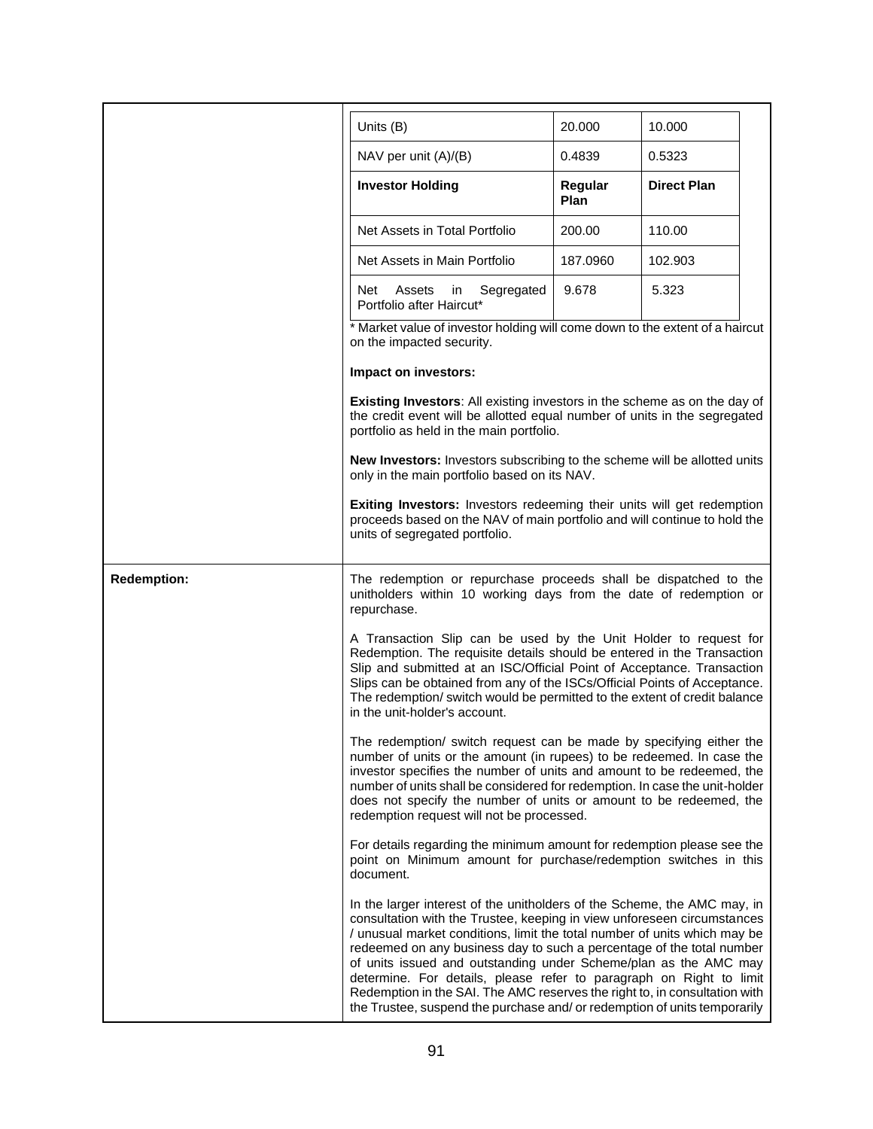|                                                                                                                                                                                                                                                                                                                                                                                                                                                                                                                                                                                                                 | Units (B)                                                                                                                                                                                                                                                                                                                                                                                                               | 20.000          | 10.000             |  |  |  |
|-----------------------------------------------------------------------------------------------------------------------------------------------------------------------------------------------------------------------------------------------------------------------------------------------------------------------------------------------------------------------------------------------------------------------------------------------------------------------------------------------------------------------------------------------------------------------------------------------------------------|-------------------------------------------------------------------------------------------------------------------------------------------------------------------------------------------------------------------------------------------------------------------------------------------------------------------------------------------------------------------------------------------------------------------------|-----------------|--------------------|--|--|--|
|                                                                                                                                                                                                                                                                                                                                                                                                                                                                                                                                                                                                                 | NAV per unit (A)/(B)                                                                                                                                                                                                                                                                                                                                                                                                    | 0.4839          | 0.5323             |  |  |  |
|                                                                                                                                                                                                                                                                                                                                                                                                                                                                                                                                                                                                                 | <b>Investor Holding</b>                                                                                                                                                                                                                                                                                                                                                                                                 | Regular<br>Plan | <b>Direct Plan</b> |  |  |  |
|                                                                                                                                                                                                                                                                                                                                                                                                                                                                                                                                                                                                                 | Net Assets in Total Portfolio                                                                                                                                                                                                                                                                                                                                                                                           | 200.00          | 110.00             |  |  |  |
|                                                                                                                                                                                                                                                                                                                                                                                                                                                                                                                                                                                                                 | Net Assets in Main Portfolio                                                                                                                                                                                                                                                                                                                                                                                            | 187.0960        | 102.903            |  |  |  |
|                                                                                                                                                                                                                                                                                                                                                                                                                                                                                                                                                                                                                 | Segregated<br>Net<br>Assets<br>in<br>Portfolio after Haircut*                                                                                                                                                                                                                                                                                                                                                           | 9.678           | 5.323              |  |  |  |
|                                                                                                                                                                                                                                                                                                                                                                                                                                                                                                                                                                                                                 | * Market value of investor holding will come down to the extent of a haircut<br>on the impacted security.                                                                                                                                                                                                                                                                                                               |                 |                    |  |  |  |
|                                                                                                                                                                                                                                                                                                                                                                                                                                                                                                                                                                                                                 | Impact on investors:                                                                                                                                                                                                                                                                                                                                                                                                    |                 |                    |  |  |  |
|                                                                                                                                                                                                                                                                                                                                                                                                                                                                                                                                                                                                                 | <b>Existing Investors:</b> All existing investors in the scheme as on the day of<br>the credit event will be allotted equal number of units in the segregated<br>portfolio as held in the main portfolio.                                                                                                                                                                                                               |                 |                    |  |  |  |
|                                                                                                                                                                                                                                                                                                                                                                                                                                                                                                                                                                                                                 | New Investors: Investors subscribing to the scheme will be allotted units<br>only in the main portfolio based on its NAV.                                                                                                                                                                                                                                                                                               |                 |                    |  |  |  |
|                                                                                                                                                                                                                                                                                                                                                                                                                                                                                                                                                                                                                 | Exiting Investors: Investors redeeming their units will get redemption<br>proceeds based on the NAV of main portfolio and will continue to hold the<br>units of segregated portfolio.                                                                                                                                                                                                                                   |                 |                    |  |  |  |
| <b>Redemption:</b>                                                                                                                                                                                                                                                                                                                                                                                                                                                                                                                                                                                              | The redemption or repurchase proceeds shall be dispatched to the<br>unitholders within 10 working days from the date of redemption or<br>repurchase.                                                                                                                                                                                                                                                                    |                 |                    |  |  |  |
|                                                                                                                                                                                                                                                                                                                                                                                                                                                                                                                                                                                                                 | A Transaction Slip can be used by the Unit Holder to request for<br>Redemption. The requisite details should be entered in the Transaction<br>Slip and submitted at an ISC/Official Point of Acceptance. Transaction<br>Slips can be obtained from any of the ISCs/Official Points of Acceptance.<br>The redemption/ switch would be permitted to the extent of credit balance<br>in the unit-holder's account.         |                 |                    |  |  |  |
|                                                                                                                                                                                                                                                                                                                                                                                                                                                                                                                                                                                                                 | The redemption/ switch request can be made by specifying either the<br>number of units or the amount (in rupees) to be redeemed. In case the<br>investor specifies the number of units and amount to be redeemed, the<br>number of units shall be considered for redemption. In case the unit-holder<br>does not specify the number of units or amount to be redeemed, the<br>redemption request will not be processed. |                 |                    |  |  |  |
|                                                                                                                                                                                                                                                                                                                                                                                                                                                                                                                                                                                                                 | For details regarding the minimum amount for redemption please see the<br>point on Minimum amount for purchase/redemption switches in this<br>document.                                                                                                                                                                                                                                                                 |                 |                    |  |  |  |
| In the larger interest of the unitholders of the Scheme, the AMC may, in<br>consultation with the Trustee, keeping in view unforeseen circumstances<br>/ unusual market conditions, limit the total number of units which may be<br>redeemed on any business day to such a percentage of the total number<br>of units issued and outstanding under Scheme/plan as the AMC may<br>determine. For details, please refer to paragraph on Right to limit<br>Redemption in the SAI. The AMC reserves the right to, in consultation with<br>the Trustee, suspend the purchase and/ or redemption of units temporarily |                                                                                                                                                                                                                                                                                                                                                                                                                         |                 |                    |  |  |  |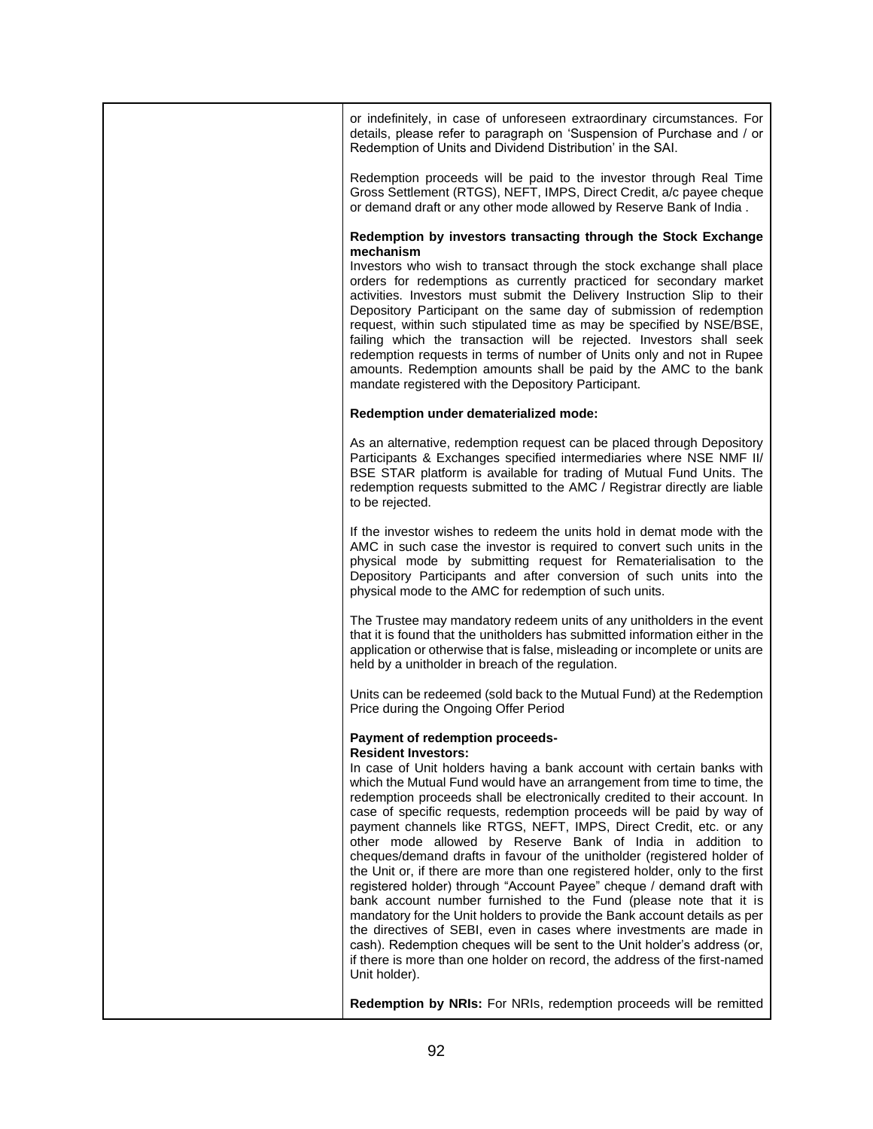| or indefinitely, in case of unforeseen extraordinary circumstances. For<br>details, please refer to paragraph on 'Suspension of Purchase and / or<br>Redemption of Units and Dividend Distribution' in the SAI.                                                                                                                                                                                                                                                                                                                                                                                                                                                                                                                                                                                                                                                                                                                                                                                                                                                                                                                                    |  |  |  |
|----------------------------------------------------------------------------------------------------------------------------------------------------------------------------------------------------------------------------------------------------------------------------------------------------------------------------------------------------------------------------------------------------------------------------------------------------------------------------------------------------------------------------------------------------------------------------------------------------------------------------------------------------------------------------------------------------------------------------------------------------------------------------------------------------------------------------------------------------------------------------------------------------------------------------------------------------------------------------------------------------------------------------------------------------------------------------------------------------------------------------------------------------|--|--|--|
| Redemption proceeds will be paid to the investor through Real Time<br>Gross Settlement (RTGS), NEFT, IMPS, Direct Credit, a/c payee cheque<br>or demand draft or any other mode allowed by Reserve Bank of India.                                                                                                                                                                                                                                                                                                                                                                                                                                                                                                                                                                                                                                                                                                                                                                                                                                                                                                                                  |  |  |  |
| Redemption by investors transacting through the Stock Exchange<br>mechanism                                                                                                                                                                                                                                                                                                                                                                                                                                                                                                                                                                                                                                                                                                                                                                                                                                                                                                                                                                                                                                                                        |  |  |  |
| Investors who wish to transact through the stock exchange shall place<br>orders for redemptions as currently practiced for secondary market<br>activities. Investors must submit the Delivery Instruction Slip to their<br>Depository Participant on the same day of submission of redemption<br>request, within such stipulated time as may be specified by NSE/BSE,<br>failing which the transaction will be rejected. Investors shall seek<br>redemption requests in terms of number of Units only and not in Rupee<br>amounts. Redemption amounts shall be paid by the AMC to the bank<br>mandate registered with the Depository Participant.                                                                                                                                                                                                                                                                                                                                                                                                                                                                                                  |  |  |  |
| Redemption under dematerialized mode:                                                                                                                                                                                                                                                                                                                                                                                                                                                                                                                                                                                                                                                                                                                                                                                                                                                                                                                                                                                                                                                                                                              |  |  |  |
| As an alternative, redemption request can be placed through Depository<br>Participants & Exchanges specified intermediaries where NSE NMF II/<br>BSE STAR platform is available for trading of Mutual Fund Units. The<br>redemption requests submitted to the AMC / Registrar directly are liable<br>to be rejected.                                                                                                                                                                                                                                                                                                                                                                                                                                                                                                                                                                                                                                                                                                                                                                                                                               |  |  |  |
| If the investor wishes to redeem the units hold in demat mode with the<br>AMC in such case the investor is required to convert such units in the<br>physical mode by submitting request for Rematerialisation to the<br>Depository Participants and after conversion of such units into the<br>physical mode to the AMC for redemption of such units.                                                                                                                                                                                                                                                                                                                                                                                                                                                                                                                                                                                                                                                                                                                                                                                              |  |  |  |
| The Trustee may mandatory redeem units of any unitholders in the event<br>that it is found that the unitholders has submitted information either in the<br>application or otherwise that is false, misleading or incomplete or units are<br>held by a unitholder in breach of the regulation.                                                                                                                                                                                                                                                                                                                                                                                                                                                                                                                                                                                                                                                                                                                                                                                                                                                      |  |  |  |
| Units can be redeemed (sold back to the Mutual Fund) at the Redemption<br>Price during the Ongoing Offer Period                                                                                                                                                                                                                                                                                                                                                                                                                                                                                                                                                                                                                                                                                                                                                                                                                                                                                                                                                                                                                                    |  |  |  |
| Payment of redemption proceeds-<br><b>Resident Investors:</b><br>In case of Unit holders having a bank account with certain banks with<br>which the Mutual Fund would have an arrangement from time to time, the<br>redemption proceeds shall be electronically credited to their account. In<br>case of specific requests, redemption proceeds will be paid by way of<br>payment channels like RTGS, NEFT, IMPS, Direct Credit, etc. or any<br>other mode allowed by Reserve Bank of India in addition to<br>cheques/demand drafts in favour of the unitholder (registered holder of<br>the Unit or, if there are more than one registered holder, only to the first<br>registered holder) through "Account Payee" cheque / demand draft with<br>bank account number furnished to the Fund (please note that it is<br>mandatory for the Unit holders to provide the Bank account details as per<br>the directives of SEBI, even in cases where investments are made in<br>cash). Redemption cheques will be sent to the Unit holder's address (or,<br>if there is more than one holder on record, the address of the first-named<br>Unit holder). |  |  |  |
| <b>Redemption by NRIs:</b> For NRIs, redemption proceeds will be remitted                                                                                                                                                                                                                                                                                                                                                                                                                                                                                                                                                                                                                                                                                                                                                                                                                                                                                                                                                                                                                                                                          |  |  |  |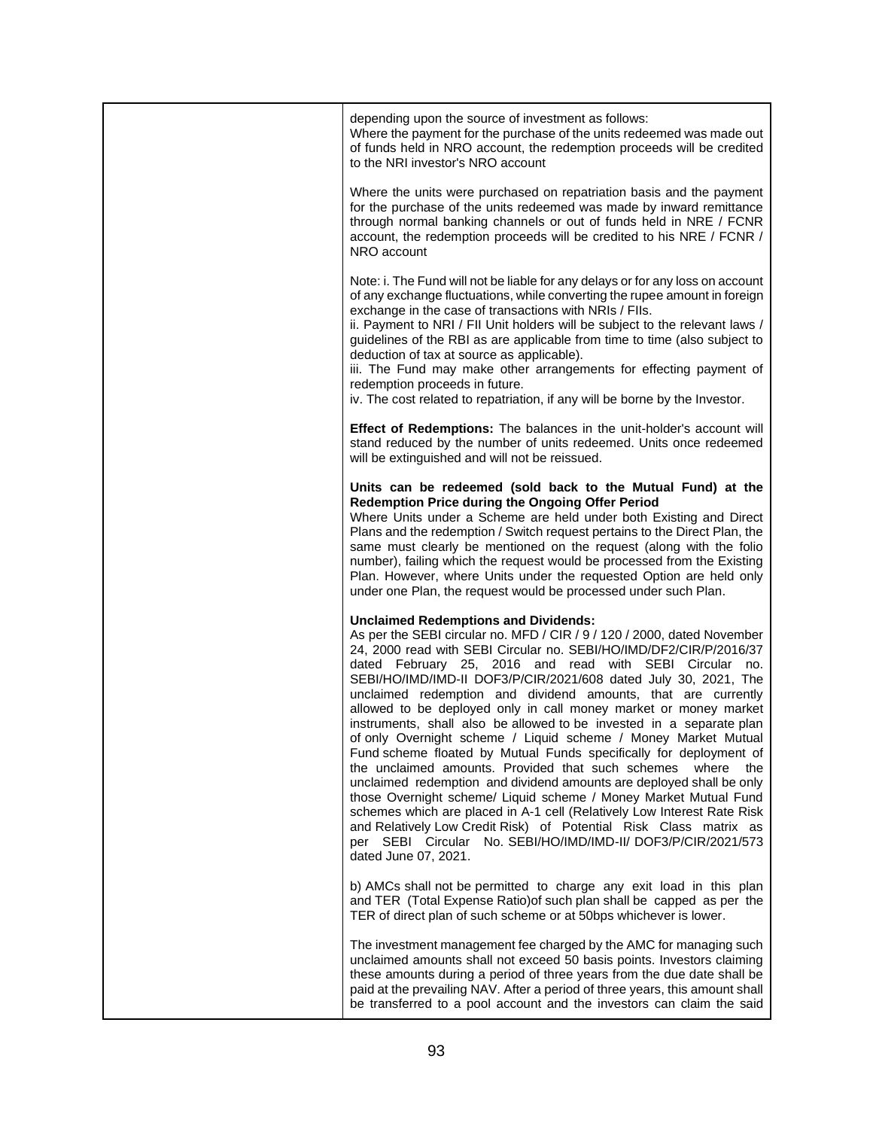| depending upon the source of investment as follows:<br>Where the payment for the purchase of the units redeemed was made out<br>of funds held in NRO account, the redemption proceeds will be credited<br>to the NRI investor's NRO account                                                                                                                                                                                                                                                                                                                                                                                                                                                                                                                                                                                                                                                                                                                                                                                                                                                                                               |
|-------------------------------------------------------------------------------------------------------------------------------------------------------------------------------------------------------------------------------------------------------------------------------------------------------------------------------------------------------------------------------------------------------------------------------------------------------------------------------------------------------------------------------------------------------------------------------------------------------------------------------------------------------------------------------------------------------------------------------------------------------------------------------------------------------------------------------------------------------------------------------------------------------------------------------------------------------------------------------------------------------------------------------------------------------------------------------------------------------------------------------------------|
| Where the units were purchased on repatriation basis and the payment<br>for the purchase of the units redeemed was made by inward remittance<br>through normal banking channels or out of funds held in NRE / FCNR<br>account, the redemption proceeds will be credited to his NRE / FCNR /<br>NRO account                                                                                                                                                                                                                                                                                                                                                                                                                                                                                                                                                                                                                                                                                                                                                                                                                                |
| Note: i. The Fund will not be liable for any delays or for any loss on account<br>of any exchange fluctuations, while converting the rupee amount in foreign<br>exchange in the case of transactions with NRIs / FIIs.<br>ii. Payment to NRI / FII Unit holders will be subject to the relevant laws /<br>guidelines of the RBI as are applicable from time to time (also subject to<br>deduction of tax at source as applicable).<br>iii. The Fund may make other arrangements for effecting payment of<br>redemption proceeds in future.<br>iv. The cost related to repatriation, if any will be borne by the Investor.                                                                                                                                                                                                                                                                                                                                                                                                                                                                                                                 |
| Effect of Redemptions: The balances in the unit-holder's account will<br>stand reduced by the number of units redeemed. Units once redeemed<br>will be extinguished and will not be reissued.                                                                                                                                                                                                                                                                                                                                                                                                                                                                                                                                                                                                                                                                                                                                                                                                                                                                                                                                             |
| Units can be redeemed (sold back to the Mutual Fund) at the<br>Redemption Price during the Ongoing Offer Period<br>Where Units under a Scheme are held under both Existing and Direct<br>Plans and the redemption / Switch request pertains to the Direct Plan, the<br>same must clearly be mentioned on the request (along with the folio<br>number), failing which the request would be processed from the Existing<br>Plan. However, where Units under the requested Option are held only<br>under one Plan, the request would be processed under such Plan.                                                                                                                                                                                                                                                                                                                                                                                                                                                                                                                                                                           |
| <b>Unclaimed Redemptions and Dividends:</b><br>As per the SEBI circular no. MFD / CIR / 9 / 120 / 2000, dated November<br>24, 2000 read with SEBI Circular no. SEBI/HO/IMD/DF2/CIR/P/2016/37<br>dated February 25, 2016 and read with SEBI Circular no.<br>SEBI/HO/IMD/IMD-II DOF3/P/CIR/2021/608 dated July 30, 2021, The<br>unclaimed redemption and dividend amounts, that are currently<br>allowed to be deployed only in call money market or money market<br>instruments, shall also be allowed to be invested in a separate plan<br>of only Overnight scheme / Liquid scheme / Money Market Mutual<br>Fund scheme floated by Mutual Funds specifically for deployment of<br>the unclaimed amounts. Provided that such schemes<br>where<br>the<br>unclaimed redemption and dividend amounts are deployed shall be only<br>those Overnight scheme/ Liquid scheme / Money Market Mutual Fund<br>schemes which are placed in A-1 cell (Relatively Low Interest Rate Risk<br>and Relatively Low Credit Risk) of Potential Risk Class matrix as<br>per SEBI Circular No. SEBI/HO/IMD/IMD-II/ DOF3/P/CIR/2021/573<br>dated June 07, 2021. |
| b) AMCs shall not be permitted to charge any exit load in this plan<br>and TER (Total Expense Ratio) of such plan shall be capped as per the<br>TER of direct plan of such scheme or at 50bps whichever is lower.                                                                                                                                                                                                                                                                                                                                                                                                                                                                                                                                                                                                                                                                                                                                                                                                                                                                                                                         |
| The investment management fee charged by the AMC for managing such<br>unclaimed amounts shall not exceed 50 basis points. Investors claiming<br>these amounts during a period of three years from the due date shall be<br>paid at the prevailing NAV. After a period of three years, this amount shall<br>be transferred to a pool account and the investors can claim the said                                                                                                                                                                                                                                                                                                                                                                                                                                                                                                                                                                                                                                                                                                                                                          |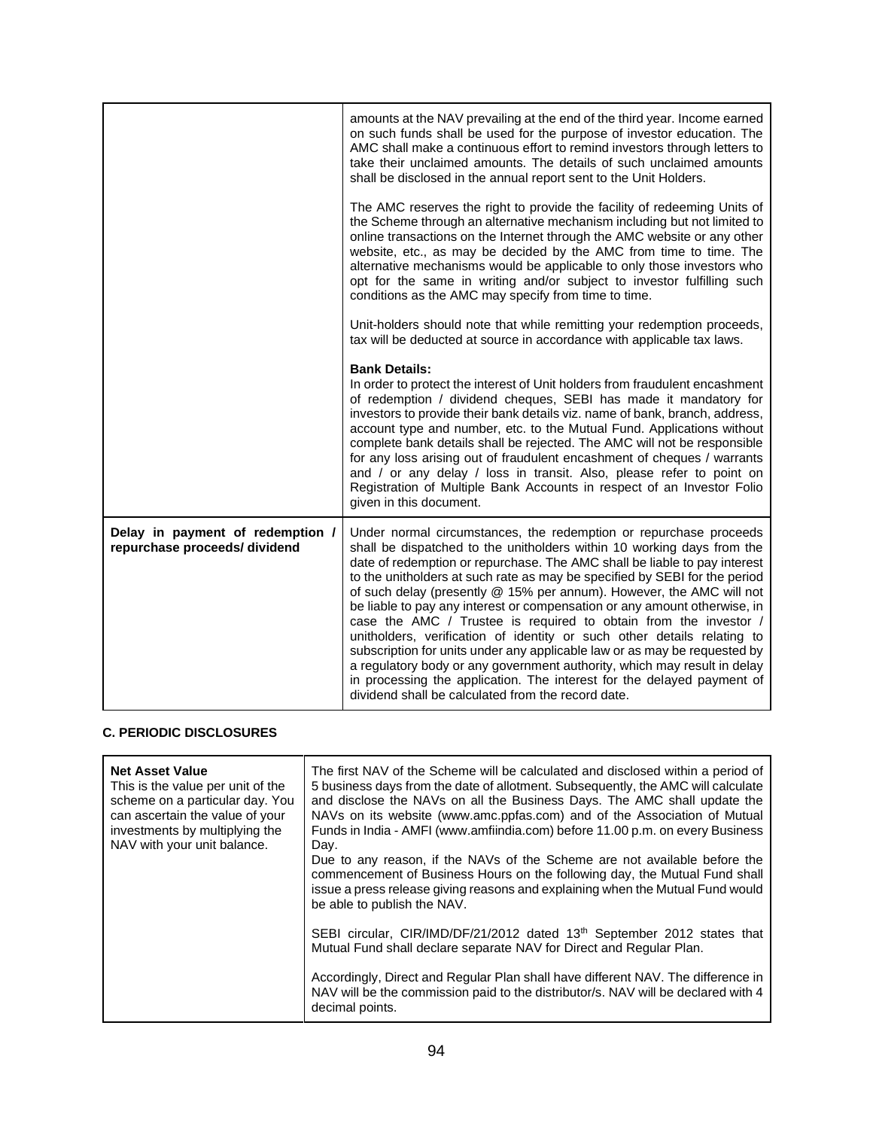| amounts at the NAV prevailing at the end of the third year. Income earned<br>on such funds shall be used for the purpose of investor education. The<br>AMC shall make a continuous effort to remind investors through letters to<br>take their unclaimed amounts. The details of such unclaimed amounts<br>shall be disclosed in the annual report sent to the Unit Holders.                                                                                                                                                                                                                                                                                                                                                                                                                                                                                                                        |
|-----------------------------------------------------------------------------------------------------------------------------------------------------------------------------------------------------------------------------------------------------------------------------------------------------------------------------------------------------------------------------------------------------------------------------------------------------------------------------------------------------------------------------------------------------------------------------------------------------------------------------------------------------------------------------------------------------------------------------------------------------------------------------------------------------------------------------------------------------------------------------------------------------|
| The AMC reserves the right to provide the facility of redeeming Units of<br>the Scheme through an alternative mechanism including but not limited to<br>online transactions on the Internet through the AMC website or any other<br>website, etc., as may be decided by the AMC from time to time. The<br>alternative mechanisms would be applicable to only those investors who<br>opt for the same in writing and/or subject to investor fulfilling such<br>conditions as the AMC may specify from time to time.                                                                                                                                                                                                                                                                                                                                                                                  |
| Unit-holders should note that while remitting your redemption proceeds,<br>tax will be deducted at source in accordance with applicable tax laws.                                                                                                                                                                                                                                                                                                                                                                                                                                                                                                                                                                                                                                                                                                                                                   |
| <b>Bank Details:</b><br>In order to protect the interest of Unit holders from fraudulent encashment<br>of redemption / dividend cheques, SEBI has made it mandatory for<br>investors to provide their bank details viz. name of bank, branch, address,<br>account type and number, etc. to the Mutual Fund. Applications without<br>complete bank details shall be rejected. The AMC will not be responsible<br>for any loss arising out of fraudulent encashment of cheques / warrants<br>and / or any delay / loss in transit. Also, please refer to point on<br>Registration of Multiple Bank Accounts in respect of an Investor Folio<br>given in this document.                                                                                                                                                                                                                                |
| Under normal circumstances, the redemption or repurchase proceeds<br>shall be dispatched to the unitholders within 10 working days from the<br>date of redemption or repurchase. The AMC shall be liable to pay interest<br>to the unitholders at such rate as may be specified by SEBI for the period<br>of such delay (presently @ 15% per annum). However, the AMC will not<br>be liable to pay any interest or compensation or any amount otherwise, in<br>case the AMC / Trustee is required to obtain from the investor /<br>unitholders, verification of identity or such other details relating to<br>subscription for units under any applicable law or as may be requested by<br>a regulatory body or any government authority, which may result in delay<br>in processing the application. The interest for the delayed payment of<br>dividend shall be calculated from the record date. |
|                                                                                                                                                                                                                                                                                                                                                                                                                                                                                                                                                                                                                                                                                                                                                                                                                                                                                                     |

# **C. PERIODIC DISCLOSURES**

| <b>Net Asset Value</b><br>This is the value per unit of the<br>scheme on a particular day. You<br>can ascertain the value of your<br>investments by multiplying the<br>NAV with your unit balance. | The first NAV of the Scheme will be calculated and disclosed within a period of<br>5 business days from the date of allotment. Subsequently, the AMC will calculate<br>and disclose the NAVs on all the Business Days. The AMC shall update the<br>NAVs on its website (www.amc.ppfas.com) and of the Association of Mutual<br>Funds in India - AMFI (www.amfiindia.com) before 11.00 p.m. on every Business<br>Day.<br>Due to any reason, if the NAVs of the Scheme are not available before the<br>commencement of Business Hours on the following day, the Mutual Fund shall<br>issue a press release giving reasons and explaining when the Mutual Fund would<br>be able to publish the NAV. |
|----------------------------------------------------------------------------------------------------------------------------------------------------------------------------------------------------|--------------------------------------------------------------------------------------------------------------------------------------------------------------------------------------------------------------------------------------------------------------------------------------------------------------------------------------------------------------------------------------------------------------------------------------------------------------------------------------------------------------------------------------------------------------------------------------------------------------------------------------------------------------------------------------------------|
|                                                                                                                                                                                                    | SEBI circular, CIR/IMD/DF/21/2012 dated 13th September 2012 states that<br>Mutual Fund shall declare separate NAV for Direct and Regular Plan.                                                                                                                                                                                                                                                                                                                                                                                                                                                                                                                                                   |
|                                                                                                                                                                                                    | Accordingly, Direct and Regular Plan shall have different NAV. The difference in<br>NAV will be the commission paid to the distributor/s. NAV will be declared with 4<br>decimal points.                                                                                                                                                                                                                                                                                                                                                                                                                                                                                                         |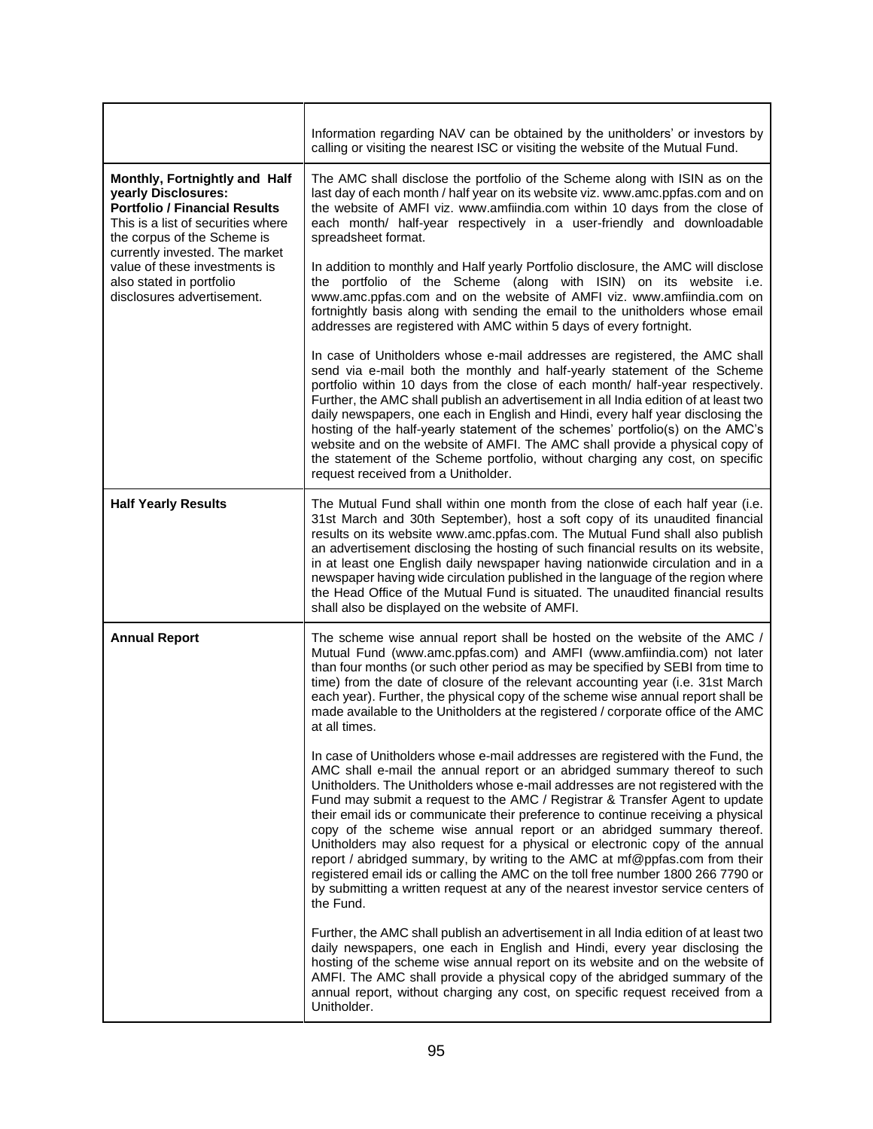|                                                                                                                                                                   | Information regarding NAV can be obtained by the unitholders' or investors by<br>calling or visiting the nearest ISC or visiting the website of the Mutual Fund.                                                                                                                                                                                                                                                                                                                                                                                                                                                                                                                                                                                                                                                                                 |  |  |  |
|-------------------------------------------------------------------------------------------------------------------------------------------------------------------|--------------------------------------------------------------------------------------------------------------------------------------------------------------------------------------------------------------------------------------------------------------------------------------------------------------------------------------------------------------------------------------------------------------------------------------------------------------------------------------------------------------------------------------------------------------------------------------------------------------------------------------------------------------------------------------------------------------------------------------------------------------------------------------------------------------------------------------------------|--|--|--|
| Monthly, Fortnightly and Half<br>yearly Disclosures:<br><b>Portfolio / Financial Results</b><br>This is a list of securities where<br>the corpus of the Scheme is | The AMC shall disclose the portfolio of the Scheme along with ISIN as on the<br>last day of each month / half year on its website viz. www.amc.ppfas.com and on<br>the website of AMFI viz. www.amfiindia.com within 10 days from the close of<br>each month/ half-year respectively in a user-friendly and downloadable<br>spreadsheet format.                                                                                                                                                                                                                                                                                                                                                                                                                                                                                                  |  |  |  |
| currently invested. The market<br>value of these investments is<br>also stated in portfolio<br>disclosures advertisement.                                         | In addition to monthly and Half yearly Portfolio disclosure, the AMC will disclose<br>the portfolio of the Scheme (along with ISIN) on its website i.e.<br>www.amc.ppfas.com and on the website of AMFI viz. www.amfiindia.com on<br>fortnightly basis along with sending the email to the unitholders whose email<br>addresses are registered with AMC within 5 days of every fortnight.                                                                                                                                                                                                                                                                                                                                                                                                                                                        |  |  |  |
|                                                                                                                                                                   | In case of Unitholders whose e-mail addresses are registered, the AMC shall<br>send via e-mail both the monthly and half-yearly statement of the Scheme<br>portfolio within 10 days from the close of each month/ half-year respectively.<br>Further, the AMC shall publish an advertisement in all India edition of at least two<br>daily newspapers, one each in English and Hindi, every half year disclosing the<br>hosting of the half-yearly statement of the schemes' portfolio(s) on the AMC's<br>website and on the website of AMFI. The AMC shall provide a physical copy of<br>the statement of the Scheme portfolio, without charging any cost, on specific<br>request received from a Unitholder.                                                                                                                                   |  |  |  |
| <b>Half Yearly Results</b>                                                                                                                                        | The Mutual Fund shall within one month from the close of each half year (i.e.<br>31st March and 30th September), host a soft copy of its unaudited financial<br>results on its website www.amc.ppfas.com. The Mutual Fund shall also publish<br>an advertisement disclosing the hosting of such financial results on its website,<br>in at least one English daily newspaper having nationwide circulation and in a<br>newspaper having wide circulation published in the language of the region where<br>the Head Office of the Mutual Fund is situated. The unaudited financial results<br>shall also be displayed on the website of AMFI.                                                                                                                                                                                                     |  |  |  |
| <b>Annual Report</b>                                                                                                                                              | The scheme wise annual report shall be hosted on the website of the AMC /<br>Mutual Fund (www.amc.ppfas.com) and AMFI (www.amfiindia.com) not later<br>than four months (or such other period as may be specified by SEBI from time to<br>time) from the date of closure of the relevant accounting year (i.e. 31st March<br>each year). Further, the physical copy of the scheme wise annual report shall be<br>made available to the Unitholders at the registered / corporate office of the AMC<br>at all times.                                                                                                                                                                                                                                                                                                                              |  |  |  |
|                                                                                                                                                                   | In case of Unitholders whose e-mail addresses are registered with the Fund, the<br>AMC shall e-mail the annual report or an abridged summary thereof to such<br>Unitholders. The Unitholders whose e-mail addresses are not registered with the<br>Fund may submit a request to the AMC / Registrar & Transfer Agent to update<br>their email ids or communicate their preference to continue receiving a physical<br>copy of the scheme wise annual report or an abridged summary thereof.<br>Unitholders may also request for a physical or electronic copy of the annual<br>report / abridged summary, by writing to the AMC at mf@ppfas.com from their<br>registered email ids or calling the AMC on the toll free number 1800 266 7790 or<br>by submitting a written request at any of the nearest investor service centers of<br>the Fund. |  |  |  |
|                                                                                                                                                                   | Further, the AMC shall publish an advertisement in all India edition of at least two<br>daily newspapers, one each in English and Hindi, every year disclosing the<br>hosting of the scheme wise annual report on its website and on the website of<br>AMFI. The AMC shall provide a physical copy of the abridged summary of the<br>annual report, without charging any cost, on specific request received from a<br>Unitholder.                                                                                                                                                                                                                                                                                                                                                                                                                |  |  |  |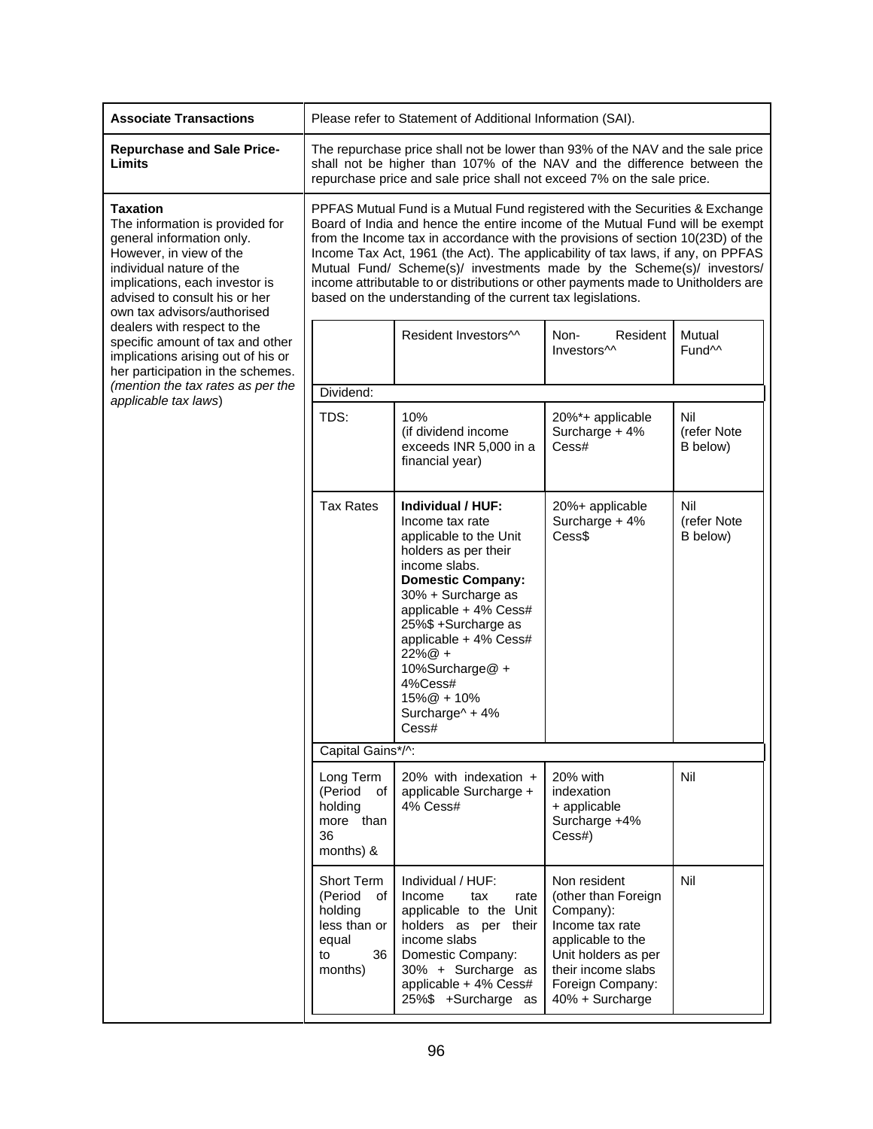| <b>Associate Transactions</b>                                                                                                                                                                                                            | Please refer to Statement of Additional Information (SAI).                                                                                                                                                                                                                                                                                                                                                                                                                                                                                                      |                                                                                                                                                                                                                                                                                                                            |                                                                                                                                                                              |                                |
|------------------------------------------------------------------------------------------------------------------------------------------------------------------------------------------------------------------------------------------|-----------------------------------------------------------------------------------------------------------------------------------------------------------------------------------------------------------------------------------------------------------------------------------------------------------------------------------------------------------------------------------------------------------------------------------------------------------------------------------------------------------------------------------------------------------------|----------------------------------------------------------------------------------------------------------------------------------------------------------------------------------------------------------------------------------------------------------------------------------------------------------------------------|------------------------------------------------------------------------------------------------------------------------------------------------------------------------------|--------------------------------|
| <b>Repurchase and Sale Price-</b><br>Limits                                                                                                                                                                                              | The repurchase price shall not be lower than 93% of the NAV and the sale price<br>shall not be higher than 107% of the NAV and the difference between the<br>repurchase price and sale price shall not exceed 7% on the sale price.                                                                                                                                                                                                                                                                                                                             |                                                                                                                                                                                                                                                                                                                            |                                                                                                                                                                              |                                |
| <b>Taxation</b><br>The information is provided for<br>general information only.<br>However, in view of the<br>individual nature of the<br>implications, each investor is<br>advised to consult his or her<br>own tax advisors/authorised | PPFAS Mutual Fund is a Mutual Fund registered with the Securities & Exchange<br>Board of India and hence the entire income of the Mutual Fund will be exempt<br>from the Income tax in accordance with the provisions of section 10(23D) of the<br>Income Tax Act, 1961 (the Act). The applicability of tax laws, if any, on PPFAS<br>Mutual Fund/ Scheme(s)/ investments made by the Scheme(s)/ investors/<br>income attributable to or distributions or other payments made to Unitholders are<br>based on the understanding of the current tax legislations. |                                                                                                                                                                                                                                                                                                                            |                                                                                                                                                                              |                                |
| dealers with respect to the<br>specific amount of tax and other<br>implications arising out of his or<br>her participation in the schemes.                                                                                               |                                                                                                                                                                                                                                                                                                                                                                                                                                                                                                                                                                 | Resident Investors <sup>11</sup>                                                                                                                                                                                                                                                                                           | Non-<br>Resident<br>Investors <sup>11</sup>                                                                                                                                  | Mutual<br>Fund <sup>11</sup>   |
| (mention the tax rates as per the                                                                                                                                                                                                        | Dividend:                                                                                                                                                                                                                                                                                                                                                                                                                                                                                                                                                       |                                                                                                                                                                                                                                                                                                                            |                                                                                                                                                                              |                                |
| applicable tax laws)                                                                                                                                                                                                                     | TDS:                                                                                                                                                                                                                                                                                                                                                                                                                                                                                                                                                            | 10%<br>(if dividend income<br>exceeds INR 5,000 in a<br>financial year)                                                                                                                                                                                                                                                    | 20%*+ applicable<br>Surcharge + 4%<br>Cess#                                                                                                                                  | Nil<br>(refer Note<br>B below) |
|                                                                                                                                                                                                                                          | <b>Tax Rates</b>                                                                                                                                                                                                                                                                                                                                                                                                                                                                                                                                                | Individual / HUF:<br>Income tax rate<br>applicable to the Unit<br>holders as per their<br>income slabs.<br><b>Domestic Company:</b><br>30% + Surcharge as<br>applicable + 4% Cess#<br>25%\$ +Surcharge as<br>applicable + 4% Cess#<br>$22\%@+$<br>10%Surcharge@+<br>4%Cess#<br>$15\% @ + 10\%$<br>Surcharge^ + 4%<br>Cess# | 20%+ applicable<br>Surcharge + 4%<br>Cess\$                                                                                                                                  | Nil<br>(refer Note<br>B below) |
|                                                                                                                                                                                                                                          | Capital Gains*/^:                                                                                                                                                                                                                                                                                                                                                                                                                                                                                                                                               |                                                                                                                                                                                                                                                                                                                            |                                                                                                                                                                              |                                |
|                                                                                                                                                                                                                                          | Long Term<br>(Period of<br>holding<br>more than<br>36<br>months) &                                                                                                                                                                                                                                                                                                                                                                                                                                                                                              | 20% with indexation $+$<br>applicable Surcharge +<br>4% Cess#                                                                                                                                                                                                                                                              | 20% with<br>indexation<br>+ applicable<br>Surcharge +4%<br>Cess#)                                                                                                            | Nil                            |
|                                                                                                                                                                                                                                          | Short Term<br>(Period<br>of I<br>holding<br>less than or<br>equal<br>36<br>to<br>months)                                                                                                                                                                                                                                                                                                                                                                                                                                                                        | Individual / HUF:<br>Income<br>tax<br>rate<br>applicable to the Unit<br>holders as per their<br>income slabs<br>Domestic Company:<br>30% + Surcharge as<br>applicable + 4% Cess#<br>25%\$ +Surcharge as                                                                                                                    | Non resident<br>(other than Foreign<br>Company):<br>Income tax rate<br>applicable to the<br>Unit holders as per<br>their income slabs<br>Foreign Company:<br>40% + Surcharge | Nil                            |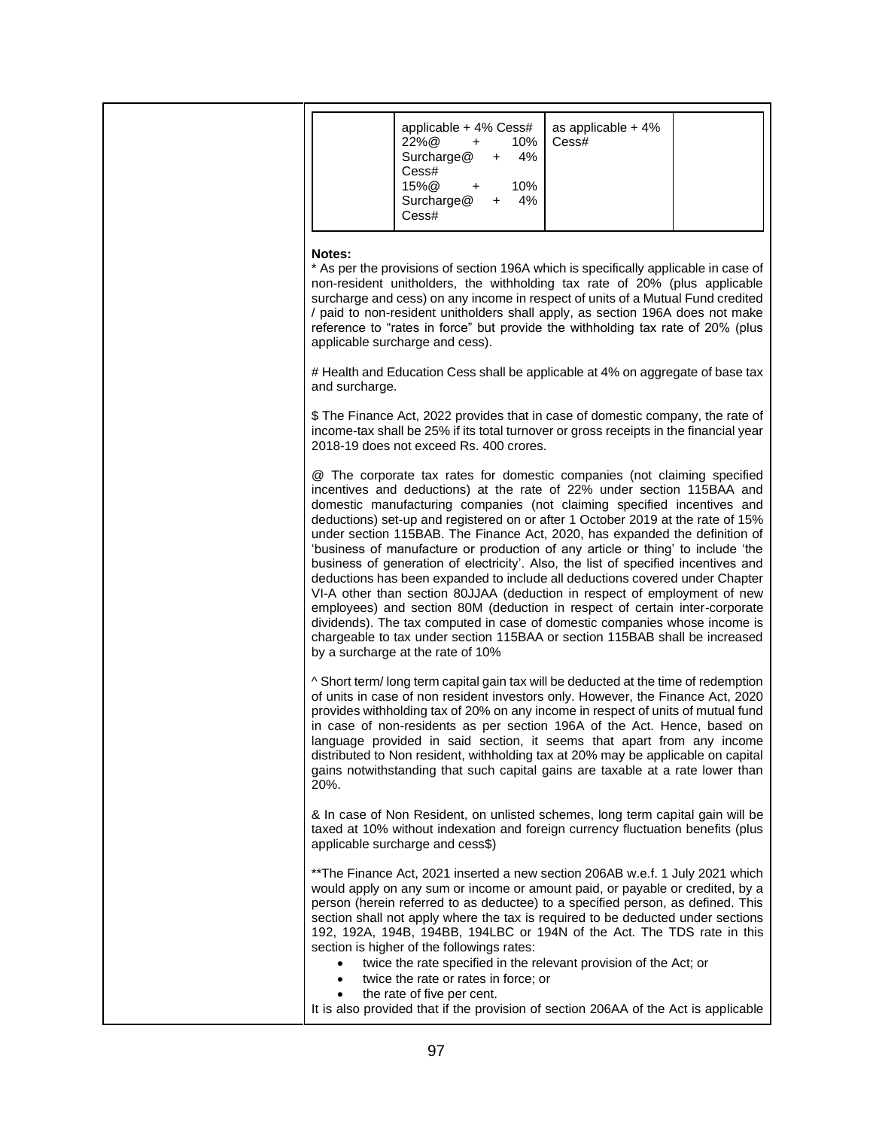| applicable + 4% Cess#<br>as applicable $+4\%$<br>$22\%$ @<br>10%<br>Cess#<br>$+$<br>4%<br>Surcharge@<br>+<br>Cess#<br>15%@<br>10%<br>$\ddot{}$<br>Surcharge@<br>4%<br>$\ddot{}$<br>Cess#                                                                                                                                                                                                                                                                                                                                                                                                                                                                                                                                                                                                                                                                                                                                                                                                                               |  |
|------------------------------------------------------------------------------------------------------------------------------------------------------------------------------------------------------------------------------------------------------------------------------------------------------------------------------------------------------------------------------------------------------------------------------------------------------------------------------------------------------------------------------------------------------------------------------------------------------------------------------------------------------------------------------------------------------------------------------------------------------------------------------------------------------------------------------------------------------------------------------------------------------------------------------------------------------------------------------------------------------------------------|--|
| Notes:<br>* As per the provisions of section 196A which is specifically applicable in case of<br>non-resident unitholders, the withholding tax rate of 20% (plus applicable<br>surcharge and cess) on any income in respect of units of a Mutual Fund credited<br>/ paid to non-resident unitholders shall apply, as section 196A does not make<br>reference to "rates in force" but provide the withholding tax rate of 20% (plus<br>applicable surcharge and cess).                                                                                                                                                                                                                                                                                                                                                                                                                                                                                                                                                  |  |
| # Health and Education Cess shall be applicable at 4% on aggregate of base tax<br>and surcharge.                                                                                                                                                                                                                                                                                                                                                                                                                                                                                                                                                                                                                                                                                                                                                                                                                                                                                                                       |  |
| \$ The Finance Act, 2022 provides that in case of domestic company, the rate of<br>income-tax shall be 25% if its total turnover or gross receipts in the financial year<br>2018-19 does not exceed Rs. 400 crores.                                                                                                                                                                                                                                                                                                                                                                                                                                                                                                                                                                                                                                                                                                                                                                                                    |  |
| @ The corporate tax rates for domestic companies (not claiming specified<br>incentives and deductions) at the rate of 22% under section 115BAA and<br>domestic manufacturing companies (not claiming specified incentives and<br>deductions) set-up and registered on or after 1 October 2019 at the rate of 15%<br>under section 115BAB. The Finance Act, 2020, has expanded the definition of<br>'business of manufacture or production of any article or thing' to include 'the<br>business of generation of electricity'. Also, the list of specified incentives and<br>deductions has been expanded to include all deductions covered under Chapter<br>VI-A other than section 80JJAA (deduction in respect of employment of new<br>employees) and section 80M (deduction in respect of certain inter-corporate<br>dividends). The tax computed in case of domestic companies whose income is<br>chargeable to tax under section 115BAA or section 115BAB shall be increased<br>by a surcharge at the rate of 10% |  |
| ^ Short term/long term capital gain tax will be deducted at the time of redemption<br>of units in case of non resident investors only. However, the Finance Act, 2020<br>provides withholding tax of 20% on any income in respect of units of mutual fund<br>in case of non-residents as per section 196A of the Act. Hence, based on<br>language provided in said section, it seems that apart from any income<br>distributed to Non resident, withholding tax at 20% may be applicable on capital<br>gains notwithstanding that such capital gains are taxable at a rate lower than<br>20%.                                                                                                                                                                                                                                                                                                                                                                                                                          |  |
| & In case of Non Resident, on unlisted schemes, long term capital gain will be<br>taxed at 10% without indexation and foreign currency fluctuation benefits (plus<br>applicable surcharge and cess\$)                                                                                                                                                                                                                                                                                                                                                                                                                                                                                                                                                                                                                                                                                                                                                                                                                  |  |
| **The Finance Act, 2021 inserted a new section 206AB w.e.f. 1 July 2021 which<br>would apply on any sum or income or amount paid, or payable or credited, by a<br>person (herein referred to as deductee) to a specified person, as defined. This<br>section shall not apply where the tax is required to be deducted under sections<br>192, 192A, 194B, 194BB, 194LBC or 194N of the Act. The TDS rate in this<br>section is higher of the followings rates:<br>twice the rate specified in the relevant provision of the Act; or<br>twice the rate or rates in force; or<br>the rate of five per cent.                                                                                                                                                                                                                                                                                                                                                                                                               |  |
| It is also provided that if the provision of section 206AA of the Act is applicable                                                                                                                                                                                                                                                                                                                                                                                                                                                                                                                                                                                                                                                                                                                                                                                                                                                                                                                                    |  |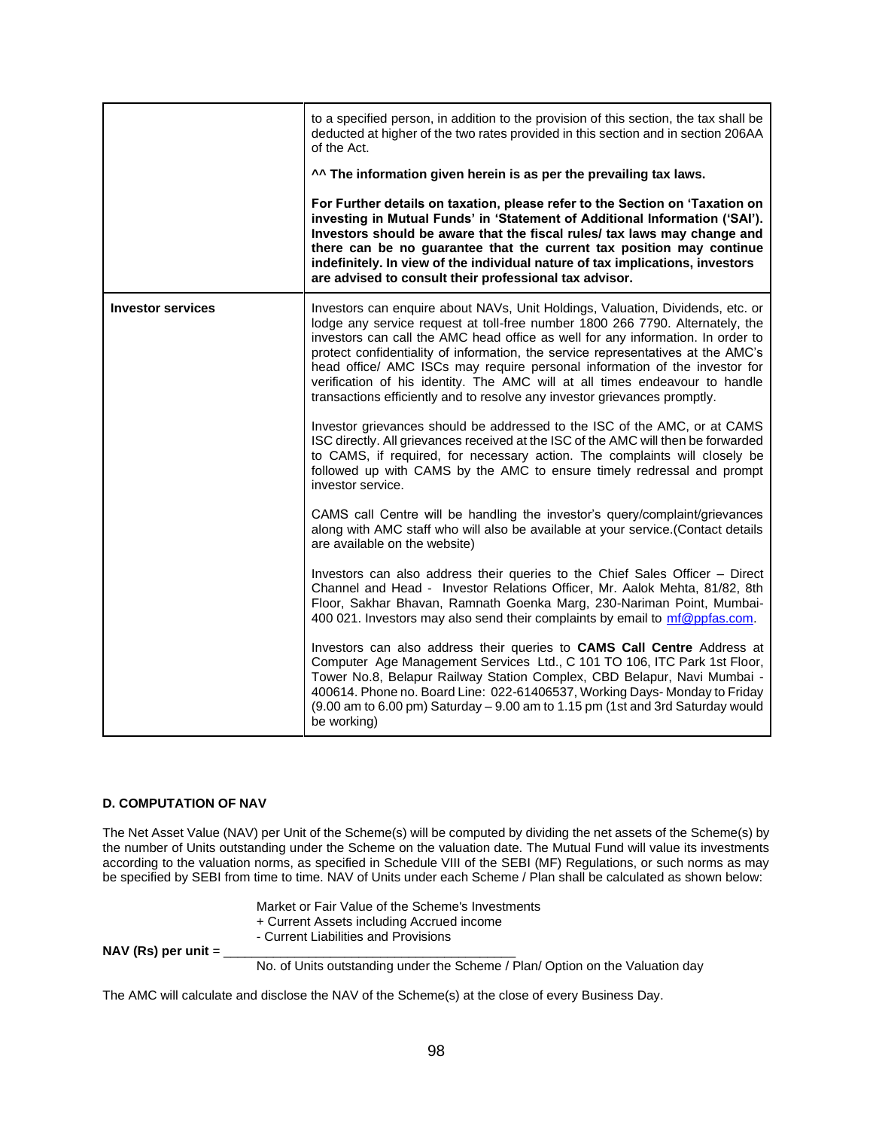|                          | to a specified person, in addition to the provision of this section, the tax shall be<br>deducted at higher of the two rates provided in this section and in section 206AA<br>of the Act.<br>^^ The information given herein is as per the prevailing tax laws.<br>For Further details on taxation, please refer to the Section on 'Taxation on<br>investing in Mutual Funds' in 'Statement of Additional Information ('SAI').<br>Investors should be aware that the fiscal rules/ tax laws may change and<br>there can be no guarantee that the current tax position may continue<br>indefinitely. In view of the individual nature of tax implications, investors<br>are advised to consult their professional tax advisor.                                                                                                                                                                                                                                                                                                                                                                                                                                                                                                                                                                                                                                                                                                                                                                                                                                                                                                                                                                                                                                                                                                                                                |
|--------------------------|------------------------------------------------------------------------------------------------------------------------------------------------------------------------------------------------------------------------------------------------------------------------------------------------------------------------------------------------------------------------------------------------------------------------------------------------------------------------------------------------------------------------------------------------------------------------------------------------------------------------------------------------------------------------------------------------------------------------------------------------------------------------------------------------------------------------------------------------------------------------------------------------------------------------------------------------------------------------------------------------------------------------------------------------------------------------------------------------------------------------------------------------------------------------------------------------------------------------------------------------------------------------------------------------------------------------------------------------------------------------------------------------------------------------------------------------------------------------------------------------------------------------------------------------------------------------------------------------------------------------------------------------------------------------------------------------------------------------------------------------------------------------------------------------------------------------------------------------------------------------------|
| <b>Investor services</b> | Investors can enquire about NAVs, Unit Holdings, Valuation, Dividends, etc. or<br>lodge any service request at toll-free number 1800 266 7790. Alternately, the<br>investors can call the AMC head office as well for any information. In order to<br>protect confidentiality of information, the service representatives at the AMC's<br>head office/ AMC ISCs may require personal information of the investor for<br>verification of his identity. The AMC will at all times endeavour to handle<br>transactions efficiently and to resolve any investor grievances promptly.<br>Investor grievances should be addressed to the ISC of the AMC, or at CAMS<br>ISC directly. All grievances received at the ISC of the AMC will then be forwarded<br>to CAMS, if required, for necessary action. The complaints will closely be<br>followed up with CAMS by the AMC to ensure timely redressal and prompt<br>investor service.<br>CAMS call Centre will be handling the investor's query/complaint/grievances<br>along with AMC staff who will also be available at your service. (Contact details<br>are available on the website)<br>Investors can also address their queries to the Chief Sales Officer - Direct<br>Channel and Head - Investor Relations Officer, Mr. Aalok Mehta, 81/82, 8th<br>Floor, Sakhar Bhavan, Ramnath Goenka Marg, 230-Nariman Point, Mumbai-<br>400 021. Investors may also send their complaints by email to mf@ppfas.com.<br>Investors can also address their queries to CAMS Call Centre Address at<br>Computer Age Management Services Ltd., C 101 TO 106, ITC Park 1st Floor,<br>Tower No.8, Belapur Railway Station Complex, CBD Belapur, Navi Mumbai -<br>400614. Phone no. Board Line: 022-61406537, Working Days- Monday to Friday<br>(9.00 am to 6.00 pm) Saturday - 9.00 am to 1.15 pm (1st and 3rd Saturday would<br>be working) |

## **D. COMPUTATION OF NAV**

The Net Asset Value (NAV) per Unit of the Scheme(s) will be computed by dividing the net assets of the Scheme(s) by the number of Units outstanding under the Scheme on the valuation date. The Mutual Fund will value its investments according to the valuation norms, as specified in Schedule VIII of the SEBI (MF) Regulations, or such norms as may be specified by SEBI from time to time. NAV of Units under each Scheme / Plan shall be calculated as shown below:

Market or Fair Value of the Scheme's Investments + Current Assets including Accrued income - Current Liabilities and Provisions **NAV (Rs) per unit = \_** No. of Units outstanding under the Scheme / Plan/ Option on the Valuation day

The AMC will calculate and disclose the NAV of the Scheme(s) at the close of every Business Day.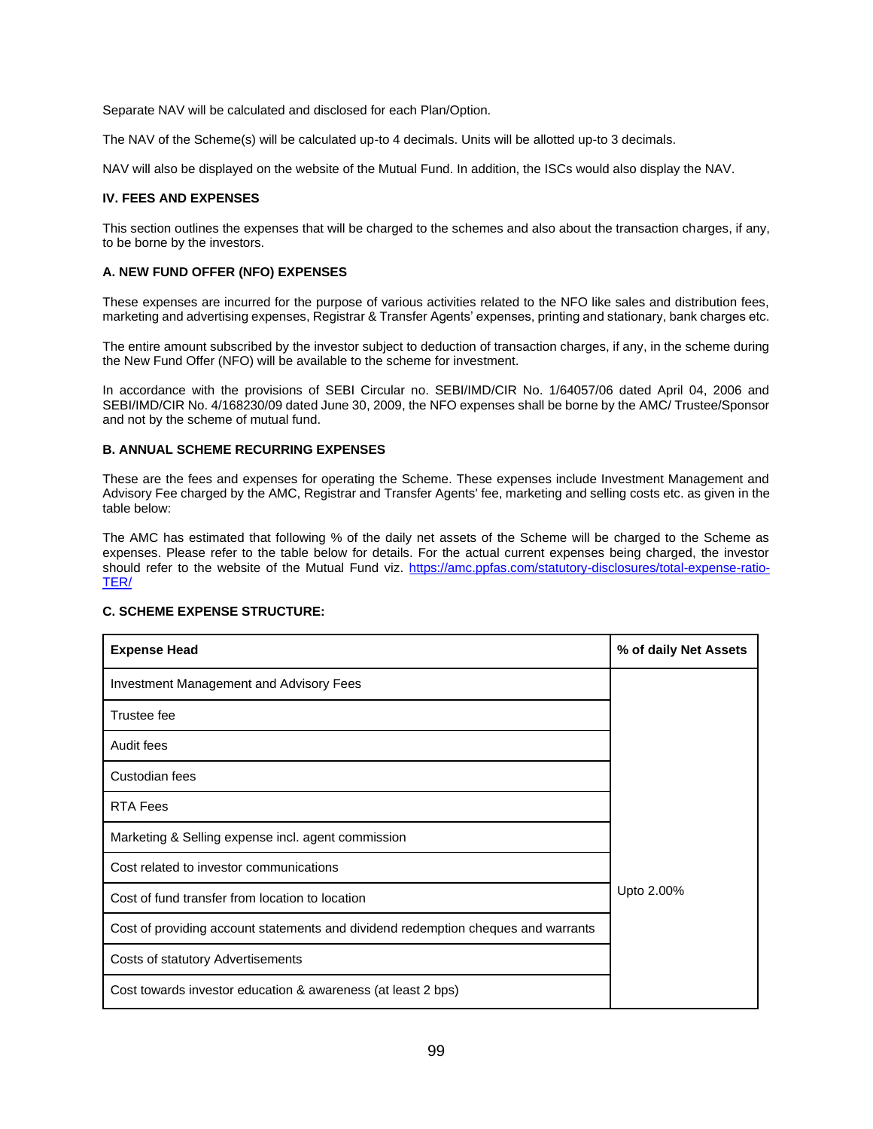Separate NAV will be calculated and disclosed for each Plan/Option.

The NAV of the Scheme(s) will be calculated up-to 4 decimals. Units will be allotted up-to 3 decimals.

NAV will also be displayed on the website of the Mutual Fund. In addition, the ISCs would also display the NAV.

#### **IV. FEES AND EXPENSES**

This section outlines the expenses that will be charged to the schemes and also about the transaction charges, if any, to be borne by the investors.

### **A. NEW FUND OFFER (NFO) EXPENSES**

These expenses are incurred for the purpose of various activities related to the NFO like sales and distribution fees, marketing and advertising expenses, Registrar & Transfer Agents' expenses, printing and stationary, bank charges etc.

The entire amount subscribed by the investor subject to deduction of transaction charges, if any, in the scheme during the New Fund Offer (NFO) will be available to the scheme for investment.

In accordance with the provisions of SEBI Circular no. SEBI/IMD/CIR No. 1/64057/06 dated April 04, 2006 and SEBI/IMD/CIR No. 4/168230/09 dated June 30, 2009, the NFO expenses shall be borne by the AMC/ Trustee/Sponsor and not by the scheme of mutual fund.

### **B. ANNUAL SCHEME RECURRING EXPENSES**

These are the fees and expenses for operating the Scheme. These expenses include Investment Management and Advisory Fee charged by the AMC, Registrar and Transfer Agents' fee, marketing and selling costs etc. as given in the table below:

The AMC has estimated that following % of the daily net assets of the Scheme will be charged to the Scheme as expenses. Please refer to the table below for details. For the actual current expenses being charged, the investor should refer to the website of the Mutual Fund viz. [https://amc.ppfas.com/statutory-disclosures/total-expense-ratio-](https://amc.ppfas.com/statutory-disclosures/total-expense-ratio-TER/)[TER/](https://amc.ppfas.com/statutory-disclosures/total-expense-ratio-TER/)

| <b>Expense Head</b>                                                               | % of daily Net Assets |  |
|-----------------------------------------------------------------------------------|-----------------------|--|
| Investment Management and Advisory Fees                                           |                       |  |
| Trustee fee                                                                       |                       |  |
| Audit fees                                                                        |                       |  |
| Custodian fees                                                                    |                       |  |
| <b>RTA Fees</b>                                                                   | Upto 2.00%            |  |
| Marketing & Selling expense incl. agent commission                                |                       |  |
| Cost related to investor communications                                           |                       |  |
| Cost of fund transfer from location to location                                   |                       |  |
| Cost of providing account statements and dividend redemption cheques and warrants |                       |  |
| Costs of statutory Advertisements                                                 |                       |  |
| Cost towards investor education & awareness (at least 2 bps)                      |                       |  |

## **C. SCHEME EXPENSE STRUCTURE:**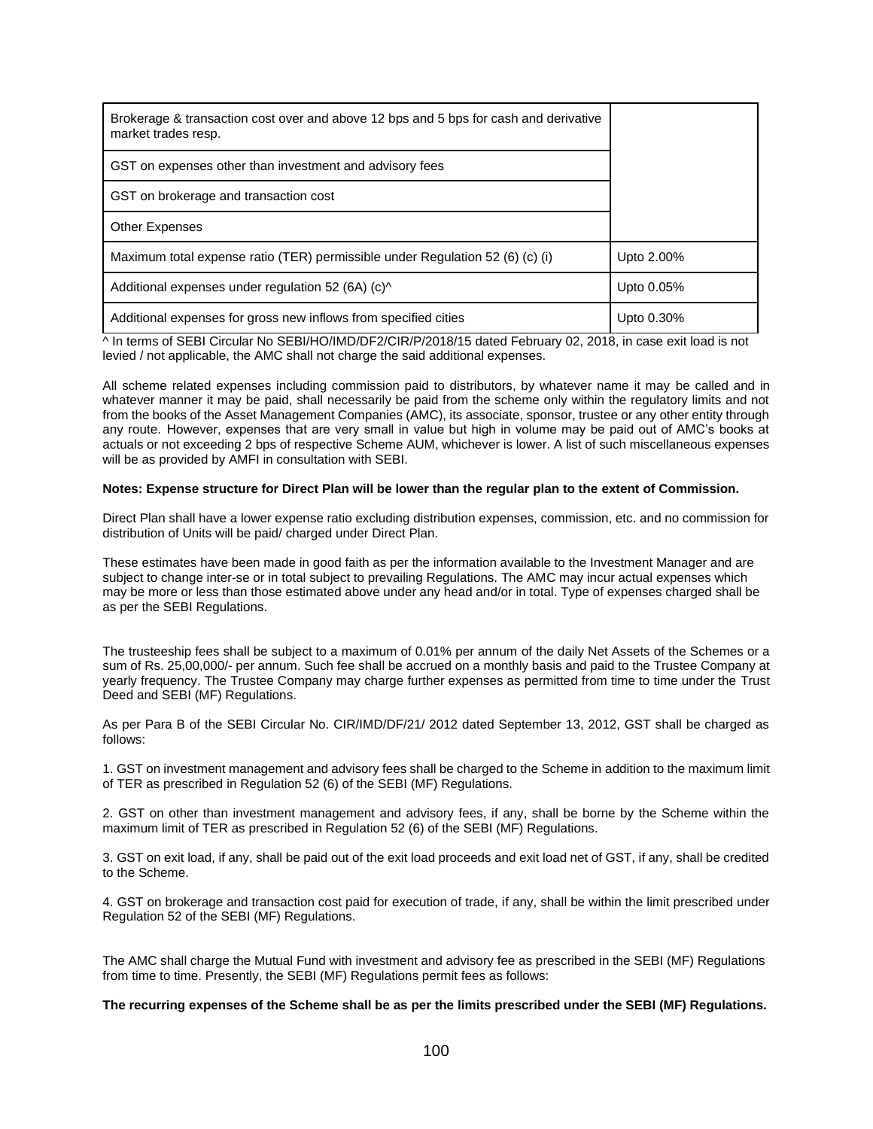| Brokerage & transaction cost over and above 12 bps and 5 bps for cash and derivative<br>market trades resp. |            |
|-------------------------------------------------------------------------------------------------------------|------------|
| GST on expenses other than investment and advisory fees                                                     |            |
| GST on brokerage and transaction cost                                                                       |            |
| <b>Other Expenses</b>                                                                                       |            |
| Maximum total expense ratio (TER) permissible under Regulation 52 (6) (c) (i)                               | Upto 2.00% |
| Additional expenses under regulation 52 (6A) $(c)$                                                          | Upto 0.05% |
| Additional expenses for gross new inflows from specified cities                                             | Upto 0.30% |

^ In terms of SEBI Circular No SEBI/HO/IMD/DF2/CIR/P/2018/15 dated February 02, 2018, in case exit load is not levied / not applicable, the AMC shall not charge the said additional expenses.

All scheme related expenses including commission paid to distributors, by whatever name it may be called and in whatever manner it may be paid, shall necessarily be paid from the scheme only within the regulatory limits and not from the books of the Asset Management Companies (AMC), its associate, sponsor, trustee or any other entity through any route. However, expenses that are very small in value but high in volume may be paid out of AMC's books at actuals or not exceeding 2 bps of respective Scheme AUM, whichever is lower. A list of such miscellaneous expenses will be as provided by AMFI in consultation with SEBI.

#### **Notes: Expense structure for Direct Plan will be lower than the regular plan to the extent of Commission.**

Direct Plan shall have a lower expense ratio excluding distribution expenses, commission, etc. and no commission for distribution of Units will be paid/ charged under Direct Plan.

These estimates have been made in good faith as per the information available to the Investment Manager and are subject to change inter-se or in total subject to prevailing Regulations. The AMC may incur actual expenses which may be more or less than those estimated above under any head and/or in total. Type of expenses charged shall be as per the SEBI Regulations.

The trusteeship fees shall be subject to a maximum of 0.01% per annum of the daily Net Assets of the Schemes or a sum of Rs. 25,00,000/- per annum. Such fee shall be accrued on a monthly basis and paid to the Trustee Company at yearly frequency. The Trustee Company may charge further expenses as permitted from time to time under the Trust Deed and SEBI (MF) Regulations.

As per Para B of the SEBI Circular No. CIR/IMD/DF/21/ 2012 dated September 13, 2012, GST shall be charged as follows:

1. GST on investment management and advisory fees shall be charged to the Scheme in addition to the maximum limit of TER as prescribed in Regulation 52 (6) of the SEBI (MF) Regulations.

2. GST on other than investment management and advisory fees, if any, shall be borne by the Scheme within the maximum limit of TER as prescribed in Regulation 52 (6) of the SEBI (MF) Regulations.

3. GST on exit load, if any, shall be paid out of the exit load proceeds and exit load net of GST, if any, shall be credited to the Scheme.

4. GST on brokerage and transaction cost paid for execution of trade, if any, shall be within the limit prescribed under Regulation 52 of the SEBI (MF) Regulations.

The AMC shall charge the Mutual Fund with investment and advisory fee as prescribed in the SEBI (MF) Regulations from time to time. Presently, the SEBI (MF) Regulations permit fees as follows:

#### **The recurring expenses of the Scheme shall be as per the limits prescribed under the SEBI (MF) Regulations.**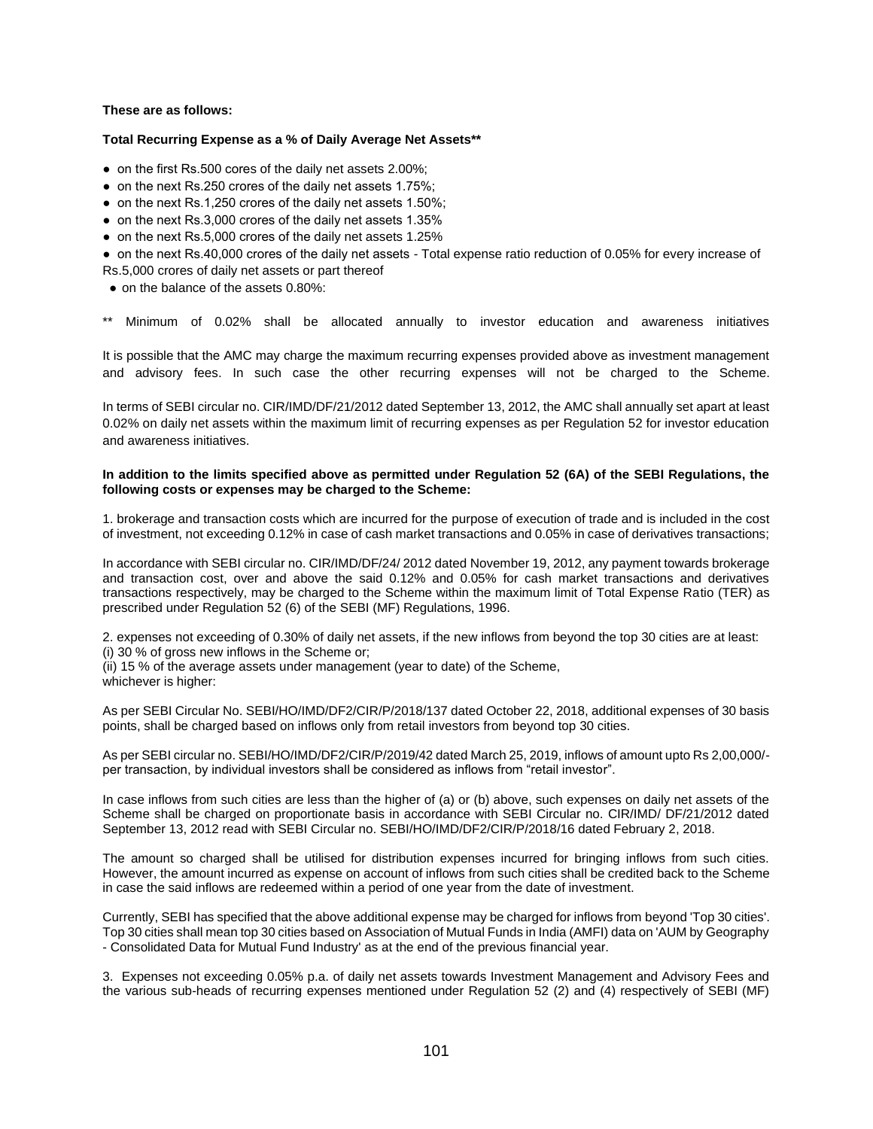## **These are as follows:**

#### **Total Recurring Expense as a % of Daily Average Net Assets\*\***

- on the first Rs.500 cores of the daily net assets 2.00%;
- on the next Rs.250 crores of the daily net assets 1.75%;
- on the next Rs.1,250 crores of the daily net assets 1.50%;
- on the next Rs.3,000 crores of the daily net assets 1.35%
- on the next Rs.5,000 crores of the daily net assets 1.25%

● on the next Rs.40,000 crores of the daily net assets - Total expense ratio reduction of 0.05% for every increase of Rs.5,000 crores of daily net assets or part thereof

• on the balance of the assets 0.80%:

Minimum of 0.02% shall be allocated annually to investor education and awareness initiatives

It is possible that the AMC may charge the maximum recurring expenses provided above as investment management and advisory fees. In such case the other recurring expenses will not be charged to the Scheme.

In terms of SEBI circular no. CIR/IMD/DF/21/2012 dated September 13, 2012, the AMC shall annually set apart at least 0.02% on daily net assets within the maximum limit of recurring expenses as per Regulation 52 for investor education and awareness initiatives.

#### **In addition to the limits specified above as permitted under Regulation 52 (6A) of the SEBI Regulations, the following costs or expenses may be charged to the Scheme:**

1. brokerage and transaction costs which are incurred for the purpose of execution of trade and is included in the cost of investment, not exceeding 0.12% in case of cash market transactions and 0.05% in case of derivatives transactions;

In accordance with SEBI circular no. CIR/IMD/DF/24/ 2012 dated November 19, 2012, any payment towards brokerage and transaction cost, over and above the said 0.12% and 0.05% for cash market transactions and derivatives transactions respectively, may be charged to the Scheme within the maximum limit of Total Expense Ratio (TER) as prescribed under Regulation 52 (6) of the SEBI (MF) Regulations, 1996.

2. expenses not exceeding of 0.30% of daily net assets, if the new inflows from beyond the top 30 cities are at least: (i) 30 % of gross new inflows in the Scheme or;

(ii) 15 % of the average assets under management (year to date) of the Scheme, whichever is higher:

As per SEBI Circular No. SEBI/HO/IMD/DF2/CIR/P/2018/137 dated October 22, 2018, additional expenses of 30 basis points, shall be charged based on inflows only from retail investors from beyond top 30 cities.

As per SEBI circular no. SEBI/HO/IMD/DF2/CIR/P/2019/42 dated March 25, 2019, inflows of amount upto Rs 2,00,000/ per transaction, by individual investors shall be considered as inflows from "retail investor".

In case inflows from such cities are less than the higher of (a) or (b) above, such expenses on daily net assets of the Scheme shall be charged on proportionate basis in accordance with SEBI Circular no. CIR/IMD/ DF/21/2012 dated September 13, 2012 read with SEBI Circular no. SEBI/HO/IMD/DF2/CIR/P/2018/16 dated February 2, 2018.

The amount so charged shall be utilised for distribution expenses incurred for bringing inflows from such cities. However, the amount incurred as expense on account of inflows from such cities shall be credited back to the Scheme in case the said inflows are redeemed within a period of one year from the date of investment.

Currently, SEBI has specified that the above additional expense may be charged for inflows from beyond 'Top 30 cities'. Top 30 cities shall mean top 30 cities based on Association of Mutual Funds in India (AMFI) data on 'AUM by Geography - Consolidated Data for Mutual Fund Industry' as at the end of the previous financial year.

3. Expenses not exceeding 0.05% p.a. of daily net assets towards Investment Management and Advisory Fees and the various sub-heads of recurring expenses mentioned under Regulation 52 (2) and (4) respectively of SEBI (MF)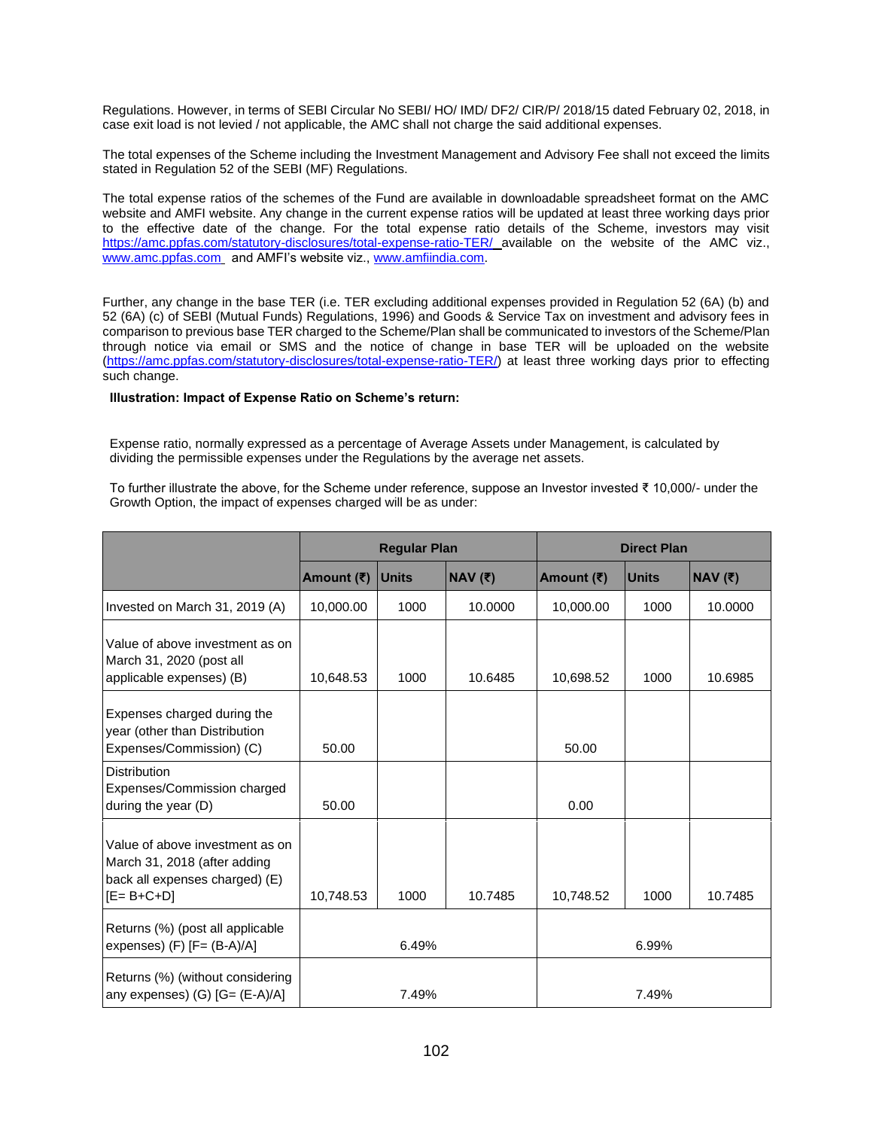Regulations. However, in terms of SEBI Circular No SEBI/ HO/ IMD/ DF2/ CIR/P/ 2018/15 dated February 02, 2018, in case exit load is not levied / not applicable, the AMC shall not charge the said additional expenses.

The total expenses of the Scheme including the Investment Management and Advisory Fee shall not exceed the limits stated in Regulation 52 of the SEBI (MF) Regulations.

The total expense ratios of the schemes of the Fund are available in downloadable spreadsheet format on the AMC website and AMFI website. Any change in the current expense ratios will be updated at least three working days prior to the effective date of the change. For the total expense ratio details of the Scheme, investors may visit <https://amc.ppfas.com/statutory-disclosures/total-expense-ratio-TER/> available on the website of the AMC viz., [www.amc.ppfas.com](http://www.amc.ppfas.com/) and AMFI's website viz., [www.amfiindia.com.](http://www.amfiindia.com/)

Further, any change in the base TER (i.e. TER excluding additional expenses provided in Regulation 52 (6A) (b) and 52 (6A) (c) of SEBI (Mutual Funds) Regulations, 1996) and Goods & Service Tax on investment and advisory fees in comparison to previous base TER charged to the Scheme/Plan shall be communicated to investors of the Scheme/Plan through notice via email or SMS and the notice of change in base TER will be uploaded on the website [\(https://amc.ppfas.com/statutory-disclosures/total-expense-ratio-TER/\)](https://amc.ppfas.com/statutory-disclosures/total-expense-ratio-TER/) at least three working days prior to effecting such change.

#### **Illustration: Impact of Expense Ratio on Scheme's return:**

Expense ratio, normally expressed as a percentage of Average Assets under Management, is calculated by dividing the permissible expenses under the Regulations by the average net assets.

To further illustrate the above, for the Scheme under reference, suppose an Investor invested ₹ 10,000/- under the Growth Option, the impact of expenses charged will be as under:

|                                                                                                                        | <b>Regular Plan</b> |              | <b>Direct Plan</b> |            |              |           |
|------------------------------------------------------------------------------------------------------------------------|---------------------|--------------|--------------------|------------|--------------|-----------|
|                                                                                                                        | Amount (₹)          | <b>Units</b> | $NAV$ (₹)          | Amount (₹) | <b>Units</b> | $NAV$ (₹) |
| Invested on March 31, 2019 (A)                                                                                         | 10,000.00           | 1000         | 10.0000            | 10,000.00  | 1000         | 10.0000   |
| Value of above investment as on<br>March 31, 2020 (post all<br>applicable expenses) (B)                                | 10,648.53           | 1000         | 10.6485            | 10,698.52  | 1000         | 10.6985   |
| Expenses charged during the<br>year (other than Distribution<br>Expenses/Commission) (C)                               | 50.00               |              |                    | 50.00      |              |           |
| <b>Distribution</b><br>Expenses/Commission charged<br>during the year $(D)$                                            | 50.00               |              |                    | 0.00       |              |           |
| Value of above investment as on<br>March 31, 2018 (after adding<br>back all expenses charged) (E)<br>$[E = B + C + D]$ | 10,748.53           | 1000         | 10.7485            | 10,748.52  | 1000         | 10.7485   |
| Returns (%) (post all applicable<br>expenses) $(F)$ $[F = (B-A)/A]$                                                    | 6.49%               |              | 6.99%              |            |              |           |
| Returns (%) (without considering<br>any expenses) (G) [G= (E-A)/A]                                                     | 7.49%               |              |                    | 7.49%      |              |           |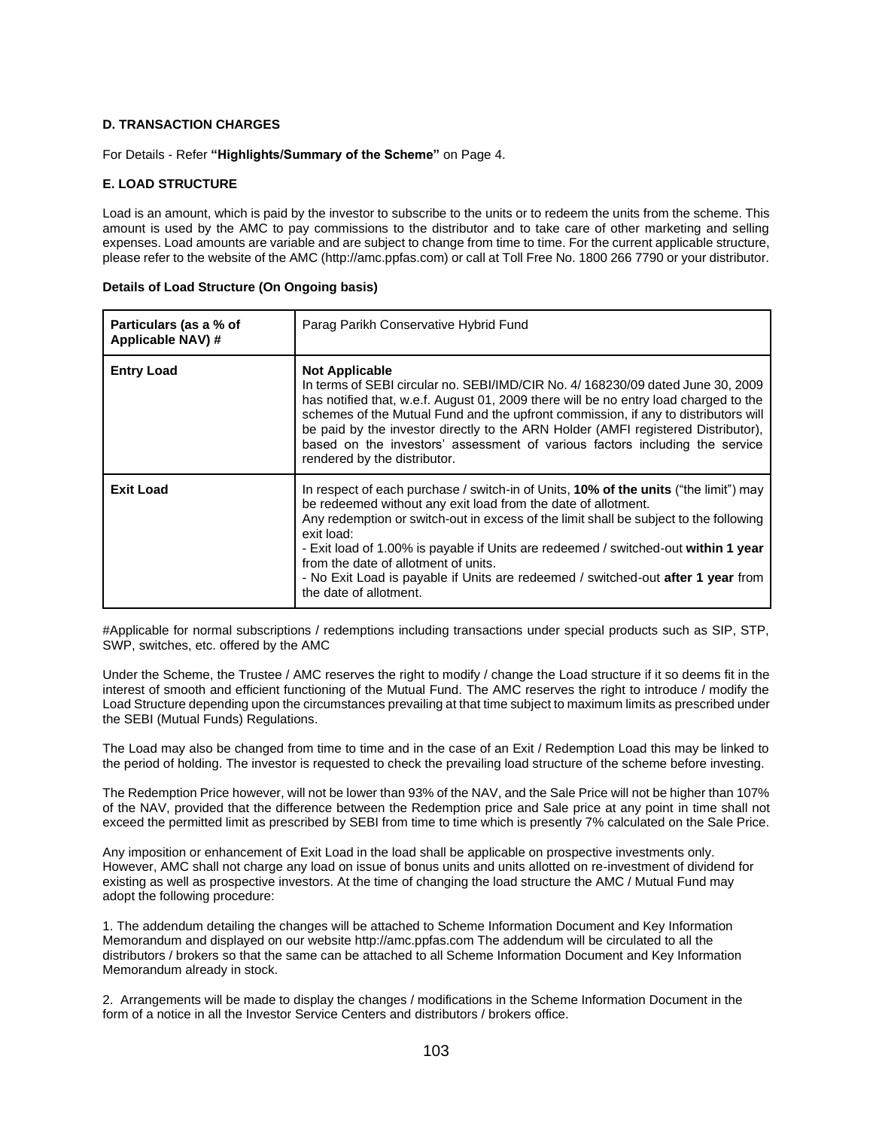## **D. TRANSACTION CHARGES**

For Details - Refer **"Highlights/Summary of the Scheme"** on Page 4.

## **E. LOAD STRUCTURE**

Load is an amount, which is paid by the investor to subscribe to the units or to redeem the units from the scheme. This amount is used by the AMC to pay commissions to the distributor and to take care of other marketing and selling expenses. Load amounts are variable and are subject to change from time to time. For the current applicable structure, please refer to the website of the AMC (http://amc.ppfas.com) or call at Toll Free No. 1800 266 7790 or your distributor.

| Particulars (as a % of<br>Applicable NAV) # | Parag Parikh Conservative Hybrid Fund                                                                                                                                                                                                                                                                                                                                                                                                                                                                           |
|---------------------------------------------|-----------------------------------------------------------------------------------------------------------------------------------------------------------------------------------------------------------------------------------------------------------------------------------------------------------------------------------------------------------------------------------------------------------------------------------------------------------------------------------------------------------------|
| <b>Entry Load</b>                           | <b>Not Applicable</b><br>In terms of SEBI circular no. SEBI/IMD/CIR No. 4/168230/09 dated June 30, 2009<br>has notified that, w.e.f. August 01, 2009 there will be no entry load charged to the<br>schemes of the Mutual Fund and the upfront commission, if any to distributors will<br>be paid by the investor directly to the ARN Holder (AMFI registered Distributor),<br>based on the investors' assessment of various factors including the service<br>rendered by the distributor.                       |
| <b>Exit Load</b>                            | In respect of each purchase / switch-in of Units, 10% of the units ("the limit") may<br>be redeemed without any exit load from the date of allotment.<br>Any redemption or switch-out in excess of the limit shall be subject to the following<br>exit load:<br>- Exit load of 1.00% is payable if Units are redeemed / switched-out within 1 year<br>from the date of allotment of units.<br>- No Exit Load is payable if Units are redeemed / switched-out <b>after 1 year</b> from<br>the date of allotment. |

| Details of Load Structure (On Ongoing basis) |  |  |  |
|----------------------------------------------|--|--|--|
|----------------------------------------------|--|--|--|

#Applicable for normal subscriptions / redemptions including transactions under special products such as SIP, STP, SWP, switches, etc. offered by the AMC

Under the Scheme, the Trustee / AMC reserves the right to modify / change the Load structure if it so deems fit in the interest of smooth and efficient functioning of the Mutual Fund. The AMC reserves the right to introduce / modify the Load Structure depending upon the circumstances prevailing at that time subject to maximum limits as prescribed under the SEBI (Mutual Funds) Regulations.

The Load may also be changed from time to time and in the case of an Exit / Redemption Load this may be linked to the period of holding. The investor is requested to check the prevailing load structure of the scheme before investing.

The Redemption Price however, will not be lower than 93% of the NAV, and the Sale Price will not be higher than 107% of the NAV, provided that the difference between the Redemption price and Sale price at any point in time shall not exceed the permitted limit as prescribed by SEBI from time to time which is presently 7% calculated on the Sale Price.

Any imposition or enhancement of Exit Load in the load shall be applicable on prospective investments only. However, AMC shall not charge any load on issue of bonus units and units allotted on re-investment of dividend for existing as well as prospective investors. At the time of changing the load structure the AMC / Mutual Fund may adopt the following procedure:

1. The addendum detailing the changes will be attached to Scheme Information Document and Key Information Memorandum and displayed on our website http://amc.ppfas.com The addendum will be circulated to all the distributors / brokers so that the same can be attached to all Scheme Information Document and Key Information Memorandum already in stock.

2. Arrangements will be made to display the changes / modifications in the Scheme Information Document in the form of a notice in all the Investor Service Centers and distributors / brokers office.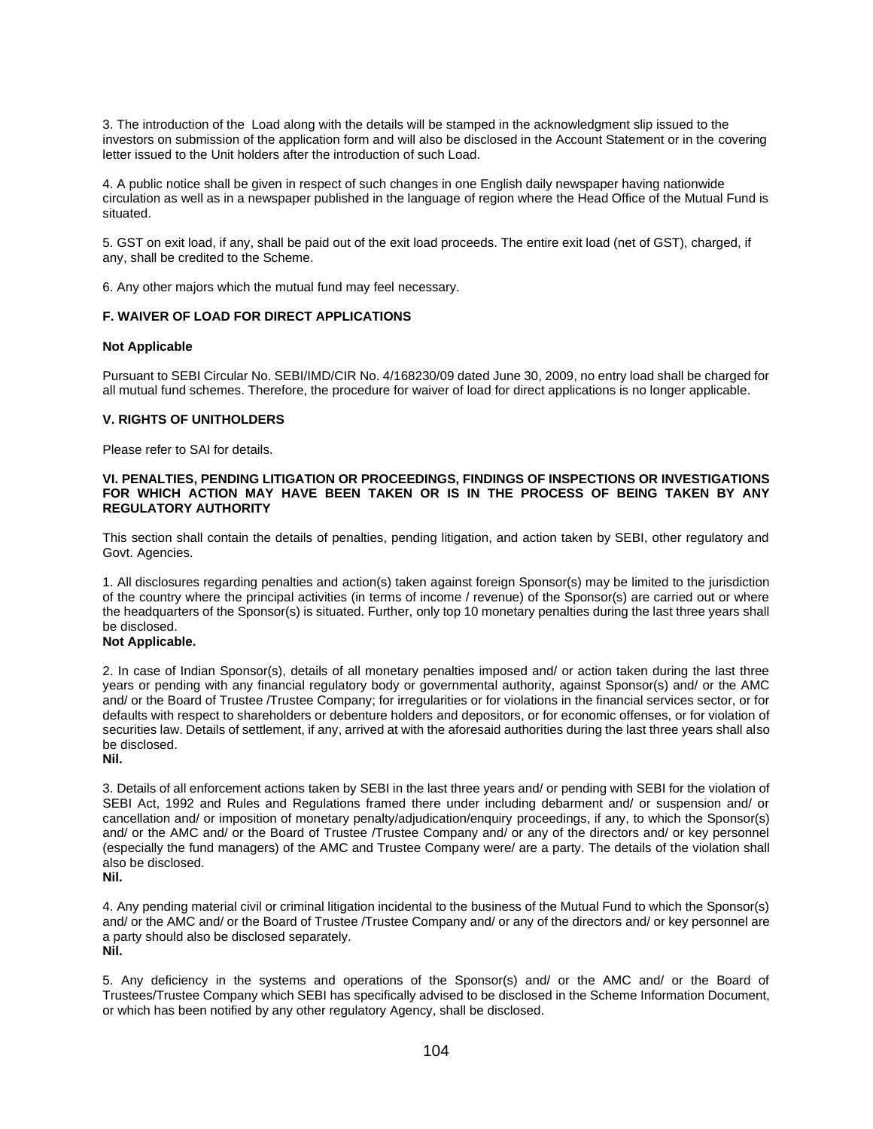3. The introduction of the Load along with the details will be stamped in the acknowledgment slip issued to the investors on submission of the application form and will also be disclosed in the Account Statement or in the covering letter issued to the Unit holders after the introduction of such Load.

4. A public notice shall be given in respect of such changes in one English daily newspaper having nationwide circulation as well as in a newspaper published in the language of region where the Head Office of the Mutual Fund is situated.

5. GST on exit load, if any, shall be paid out of the exit load proceeds. The entire exit load (net of GST), charged, if any, shall be credited to the Scheme.

6. Any other majors which the mutual fund may feel necessary.

## **F. WAIVER OF LOAD FOR DIRECT APPLICATIONS**

#### **Not Applicable**

Pursuant to SEBI Circular No. SEBI/IMD/CIR No. 4/168230/09 dated June 30, 2009, no entry load shall be charged for all mutual fund schemes. Therefore, the procedure for waiver of load for direct applications is no longer applicable.

## **V. RIGHTS OF UNITHOLDERS**

Please refer to SAI for details.

### **VI. PENALTIES, PENDING LITIGATION OR PROCEEDINGS, FINDINGS OF INSPECTIONS OR INVESTIGATIONS FOR WHICH ACTION MAY HAVE BEEN TAKEN OR IS IN THE PROCESS OF BEING TAKEN BY ANY REGULATORY AUTHORITY**

This section shall contain the details of penalties, pending litigation, and action taken by SEBI, other regulatory and Govt. Agencies.

1. All disclosures regarding penalties and action(s) taken against foreign Sponsor(s) may be limited to the jurisdiction of the country where the principal activities (in terms of income / revenue) of the Sponsor(s) are carried out or where the headquarters of the Sponsor(s) is situated. Further, only top 10 monetary penalties during the last three years shall be disclosed.

## **Not Applicable.**

2. In case of Indian Sponsor(s), details of all monetary penalties imposed and/ or action taken during the last three years or pending with any financial regulatory body or governmental authority, against Sponsor(s) and/ or the AMC and/ or the Board of Trustee /Trustee Company; for irregularities or for violations in the financial services sector, or for defaults with respect to shareholders or debenture holders and depositors, or for economic offenses, or for violation of securities law. Details of settlement, if any, arrived at with the aforesaid authorities during the last three years shall also be disclosed.

**Nil.**

3. Details of all enforcement actions taken by SEBI in the last three years and/ or pending with SEBI for the violation of SEBI Act, 1992 and Rules and Regulations framed there under including debarment and/ or suspension and/ or cancellation and/ or imposition of monetary penalty/adjudication/enquiry proceedings, if any, to which the Sponsor(s) and/ or the AMC and/ or the Board of Trustee /Trustee Company and/ or any of the directors and/ or key personnel (especially the fund managers) of the AMC and Trustee Company were/ are a party. The details of the violation shall also be disclosed.

**Nil.**

4. Any pending material civil or criminal litigation incidental to the business of the Mutual Fund to which the Sponsor(s) and/ or the AMC and/ or the Board of Trustee /Trustee Company and/ or any of the directors and/ or key personnel are a party should also be disclosed separately. **Nil.**

5. Any deficiency in the systems and operations of the Sponsor(s) and/ or the AMC and/ or the Board of Trustees/Trustee Company which SEBI has specifically advised to be disclosed in the Scheme Information Document, or which has been notified by any other regulatory Agency, shall be disclosed.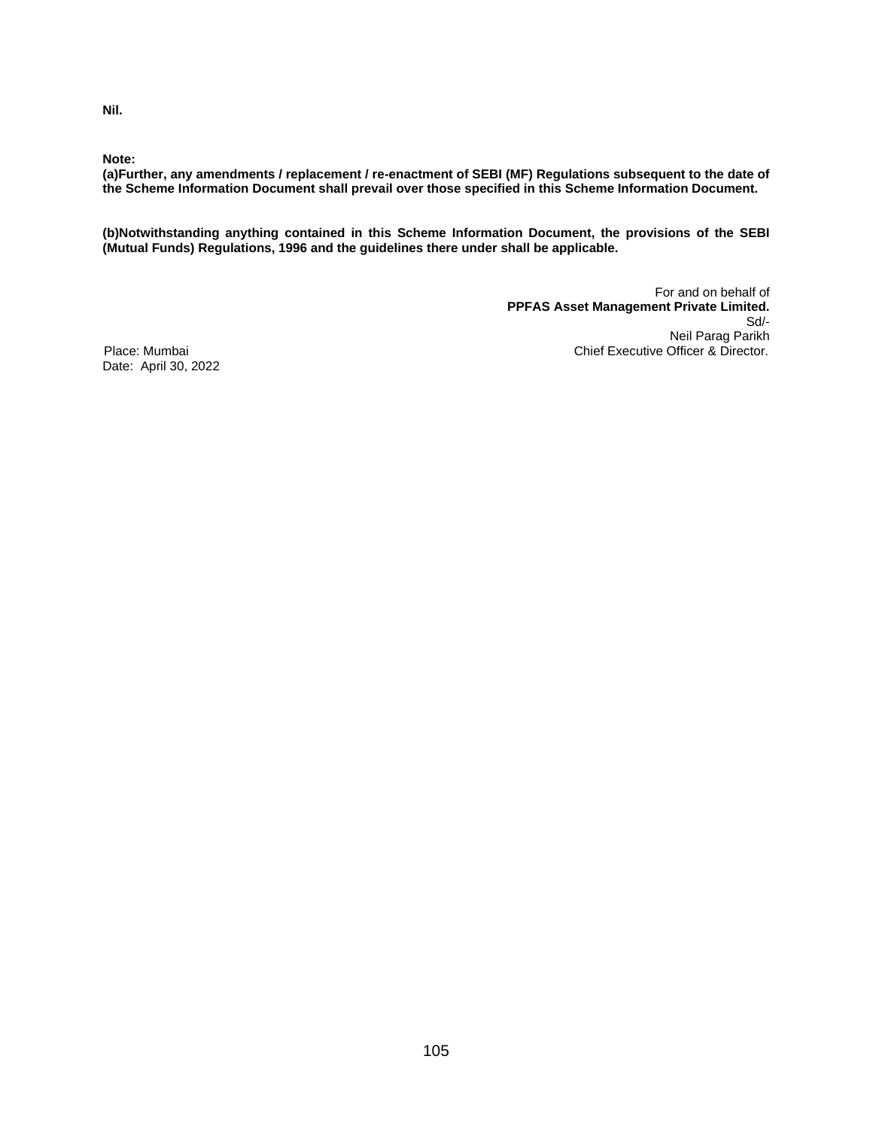**Nil.**

**Note:**

**(a)Further, any amendments / replacement / re-enactment of SEBI (MF) Regulations subsequent to the date of the Scheme Information Document shall prevail over those specified in this Scheme Information Document.**

**(b)Notwithstanding anything contained in this Scheme Information Document, the provisions of the SEBI (Mutual Funds) Regulations, 1996 and the guidelines there under shall be applicable.**

For and on behalf of **PPFAS Asset Management Private Limited.** Sd/- Neil Parag Parikh Place: Mumbai Chief Executive Officer & Director.

Date: April 30, 2022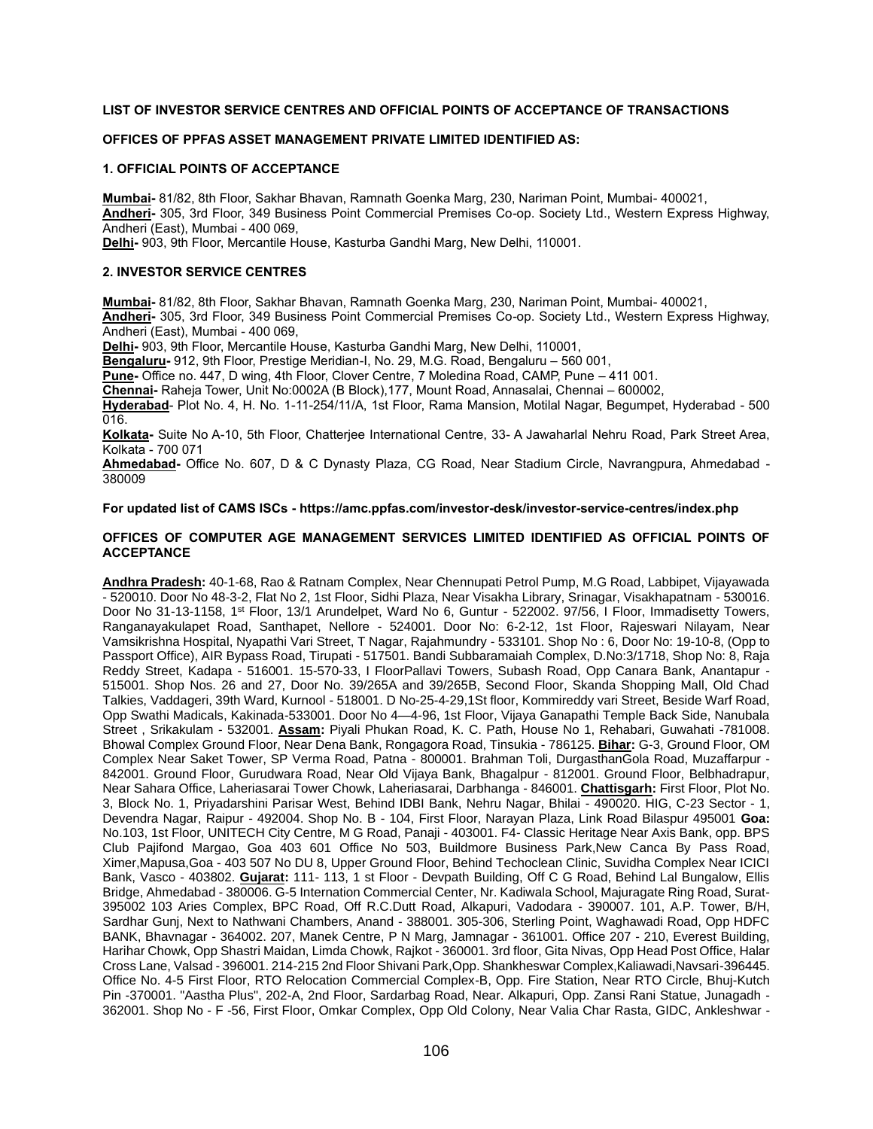## **LIST OF INVESTOR SERVICE CENTRES AND OFFICIAL POINTS OF ACCEPTANCE OF TRANSACTIONS**

## **OFFICES OF PPFAS ASSET MANAGEMENT PRIVATE LIMITED IDENTIFIED AS:**

#### **1. OFFICIAL POINTS OF ACCEPTANCE**

**Mumbai-** 81/82, 8th Floor, Sakhar Bhavan, Ramnath Goenka Marg, 230, Nariman Point, Mumbai- 400021, **Andheri-** 305, 3rd Floor, 349 Business Point Commercial Premises Co-op. Society Ltd., Western Express Highway, Andheri (East), Mumbai - 400 069,

**Delhi-** 903, 9th Floor, Mercantile House, Kasturba Gandhi Marg, New Delhi, 110001.

#### **2. INVESTOR SERVICE CENTRES**

**Mumbai-** 81/82, 8th Floor, Sakhar Bhavan, Ramnath Goenka Marg, 230, Nariman Point, Mumbai- 400021, **Andheri-** 305, 3rd Floor, 349 Business Point Commercial Premises Co-op. Society Ltd., Western Express Highway, Andheri (East), Mumbai - 400 069,

**Delhi-** 903, 9th Floor, Mercantile House, Kasturba Gandhi Marg, New Delhi, 110001,

**Bengaluru-** 912, 9th Floor, Prestige Meridian-I, No. 29, M.G. Road, Bengaluru – 560 001,

**Pune-** Office no. 447, D wing, 4th Floor, Clover Centre, 7 Moledina Road, CAMP, Pune – 411 001.

**Chennai-** Raheja Tower, Unit No:0002A (B Block),177, Mount Road, Annasalai, Chennai – 600002,

**Hyderabad**- Plot No. 4, H. No. 1-11-254/11/A, 1st Floor, Rama Mansion, Motilal Nagar, Begumpet, Hyderabad - 500 016.

**Kolkata-** Suite No A-10, 5th Floor, Chatterjee International Centre, 33- A Jawaharlal Nehru Road, Park Street Area, Kolkata - 700 071

**Ahmedabad-** Office No. 607, D & C Dynasty Plaza, CG Road, Near Stadium Circle, Navrangpura, Ahmedabad - 380009

### **For updated list of CAMS ISCs - <https://amc.ppfas.com/investor-desk/investor-service-centres/index.php>**

#### **OFFICES OF COMPUTER AGE MANAGEMENT SERVICES LIMITED IDENTIFIED AS OFFICIAL POINTS OF ACCEPTANCE**

**Andhra Pradesh:** 40-1-68, Rao & Ratnam Complex, Near Chennupati Petrol Pump, M.G Road, Labbipet, Vijayawada - 520010. Door No 48-3-2, Flat No 2, 1st Floor, Sidhi Plaza, Near Visakha Library, Srinagar, Visakhapatnam - 530016. Door No 31-13-1158, 1st Floor, 13/1 Arundelpet, Ward No 6, Guntur - 522002. 97/56, I Floor, Immadisetty Towers, Ranganayakulapet Road, Santhapet, Nellore - 524001. Door No: 6-2-12, 1st Floor, Rajeswari Nilayam, Near Vamsikrishna Hospital, Nyapathi Vari Street, T Nagar, Rajahmundry - 533101. Shop No : 6, Door No: 19-10-8, (Opp to Passport Office), AIR Bypass Road, Tirupati - 517501. Bandi Subbaramaiah Complex, D.No:3/1718, Shop No: 8, Raja Reddy Street, Kadapa - 516001. 15-570-33, I FloorPallavi Towers, Subash Road, Opp Canara Bank, Anantapur - 515001. Shop Nos. 26 and 27, Door No. 39/265A and 39/265B, Second Floor, Skanda Shopping Mall, Old Chad Talkies, Vaddageri, 39th Ward, Kurnool - 518001. D No-25-4-29,1St floor, Kommireddy vari Street, Beside Warf Road, Opp Swathi Madicals, Kakinada-533001. Door No 4—4-96, 1st Floor, Vijaya Ganapathi Temple Back Side, Nanubala Street , Srikakulam - 532001. **Assam:** Piyali Phukan Road, K. C. Path, House No 1, Rehabari, Guwahati -781008. Bhowal Complex Ground Floor, Near Dena Bank, Rongagora Road, Tinsukia - 786125. **Bihar:** G-3, Ground Floor, OM Complex Near Saket Tower, SP Verma Road, Patna - 800001. Brahman Toli, DurgasthanGola Road, Muzaffarpur - 842001. Ground Floor, Gurudwara Road, Near Old Vijaya Bank, Bhagalpur - 812001. Ground Floor, Belbhadrapur, Near Sahara Office, Laheriasarai Tower Chowk, Laheriasarai, Darbhanga - 846001. **Chattisgarh:** First Floor, Plot No. 3, Block No. 1, Priyadarshini Parisar West, Behind IDBI Bank, Nehru Nagar, Bhilai - 490020. HIG, C-23 Sector - 1, Devendra Nagar, Raipur - 492004. Shop No. B - 104, First Floor, Narayan Plaza, Link Road Bilaspur 495001 **Goa:**  No.103, 1st Floor, UNITECH City Centre, M G Road, Panaji - 403001. F4- Classic Heritage Near Axis Bank, opp. BPS Club Pajifond Margao, Goa 403 601 Office No 503, Buildmore Business Park,New Canca By Pass Road, Ximer,Mapusa,Goa - 403 507 No DU 8, Upper Ground Floor, Behind Techoclean Clinic, Suvidha Complex Near ICICI Bank, Vasco - 403802. **Gujarat:** 111- 113, 1 st Floor - Devpath Building, Off C G Road, Behind Lal Bungalow, Ellis Bridge, Ahmedabad - 380006. G-5 Internation Commercial Center, Nr. Kadiwala School, Majuragate Ring Road, Surat-395002 103 Aries Complex, BPC Road, Off R.C.Dutt Road, Alkapuri, Vadodara - 390007. 101, A.P. Tower, B/H, Sardhar Gunj, Next to Nathwani Chambers, Anand - 388001. 305-306, Sterling Point, Waghawadi Road, Opp HDFC BANK, Bhavnagar - 364002. 207, Manek Centre, P N Marg, Jamnagar - 361001. Office 207 - 210, Everest Building, Harihar Chowk, Opp Shastri Maidan, Limda Chowk, Rajkot - 360001. 3rd floor, Gita Nivas, Opp Head Post Office, Halar Cross Lane, Valsad - 396001. 214-215 2nd Floor Shivani Park,Opp. Shankheswar Complex,Kaliawadi,Navsari-396445. Office No. 4-5 First Floor, RTO Relocation Commercial Complex-B, Opp. Fire Station, Near RTO Circle, Bhuj-Kutch Pin -370001. "Aastha Plus", 202-A, 2nd Floor, Sardarbag Road, Near. Alkapuri, Opp. Zansi Rani Statue, Junagadh - 362001. Shop No - F -56, First Floor, Omkar Complex, Opp Old Colony, Near Valia Char Rasta, GIDC, Ankleshwar -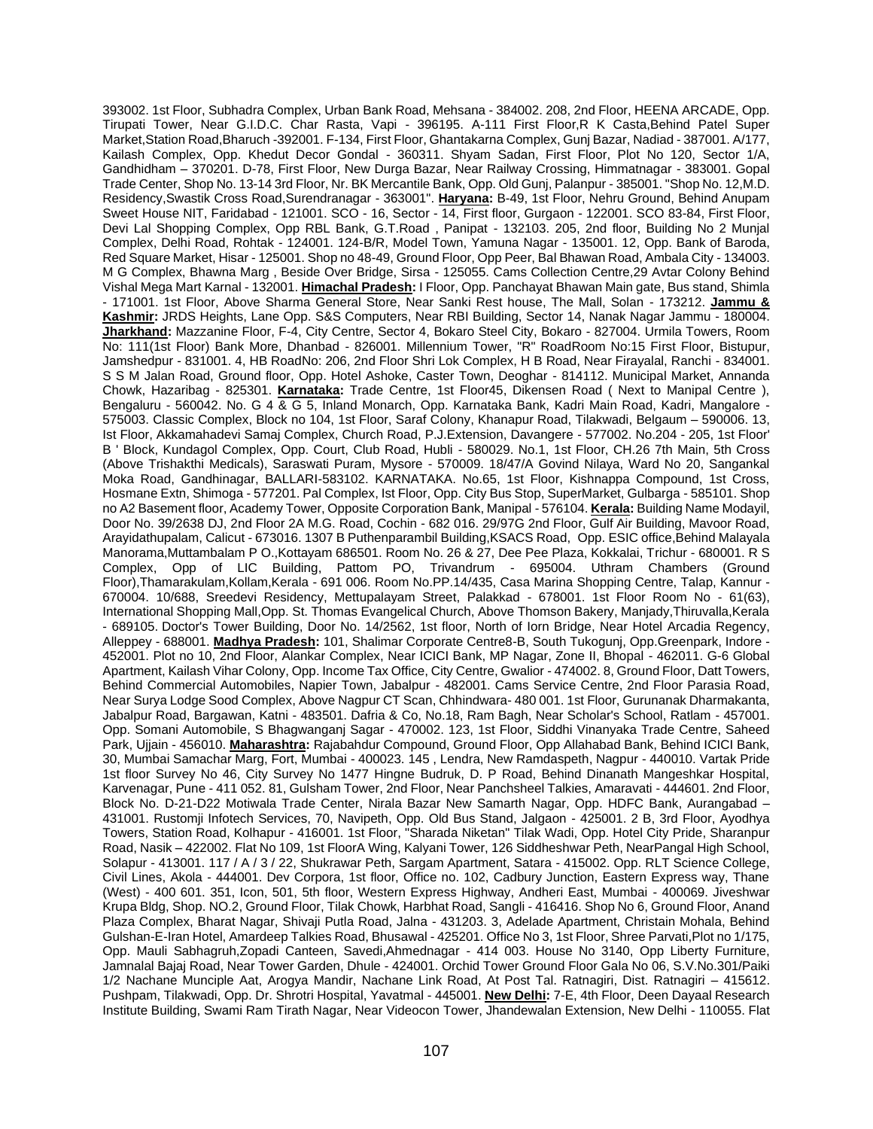393002. 1st Floor, Subhadra Complex, Urban Bank Road, Mehsana - 384002. 208, 2nd Floor, HEENA ARCADE, Opp. Tirupati Tower, Near G.I.D.C. Char Rasta, Vapi - 396195. A-111 First Floor,R K Casta,Behind Patel Super Market,Station Road,Bharuch -392001. F-134, First Floor, Ghantakarna Complex, Gunj Bazar, Nadiad - 387001. A/177, Kailash Complex, Opp. Khedut Decor Gondal - 360311. Shyam Sadan, First Floor, Plot No 120, Sector 1/A, Gandhidham – 370201. D-78, First Floor, New Durga Bazar, Near Railway Crossing, Himmatnagar - 383001. Gopal Trade Center, Shop No. 13-14 3rd Floor, Nr. BK Mercantile Bank, Opp. Old Gunj, Palanpur - 385001. "Shop No. 12,M.D. Residency,Swastik Cross Road,Surendranagar - 363001". **Haryana:** B-49, 1st Floor, Nehru Ground, Behind Anupam Sweet House NIT, Faridabad - 121001. SCO - 16, Sector - 14, First floor, Gurgaon - 122001. SCO 83-84, First Floor, Devi Lal Shopping Complex, Opp RBL Bank, G.T.Road , Panipat - 132103. 205, 2nd floor, Building No 2 Munjal Complex, Delhi Road, Rohtak - 124001. 124-B/R, Model Town, Yamuna Nagar - 135001. 12, Opp. Bank of Baroda, Red Square Market, Hisar - 125001. Shop no 48-49, Ground Floor, Opp Peer, Bal Bhawan Road, Ambala City - 134003. M G Complex, Bhawna Marg , Beside Over Bridge, Sirsa - 125055. Cams Collection Centre,29 Avtar Colony Behind Vishal Mega Mart Karnal - 132001. **Himachal Pradesh:** I Floor, Opp. Panchayat Bhawan Main gate, Bus stand, Shimla - 171001. 1st Floor, Above Sharma General Store, Near Sanki Rest house, The Mall, Solan - 173212. **Jammu & Kashmir:** JRDS Heights, Lane Opp. S&S Computers, Near RBI Building, Sector 14, Nanak Nagar Jammu - 180004. **Jharkhand:** Mazzanine Floor, F-4, City Centre, Sector 4, Bokaro Steel City, Bokaro - 827004. Urmila Towers, Room No: 111(1st Floor) Bank More, Dhanbad - 826001. Millennium Tower, "R" RoadRoom No:15 First Floor, Bistupur, Jamshedpur - 831001. 4, HB RoadNo: 206, 2nd Floor Shri Lok Complex, H B Road, Near Firayalal, Ranchi - 834001. S S M Jalan Road, Ground floor, Opp. Hotel Ashoke, Caster Town, Deoghar - 814112. Municipal Market, Annanda Chowk, Hazaribag - 825301. **Karnataka:** Trade Centre, 1st Floor45, Dikensen Road ( Next to Manipal Centre ), Bengaluru - 560042. No. G 4 & G 5, Inland Monarch, Opp. Karnataka Bank, Kadri Main Road, Kadri, Mangalore - 575003. Classic Complex, Block no 104, 1st Floor, Saraf Colony, Khanapur Road, Tilakwadi, Belgaum – 590006. 13, Ist Floor, Akkamahadevi Samaj Complex, Church Road, P.J.Extension, Davangere - 577002. No.204 - 205, 1st Floor' B ' Block, Kundagol Complex, Opp. Court, Club Road, Hubli - 580029. No.1, 1st Floor, CH.26 7th Main, 5th Cross (Above Trishakthi Medicals), Saraswati Puram, Mysore - 570009. 18/47/A Govind Nilaya, Ward No 20, Sangankal Moka Road, Gandhinagar, BALLARI-583102. KARNATAKA. No.65, 1st Floor, Kishnappa Compound, 1st Cross, Hosmane Extn, Shimoga - 577201. Pal Complex, Ist Floor, Opp. City Bus Stop, SuperMarket, Gulbarga - 585101. Shop no A2 Basement floor, Academy Tower, Opposite Corporation Bank, Manipal - 576104. **Kerala:** Building Name Modayil, Door No. 39/2638 DJ, 2nd Floor 2A M.G. Road, Cochin - 682 016. 29/97G 2nd Floor, Gulf Air Building, Mavoor Road, Arayidathupalam, Calicut - 673016. 1307 B Puthenparambil Building,KSACS Road, Opp. ESIC office,Behind Malayala Manorama,Muttambalam P O.,Kottayam 686501. Room No. 26 & 27, Dee Pee Plaza, Kokkalai, Trichur - 680001. R S Complex, Opp of LIC Building, Pattom PO, Trivandrum - 695004. Uthram Chambers (Ground Floor),Thamarakulam,Kollam,Kerala - 691 006. Room No.PP.14/435, Casa Marina Shopping Centre, Talap, Kannur - 670004. 10/688, Sreedevi Residency, Mettupalayam Street, Palakkad - 678001. 1st Floor Room No - 61(63), International Shopping Mall,Opp. St. Thomas Evangelical Church, Above Thomson Bakery, Manjady,Thiruvalla,Kerala - 689105. Doctor's Tower Building, Door No. 14/2562, 1st floor, North of Iorn Bridge, Near Hotel Arcadia Regency, Alleppey - 688001. **Madhya Pradesh:** 101, Shalimar Corporate Centre8-B, South Tukogunj, Opp.Greenpark, Indore - 452001. Plot no 10, 2nd Floor, Alankar Complex, Near ICICI Bank, MP Nagar, Zone II, Bhopal - 462011. G-6 Global Apartment, Kailash Vihar Colony, Opp. Income Tax Office, City Centre, Gwalior - 474002. 8, Ground Floor, Datt Towers, Behind Commercial Automobiles, Napier Town, Jabalpur - 482001. Cams Service Centre, 2nd Floor Parasia Road, Near Surya Lodge Sood Complex, Above Nagpur CT Scan, Chhindwara- 480 001. 1st Floor, Gurunanak Dharmakanta, Jabalpur Road, Bargawan, Katni - 483501. Dafria & Co, No.18, Ram Bagh, Near Scholar's School, Ratlam - 457001. Opp. Somani Automobile, S Bhagwanganj Sagar - 470002. 123, 1st Floor, Siddhi Vinanyaka Trade Centre, Saheed Park, Ujjain - 456010. **Maharashtra:** Rajabahdur Compound, Ground Floor, Opp Allahabad Bank, Behind ICICI Bank, 30, Mumbai Samachar Marg, Fort, Mumbai - 400023. 145 , Lendra, New Ramdaspeth, Nagpur - 440010. Vartak Pride 1st floor Survey No 46, City Survey No 1477 Hingne Budruk, D. P Road, Behind Dinanath Mangeshkar Hospital, Karvenagar, Pune - 411 052. 81, Gulsham Tower, 2nd Floor, Near Panchsheel Talkies, Amaravati - 444601. 2nd Floor, Block No. D-21-D22 Motiwala Trade Center, Nirala Bazar New Samarth Nagar, Opp. HDFC Bank, Aurangabad – 431001. Rustomji Infotech Services, 70, Navipeth, Opp. Old Bus Stand, Jalgaon - 425001. 2 B, 3rd Floor, Ayodhya Towers, Station Road, Kolhapur - 416001. 1st Floor, "Sharada Niketan" Tilak Wadi, Opp. Hotel City Pride, Sharanpur Road, Nasik – 422002. Flat No 109, 1st FloorA Wing, Kalyani Tower, 126 Siddheshwar Peth, NearPangal High School, Solapur - 413001. 117 / A / 3 / 22, Shukrawar Peth, Sargam Apartment, Satara - 415002. Opp. RLT Science College, Civil Lines, Akola - 444001. Dev Corpora, 1st floor, Office no. 102, Cadbury Junction, Eastern Express way, Thane (West) - 400 601. 351, Icon, 501, 5th floor, Western Express Highway, Andheri East, Mumbai - 400069. Jiveshwar Krupa Bldg, Shop. NO.2, Ground Floor, Tilak Chowk, Harbhat Road, Sangli - 416416. Shop No 6, Ground Floor, Anand Plaza Complex, Bharat Nagar, Shivaji Putla Road, Jalna - 431203. 3, Adelade Apartment, Christain Mohala, Behind Gulshan-E-Iran Hotel, Amardeep Talkies Road, Bhusawal - 425201. Office No 3, 1st Floor, Shree Parvati,Plot no 1/175, Opp. Mauli Sabhagruh,Zopadi Canteen, Savedi,Ahmednagar - 414 003. House No 3140, Opp Liberty Furniture, Jamnalal Bajaj Road, Near Tower Garden, Dhule - 424001. Orchid Tower Ground Floor Gala No 06, S.V.No.301/Paiki 1/2 Nachane Munciple Aat, Arogya Mandir, Nachane Link Road, At Post Tal. Ratnagiri, Dist. Ratnagiri – 415612. Pushpam, Tilakwadi, Opp. Dr. Shrotri Hospital, Yavatmal - 445001. **New Delhi:** 7-E, 4th Floor, Deen Dayaal Research Institute Building, Swami Ram Tirath Nagar, Near Videocon Tower, Jhandewalan Extension, New Delhi - 110055. Flat